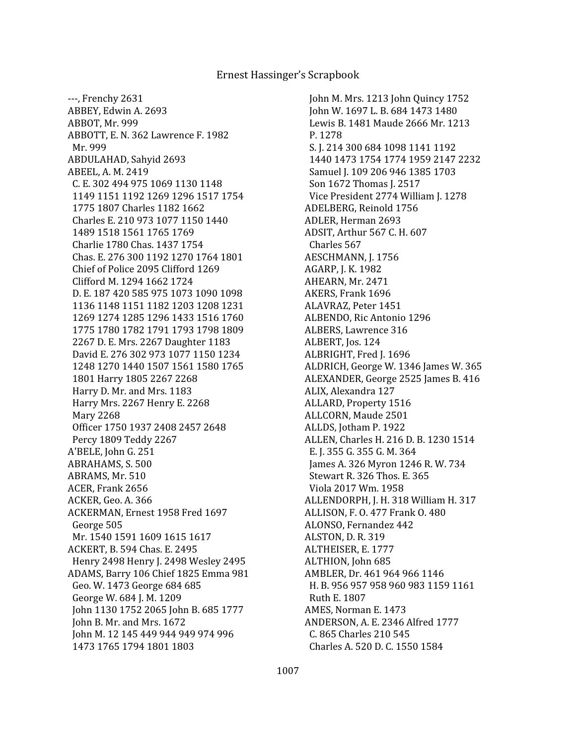John M. Mrs. 1213 John Quincy 1752 John W. 1697 L. B. 684 1473 1480 Lewis B. 1481 Maude 2666 Mr. 1213 P. 1278 S. J. 214 300 684 1098 1141 1192 1440 1473 1754 1774 1959 2147 2232 Samuel J. 109 206 946 1385 1703 Son 1672 Thomas J. 2517 Vice President 2774 William J. 1278 ADELBERG, Reinold 1756 ADLER, Herman 2693 ADSIT, Arthur 567 C. H. 607 Charles 567 AESCHMANN, J. 1756 AGARP, J. K. 1982 AHEARN, Mr. 2471 AKERS, Frank 1696 ALAVRAZ, Peter 1451 ALBENDO, Ric Antonio 1296 ALBERS, Lawrence 316 ALBERT, Jos. 124 ALBRIGHT, Fred J. 1696 ALDRICH, George W. 1346 James W. 365 ALEXANDER, George 2525 James B. 416 ALIX, Alexandra 127 ALLARD, Property 1516 ALLCORN, Maude 2501 ALLDS, Jotham P. 1922 ALLEN, Charles H. 216 D. B. 1230 1514 E. J. 355 G. 355 G. M. 364 James A. 326 Myron 1246 R. W. 734 Stewart R. 326 Thos. E. 365 Viola 2017 Wm. 1958 ALLENDORPH, J. H. 318 William H. 317 ALLISON, F. O. 477 Frank O. 480 ALONSO, Fernandez 442 ALSTON, D. R. 319 ALTHEISER, E. 1777 ALTHION, John 685 AMBLER, Dr. 461 964 966 1146 H. B. 956 957 958 960 983 1159 1161 Ruth E. 1807 AMES, Norman E. 1473 ANDERSON, A. E. 2346 Alfred 1777 C. 865 Charles 210 545 Charles A. 520 D. C. 1550 1584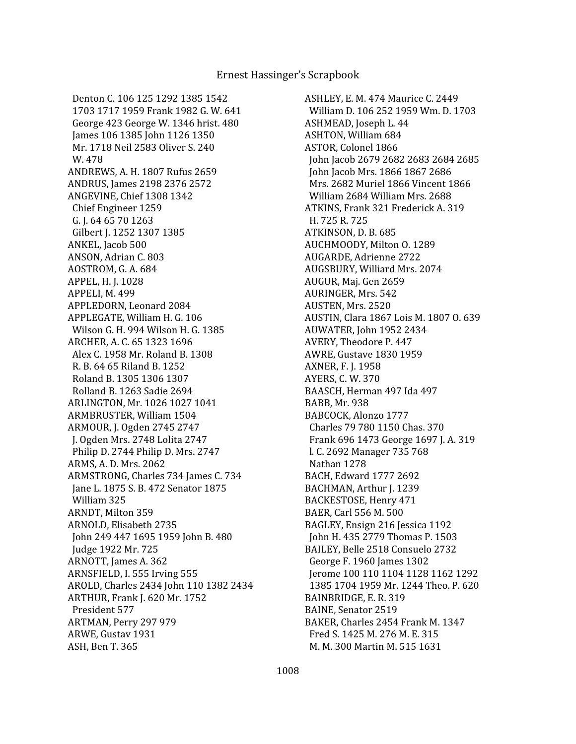Denton C. 106 125 1292 1385 1542 1703 1717 1959 Frank 1982 G. W. 641 George 423 George W. 1346 hrist. 480 James 106 1385 John 1126 1350 Mr. 1718 Neil 2583 Oliver S. 240 W. 478 ANDREWS, A. H. 1807 Rufus 2659 ANDRUS, James 2198 2376 2572 ANGEVINE, Chief 1308 1342 Chief Engineer 1259 G. J. 64 65 70 1263 Gilbert J. 1252 1307 1385 ANKEL, Jacob 500 ANSON, Adrian C. 803 AOSTROM, G. A. 684 APPEL, H. J. 1028 APPELI, M. 499 APPLEDORN, Leonard 2084 APPLEGATE, William H. G. 106 Wilson G. H. 994 Wilson H. G. 1385 ARCHER, A. C. 65 1323 1696 Alex C. 1958 Mr. Roland B. 1308 R. B. 64 65 Riland B. 1252 Roland B. 1305 1306 1307 Rolland B. 1263 Sadie 2694 ARLINGTON, Mr. 1026 1027 1041 ARMBRUSTER, William 1504 ARMOUR, J. Ogden 2745 2747 J. Ogden Mrs. 2748 Lolita 2747 Philip D. 2744 Philip D. Mrs. 2747 ARMS, A. D. Mrs. 2062 ARMSTRONG, Charles 734 James C. 734 Jane L. 1875 S. B. 472 Senator 1875 William 325 ARNDT, Milton 359 ARNOLD, Elisabeth 2735 John 249 447 1695 1959 John B. 480 Judge 1922 Mr. 725 ARNOTT, James A. 362 ARNSFIELD, I. 555 Irving 555 AROLD, Charles 2434 John 110 1382 2434 ARTHUR, Frank J. 620 Mr. 1752 President 577 ARTMAN, Perry 297 979 ARWE, Gustav 1931 ASH, Ben T. 365

ASHLEY, E. M. 474 Maurice C. 2449 William D. 106 252 1959 Wm. D. 1703 ASHMEAD, Joseph L. 44 ASHTON, William 684 ASTOR, Colonel 1866 John Jacob 2679 2682 2683 2684 2685 John Jacob Mrs. 1866 1867 2686 Mrs. 2682 Muriel 1866 Vincent 1866 William 2684 William Mrs. 2688 ATKINS, Frank 321 Frederick A. 319 H. 725 R. 725 ATKINSON, D. B. 685 AUCHMOODY, Milton O. 1289 AUGARDE, Adrienne 2722 AUGSBURY, Williard Mrs. 2074 AUGUR, Maj. Gen 2659 AURINGER, Mrs. 542 AUSTEN, Mrs. 2520 AUSTIN, Clara 1867 Lois M. 1807 O. 639 AUWATER, John 1952 2434 AVERY, Theodore P. 447 AWRE, Gustave 1830 1959 AXNER, F. J. 1958 AYERS, C. W. 370 BAASCH, Herman 497 Ida 497 BABB, Mr. 938 BABCOCK, Alonzo 1777 Charles 79 780 1150 Chas. 370 Frank 696 1473 George 1697 J. A. 319 l. C. 2692 Manager 735 768 Nathan 1278 BACH, Edward 1777 2692 BACHMAN, Arthur J. 1239 BACKESTOSE, Henry 471 BAER, Carl 556 M. 500 BAGLEY, Ensign 216 Jessica 1192 John H. 435 2779 Thomas P. 1503 BAILEY, Belle 2518 Consuelo 2732 George F. 1960 James 1302 Jerome 100 110 1104 1128 1162 1292 1385 1704 1959 Mr. 1244 Theo. P. 620 BAINBRIDGE, E. R. 319 BAINE, Senator 2519 BAKER, Charles 2454 Frank M. 1347 Fred S. 1425 M. 276 M. E. 315 M. M. 300 Martin M. 515 1631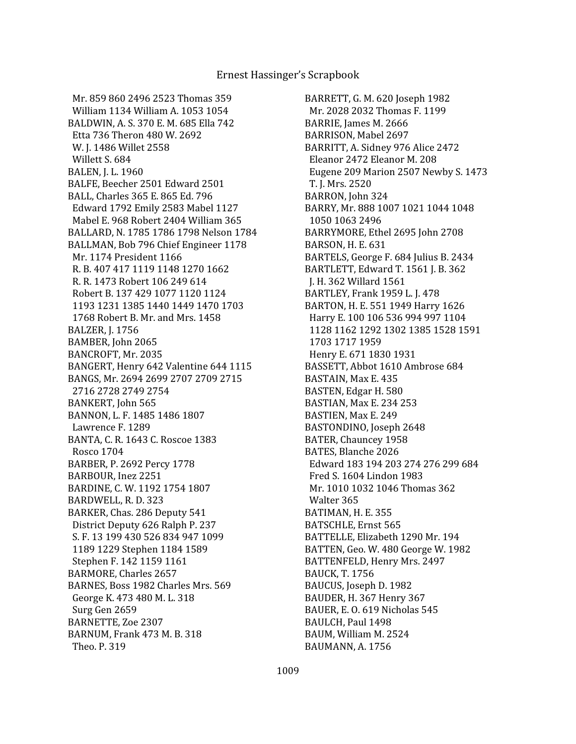Mr. 859 860 2496 2523 Thomas 359 William 1134 William A. 1053 1054 BALDWIN, A. S. 370 E. M. 685 Ella 742 Etta 736 Theron 480 W. 2692 W. J. 1486 Willet 2558 Willett S. 684 BALEN, J. L. 1960 BALFE, Beecher 2501 Edward 2501 BALL, Charles 365 E. 865 Ed. 796 Edward 1792 Emily 2583 Mabel 1127 Mabel E. 968 Robert 2404 William 365 BALLARD, N. 1785 1786 1798 Nelson 1784 BALLMAN, Bob 796 Chief Engineer 1178 Mr. 1174 President 1166 R. B. 407 417 1119 1148 1270 1662 R. R. 1473 Robert 106 249 614 Robert B. 137 429 1077 1120 1124 1193 1231 1385 1440 1449 1470 1703 1768 Robert B. Mr. and Mrs. 1458 BALZER, J. 1756 BAMBER, John 2065 BANCROFT, Mr. 2035 BANGERT, Henry 642 Valentine 644 1115 BANGS, Mr. 2694 2699 2707 2709 2715 2716 2728 2749 2754 BANKERT, John 565 BANNON, L. F. 1485 1486 1807 Lawrence F. 1289 BANTA, C. R. 1643 C. Roscoe 1383 Rosco 1704 BARBER, P. 2692 Percy 1778 BARBOUR, Inez 2251 BARDINE, C. W. 1192 1754 1807 BARDWELL, R. D. 323 BARKER, Chas. 286 Deputy 541 District Deputy 626 Ralph P. 237 S. F. 13 199 430 526 834 947 1099 1189 1229 Stephen 1184 1589 Stephen F. 142 1159 1161 BARMORE, Charles 2657 BARNES, Boss 1982 Charles Mrs. 569 George K. 473 480 M. L. 318 Surg Gen 2659 BARNETTE, Zoe 2307 BARNUM, Frank 473 M. B. 318 Theo. P. 319

BARRETT, G. M. 620 Joseph 1982 Mr. 2028 2032 Thomas F. 1199 BARRIE, James M. 2666 BARRISON, Mabel 2697 BARRITT, A. Sidney 976 Alice 2472 Eleanor 2472 Eleanor M. 208 Eugene 209 Marion 2507 Newby S. 1473 T. J. Mrs. 2520 BARRON, John 324 BARRY, Mr. 888 1007 1021 1044 1048 1050 1063 2496 BARRYMORE, Ethel 2695 John 2708 BARSON, H. E. 631 BARTELS, George F. 684 Julius B. 2434 BARTLETT, Edward T. 1561 J. B. 362 J. H. 362 Willard 1561 BARTLEY, Frank 1959 L. J. 478 BARTON, H. E. 551 1949 Harry 1626 Harry E. 100 106 536 994 997 1104 1128 1162 1292 1302 1385 1528 1591 1703 1717 1959 Henry E. 671 1830 1931 BASSETT, Abbot 1610 Ambrose 684 BASTAIN, Max E. 435 BASTEN, Edgar H. 580 BASTIAN, Max E. 234 253 BASTIEN, Max E. 249 BASTONDINO, Joseph 2648 BATER, Chauncey 1958 BATES, Blanche 2026 Edward 183 194 203 274 276 299 684 Fred S. 1604 Lindon 1983 Mr. 1010 1032 1046 Thomas 362 Walter 365 BATIMAN, H. E. 355 BATSCHLE, Ernst 565 BATTELLE, Elizabeth 1290 Mr. 194 BATTEN, Geo. W. 480 George W. 1982 BATTENFELD, Henry Mrs. 2497 BAUCK, T. 1756 BAUCUS, Joseph D. 1982 BAUDER, H. 367 Henry 367 BAUER, E. O. 619 Nicholas 545 BAULCH, Paul 1498 BAUM, William M. 2524 BAUMANN, A. 1756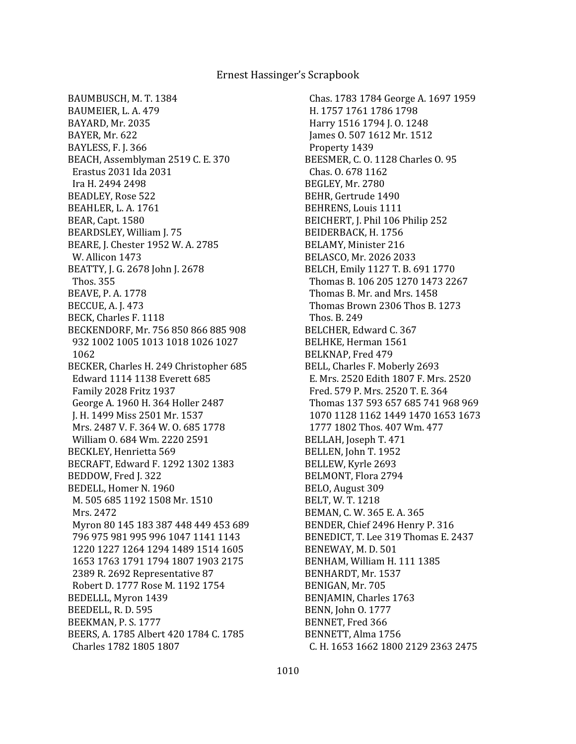BAUMBUSCH, M. T. 1384 BAUMEIER, L. A. 479 BAYARD, Mr. 2035 BAYER, Mr. 622 BAYLESS, F. J. 366 BEACH, Assemblyman 2519 C. E. 370 Erastus 2031 Ida 2031 Ira H. 2494 2498 BEADLEY, Rose 522 BEAHLER, L. A. 1761 BEAR, Capt. 1580 BEARDSLEY, William J. 75 BEARE, J. Chester 1952 W. A. 2785 W. Allicon 1473 BEATTY, J. G. 2678 John J. 2678 Thos. 355 BEAVE, P. A. 1778 BECCUE, A. J. 473 BECK, Charles F. 1118 BECKENDORF, Mr. 756 850 866 885 908 932 1002 1005 1013 1018 1026 1027 1062 BECKER, Charles H. 249 Christopher 685 Edward 1114 1138 Everett 685 Family 2028 Fritz 1937 George A. 1960 H. 364 Holler 2487 J. H. 1499 Miss 2501 Mr. 1537 Mrs. 2487 V. F. 364 W. O. 685 1778 William O. 684 Wm. 2220 2591 BECKLEY, Henrietta 569 BECRAFT, Edward F. 1292 1302 1383 BEDDOW, Fred J. 322 BEDELL, Homer N. 1960 M. 505 685 1192 1508 Mr. 1510 Mrs. 2472 Myron 80 145 183 387 448 449 453 689 796 975 981 995 996 1047 1141 1143 1220 1227 1264 1294 1489 1514 1605 1653 1763 1791 1794 1807 1903 2175 2389 R. 2692 Representative 87 Robert D. 1777 Rose M. 1192 1754 BEDELLL, Myron 1439 BEEDELL, R. D. 595 BEEKMAN, P. S. 1777 BEERS, A. 1785 Albert 420 1784 C. 1785 Charles 1782 1805 1807

 Chas. 1783 1784 George A. 1697 1959 H. 1757 1761 1786 1798 Harry 1516 1794 J. O. 1248 James O. 507 1612 Mr. 1512 Property 1439 BEESMER, C. O. 1128 Charles O. 95 Chas. O. 678 1162 BEGLEY, Mr. 2780 BEHR, Gertrude 1490 BEHRENS, Louis 1111 BEICHERT, J. Phil 106 Philip 252 BEIDERBACK, H. 1756 BELAMY, Minister 216 BELASCO, Mr. 2026 2033 BELCH, Emily 1127 T. B. 691 1770 Thomas B. 106 205 1270 1473 2267 Thomas B. Mr. and Mrs. 1458 Thomas Brown 2306 Thos B. 1273 Thos. B. 249 BELCHER, Edward C. 367 BELHKE, Herman 1561 BELKNAP, Fred 479 BELL, Charles F. Moberly 2693 E. Mrs. 2520 Edith 1807 F. Mrs. 2520 Fred. 579 P. Mrs. 2520 T. E. 364 Thomas 137 593 657 685 741 968 969 1070 1128 1162 1449 1470 1653 1673 1777 1802 Thos. 407 Wm. 477 BELLAH, Joseph T. 471 BELLEN, John T. 1952 BELLEW, Kyrle 2693 BELMONT, Flora 2794 BELO, August 309 BELT, W. T. 1218 BEMAN, C. W. 365 E. A. 365 BENDER, Chief 2496 Henry P. 316 BENEDICT, T. Lee 319 Thomas E. 2437 BENEWAY, M. D. 501 BENHAM, William H. 111 1385 BENHARDT, Mr. 1537 BENIGAN, Mr. 705 BENJAMIN, Charles 1763 BENN, John O. 1777 BENNET, Fred 366 BENNETT, Alma 1756 C. H. 1653 1662 1800 2129 2363 2475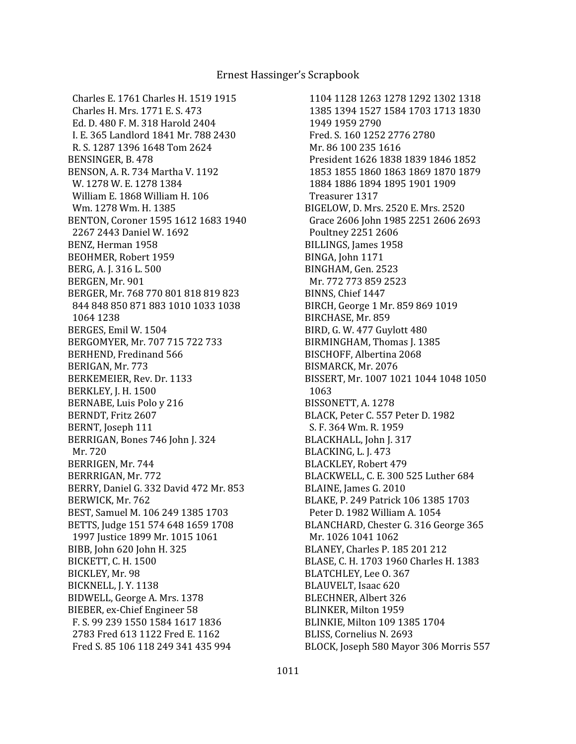Charles E. 1761 Charles H. 1519 1915 Charles H. Mrs. 1771 E. S. 473 Ed. D. 480 F. M. 318 Harold 2404 I. E. 365 Landlord 1841 Mr. 788 2430 R. S. 1287 1396 1648 Tom 2624 BENSINGER, B. 478 BENSON, A. R. 734 Martha V. 1192 W. 1278 W. E. 1278 1384 William E. 1868 William H. 106 Wm. 1278 Wm. H. 1385 BENTON, Coroner 1595 1612 1683 1940 2267 2443 Daniel W. 1692 BENZ, Herman 1958 BEOHMER, Robert 1959 BERG, A. J. 316 L. 500 BERGEN, Mr. 901 BERGER, Mr. 768 770 801 818 819 823 844 848 850 871 883 1010 1033 1038 1064 1238 BERGES, Emil W. 1504 BERGOMYER, Mr. 707 715 722 733 BERHEND, Fredinand 566 BERIGAN, Mr. 773 BERKEMEIER, Rev. Dr. 1133 BERKLEY, J. H. 1500 BERNABE, Luis Polo y 216 BERNDT, Fritz 2607 BERNT, Joseph 111 BERRIGAN, Bones 746 John J. 324 Mr. 720 BERRIGEN, Mr. 744 BERRRIGAN, Mr. 772 BERRY, Daniel G. 332 David 472 Mr. 853 BERWICK, Mr. 762 BEST, Samuel M. 106 249 1385 1703 BETTS, Judge 151 574 648 1659 1708 1997 Justice 1899 Mr. 1015 1061 BIBB, John 620 John H. 325 BICKETT, C. H. 1500 BICKLEY, Mr. 98 BICKNELL, J. Y. 1138 BIDWELL, George A. Mrs. 1378 BIEBER, ex-Chief Engineer 58 F. S. 99 239 1550 1584 1617 1836 2783 Fred 613 1122 Fred E. 1162 Fred S. 85 106 118 249 341 435 994

 1104 1128 1263 1278 1292 1302 1318 1385 1394 1527 1584 1703 1713 1830 1949 1959 2790 Fred. S. 160 1252 2776 2780 Mr. 86 100 235 1616 President 1626 1838 1839 1846 1852 1853 1855 1860 1863 1869 1870 1879 1884 1886 1894 1895 1901 1909 Treasurer 1317 BIGELOW, D. Mrs. 2520 E. Mrs. 2520 Grace 2606 John 1985 2251 2606 2693 Poultney 2251 2606 BILLINGS, James 1958 BINGA, John 1171 BINGHAM, Gen. 2523 Mr. 772 773 859 2523 BINNS, Chief 1447 BIRCH, George 1 Mr. 859 869 1019 BIRCHASE, Mr. 859 BIRD, G. W. 477 Guylott 480 BIRMINGHAM, Thomas J. 1385 BISCHOFF, Albertina 2068 BISMARCK, Mr. 2076 BISSERT, Mr. 1007 1021 1044 1048 1050 1063 BISSONETT, A. 1278 BLACK, Peter C. 557 Peter D. 1982 S. F. 364 Wm. R. 1959 BLACKHALL, John J. 317 BLACKING, L. J. 473 BLACKLEY, Robert 479 BLACKWELL, C. E. 300 525 Luther 684 BLAINE, James G. 2010 BLAKE, P. 249 Patrick 106 1385 1703 Peter D. 1982 William A. 1054 BLANCHARD, Chester G. 316 George 365 Mr. 1026 1041 1062 BLANEY, Charles P. 185 201 212 BLASE, C. H. 1703 1960 Charles H. 1383 BLATCHLEY, Lee O. 367 BLAUVELT, Isaac 620 BLECHNER, Albert 326 BLINKER, Milton 1959 BLINKIE, Milton 109 1385 1704 BLISS, Cornelius N. 2693 BLOCK, Joseph 580 Mayor 306 Morris 557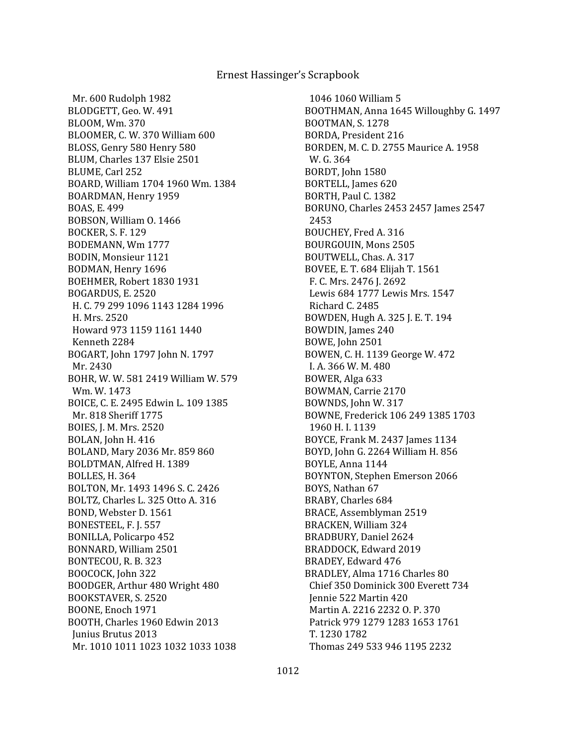Mr. 600 Rudolph 1982 BLODGETT, Geo. W. 491 BLOOM, Wm. 370 BLOOMER, C. W. 370 William 600 BLOSS, Genry 580 Henry 580 BLUM, Charles 137 Elsie 2501 BLUME, Carl 252 BOARD, William 1704 1960 Wm. 1384 BOARDMAN, Henry 1959 BOAS, E. 499 BOBSON, William O. 1466 BOCKER, S. F. 129 BODEMANN, Wm 1777 BODIN, Monsieur 1121 BODMAN, Henry 1696 BOEHMER, Robert 1830 1931 BOGARDUS, E. 2520 H. C. 79 299 1096 1143 1284 1996 H. Mrs. 2520 Howard 973 1159 1161 1440 Kenneth 2284 BOGART, John 1797 John N. 1797 Mr. 2430 BOHR, W. W. 581 2419 William W. 579 Wm. W. 1473 BOICE, C. E. 2495 Edwin L. 109 1385 Mr. 818 Sheriff 1775 BOIES, J. M. Mrs. 2520 BOLAN, John H. 416 BOLAND, Mary 2036 Mr. 859 860 BOLDTMAN, Alfred H. 1389 BOLLES, H. 364 BOLTON, Mr. 1493 1496 S. C. 2426 BOLTZ, Charles L. 325 Otto A. 316 BOND, Webster D. 1561 BONESTEEL, F. J. 557 BONILLA, Policarpo 452 BONNARD, William 2501 BONTECOU, R. B. 323 BOOCOCK, John 322 BOODGER, Arthur 480 Wright 480 BOOKSTAVER, S. 2520 BOONE, Enoch 1971 BOOTH, Charles 1960 Edwin 2013 Junius Brutus 2013 Mr. 1010 1011 1023 1032 1033 1038

 1046 1060 William 5 BOOTHMAN, Anna 1645 Willoughby G. 1497 BOOTMAN, S. 1278 BORDA, President 216 BORDEN, M. C. D. 2755 Maurice A. 1958 W. G. 364 BORDT, John 1580 BORTELL, James 620 BORTH, Paul C. 1382 BORUNO, Charles 2453 2457 James 2547 2453 BOUCHEY, Fred A. 316 BOURGOUIN, Mons 2505 BOUTWELL, Chas. A. 317 BOVEE, E. T. 684 Elijah T. 1561 F. C. Mrs. 2476 J. 2692 Lewis 684 1777 Lewis Mrs. 1547 Richard C. 2485 BOWDEN, Hugh A. 325 J. E. T. 194 BOWDIN, James 240 BOWE, John 2501 BOWEN, C. H. 1139 George W. 472 I. A. 366 W. M. 480 BOWER, Alga 633 BOWMAN, Carrie 2170 BOWNDS, John W. 317 BOWNE, Frederick 106 249 1385 1703 1960 H. I. 1139 BOYCE, Frank M. 2437 James 1134 BOYD, John G. 2264 William H. 856 BOYLE, Anna 1144 BOYNTON, Stephen Emerson 2066 BOYS, Nathan 67 BRABY, Charles 684 BRACE, Assemblyman 2519 BRACKEN, William 324 BRADBURY, Daniel 2624 BRADDOCK, Edward 2019 BRADEY, Edward 476 BRADLEY, Alma 1716 Charles 80 Chief 350 Dominick 300 Everett 734 Jennie 522 Martin 420 Martin A. 2216 2232 O. P. 370 Patrick 979 1279 1283 1653 1761 T. 1230 1782 Thomas 249 533 946 1195 2232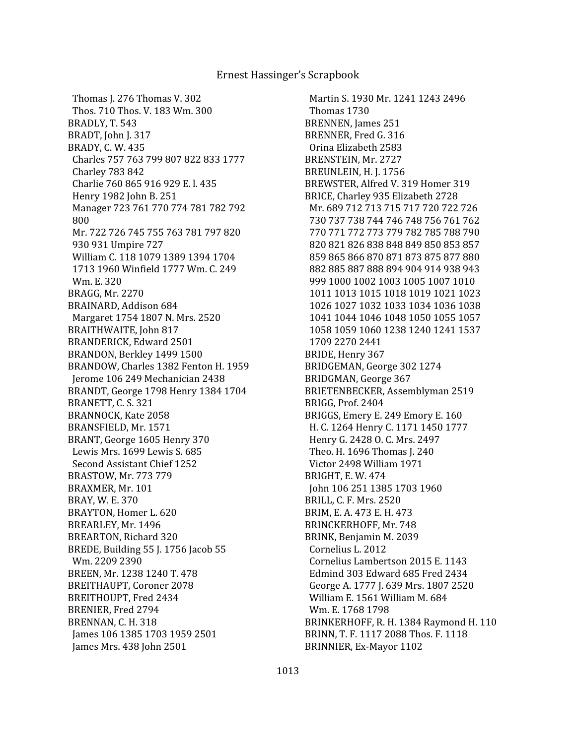Thomas J. 276 Thomas V. 302 Thos. 710 Thos. V. 183 Wm. 300 BRADLY, T. 543 BRADT, John J. 317 BRADY, C. W. 435 Charles 757 763 799 807 822 833 1777 Charley 783 842 Charlie 760 865 916 929 E. l. 435 Henry 1982 John B. 251 Manager 723 761 770 774 781 782 792 800 Mr. 722 726 745 755 763 781 797 820 930 931 Umpire 727 William C. 118 1079 1389 1394 1704 1713 1960 Winfield 1777 Wm. C. 249 Wm. E. 320 BRAGG, Mr. 2270 BRAINARD, Addison 684 Margaret 1754 1807 N. Mrs. 2520 BRAITHWAITE, John 817 BRANDERICK, Edward 2501 BRANDON, Berkley 1499 1500 BRANDOW, Charles 1382 Fenton H. 1959 Jerome 106 249 Mechanician 2438 BRANDT, George 1798 Henry 1384 1704 BRANETT, C. S. 321 BRANNOCK, Kate 2058 BRANSFIELD, Mr. 1571 BRANT, George 1605 Henry 370 Lewis Mrs. 1699 Lewis S. 685 Second Assistant Chief 1252 BRASTOW, Mr. 773 779 BRAXMER, Mr. 101 BRAY, W. E. 370 BRAYTON, Homer L. 620 BREARLEY, Mr. 1496 BREARTON, Richard 320 BREDE, Building 55 J. 1756 Jacob 55 Wm. 2209 2390 BREEN, Mr. 1238 1240 T. 478 BREITHAUPT, Coroner 2078 BREITHOUPT, Fred 2434 BRENIER, Fred 2794 BRENNAN, C. H. 318 James 106 1385 1703 1959 2501 James Mrs. 438 John 2501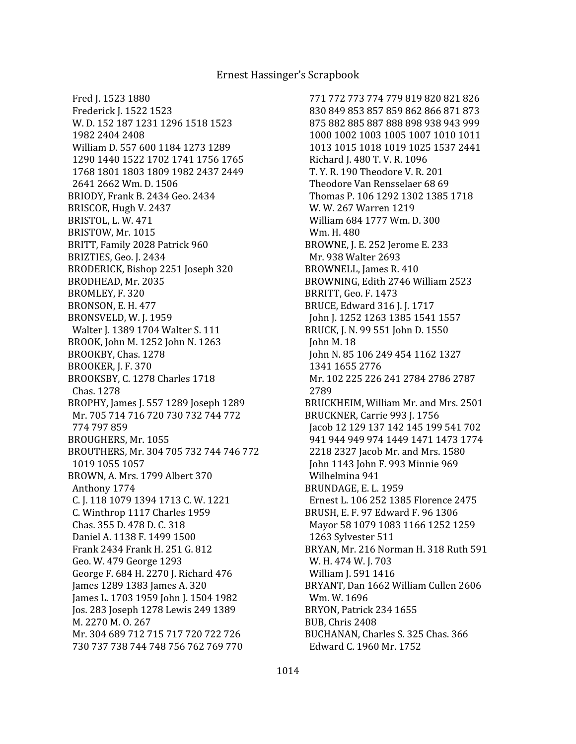Fred J. 1523 1880 Frederick J. 1522 1523 W. D. 152 187 1231 1296 1518 1523 1982 2404 2408 William D. 557 600 1184 1273 1289 1290 1440 1522 1702 1741 1756 1765 1768 1801 1803 1809 1982 2437 2449 2641 2662 Wm. D. 1506 BRIODY, Frank B. 2434 Geo. 2434 BRISCOE, Hugh V. 2437 BRISTOL, L. W. 471 BRISTOW, Mr. 1015 BRITT, Family 2028 Patrick 960 BRIZTIES, Geo. J. 2434 BRODERICK, Bishop 2251 Joseph 320 BRODHEAD, Mr. 2035 BROMLEY, F. 320 BRONSON, E. H. 477 BRONSVELD, W. J. 1959 Walter J. 1389 1704 Walter S. 111 BROOK, John M. 1252 John N. 1263 BROOKBY, Chas. 1278 BROOKER, J. F. 370 BROOKSBY, C. 1278 Charles 1718 Chas. 1278 BROPHY, James J. 557 1289 Joseph 1289 Mr. 705 714 716 720 730 732 744 772 774 797 859 BROUGHERS, Mr. 1055 BROUTHERS, Mr. 304 705 732 744 746 772 1019 1055 1057 BROWN, A. Mrs. 1799 Albert 370 Anthony 1774 C. J. 118 1079 1394 1713 C. W. 1221 C. Winthrop 1117 Charles 1959 Chas. 355 D. 478 D. C. 318 Daniel A. 1138 F. 1499 1500 Frank 2434 Frank H. 251 G. 812 Geo. W. 479 George 1293 George F. 684 H. 2270 J. Richard 476 James 1289 1383 James A. 320 James L. 1703 1959 John J. 1504 1982 Jos. 283 Joseph 1278 Lewis 249 1389 M. 2270 M. O. 267 Mr. 304 689 712 715 717 720 722 726 730 737 738 744 748 756 762 769 770

 771 772 773 774 779 819 820 821 826 830 849 853 857 859 862 866 871 873 875 882 885 887 888 898 938 943 999 1000 1002 1003 1005 1007 1010 1011 1013 1015 1018 1019 1025 1537 2441 Richard J. 480 T. V. R. 1096 T. Y. R. 190 Theodore V. R. 201 Theodore Van Rensselaer 68 69 Thomas P. 106 1292 1302 1385 1718 W. W. 267 Warren 1219 William 684 1777 Wm. D. 300 Wm. H. 480 BROWNE, J. E. 252 Jerome E. 233 Mr. 938 Walter 2693 BROWNELL, James R. 410 BROWNING, Edith 2746 William 2523 BRRITT, Geo. F. 1473 BRUCE, Edward 316 J. J. 1717 John J. 1252 1263 1385 1541 1557 BRUCK, J. N. 99 551 John D. 1550 John M. 18 John N. 85 106 249 454 1162 1327 1341 1655 2776 Mr. 102 225 226 241 2784 2786 2787 2789 BRUCKHEIM, William Mr. and Mrs. 2501 BRUCKNER, Carrie 993 J. 1756 Jacob 12 129 137 142 145 199 541 702 941 944 949 974 1449 1471 1473 1774 2218 2327 Jacob Mr. and Mrs. 1580 John 1143 John F. 993 Minnie 969 Wilhelmina 941 BRUNDAGE, E. L. 1959 Ernest L. 106 252 1385 Florence 2475 BRUSH, E. F. 97 Edward F. 96 1306 Mayor 58 1079 1083 1166 1252 1259 1263 Sylvester 511 BRYAN, Mr. 216 Norman H. 318 Ruth 591 W. H. 474 W. J. 703 William J. 591 1416 BRYANT, Dan 1662 William Cullen 2606 Wm. W. 1696 BRYON, Patrick 234 1655 BUB, Chris 2408 BUCHANAN, Charles S. 325 Chas. 366 Edward C. 1960 Mr. 1752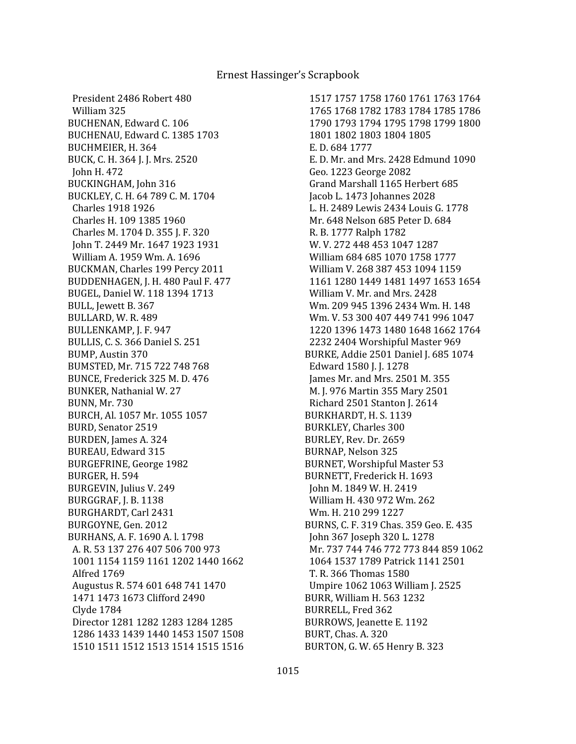President 2486 Robert 480 William 325 BUCHENAN, Edward C. 106 BUCHENAU, Edward C. 1385 1703 BUCHMEIER, H. 364 BUCK, C. H. 364 J. J. Mrs. 2520 John H. 472 BUCKINGHAM, John 316 BUCKLEY, C. H. 64 789 C. M. 1704 Charles 1918 1926 Charles H. 109 1385 1960 Charles M. 1704 D. 355 J. F. 320 John T. 2449 Mr. 1647 1923 1931 William A. 1959 Wm. A. 1696 BUCKMAN, Charles 199 Percy 2011 BUDDENHAGEN, J. H. 480 Paul F. 477 BUGEL, Daniel W. 118 1394 1713 BULL, Jewett B. 367 BULLARD, W. R. 489 BULLENKAMP, J. F. 947 BULLIS, C. S. 366 Daniel S. 251 BUMP, Austin 370 BUMSTED, Mr. 715 722 748 768 BUNCE, Frederick 325 M. D. 476 BUNKER, Nathanial W. 27 BUNN, Mr. 730 BURCH, Al. 1057 Mr. 1055 1057 BURD, Senator 2519 BURDEN, James A. 324 BUREAU, Edward 315 BURGEFRINE, George 1982 BURGER, H. 594 BURGEVIN, Julius V. 249 BURGGRAF, J. B. 1138 BURGHARDT, Carl 2431 BURGOYNE, Gen. 2012 BURHANS, A. F. 1690 A. l. 1798 A. R. 53 137 276 407 506 700 973 1001 1154 1159 1161 1202 1440 1662 Alfred 1769 Augustus R. 574 601 648 741 1470 1471 1473 1673 Clifford 2490 Clyde 1784 Director 1281 1282 1283 1284 1285 1286 1433 1439 1440 1453 1507 1508 1510 1511 1512 1513 1514 1515 1516

 1517 1757 1758 1760 1761 1763 1764 1765 1768 1782 1783 1784 1785 1786 1790 1793 1794 1795 1798 1799 1800 1801 1802 1803 1804 1805 E. D. 684 1777 E. D. Mr. and Mrs. 2428 Edmund 1090 Geo. 1223 George 2082 Grand Marshall 1165 Herbert 685 Jacob L. 1473 Johannes 2028 L. H. 2489 Lewis 2434 Louis G. 1778 Mr. 648 Nelson 685 Peter D. 684 R. B. 1777 Ralph 1782 W. V. 272 448 453 1047 1287 William 684 685 1070 1758 1777 William V. 268 387 453 1094 1159 1161 1280 1449 1481 1497 1653 1654 William V. Mr. and Mrs. 2428 Wm. 209 945 1396 2434 Wm. H. 148 Wm. V. 53 300 407 449 741 996 1047 1220 1396 1473 1480 1648 1662 1764 2232 2404 Worshipful Master 969 BURKE, Addie 2501 Daniel J. 685 1074 Edward 1580 J. J. 1278 James Mr. and Mrs. 2501 M. 355 M. J. 976 Martin 355 Mary 2501 Richard 2501 Stanton J. 2614 BURKHARDT, H. S. 1139 BURKLEY, Charles 300 BURLEY, Rev. Dr. 2659 BURNAP, Nelson 325 BURNET, Worshipful Master 53 BURNETT, Frederick H. 1693 John M. 1849 W. H. 2419 William H. 430 972 Wm. 262 Wm. H. 210 299 1227 BURNS, C. F. 319 Chas. 359 Geo. E. 435 John 367 Joseph 320 L. 1278 Mr. 737 744 746 772 773 844 859 1062 1064 1537 1789 Patrick 1141 2501 T. R. 366 Thomas 1580 Umpire 1062 1063 William J. 2525 BURR, William H. 563 1232 BURRELL, Fred 362 BURROWS, Jeanette E. 1192 BURT, Chas. A. 320 BURTON, G. W. 65 Henry B. 323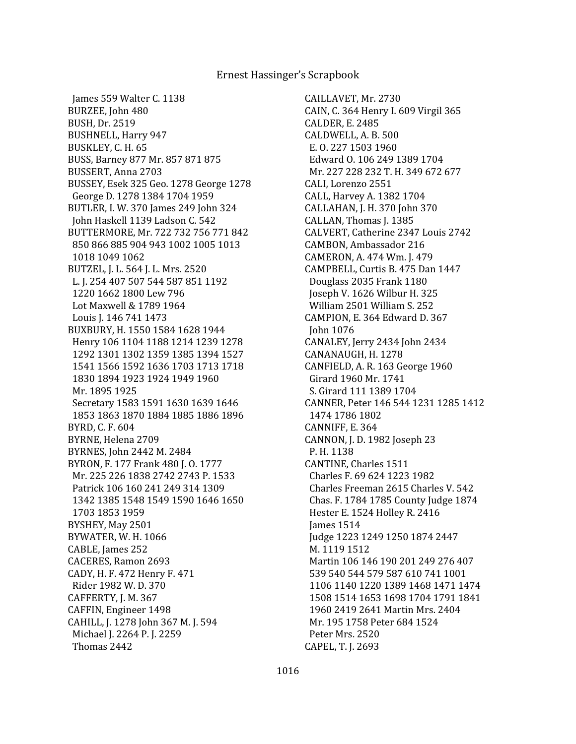James 559 Walter C. 1138 BURZEE, John 480 BUSH, Dr. 2519 BUSHNELL, Harry 947 BUSKLEY, C. H. 65 BUSS, Barney 877 Mr. 857 871 875 BUSSERT, Anna 2703 BUSSEY, Esek 325 Geo. 1278 George 1278 George D. 1278 1384 1704 1959 BUTLER, I. W. 370 James 249 John 324 John Haskell 1139 Ladson C. 542 BUTTERMORE, Mr. 722 732 756 771 842 850 866 885 904 943 1002 1005 1013 1018 1049 1062 BUTZEL, J. L. 564 J. L. Mrs. 2520 L. J. 254 407 507 544 587 851 1192 1220 1662 1800 Lew 796 Lot Maxwell & 1789 1964 Louis J. 146 741 1473 BUXBURY, H. 1550 1584 1628 1944 Henry 106 1104 1188 1214 1239 1278 1292 1301 1302 1359 1385 1394 1527 1541 1566 1592 1636 1703 1713 1718 1830 1894 1923 1924 1949 1960 Mr. 1895 1925 Secretary 1583 1591 1630 1639 1646 1853 1863 1870 1884 1885 1886 1896 BYRD, C. F. 604 BYRNE, Helena 2709 BYRNES, John 2442 M. 2484 BYRON, F. 177 Frank 480 J. O. 1777 Mr. 225 226 1838 2742 2743 P. 1533 Patrick 106 160 241 249 314 1309 1342 1385 1548 1549 1590 1646 1650 1703 1853 1959 BYSHEY, May 2501 BYWATER, W. H. 1066 CABLE, James 252 CACERES, Ramon 2693 CADY, H. F. 472 Henry F. 471 Rider 1982 W. D. 370 CAFFERTY, J. M. 367 CAFFIN, Engineer 1498 CAHILL, J. 1278 John 367 M. J. 594 Michael J. 2264 P. J. 2259 Thomas 2442

CAILLAVET, Mr. 2730 CAIN, C. 364 Henry I. 609 Virgil 365 CALDER, E. 2485 CALDWELL, A. B. 500 E. O. 227 1503 1960 Edward O. 106 249 1389 1704 Mr. 227 228 232 T. H. 349 672 677 CALI, Lorenzo 2551 CALL, Harvey A. 1382 1704 CALLAHAN, J. H. 370 John 370 CALLAN, Thomas J. 1385 CALVERT, Catherine 2347 Louis 2742 CAMBON, Ambassador 216 CAMERON, A. 474 Wm. J. 479 CAMPBELL, Curtis B. 475 Dan 1447 Douglass 2035 Frank 1180 Joseph V. 1626 Wilbur H. 325 William 2501 William S. 252 CAMPION, E. 364 Edward D. 367 John 1076 CANALEY, Jerry 2434 John 2434 CANANAUGH, H. 1278 CANFIELD, A. R. 163 George 1960 Girard 1960 Mr. 1741 S. Girard 111 1389 1704 CANNER, Peter 146 544 1231 1285 1412 1474 1786 1802 CANNIFF, E. 364 CANNON, J. D. 1982 Joseph 23 P. H. 1138 CANTINE, Charles 1511 Charles F. 69 624 1223 1982 Charles Freeman 2615 Charles V. 542 Chas. F. 1784 1785 County Judge 1874 Hester E. 1524 Holley R. 2416 James 1514 Judge 1223 1249 1250 1874 2447 M. 1119 1512 Martin 106 146 190 201 249 276 407 539 540 544 579 587 610 741 1001 1106 1140 1220 1389 1468 1471 1474 1508 1514 1653 1698 1704 1791 1841 1960 2419 2641 Martin Mrs. 2404 Mr. 195 1758 Peter 684 1524 Peter Mrs. 2520 CAPEL, T. J. 2693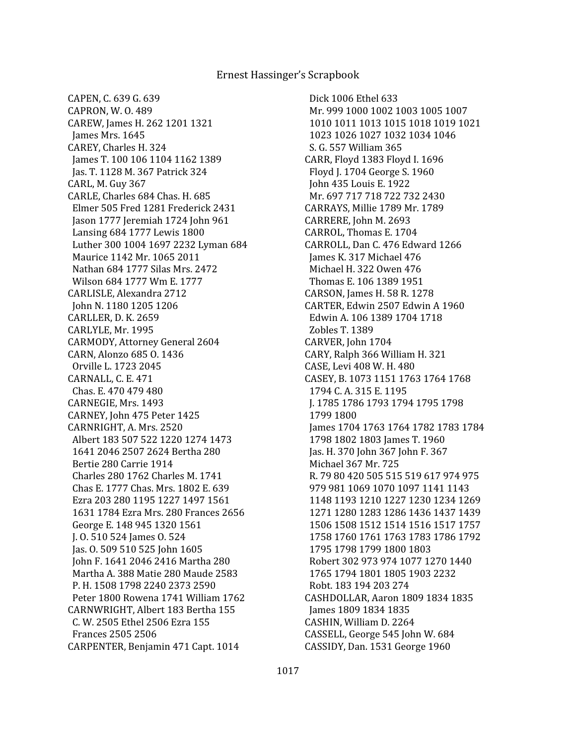CAPEN, C. 639 G. 639 CAPRON, W. O. 489 CAREW, James H. 262 1201 1321 James Mrs. 1645 CAREY, Charles H. 324 James T. 100 106 1104 1162 1389 Jas. T. 1128 M. 367 Patrick 324 CARL, M. Guy 367 CARLE, Charles 684 Chas. H. 685 Elmer 505 Fred 1281 Frederick 2431 Jason 1777 Jeremiah 1724 John 961 Lansing 684 1777 Lewis 1800 Luther 300 1004 1697 2232 Lyman 684 Maurice 1142 Mr. 1065 2011 Nathan 684 1777 Silas Mrs. 2472 Wilson 684 1777 Wm E. 1777 CARLISLE, Alexandra 2712 John N. 1180 1205 1206 CARLLER, D. K. 2659 CARLYLE, Mr. 1995 CARMODY, Attorney General 2604 CARN, Alonzo 685 O. 1436 Orville L. 1723 2045 CARNALL, C. E. 471 Chas. E. 470 479 480 CARNEGIE, Mrs. 1493 CARNEY, John 475 Peter 1425 CARNRIGHT, A. Mrs. 2520 Albert 183 507 522 1220 1274 1473 1641 2046 2507 2624 Bertha 280 Bertie 280 Carrie 1914 Charles 280 1762 Charles M. 1741 Chas E. 1777 Chas. Mrs. 1802 E. 639 Ezra 203 280 1195 1227 1497 1561 1631 1784 Ezra Mrs. 280 Frances 2656 George E. 148 945 1320 1561 J. O. 510 524 James O. 524 Jas. O. 509 510 525 John 1605 John F. 1641 2046 2416 Martha 280 Martha A. 388 Matie 280 Maude 2583 P. H. 1508 1798 2240 2373 2590 Peter 1800 Rowena 1741 William 1762 CARNWRIGHT, Albert 183 Bertha 155 C. W. 2505 Ethel 2506 Ezra 155 Frances 2505 2506 CARPENTER, Benjamin 471 Capt. 1014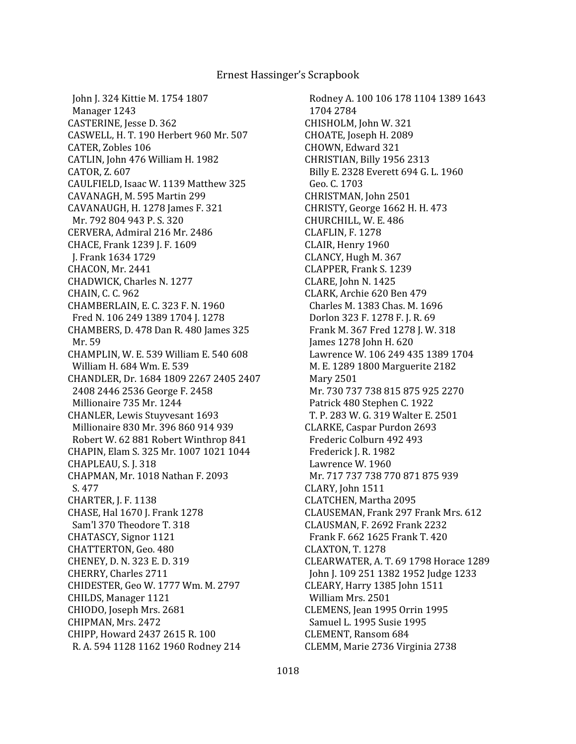John J. 324 Kittie M. 1754 1807 Manager 1243 CASTERINE, Jesse D. 362 CASWELL, H. T. 190 Herbert 960 Mr. 507 CATER, Zobles 106 CATLIN, John 476 William H. 1982 CATOR, Z. 607 CAULFIELD, Isaac W. 1139 Matthew 325 CAVANAGH, M. 595 Martin 299 CAVANAUGH, H. 1278 James F. 321 Mr. 792 804 943 P. S. 320 CERVERA, Admiral 216 Mr. 2486 CHACE, Frank 1239 J. F. 1609 J. Frank 1634 1729 CHACON, Mr. 2441 CHADWICK, Charles N. 1277 CHAIN, C. C. 962 CHAMBERLAIN, E. C. 323 F. N. 1960 Fred N. 106 249 1389 1704 J. 1278 CHAMBERS, D. 478 Dan R. 480 James 325 Mr. 59 CHAMPLIN, W. E. 539 William E. 540 608 William H. 684 Wm. E. 539 CHANDLER, Dr. 1684 1809 2267 2405 2407 2408 2446 2536 George F. 2458 Millionaire 735 Mr. 1244 CHANLER, Lewis Stuyvesant 1693 Millionaire 830 Mr. 396 860 914 939 Robert W. 62 881 Robert Winthrop 841 CHAPIN, Elam S. 325 Mr. 1007 1021 1044 CHAPLEAU, S. J. 318 CHAPMAN, Mr. 1018 Nathan F. 2093 S. 477 CHARTER, J. F. 1138 CHASE, Hal 1670 J. Frank 1278 Sam'l 370 Theodore T. 318 CHATASCY, Signor 1121 CHATTERTON, Geo. 480 CHENEY, D. N. 323 E. D. 319 CHERRY, Charles 2711 CHIDESTER, Geo W. 1777 Wm. M. 2797 CHILDS, Manager 1121 CHIODO, Joseph Mrs. 2681 CHIPMAN, Mrs. 2472 CHIPP, Howard 2437 2615 R. 100 R. A. 594 1128 1162 1960 Rodney 214

 Rodney A. 100 106 178 1104 1389 1643 1704 2784 CHISHOLM, John W. 321 CHOATE, Joseph H. 2089 CHOWN, Edward 321 CHRISTIAN, Billy 1956 2313 Billy E. 2328 Everett 694 G. L. 1960 Geo. C. 1703 CHRISTMAN, John 2501 CHRISTY, George 1662 H. H. 473 CHURCHILL, W. E. 486 CLAFLIN, F. 1278 CLAIR, Henry 1960 CLANCY, Hugh M. 367 CLAPPER, Frank S. 1239 CLARE, John N. 1425 CLARK, Archie 620 Ben 479 Charles M. 1383 Chas. M. 1696 Dorlon 323 F. 1278 F. J. R. 69 Frank M. 367 Fred 1278 J. W. 318 James 1278 John H. 620 Lawrence W. 106 249 435 1389 1704 M. E. 1289 1800 Marguerite 2182 Mary 2501 Mr. 730 737 738 815 875 925 2270 Patrick 480 Stephen C. 1922 T. P. 283 W. G. 319 Walter E. 2501 CLARKE, Caspar Purdon 2693 Frederic Colburn 492 493 Frederick J. R. 1982 Lawrence W. 1960 Mr. 717 737 738 770 871 875 939 CLARY, John 1511 CLATCHEN, Martha 2095 CLAUSEMAN, Frank 297 Frank Mrs. 612 CLAUSMAN, F. 2692 Frank 2232 Frank F. 662 1625 Frank T. 420 CLAXTON, T. 1278 CLEARWATER, A. T. 69 1798 Horace 1289 John J. 109 251 1382 1952 Judge 1233 CLEARY, Harry 1385 John 1511 William Mrs. 2501 CLEMENS, Jean 1995 Orrin 1995 Samuel L. 1995 Susie 1995 CLEMENT, Ransom 684 CLEMM, Marie 2736 Virginia 2738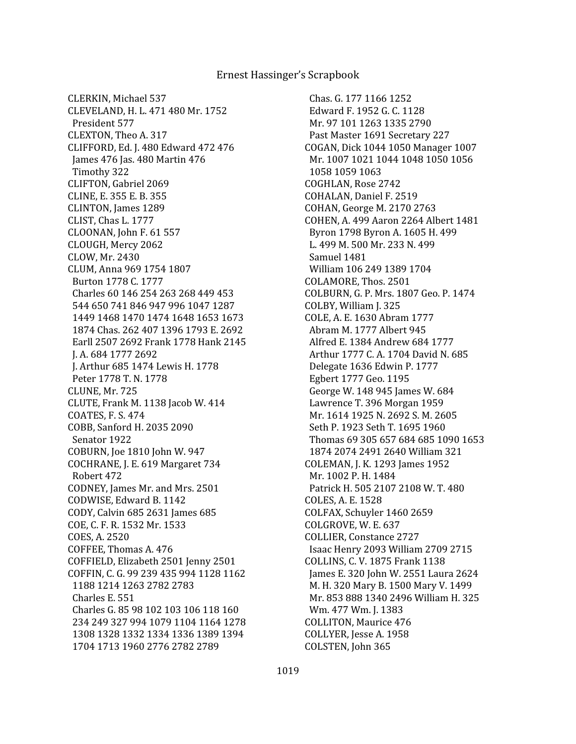CLERKIN, Michael 537 CLEVELAND, H. L. 471 480 Mr. 1752 President 577 CLEXTON, Theo A. 317 CLIFFORD, Ed. J. 480 Edward 472 476 James 476 Jas. 480 Martin 476 Timothy 322 CLIFTON, Gabriel 2069 CLINE, E. 355 E. B. 355 CLINTON, James 1289 CLIST, Chas L. 1777 CLOONAN, John F. 61 557 CLOUGH, Mercy 2062 CLOW, Mr. 2430 CLUM, Anna 969 1754 1807 Burton 1778 C. 1777 Charles 60 146 254 263 268 449 453 544 650 741 846 947 996 1047 1287 1449 1468 1470 1474 1648 1653 1673 1874 Chas. 262 407 1396 1793 E. 2692 Earll 2507 2692 Frank 1778 Hank 2145 J. A. 684 1777 2692 J. Arthur 685 1474 Lewis H. 1778 Peter 1778 T. N. 1778 CLUNE, Mr. 725 CLUTE, Frank M. 1138 Jacob W. 414 COATES, F. S. 474 COBB, Sanford H. 2035 2090 Senator 1922 COBURN, Joe 1810 John W. 947 COCHRANE, J. E. 619 Margaret 734 Robert 472 CODNEY, James Mr. and Mrs. 2501 CODWISE, Edward B. 1142 CODY, Calvin 685 2631 James 685 COE, C. F. R. 1532 Mr. 1533 COES, A. 2520 COFFEE, Thomas A. 476 COFFIELD, Elizabeth 2501 Jenny 2501 COFFIN, C. G. 99 239 435 994 1128 1162 1188 1214 1263 2782 2783 Charles E. 551 Charles G. 85 98 102 103 106 118 160 234 249 327 994 1079 1104 1164 1278 1308 1328 1332 1334 1336 1389 1394 1704 1713 1960 2776 2782 2789

 Chas. G. 177 1166 1252 Edward F. 1952 G. C. 1128 Mr. 97 101 1263 1335 2790 Past Master 1691 Secretary 227 COGAN, Dick 1044 1050 Manager 1007 Mr. 1007 1021 1044 1048 1050 1056 1058 1059 1063 COGHLAN, Rose 2742 COHALAN, Daniel F. 2519 COHAN, George M. 2170 2763 COHEN, A. 499 Aaron 2264 Albert 1481 Byron 1798 Byron A. 1605 H. 499 L. 499 M. 500 Mr. 233 N. 499 Samuel 1481 William 106 249 1389 1704 COLAMORE, Thos. 2501 COLBURN, G. P. Mrs. 1807 Geo. P. 1474 COLBY, William J. 325 COLE, A. E. 1630 Abram 1777 Abram M. 1777 Albert 945 Alfred E. 1384 Andrew 684 1777 Arthur 1777 C. A. 1704 David N. 685 Delegate 1636 Edwin P. 1777 Egbert 1777 Geo. 1195 George W. 148 945 James W. 684 Lawrence T. 396 Morgan 1959 Mr. 1614 1925 N. 2692 S. M. 2605 Seth P. 1923 Seth T. 1695 1960 Thomas 69 305 657 684 685 1090 1653 1874 2074 2491 2640 William 321 COLEMAN, J. K. 1293 James 1952 Mr. 1002 P. H. 1484 Patrick H. 505 2107 2108 W. T. 480 COLES, A. E. 1528 COLFAX, Schuyler 1460 2659 COLGROVE, W. E. 637 COLLIER, Constance 2727 Isaac Henry 2093 William 2709 2715 COLLINS, C. V. 1875 Frank 1138 James E. 320 John W. 2551 Laura 2624 M. H. 320 Mary B. 1500 Mary V. 1499 Mr. 853 888 1340 2496 William H. 325 Wm. 477 Wm. J. 1383 COLLITON, Maurice 476 COLLYER, Jesse A. 1958 COLSTEN, John 365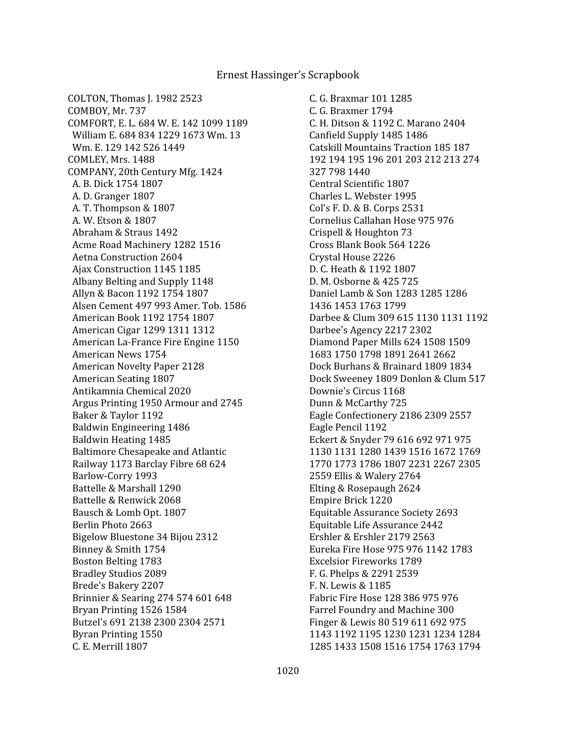COLTON, Thomas J. 1982 2523 COMBOY, Mr. 737 COMFORT, E. L. 684 W. E. 142 1099 1189 William E. 684 834 1229 1673 Wm. 13 Wm. E. 129 142 526 1449 COMLEY, Mrs. 1488 COMPANY, 20th Century Mfg. 1424 A. B. Dick 1754 1807 A. D. Granger 1807 A. T. Thompson & 1807 A. W. Etson & 1807 Abraham & Straus 1492 Acme Road Machinery 1282 1516 Aetna Construction 2604 Ajax Construction 1145 1185 Albany Belting and Supply 1148 Allyn & Bacon 1192 1754 1807 Alsen Cement 497 993 Amer. Tob. 1586 American Book 1192 1754 1807 American Cigar 1299 1311 1312 American La-France Fire Engine 1150 American News 1754 American Novelty Paper 2128 American Seating 1807 Antikamnia Chemical 2020 Argus Printing 1950 Armour and 2745 Baker & Taylor 1192 Baldwin Engineering 1486 Baldwin Heating 1485 Baltimore Chesapeake and Atlantic Railway 1173 Barclay Fibre 68 624 Barlow-Corry 1993 Battelle & Marshall 1290 Battelle & Renwick 2068 Bausch & Lomb Opt. 1807 Berlin Photo 2663 Bigelow Bluestone 34 Bijou 2312 Binney & Smith 1754 Boston Belting 1783 Bradley Studios 2089 Brede's Bakery 2207 Brinnier & Searing 274 574 601 648 Bryan Printing 1526 1584 Butzel's 691 2138 2300 2304 2571 Byran Printing 1550 C. E. Merrill 1807

 C. G. Braxmar 101 1285 C. G. Braxmer 1794 C. H. Ditson & 1192 C. Marano 2404 Canfield Supply 1485 1486 Catskill Mountains Traction 185 187 192 194 195 196 201 203 212 213 274 327 798 1440 Central Scientific 1807 Charles L. Webster 1995 Col's F. D. & B. Corps 2531 Cornelius Callahan Hose 975 976 Crispell & Houghton 73 Cross Blank Book 564 1226 Crystal House 2226 D. C. Heath & 1192 1807 D. M. Osborne & 425 725 Daniel Lamb & Son 1283 1285 1286 1436 1453 1763 1799 Darbee & Clum 309 615 1130 1131 1192 Darbee's Agency 2217 2302 Diamond Paper Mills 624 1508 1509 1683 1750 1798 1891 2641 2662 Dock Burhans & Brainard 1809 1834 Dock Sweeney 1809 Donlon & Clum 517 Downie's Circus 1168 Dunn & McCarthy 725 Eagle Confectionery 2186 2309 2557 Eagle Pencil 1192 Eckert & Snyder 79 616 692 971 975 1130 1131 1280 1439 1516 1672 1769 1770 1773 1786 1807 2231 2267 2305 2559 Ellis & Walery 2764 Elting & Rosepaugh 2624 Empire Brick 1220 Equitable Assurance Society 2693 Equitable Life Assurance 2442 Ershler & Ershler 2179 2563 Eureka Fire Hose 975 976 1142 1783 Excelsior Fireworks 1789 F. G. Phelps & 2291 2539 F. N. Lewis & 1185 Fabric Fire Hose 128 386 975 976 Farrel Foundry and Machine 300 Finger & Lewis 80 519 611 692 975 1143 1192 1195 1230 1231 1234 1284 1285 1433 1508 1516 1754 1763 1794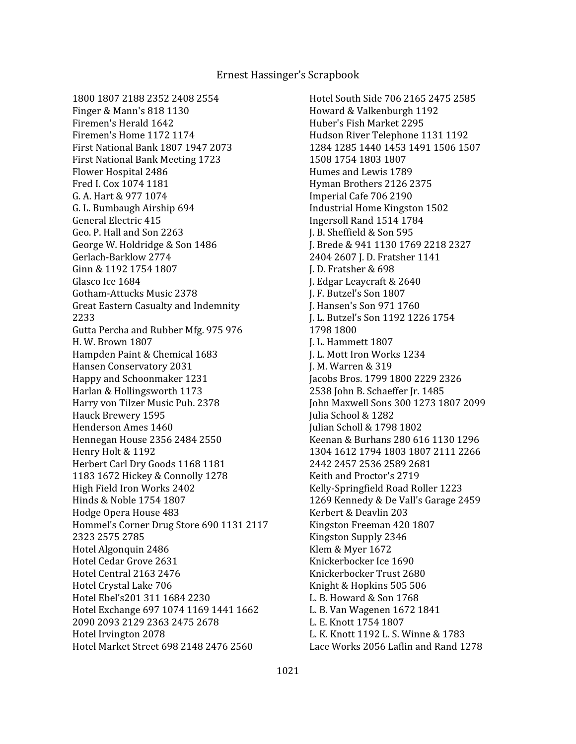1800 1807 2188 2352 2408 2554 Finger & Mann's 818 1130 Firemen's Herald 1642 Firemen's Home 1172 1174 First National Bank 1807 1947 2073 First National Bank Meeting 1723 Flower Hospital 2486 Fred I. Cox 1074 1181 G. A. Hart & 977 1074 G. L. Bumbaugh Airship 694 General Electric 415 Geo. P. Hall and Son 2263 George W. Holdridge & Son 1486 Gerlach-Barklow 2774 Ginn & 1192 1754 1807 Glasco Ice 1684 Gotham-Attucks Music 2378 Great Eastern Casualty and Indemnity 2233 Gutta Percha and Rubber Mfg. 975 976 H. W. Brown 1807 Hampden Paint & Chemical 1683 Hansen Conservatory 2031 Happy and Schoonmaker 1231 Harlan & Hollingsworth 1173 Harry von Tilzer Music Pub. 2378 Hauck Brewery 1595 Henderson Ames 1460 Hennegan House 2356 2484 2550 Henry Holt & 1192 Herbert Carl Dry Goods 1168 1181 1183 1672 Hickey & Connolly 1278 High Field Iron Works 2402 Hinds & Noble 1754 1807 Hodge Opera House 483 Hommel's Corner Drug Store 690 1131 2117 2323 2575 2785 Hotel Algonquin 2486 Hotel Cedar Grove 2631 Hotel Central 2163 2476 Hotel Crystal Lake 706 Hotel Ebel's201 311 1684 2230 Hotel Exchange 697 1074 1169 1441 1662 2090 2093 2129 2363 2475 2678 Hotel Irvington 2078 Hotel Market Street 698 2148 2476 2560

 Hotel South Side 706 2165 2475 2585 Howard & Valkenburgh 1192 Huber's Fish Market 2295 Hudson River Telephone 1131 1192 1284 1285 1440 1453 1491 1506 1507 1508 1754 1803 1807 Humes and Lewis 1789 Hyman Brothers 2126 2375 Imperial Cafe 706 2190 Industrial Home Kingston 1502 Ingersoll Rand 1514 1784 J. B. Sheffield & Son 595 J. Brede & 941 1130 1769 2218 2327 2404 2607 J. D. Fratsher 1141 J. D. Fratsher & 698 J. Edgar Leaycraft & 2640 J. F. Butzel's Son 1807 J. Hansen's Son 971 1760 J. L. Butzel's Son 1192 1226 1754 1798 1800 J. L. Hammett 1807 J. L. Mott Iron Works 1234 J. M. Warren & 319 Jacobs Bros. 1799 1800 2229 2326 2538 John B. Schaeffer Jr. 1485 John Maxwell Sons 300 1273 1807 2099 Julia School & 1282 Julian Scholl & 1798 1802 Keenan & Burhans 280 616 1130 1296 1304 1612 1794 1803 1807 2111 2266 2442 2457 2536 2589 2681 Keith and Proctor's 2719 Kelly-Springfield Road Roller 1223 1269 Kennedy & De Vall's Garage 2459 Kerbert & Deavlin 203 Kingston Freeman 420 1807 Kingston Supply 2346 Klem & Myer 1672 Knickerbocker Ice 1690 Knickerbocker Trust 2680 Knight & Hopkins 505 506 L. B. Howard & Son 1768 L. B. Van Wagenen 1672 1841 L. E. Knott 1754 1807 L. K. Knott 1192 L. S. Winne & 1783 Lace Works 2056 Laflin and Rand 1278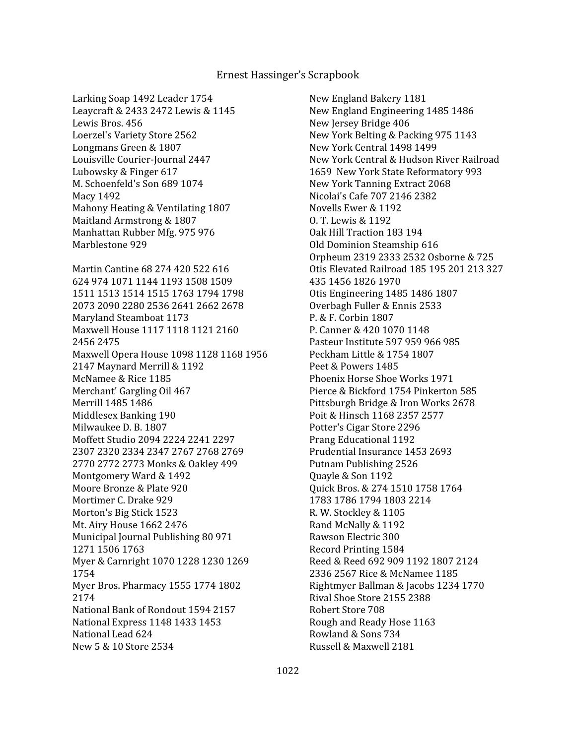Larking Soap 1492 Leader 1754 Leaycraft & 2433 2472 Lewis & 1145 Lewis Bros. 456 Loerzel's Variety Store 2562 Longmans Green & 1807 Louisville Courier-Journal 2447 Lubowsky & Finger 617 M. Schoenfeld's Son 689 1074 Macy 1492 Mahony Heating & Ventilating 1807 Maitland Armstrong & 1807 Manhattan Rubber Mfg. 975 976 Marblestone 929 Martin Cantine 68 274 420 522 616 624 974 1071 1144 1193 1508 1509 1511 1513 1514 1515 1763 1794 1798 2073 2090 2280 2536 2641 2662 2678 Maryland Steamboat 1173 Maxwell House 1117 1118 1121 2160 2456 2475 Maxwell Opera House 1098 1128 1168 1956 2147 Maynard Merrill & 1192 McNamee & Rice 1185 Merchant' Gargling Oil 467 Merrill 1485 1486 Middlesex Banking 190 Milwaukee D. B. 1807 Moffett Studio 2094 2224 2241 2297 2307 2320 2334 2347 2767 2768 2769 2770 2772 2773 Monks & Oakley 499 Montgomery Ward & 1492 Moore Bronze & Plate 920 Mortimer C. Drake 929 Morton's Big Stick 1523 Mt. Airy House 1662 2476 Municipal Journal Publishing 80 971 1271 1506 1763 Myer & Carnright 1070 1228 1230 1269 1754 Myer Bros. Pharmacy 1555 1774 1802 2174 National Bank of Rondout 1594 2157 National Express 1148 1433 1453 National Lead 624 New 5 & 10 Store 2534

 New England Bakery 1181 New England Engineering 1485 1486 New Jersey Bridge 406 New York Belting & Packing 975 1143 New York Central 1498 1499 New York Central & Hudson River Railroad 1659 New York State Reformatory 993 New York Tanning Extract 2068 Nicolai's Cafe 707 2146 2382 Novells Ewer & 1192 O. T. Lewis & 1192 Oak Hill Traction 183 194 Old Dominion Steamship 616 Orpheum 2319 2333 2532 Osborne & 725 Otis Elevated Railroad 185 195 201 213 327 435 1456 1826 1970 Otis Engineering 1485 1486 1807 Overbagh Fuller & Ennis 2533 P. & F. Corbin 1807 P. Canner & 420 1070 1148 Pasteur Institute 597 959 966 985 Peckham Little & 1754 1807 Peet & Powers 1485 Phoenix Horse Shoe Works 1971 Pierce & Bickford 1754 Pinkerton 585 Pittsburgh Bridge & Iron Works 2678 Poit & Hinsch 1168 2357 2577 Potter's Cigar Store 2296 Prang Educational 1192 Prudential Insurance 1453 2693 Putnam Publishing 2526 Quayle & Son 1192 Quick Bros. & 274 1510 1758 1764 1783 1786 1794 1803 2214 R. W. Stockley & 1105 Rand McNally & 1192 Rawson Electric 300 Record Printing 1584 Reed & Reed 692 909 1192 1807 2124 2336 2567 Rice & McNamee 1185 Rightmyer Ballman & Jacobs 1234 1770 Rival Shoe Store 2155 2388 Robert Store 708 Rough and Ready Hose 1163 Rowland & Sons 734 Russell & Maxwell 2181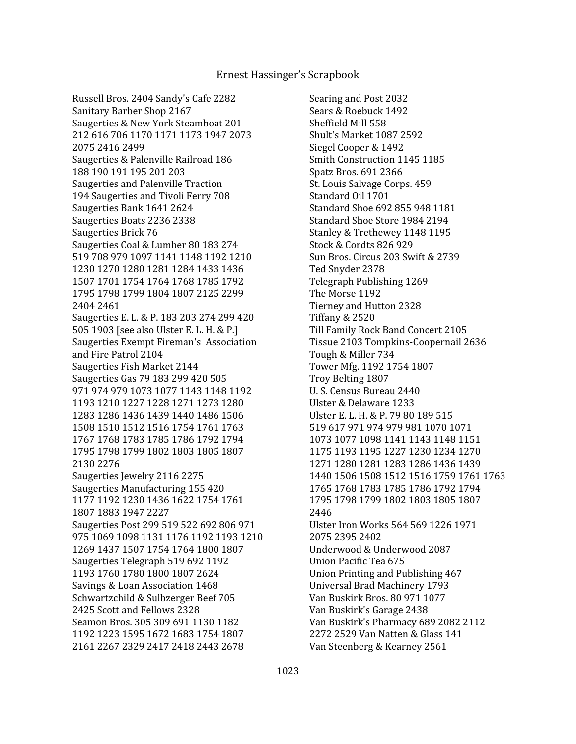Searing and Post 2032 Sears & Roebuck 1492 Sheffield Mill 558 Shult's Market 1087 2592 Siegel Cooper & 1492 Smith Construction 1145 1185 Spatz Bros. 691 2366 St. Louis Salvage Corps. 459 Standard Oil 1701 Standard Shoe 692 855 948 1181 Standard Shoe Store 1984 2194 Stanley & Trethewey 1148 1195 Stock & Cordts 826 929 Sun Bros. Circus 203 Swift & 2739 Ted Snyder 2378 Telegraph Publishing 1269 The Morse 1192 Tierney and Hutton 2328 Tiffany & 2520 Till Family Rock Band Concert 2105 Tissue 2103 Tompkins-Coopernail 2636 Tough & Miller 734 Tower Mfg. 1192 1754 1807 Troy Belting 1807 U. S. Census Bureau 2440 Ulster & Delaware 1233 Ulster E. L. H. & P. 79 80 189 515 519 617 971 974 979 981 1070 1071 1073 1077 1098 1141 1143 1148 1151 1175 1193 1195 1227 1230 1234 1270 1271 1280 1281 1283 1286 1436 1439 1440 1506 1508 1512 1516 1759 1761 1763 1765 1768 1783 1785 1786 1792 1794 1795 1798 1799 1802 1803 1805 1807 2446 Ulster Iron Works 564 569 1226 1971 2075 2395 2402 Underwood & Underwood 2087 Union Pacific Tea 675 Union Printing and Publishing 467 Universal Brad Machinery 1793 Van Buskirk Bros. 80 971 1077 Van Buskirk's Garage 2438 Van Buskirk's Pharmacy 689 2082 2112 2272 2529 Van Natten & Glass 141 Van Steenberg & Kearney 2561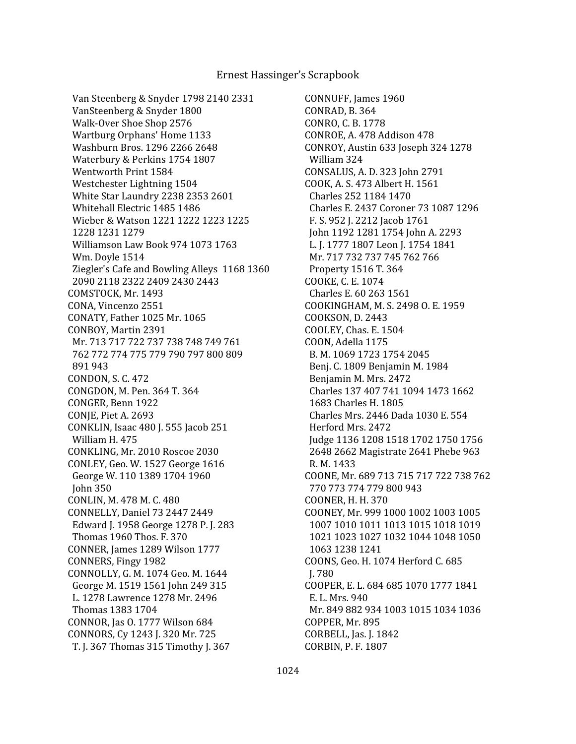Van Steenberg & Snyder 1798 2140 2331 VanSteenberg & Snyder 1800 Walk-Over Shoe Shop 2576 Wartburg Orphans' Home 1133 Washburn Bros. 1296 2266 2648 Waterbury & Perkins 1754 1807 Wentworth Print 1584 Westchester Lightning 1504 White Star Laundry 2238 2353 2601 Whitehall Electric 1485 1486 Wieber & Watson 1221 1222 1223 1225 1228 1231 1279 Williamson Law Book 974 1073 1763 Wm. Doyle 1514 Ziegler's Cafe and Bowling Alleys 1168 1360 2090 2118 2322 2409 2430 2443 COMSTOCK, Mr. 1493 CONA, Vincenzo 2551 CONATY, Father 1025 Mr. 1065 CONBOY, Martin 2391 Mr. 713 717 722 737 738 748 749 761 762 772 774 775 779 790 797 800 809 891 943 CONDON, S. C. 472 CONGDON, M. Pen. 364 T. 364 CONGER, Benn 1922 CONJE, Piet A. 2693 CONKLIN, Isaac 480 J. 555 Jacob 251 William H. 475 CONKLING, Mr. 2010 Roscoe 2030 CONLEY, Geo. W. 1527 George 1616 George W. 110 1389 1704 1960 John 350 CONLIN, M. 478 M. C. 480 CONNELLY, Daniel 73 2447 2449 Edward J. 1958 George 1278 P. J. 283 Thomas 1960 Thos. F. 370 CONNER, James 1289 Wilson 1777 CONNERS, Fingy 1982 CONNOLLY, G. M. 1074 Geo. M. 1644 George M. 1519 1561 John 249 315 L. 1278 Lawrence 1278 Mr. 2496 Thomas 1383 1704 CONNOR, Jas O. 1777 Wilson 684 CONNORS, Cy 1243 J. 320 Mr. 725 T. J. 367 Thomas 315 Timothy J. 367

CONNUFF, James 1960 CONRAD, B. 364 CONRO, C. B. 1778 CONROE, A. 478 Addison 478 CONROY, Austin 633 Joseph 324 1278 William 324 CONSALUS, A. D. 323 John 2791 COOK, A. S. 473 Albert H. 1561 Charles 252 1184 1470 Charles E. 2437 Coroner 73 1087 1296 F. S. 952 J. 2212 Jacob 1761 John 1192 1281 1754 John A. 2293 L. J. 1777 1807 Leon J. 1754 1841 Mr. 717 732 737 745 762 766 Property 1516 T. 364 COOKE, C. E. 1074 Charles E. 60 263 1561 COOKINGHAM, M. S. 2498 O. E. 1959 COOKSON, D. 2443 COOLEY, Chas. E. 1504 COON, Adella 1175 B. M. 1069 1723 1754 2045 Benj. C. 1809 Benjamin M. 1984 Benjamin M. Mrs. 2472 Charles 137 407 741 1094 1473 1662 1683 Charles H. 1805 Charles Mrs. 2446 Dada 1030 E. 554 Herford Mrs. 2472 Judge 1136 1208 1518 1702 1750 1756 2648 2662 Magistrate 2641 Phebe 963 R. M. 1433 COONE, Mr. 689 713 715 717 722 738 762 770 773 774 779 800 943 COONER, H. H. 370 COONEY, Mr. 999 1000 1002 1003 1005 1007 1010 1011 1013 1015 1018 1019 1021 1023 1027 1032 1044 1048 1050 1063 1238 1241 COONS, Geo. H. 1074 Herford C. 685 J. 780 COOPER, E. L. 684 685 1070 1777 1841 E. L. Mrs. 940 Mr. 849 882 934 1003 1015 1034 1036 COPPER, Mr. 895 CORBELL, Jas. J. 1842 CORBIN, P. F. 1807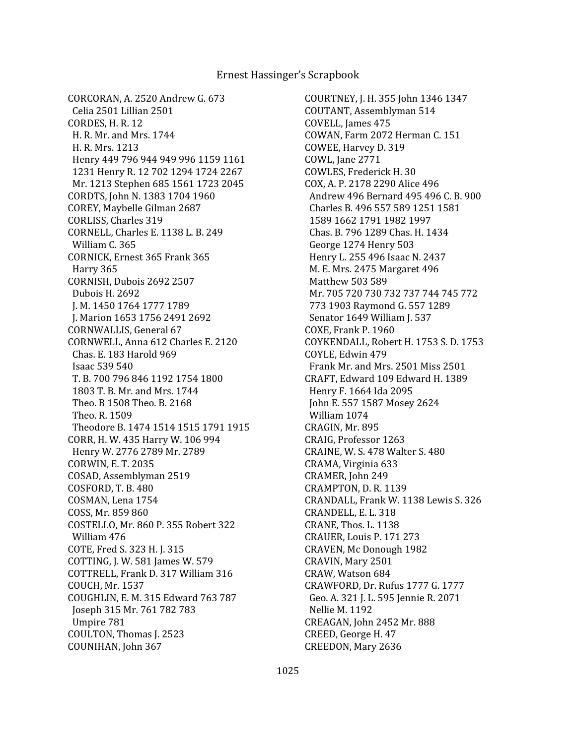CORCORAN, A. 2520 Andrew G. 673 Celia 2501 Lillian 2501 CORDES, H. R. 12 H. R. Mr. and Mrs. 1744 H. R. Mrs. 1213 Henry 449 796 944 949 996 1159 1161 1231 Henry R. 12 702 1294 1724 2267 Mr. 1213 Stephen 685 1561 1723 2045 CORDTS, John N. 1383 1704 1960 COREY, Maybelle Gilman 2687 CORLISS, Charles 319 CORNELL, Charles E. 1138 L. B. 249 William C. 365 CORNICK, Ernest 365 Frank 365 Harry 365 CORNISH, Dubois 2692 2507 Dubois H. 2692 J. M. 1450 1764 1777 1789 J. Marion 1653 1756 2491 2692 CORNWALLIS, General 67 CORNWELL, Anna 612 Charles E. 2120 Chas. E. 183 Harold 969 Isaac 539 540 T. B. 700 796 846 1192 1754 1800 1803 T. B. Mr. and Mrs. 1744 Theo. B 1508 Theo. B. 2168 Theo. R. 1509 Theodore B. 1474 1514 1515 1791 1915 CORR, H. W. 435 Harry W. 106 994 Henry W. 2776 2789 Mr. 2789 CORWIN, E. T. 2035 COSAD, Assemblyman 2519 COSFORD, T. B. 480 COSMAN, Lena 1754 COSS, Mr. 859 860 COSTELLO, Mr. 860 P. 355 Robert 322 William 476 COTE, Fred S. 323 H. J. 315 COTTING, J. W. 581 James W. 579 COTTRELL, Frank D. 317 William 316 COUCH, Mr. 1537 COUGHLIN, E. M. 315 Edward 763 787 Joseph 315 Mr. 761 782 783 Umpire 781 COULTON, Thomas J. 2523 COUNIHAN, John 367

COURTNEY, J. H. 355 John 1346 1347 COUTANT, Assemblyman 514 COVELL, James 475 COWAN, Farm 2072 Herman C. 151 COWEE, Harvey D. 319 COWL, Jane 2771 COWLES, Frederick H. 30 COX, A. P. 2178 2290 Alice 496 Andrew 496 Bernard 495 496 C. B. 900 Charles B. 496 557 589 1251 1581 1589 1662 1791 1982 1997 Chas. B. 796 1289 Chas. H. 1434 George 1274 Henry 503 Henry L. 255 496 Isaac N. 2437 M. E. Mrs. 2475 Margaret 496 Matthew 503 589 Mr. 705 720 730 732 737 744 745 772 773 1903 Raymond G. 557 1289 Senator 1649 William J. 537 COXE, Frank P. 1960 COYKENDALL, Robert H. 1753 S. D. 1753 COYLE, Edwin 479 Frank Mr. and Mrs. 2501 Miss 2501 CRAFT, Edward 109 Edward H. 1389 Henry F. 1664 Ida 2095 John E. 557 1587 Mosey 2624 William 1074 CRAGIN, Mr. 895 CRAIG, Professor 1263 CRAINE, W. S. 478 Walter S. 480 CRAMA, Virginia 633 CRAMER, John 249 CRAMPTON, D. R. 1139 CRANDALL, Frank W. 1138 Lewis S. 326 CRANDELL, E. L. 318 CRANE, Thos. L. 1138 CRAUER, Louis P. 171 273 CRAVEN, Mc Donough 1982 CRAVIN, Mary 2501 CRAW, Watson 684 CRAWFORD, Dr. Rufus 1777 G. 1777 Geo. A. 321 J. L. 595 Jennie R. 2071 Nellie M. 1192 CREAGAN, John 2452 Mr. 888 CREED, George H. 47 CREEDON, Mary 2636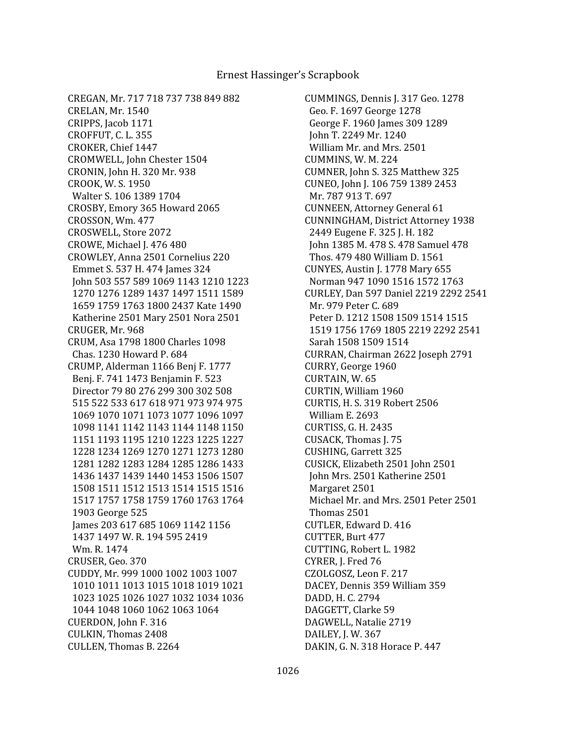CUMMINGS, Dennis J. 317 Geo. 1278 Geo. F. 1697 George 1278 George F. 1960 James 309 1289 John T. 2249 Mr. 1240 William Mr. and Mrs. 2501 CUMMINS, W. M. 224 CUMNER, John S. 325 Matthew 325 CUNEO, John J. 106 759 1389 2453 Mr. 787 913 T. 697 CUNNEEN, Attorney General 61 CUNNINGHAM, District Attorney 1938 2449 Eugene F. 325 J. H. 182 John 1385 M. 478 S. 478 Samuel 478 Thos. 479 480 William D. 1561 CUNYES, Austin J. 1778 Mary 655 Norman 947 1090 1516 1572 1763 CURLEY, Dan 597 Daniel 2219 2292 2541 Mr. 979 Peter C. 689 Peter D. 1212 1508 1509 1514 1515 1519 1756 1769 1805 2219 2292 2541 Sarah 1508 1509 1514 CURRAN, Chairman 2622 Joseph 2791 CURRY, George 1960 CURTAIN, W. 65 CURTIN, William 1960 CURTIS, H. S. 319 Robert 2506 William E. 2693 CURTISS, G. H. 2435 CUSACK, Thomas J. 75 CUSHING, Garrett 325 CUSICK, Elizabeth 2501 John 2501 John Mrs. 2501 Katherine 2501 Margaret 2501 Michael Mr. and Mrs. 2501 Peter 2501 Thomas 2501 CUTLER, Edward D. 416 CUTTER, Burt 477 CUTTING, Robert L. 1982 CYRER, J. Fred 76 CZOLGOSZ, Leon F. 217 DACEY, Dennis 359 William 359 DADD, H. C. 2794 DAGGETT, Clarke 59 DAGWELL, Natalie 2719 DAILEY, J. W. 367 DAKIN, G. N. 318 Horace P. 447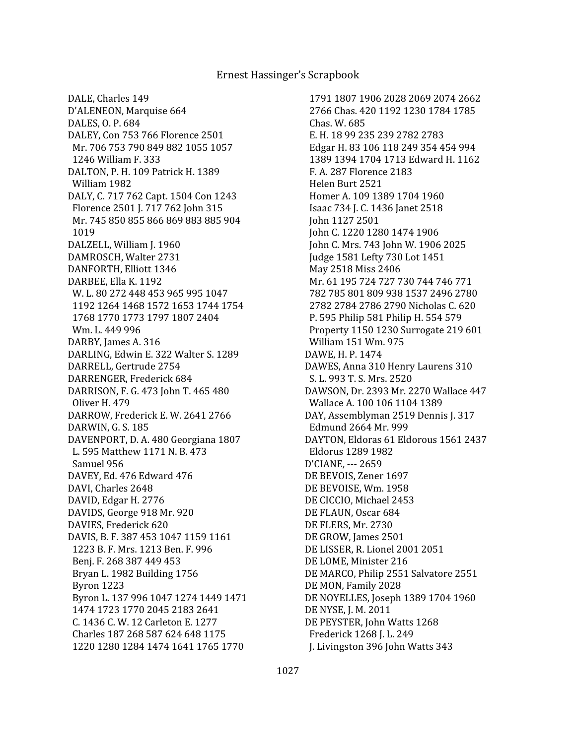DALE, Charles 149 D'ALENEON, Marquise 664 DALES, O. P. 684 DALEY, Con 753 766 Florence 2501 Mr. 706 753 790 849 882 1055 1057 1246 William F. 333 DALTON, P. H. 109 Patrick H. 1389 William 1982 DALY, C. 717 762 Capt. 1504 Con 1243 Florence 2501 J. 717 762 John 315 Mr. 745 850 855 866 869 883 885 904 1019 DALZELL, William J. 1960 DAMROSCH, Walter 2731 DANFORTH, Elliott 1346 DARBEE, Ella K. 1192 W. L. 80 272 448 453 965 995 1047 1192 1264 1468 1572 1653 1744 1754 1768 1770 1773 1797 1807 2404 Wm. L. 449 996 DARBY, James A. 316 DARLING, Edwin E. 322 Walter S. 1289 DARRELL, Gertrude 2754 DARRENGER, Frederick 684 DARRISON, F. G. 473 John T. 465 480 Oliver H. 479 DARROW, Frederick E. W. 2641 2766 DARWIN, G. S. 185 DAVENPORT, D. A. 480 Georgiana 1807 L. 595 Matthew 1171 N. B. 473 Samuel 956 DAVEY, Ed. 476 Edward 476 DAVI, Charles 2648 DAVID, Edgar H. 2776 DAVIDS, George 918 Mr. 920 DAVIES, Frederick 620 DAVIS, B. F. 387 453 1047 1159 1161 1223 B. F. Mrs. 1213 Ben. F. 996 Benj. F. 268 387 449 453 Bryan L. 1982 Building 1756 Byron 1223 Byron L. 137 996 1047 1274 1449 1471 1474 1723 1770 2045 2183 2641 C. 1436 C. W. 12 Carleton E. 1277 Charles 187 268 587 624 648 1175 1220 1280 1284 1474 1641 1765 1770

 1791 1807 1906 2028 2069 2074 2662 2766 Chas. 420 1192 1230 1784 1785 Chas. W. 685 E. H. 18 99 235 239 2782 2783 Edgar H. 83 106 118 249 354 454 994 1389 1394 1704 1713 Edward H. 1162 F. A. 287 Florence 2183 Helen Burt 2521 Homer A. 109 1389 1704 1960 Isaac 734 J. C. 1436 Janet 2518 John 1127 2501 John C. 1220 1280 1474 1906 John C. Mrs. 743 John W. 1906 2025 Judge 1581 Lefty 730 Lot 1451 May 2518 Miss 2406 Mr. 61 195 724 727 730 744 746 771 782 785 801 809 938 1537 2496 2780 2782 2784 2786 2790 Nicholas C. 620 P. 595 Philip 581 Philip H. 554 579 Property 1150 1230 Surrogate 219 601 William 151 Wm. 975 DAWE, H. P. 1474 DAWES, Anna 310 Henry Laurens 310 S. L. 993 T. S. Mrs. 2520 DAWSON, Dr. 2393 Mr. 2270 Wallace 447 Wallace A. 100 106 1104 1389 DAY, Assemblyman 2519 Dennis J. 317 Edmund 2664 Mr. 999 DAYTON, Eldoras 61 Eldorous 1561 2437 Eldorus 1289 1982 D'CIANE, --- 2659 DE BEVOIS, Zener 1697 DE BEVOISE, Wm. 1958 DE CICCIO, Michael 2453 DE FLAUN, Oscar 684 DE FLERS, Mr. 2730 DE GROW, James 2501 DE LISSER, R. Lionel 2001 2051 DE LOME, Minister 216 DE MARCO, Philip 2551 Salvatore 2551 DE MON, Family 2028 DE NOYELLES, Joseph 1389 1704 1960 DE NYSE, J. M. 2011 DE PEYSTER, John Watts 1268 Frederick 1268 J. L. 249 J. Livingston 396 John Watts 343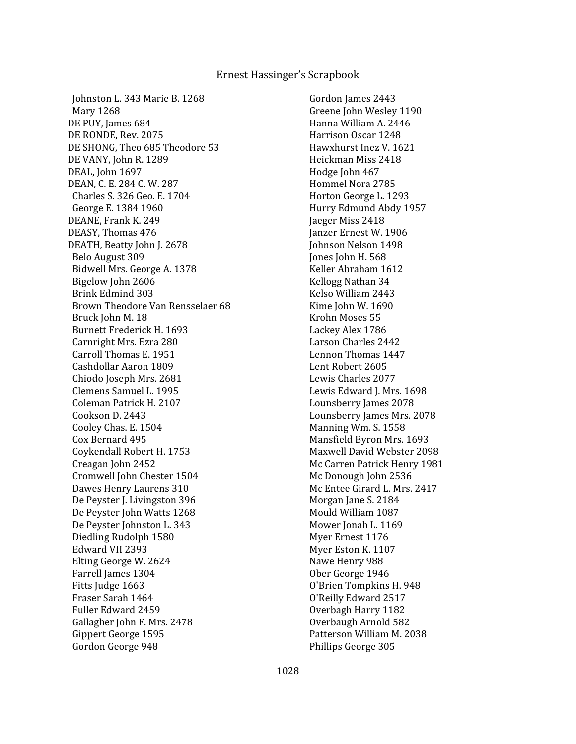Johnston L. 343 Marie B. 1268 Mary 1268 DE PUY, James 684 DE RONDE, Rev. 2075 DE SHONG, Theo 685 Theodore 53 DE VANY, John R. 1289 DEAL, John 1697 DEAN, C. E. 284 C. W. 287 Charles S. 326 Geo. E. 1704 George E. 1384 1960 DEANE, Frank K. 249 DEASY, Thomas 476 DEATH, Beatty John J. 2678 Belo August 309 Bidwell Mrs. George A. 1378 Bigelow John 2606 Brink Edmind 303 Brown Theodore Van Rensselaer 68 Bruck John M. 18 Burnett Frederick H. 1693 Carnright Mrs. Ezra 280 Carroll Thomas E. 1951 Cashdollar Aaron 1809 Chiodo Joseph Mrs. 2681 Clemens Samuel L. 1995 Coleman Patrick H. 2107 Cookson D. 2443 Cooley Chas. E. 1504 Cox Bernard 495 Coykendall Robert H. 1753 Creagan John 2452 Cromwell John Chester 1504 Dawes Henry Laurens 310 De Peyster J. Livingston 396 De Peyster John Watts 1268 De Peyster Johnston L. 343 Diedling Rudolph 1580 Edward VII 2393 Elting George W. 2624 Farrell James 1304 Fitts Judge 1663 Fraser Sarah 1464 Fuller Edward 2459 Gallagher John F. Mrs. 2478 Gippert George 1595 Gordon George 948

 Gordon James 2443 Greene John Wesley 1190 Hanna William A. 2446 Harrison Oscar 1248 Hawxhurst Inez V. 1621 Heickman Miss 2418 Hodge John 467 Hommel Nora 2785 Horton George L. 1293 Hurry Edmund Abdy 1957 Jaeger Miss 2418 Janzer Ernest W. 1906 Johnson Nelson 1498 Jones John H. 568 Keller Abraham 1612 Kellogg Nathan 34 Kelso William 2443 Kime John W. 1690 Krohn Moses 55 Lackey Alex 1786 Larson Charles 2442 Lennon Thomas 1447 Lent Robert 2605 Lewis Charles 2077 Lewis Edward J. Mrs. 1698 Lounsberry James 2078 Lounsberry James Mrs. 2078 Manning Wm. S. 1558 Mansfield Byron Mrs. 1693 Maxwell David Webster 2098 Mc Carren Patrick Henry 1981 Mc Donough John 2536 Mc Entee Girard L. Mrs. 2417 Morgan Jane S. 2184 Mould William 1087 Mower Jonah L. 1169 Myer Ernest 1176 Myer Eston K. 1107 Nawe Henry 988 Ober George 1946 O'Brien Tompkins H. 948 O'Reilly Edward 2517 Overbagh Harry 1182 Overbaugh Arnold 582 Patterson William M. 2038 Phillips George 305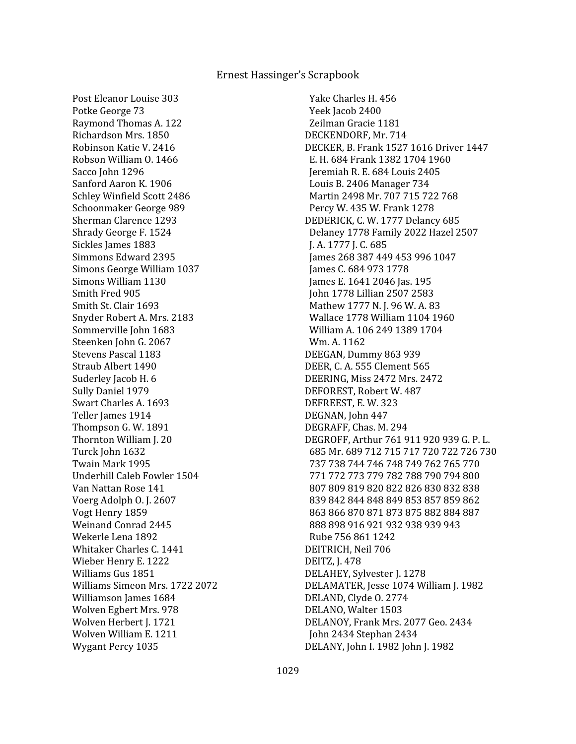Post Eleanor Louise 303 Potke George 73 Raymond Thomas A. 122 Richardson Mrs. 1850 Robinson Katie V. 2416 Robson William O. 1466 Sacco John 1296 Sanford Aaron K. 1906 Schley Winfield Scott 2486 Schoonmaker George 989 Sherman Clarence 1293 Shrady George F. 1524 Sickles James 1883 Simmons Edward 2395 Simons George William 1037 Simons William 1130 Smith Fred 905 Smith St. Clair 1693 Snyder Robert A. Mrs. 2183 Sommerville John 1683 Steenken John G. 2067 Stevens Pascal 1183 Straub Albert 1490 Suderley Jacob H. 6 Sully Daniel 1979 Swart Charles A. 1693 Teller James 1914 Thompson G. W. 1891 Thornton William J. 20 Turck John 1632 Twain Mark 1995 Underhill Caleb Fowler 1504 Van Nattan Rose 141 Voerg Adolph O. J. 2607 Vogt Henry 1859 Weinand Conrad 2445 Wekerle Lena 1892 Whitaker Charles C. 1441 Wieber Henry E. 1222 Williams Gus 1851 Williams Simeon Mrs. 1722 2072 Williamson James 1684 Wolven Egbert Mrs. 978 Wolven Herbert J. 1721 Wolven William E. 1211 Wygant Percy 1035

 Yake Charles H. 456 Yeek Jacob 2400 Zeilman Gracie 1181 DECKENDORF, Mr. 714 DECKER, B. Frank 1527 1616 Driver 1447 E. H. 684 Frank 1382 1704 1960 Jeremiah R. E. 684 Louis 2405 Louis B. 2406 Manager 734 Martin 2498 Mr. 707 715 722 768 Percy W. 435 W. Frank 1278 DEDERICK, C. W. 1777 Delancy 685 Delaney 1778 Family 2022 Hazel 2507 J. A. 1777 J. C. 685 James 268 387 449 453 996 1047 James C. 684 973 1778 James E. 1641 2046 Jas. 195 John 1778 Lillian 2507 2583 Mathew 1777 N. J. 96 W. A. 83 Wallace 1778 William 1104 1960 William A. 106 249 1389 1704 Wm. A. 1162 DEEGAN, Dummy 863 939 DEER, C. A. 555 Clement 565 DEERING, Miss 2472 Mrs. 2472 DEFOREST, Robert W. 487 DEFREEST, E. W. 323 DEGNAN, John 447 DEGRAFF, Chas. M. 294 DEGROFF, Arthur 761 911 920 939 G. P. L. 685 Mr. 689 712 715 717 720 722 726 730 737 738 744 746 748 749 762 765 770 771 772 773 779 782 788 790 794 800 807 809 819 820 822 826 830 832 838 839 842 844 848 849 853 857 859 862 863 866 870 871 873 875 882 884 887 888 898 916 921 932 938 939 943 Rube 756 861 1242 DEITRICH, Neil 706 DEITZ, J. 478 DELAHEY, Sylvester J. 1278 DELAMATER, Jesse 1074 William J. 1982 DELAND, Clyde O. 2774 DELANO, Walter 1503 DELANOY, Frank Mrs. 2077 Geo. 2434 John 2434 Stephan 2434 DELANY, John I. 1982 John J. 1982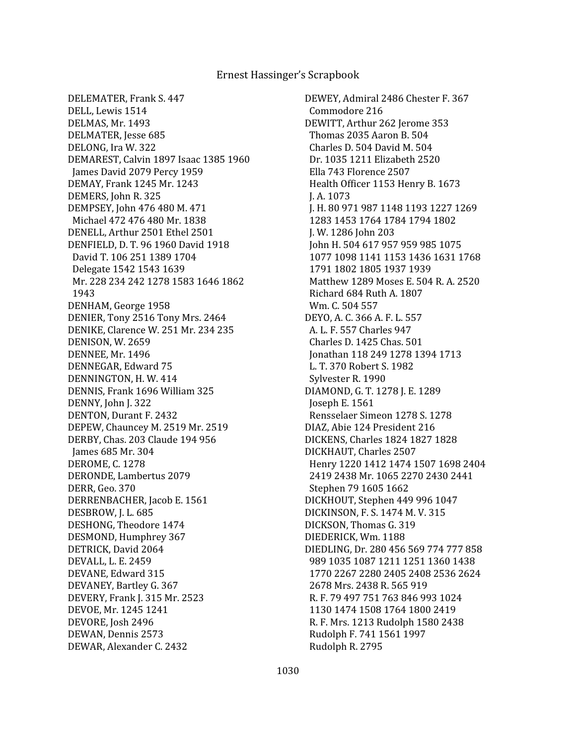DELEMATER, Frank S. 447 DELL, Lewis 1514 DELMAS, Mr. 1493 DELMATER, Jesse 685 DELONG, Ira W. 322 DEMAREST, Calvin 1897 Isaac 1385 1960 James David 2079 Percy 1959 DEMAY, Frank 1245 Mr. 1243 DEMERS, John R. 325 DEMPSEY, John 476 480 M. 471 Michael 472 476 480 Mr. 1838 DENELL, Arthur 2501 Ethel 2501 DENFIELD, D. T. 96 1960 David 1918 David T. 106 251 1389 1704 Delegate 1542 1543 1639 Mr. 228 234 242 1278 1583 1646 1862 1943 DENHAM, George 1958 DENIER, Tony 2516 Tony Mrs. 2464 DENIKE, Clarence W. 251 Mr. 234 235 DENISON, W. 2659 DENNEE, Mr. 1496 DENNEGAR, Edward 75 DENNINGTON, H. W. 414 DENNIS, Frank 1696 William 325 DENNY, John J. 322 DENTON, Durant F. 2432 DEPEW, Chauncey M. 2519 Mr. 2519 DERBY, Chas. 203 Claude 194 956 James 685 Mr. 304 DEROME, C. 1278 DERONDE, Lambertus 2079 DERR, Geo. 370 DERRENBACHER, Jacob E. 1561 DESBROW, J. L. 685 DESHONG, Theodore 1474 DESMOND, Humphrey 367 DETRICK, David 2064 DEVALL, L. E. 2459 DEVANE, Edward 315 DEVANEY, Bartley G. 367 DEVERY, Frank J. 315 Mr. 2523 DEVOE, Mr. 1245 1241 DEVORE, Josh 2496 DEWAN, Dennis 2573 DEWAR, Alexander C. 2432

DEWEY, Admiral 2486 Chester F. 367 Commodore 216 DEWITT, Arthur 262 Jerome 353 Thomas 2035 Aaron B. 504 Charles D. 504 David M. 504 Dr. 1035 1211 Elizabeth 2520 Ella 743 Florence 2507 Health Officer 1153 Henry B. 1673 J. A. 1073 J. H. 80 971 987 1148 1193 1227 1269 1283 1453 1764 1784 1794 1802 J. W. 1286 John 203 John H. 504 617 957 959 985 1075 1077 1098 1141 1153 1436 1631 1768 1791 1802 1805 1937 1939 Matthew 1289 Moses E. 504 R. A. 2520 Richard 684 Ruth A. 1807 Wm. C. 504 557 DEYO, A. C. 366 A. F. L. 557 A. L. F. 557 Charles 947 Charles D. 1425 Chas. 501 Jonathan 118 249 1278 1394 1713 L. T. 370 Robert S. 1982 Sylvester R. 1990 DIAMOND, G. T. 1278 J. E. 1289 Joseph E. 1561 Rensselaer Simeon 1278 S. 1278 DIAZ, Abie 124 President 216 DICKENS, Charles 1824 1827 1828 DICKHAUT, Charles 2507 Henry 1220 1412 1474 1507 1698 2404 2419 2438 Mr. 1065 2270 2430 2441 Stephen 79 1605 1662 DICKHOUT, Stephen 449 996 1047 DICKINSON, F. S. 1474 M. V. 315 DICKSON, Thomas G. 319 DIEDERICK, Wm. 1188 DIEDLING, Dr. 280 456 569 774 777 858 989 1035 1087 1211 1251 1360 1438 1770 2267 2280 2405 2408 2536 2624 2678 Mrs. 2438 R. 565 919 R. F. 79 497 751 763 846 993 1024 1130 1474 1508 1764 1800 2419 R. F. Mrs. 1213 Rudolph 1580 2438 Rudolph F. 741 1561 1997 Rudolph R. 2795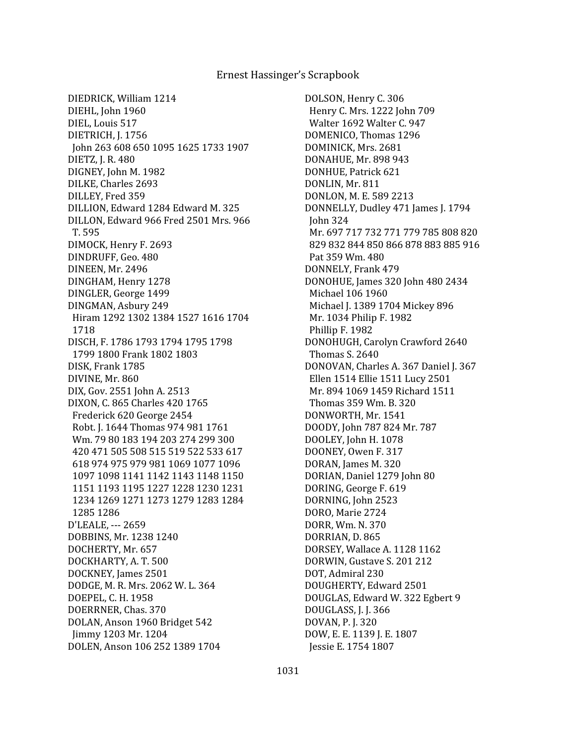DIEDRICK, William 1214 DIEHL, John 1960 DIEL, Louis 517 DIETRICH, J. 1756 John 263 608 650 1095 1625 1733 1907 DIETZ, J. R. 480 DIGNEY, John M. 1982 DILKE, Charles 2693 DILLEY, Fred 359 DILLION, Edward 1284 Edward M. 325 DILLON, Edward 966 Fred 2501 Mrs. 966 T. 595 DIMOCK, Henry F. 2693 DINDRUFF, Geo. 480 DINEEN, Mr. 2496 DINGHAM, Henry 1278 DINGLER, George 1499 DINGMAN, Asbury 249 Hiram 1292 1302 1384 1527 1616 1704 1718 DISCH, F. 1786 1793 1794 1795 1798 1799 1800 Frank 1802 1803 DISK, Frank 1785 DIVINE, Mr. 860 DIX, Gov. 2551 John A. 2513 DIXON, C. 865 Charles 420 1765 Frederick 620 George 2454 Robt. J. 1644 Thomas 974 981 1761 Wm. 79 80 183 194 203 274 299 300 420 471 505 508 515 519 522 533 617 618 974 975 979 981 1069 1077 1096 1097 1098 1141 1142 1143 1148 1150 1151 1193 1195 1227 1228 1230 1231 1234 1269 1271 1273 1279 1283 1284 1285 1286 D'LEALE, --- 2659 DOBBINS, Mr. 1238 1240 DOCHERTY, Mr. 657 DOCKHARTY, A. T. 500 DOCKNEY, James 2501 DODGE, M. R. Mrs. 2062 W. L. 364 DOEPEL, C. H. 1958 DOERRNER, Chas. 370 DOLAN, Anson 1960 Bridget 542 Jimmy 1203 Mr. 1204 DOLEN, Anson 106 252 1389 1704

DOLSON, Henry C. 306 Henry C. Mrs. 1222 John 709 Walter 1692 Walter C. 947 DOMENICO, Thomas 1296 DOMINICK, Mrs. 2681 DONAHUE, Mr. 898 943 DONHUE, Patrick 621 DONLIN, Mr. 811 DONLON, M. E. 589 2213 DONNELLY, Dudley 471 James J. 1794 John 324 Mr. 697 717 732 771 779 785 808 820 829 832 844 850 866 878 883 885 916 Pat 359 Wm. 480 DONNELY, Frank 479 DONOHUE, James 320 John 480 2434 Michael 106 1960 Michael J. 1389 1704 Mickey 896 Mr. 1034 Philip F. 1982 Phillip F. 1982 DONOHUGH, Carolyn Crawford 2640 Thomas S. 2640 DONOVAN, Charles A. 367 Daniel J. 367 Ellen 1514 Ellie 1511 Lucy 2501 Mr. 894 1069 1459 Richard 1511 Thomas 359 Wm. B. 320 DONWORTH, Mr. 1541 DOODY, John 787 824 Mr. 787 DOOLEY, John H. 1078 DOONEY, Owen F. 317 DORAN, James M. 320 DORIAN, Daniel 1279 John 80 DORING, George F. 619 DORNING, John 2523 DORO, Marie 2724 DORR, Wm. N. 370 DORRIAN, D. 865 DORSEY, Wallace A. 1128 1162 DORWIN, Gustave S. 201 212 DOT, Admiral 230 DOUGHERTY, Edward 2501 DOUGLAS, Edward W. 322 Egbert 9 DOUGLASS, J. J. 366 DOVAN, P. J. 320 DOW, E. E. 1139 J. E. 1807 Jessie E. 1754 1807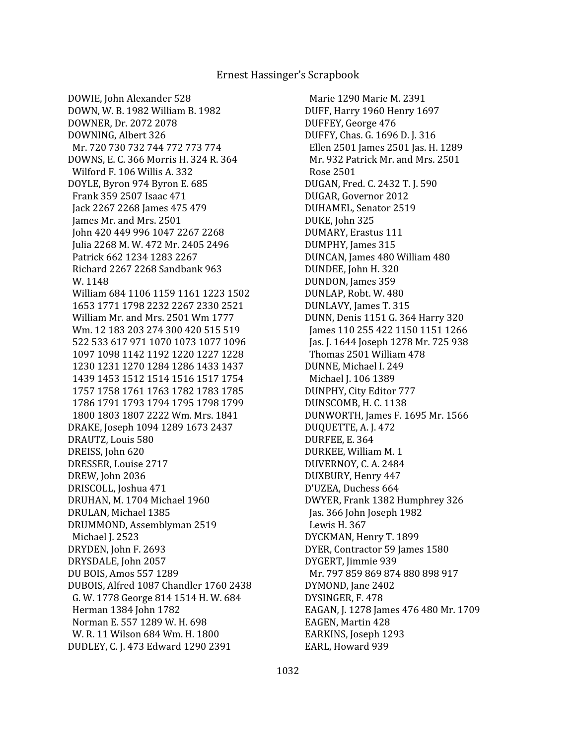DOWIE, John Alexander 528 DOWN, W. B. 1982 William B. 1982 DOWNER, Dr. 2072 2078 DOWNING, Albert 326 Mr. 720 730 732 744 772 773 774 DOWNS, E. C. 366 Morris H. 324 R. 364 Wilford F. 106 Willis A. 332 DOYLE, Byron 974 Byron E. 685 Frank 359 2507 Isaac 471 Jack 2267 2268 James 475 479 James Mr. and Mrs. 2501 John 420 449 996 1047 2267 2268 Julia 2268 M. W. 472 Mr. 2405 2496 Patrick 662 1234 1283 2267 Richard 2267 2268 Sandbank 963 W. 1148 William 684 1106 1159 1161 1223 1502 1653 1771 1798 2232 2267 2330 2521 William Mr. and Mrs. 2501 Wm 1777 Wm. 12 183 203 274 300 420 515 519 522 533 617 971 1070 1073 1077 1096 1097 1098 1142 1192 1220 1227 1228 1230 1231 1270 1284 1286 1433 1437 1439 1453 1512 1514 1516 1517 1754 1757 1758 1761 1763 1782 1783 1785 1786 1791 1793 1794 1795 1798 1799 1800 1803 1807 2222 Wm. Mrs. 1841 DRAKE, Joseph 1094 1289 1673 2437 DRAUTZ, Louis 580 DREISS, John 620 DRESSER, Louise 2717 DREW, John 2036 DRISCOLL, Joshua 471 DRUHAN, M. 1704 Michael 1960 DRULAN, Michael 1385 DRUMMOND, Assemblyman 2519 Michael J. 2523 DRYDEN, John F. 2693 DRYSDALE, John 2057 DU BOIS, Amos 557 1289 DUBOIS, Alfred 1087 Chandler 1760 2438 G. W. 1778 George 814 1514 H. W. 684 Herman 1384 John 1782 Norman E. 557 1289 W. H. 698 W. R. 11 Wilson 684 Wm. H. 1800 DUDLEY, C. J. 473 Edward 1290 2391

 Marie 1290 Marie M. 2391 DUFF, Harry 1960 Henry 1697 DUFFEY, George 476 DUFFY, Chas. G. 1696 D. J. 316 Ellen 2501 James 2501 Jas. H. 1289 Mr. 932 Patrick Mr. and Mrs. 2501 Rose 2501 DUGAN, Fred. C. 2432 T. J. 590 DUGAR, Governor 2012 DUHAMEL, Senator 2519 DUKE, John 325 DUMARY, Erastus 111 DUMPHY, James 315 DUNCAN, James 480 William 480 DUNDEE, John H. 320 DUNDON, James 359 DUNLAP, Robt. W. 480 DUNLAVY, James T. 315 DUNN, Denis 1151 G. 364 Harry 320 James 110 255 422 1150 1151 1266 Jas. J. 1644 Joseph 1278 Mr. 725 938 Thomas 2501 William 478 DUNNE, Michael I. 249 Michael J. 106 1389 DUNPHY, City Editor 777 DUNSCOMB, H. C. 1138 DUNWORTH, James F. 1695 Mr. 1566 DUQUETTE, A. J. 472 DURFEE, E. 364 DURKEE, William M. 1 DUVERNOY, C. A. 2484 DUXBURY, Henry 447 D'UZEA, Duchess 664 DWYER, Frank 1382 Humphrey 326 Jas. 366 John Joseph 1982 Lewis H. 367 DYCKMAN, Henry T. 1899 DYER, Contractor 59 James 1580 DYGERT, Jimmie 939 Mr. 797 859 869 874 880 898 917 DYMOND, Jane 2402 DYSINGER, F. 478 EAGAN, J. 1278 James 476 480 Mr. 1709 EAGEN, Martin 428 EARKINS, Joseph 1293 EARL, Howard 939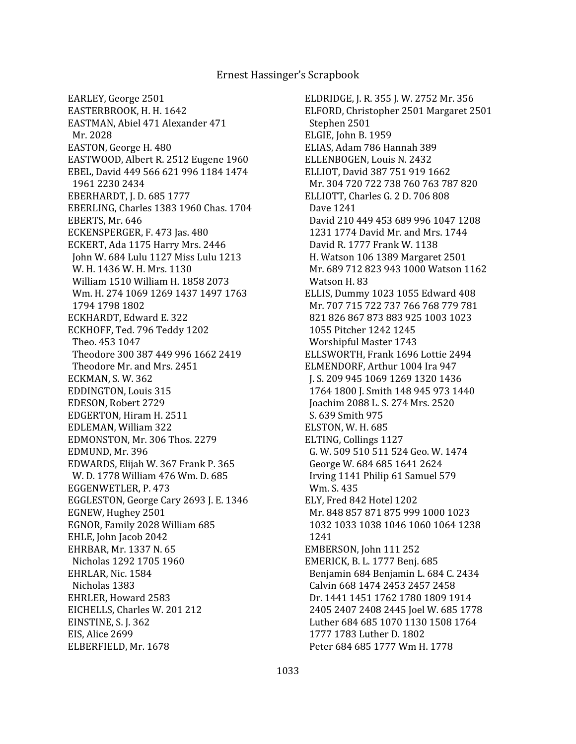EARLEY, George 2501 EASTERBROOK, H. H. 1642 EASTMAN, Abiel 471 Alexander 471 Mr. 2028 EASTON, George H. 480 EASTWOOD, Albert R. 2512 Eugene 1960 EBEL, David 449 566 621 996 1184 1474 1961 2230 2434 EBERHARDT, J. D. 685 1777 EBERLING, Charles 1383 1960 Chas. 1704 EBERTS, Mr. 646 ECKENSPERGER, F. 473 Jas. 480 ECKERT, Ada 1175 Harry Mrs. 2446 John W. 684 Lulu 1127 Miss Lulu 1213 W. H. 1436 W. H. Mrs. 1130 William 1510 William H. 1858 2073 Wm. H. 274 1069 1269 1437 1497 1763 1794 1798 1802 ECKHARDT, Edward E. 322 ECKHOFF, Ted. 796 Teddy 1202 Theo. 453 1047 Theodore 300 387 449 996 1662 2419 Theodore Mr. and Mrs. 2451 ECKMAN, S. W. 362 EDDINGTON, Louis 315 EDESON, Robert 2729 EDGERTON, Hiram H. 2511 EDLEMAN, William 322 EDMONSTON, Mr. 306 Thos. 2279 EDMUND, Mr. 396 EDWARDS, Elijah W. 367 Frank P. 365 W. D. 1778 William 476 Wm. D. 685 EGGENWETLER, P. 473 EGGLESTON, George Cary 2693 J. E. 1346 EGNEW, Hughey 2501 EGNOR, Family 2028 William 685 EHLE, John Jacob 2042 EHRBAR, Mr. 1337 N. 65 Nicholas 1292 1705 1960 EHRLAR, Nic. 1584 Nicholas 1383 EHRLER, Howard 2583 EICHELLS, Charles W. 201 212 EINSTINE, S. J. 362 EIS, Alice 2699 ELBERFIELD, Mr. 1678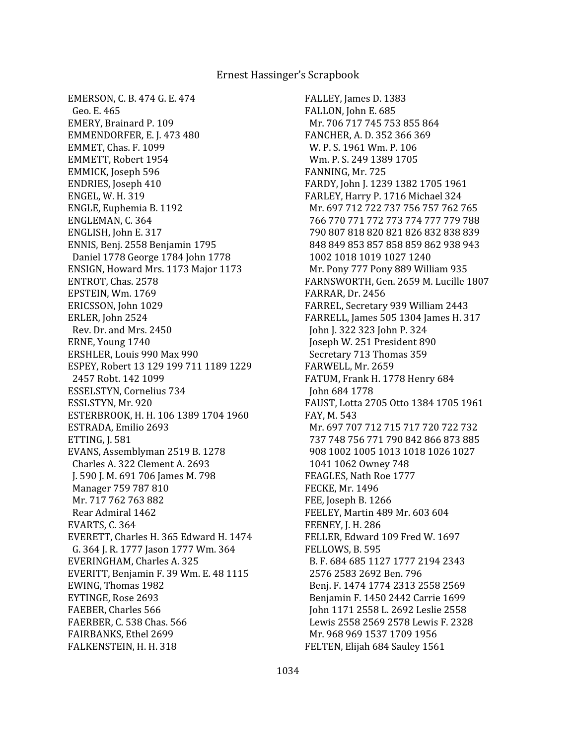EMERSON, C. B. 474 G. E. 474 Geo. E. 465 EMERY, Brainard P. 109 EMMENDORFER, E. J. 473 480 EMMET, Chas. F. 1099 EMMETT, Robert 1954 EMMICK, Joseph 596 ENDRIES, Joseph 410 ENGEL, W. H. 319 ENGLE, Euphemia B. 1192 ENGLEMAN, C. 364 ENGLISH, John E. 317 ENNIS, Benj. 2558 Benjamin 1795 Daniel 1778 George 1784 John 1778 ENSIGN, Howard Mrs. 1173 Major 1173 ENTROT, Chas. 2578 EPSTEIN, Wm. 1769 ERICSSON, John 1029 ERLER, John 2524 Rev. Dr. and Mrs. 2450 ERNE, Young 1740 ERSHLER, Louis 990 Max 990 ESPEY, Robert 13 129 199 711 1189 1229 2457 Robt. 142 1099 ESSELSTYN, Cornelius 734 ESSLSTYN, Mr. 920 ESTERBROOK, H. H. 106 1389 1704 1960 ESTRADA, Emilio 2693 ETTING, J. 581 EVANS, Assemblyman 2519 B. 1278 Charles A. 322 Clement A. 2693 J. 590 J. M. 691 706 James M. 798 Manager 759 787 810 Mr. 717 762 763 882 Rear Admiral 1462 EVARTS, C. 364 EVERETT, Charles H. 365 Edward H. 1474 G. 364 J. R. 1777 Jason 1777 Wm. 364 EVERINGHAM, Charles A. 325 EVERITT, Benjamin F. 39 Wm. E. 48 1115 EWING, Thomas 1982 EYTINGE, Rose 2693 FAEBER, Charles 566 FAERBER, C. 538 Chas. 566 FAIRBANKS, Ethel 2699 FALKENSTEIN, H. H. 318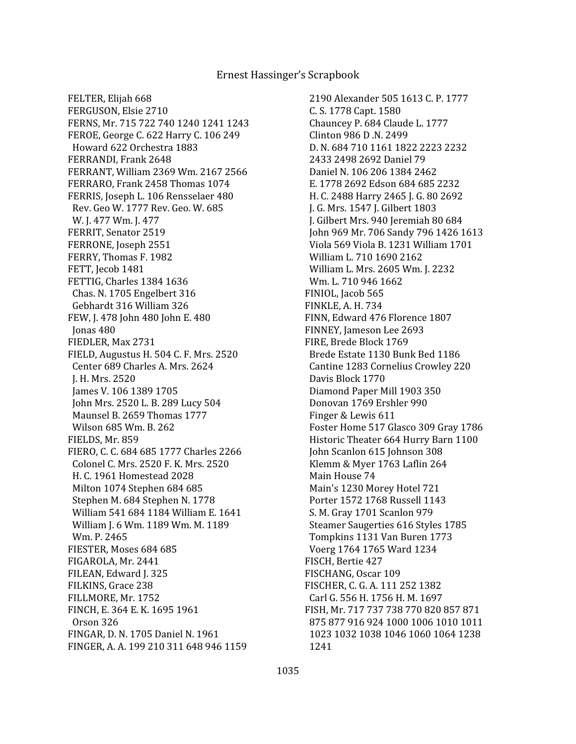FELTER, Elijah 668 FERGUSON, Elsie 2710 FERNS, Mr. 715 722 740 1240 1241 1243 FEROE, George C. 622 Harry C. 106 249 Howard 622 Orchestra 1883 FERRANDI, Frank 2648 FERRANT, William 2369 Wm. 2167 2566 FERRARO, Frank 2458 Thomas 1074 FERRIS, Joseph L. 106 Rensselaer 480 Rev. Geo W. 1777 Rev. Geo. W. 685 W. J. 477 Wm. J. 477 FERRIT, Senator 2519 FERRONE, Joseph 2551 FERRY, Thomas F. 1982 FETT, Jecob 1481 FETTIG, Charles 1384 1636 Chas. N. 1705 Engelbert 316 Gebhardt 316 William 326 FEW, J. 478 John 480 John E. 480 Jonas 480 FIEDLER, Max 2731 FIELD, Augustus H. 504 C. F. Mrs. 2520 Center 689 Charles A. Mrs. 2624 J. H. Mrs. 2520 James V. 106 1389 1705 John Mrs. 2520 L. B. 289 Lucy 504 Maunsel B. 2659 Thomas 1777 Wilson 685 Wm. B. 262 FIELDS, Mr. 859 FIERO, C. C. 684 685 1777 Charles 2266 Colonel C. Mrs. 2520 F. K. Mrs. 2520 H. C. 1961 Homestead 2028 Milton 1074 Stephen 684 685 Stephen M. 684 Stephen N. 1778 William 541 684 1184 William E. 1641 William J. 6 Wm. 1189 Wm. M. 1189 Wm. P. 2465 FIESTER, Moses 684 685 FIGAROLA, Mr. 2441 FILEAN, Edward J. 325 FILKINS, Grace 238 FILLMORE, Mr. 1752 FINCH, E. 364 E. K. 1695 1961 Orson 326 FINGAR, D. N. 1705 Daniel N. 1961 FINGER, A. A. 199 210 311 648 946 1159

 2190 Alexander 505 1613 C. P. 1777 C. S. 1778 Capt. 1580 Chauncey P. 684 Claude L. 1777 Clinton 986 D .N. 2499 D. N. 684 710 1161 1822 2223 2232 2433 2498 2692 Daniel 79 Daniel N. 106 206 1384 2462 E. 1778 2692 Edson 684 685 2232 H. C. 2488 Harry 2465 J. G. 80 2692 J. G. Mrs. 1547 J. Gilbert 1803 J. Gilbert Mrs. 940 Jeremiah 80 684 John 969 Mr. 706 Sandy 796 1426 1613 Viola 569 Viola B. 1231 William 1701 William L. 710 1690 2162 William L. Mrs. 2605 Wm. J. 2232 Wm. L. 710 946 1662 FINIOL, Jacob 565 FINKLE, A. H. 734 FINN, Edward 476 Florence 1807 FINNEY, Jameson Lee 2693 FIRE, Brede Block 1769 Brede Estate 1130 Bunk Bed 1186 Cantine 1283 Cornelius Crowley 220 Davis Block 1770 Diamond Paper Mill 1903 350 Donovan 1769 Ershler 990 Finger & Lewis 611 Foster Home 517 Glasco 309 Gray 1786 Historic Theater 664 Hurry Barn 1100 John Scanlon 615 Johnson 308 Klemm & Myer 1763 Laflin 264 Main House 74 Main's 1230 Morey Hotel 721 Porter 1572 1768 Russell 1143 S. M. Gray 1701 Scanlon 979 Steamer Saugerties 616 Styles 1785 Tompkins 1131 Van Buren 1773 Voerg 1764 1765 Ward 1234 FISCH, Bertie 427 FISCHANG, Oscar 109 FISCHER, C. G. A. 111 252 1382 Carl G. 556 H. 1756 H. M. 1697 FISH, Mr. 717 737 738 770 820 857 871 875 877 916 924 1000 1006 1010 1011 1023 1032 1038 1046 1060 1064 1238 1241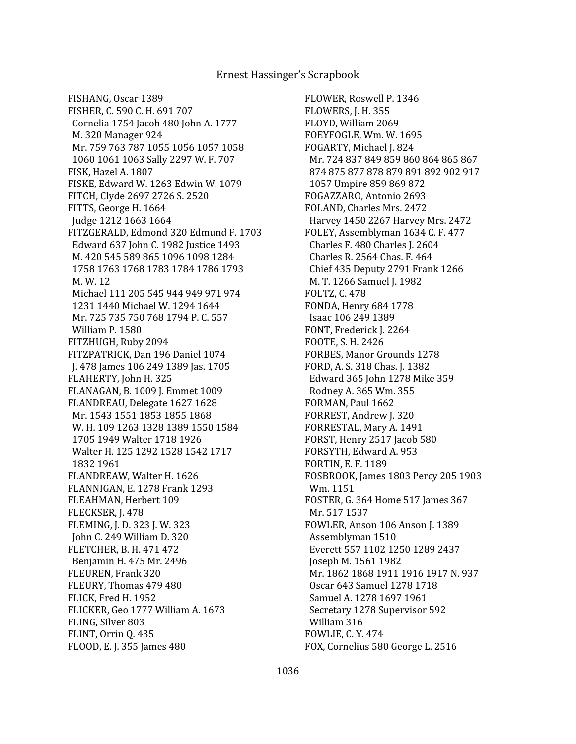FISHANG, Oscar 1389 FISHER, C. 590 C. H. 691 707 Cornelia 1754 Jacob 480 John A. 1777 M. 320 Manager 924 Mr. 759 763 787 1055 1056 1057 1058 1060 1061 1063 Sally 2297 W. F. 707 FISK, Hazel A. 1807 FISKE, Edward W. 1263 Edwin W. 1079 FITCH, Clyde 2697 2726 S. 2520 FITTS, George H. 1664 Judge 1212 1663 1664 FITZGERALD, Edmond 320 Edmund F. 1703 Edward 637 John C. 1982 Justice 1493 M. 420 545 589 865 1096 1098 1284 1758 1763 1768 1783 1784 1786 1793 M. W. 12 Michael 111 205 545 944 949 971 974 1231 1440 Michael W. 1294 1644 Mr. 725 735 750 768 1794 P. C. 557 William P. 1580 FITZHUGH, Ruby 2094 FITZPATRICK, Dan 196 Daniel 1074 J. 478 James 106 249 1389 Jas. 1705 FLAHERTY, John H. 325 FLANAGAN, B. 1009 J. Emmet 1009 FLANDREAU, Delegate 1627 1628 Mr. 1543 1551 1853 1855 1868 W. H. 109 1263 1328 1389 1550 1584 1705 1949 Walter 1718 1926 Walter H. 125 1292 1528 1542 1717 1832 1961 FLANDREAW, Walter H. 1626 FLANNIGAN, E. 1278 Frank 1293 FLEAHMAN, Herbert 109 FLECKSER, J. 478 FLEMING, J. D. 323 J. W. 323 John C. 249 William D. 320 FLETCHER, B. H. 471 472 Benjamin H. 475 Mr. 2496 FLEUREN, Frank 320 FLEURY, Thomas 479 480 FLICK, Fred H. 1952 FLICKER, Geo 1777 William A. 1673 FLING, Silver 803 FLINT, Orrin Q. 435 FLOOD, E. J. 355 James 480

FLOWER, Roswell P. 1346 FLOWERS, J. H. 355 FLOYD, William 2069 FOEYFOGLE, Wm. W. 1695 FOGARTY, Michael J. 824 Mr. 724 837 849 859 860 864 865 867 874 875 877 878 879 891 892 902 917 1057 Umpire 859 869 872 FOGAZZARO, Antonio 2693 FOLAND, Charles Mrs. 2472 Harvey 1450 2267 Harvey Mrs. 2472 FOLEY, Assemblyman 1634 C. F. 477 Charles F. 480 Charles J. 2604 Charles R. 2564 Chas. F. 464 Chief 435 Deputy 2791 Frank 1266 M. T. 1266 Samuel J. 1982 FOLTZ, C. 478 FONDA, Henry 684 1778 Isaac 106 249 1389 FONT, Frederick J. 2264 FOOTE, S. H. 2426 FORBES, Manor Grounds 1278 FORD, A. S. 318 Chas. J. 1382 Edward 365 John 1278 Mike 359 Rodney A. 365 Wm. 355 FORMAN, Paul 1662 FORREST, Andrew J. 320 FORRESTAL, Mary A. 1491 FORST, Henry 2517 Jacob 580 FORSYTH, Edward A. 953 FORTIN, E. F. 1189 FOSBROOK, James 1803 Percy 205 1903 Wm. 1151 FOSTER, G. 364 Home 517 James 367 Mr. 517 1537 FOWLER, Anson 106 Anson J. 1389 Assemblyman 1510 Everett 557 1102 1250 1289 2437 Joseph M. 1561 1982 Mr. 1862 1868 1911 1916 1917 N. 937 Oscar 643 Samuel 1278 1718 Samuel A. 1278 1697 1961 Secretary 1278 Supervisor 592 William 316 FOWLIE, C. Y. 474 FOX, Cornelius 580 George L. 2516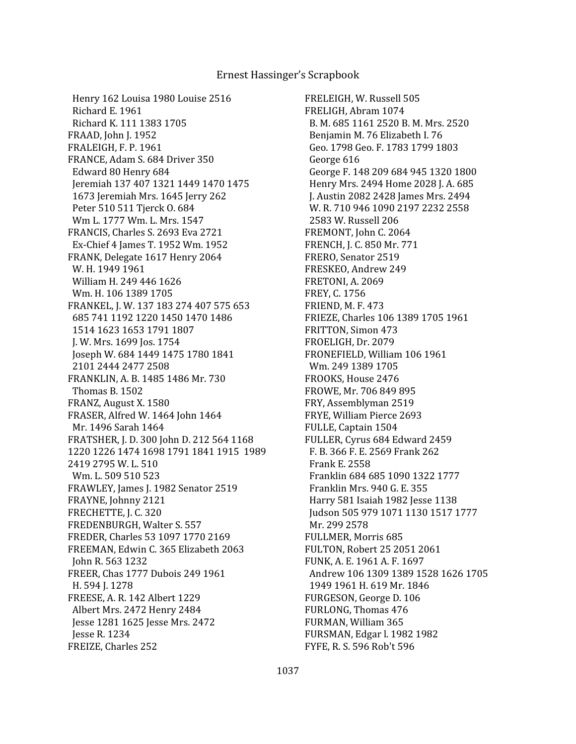Henry 162 Louisa 1980 Louise 2516 Richard E. 1961 Richard K. 111 1383 1705 FRAAD, John J. 1952 FRALEIGH, F. P. 1961 FRANCE, Adam S. 684 Driver 350 Edward 80 Henry 684 Jeremiah 137 407 1321 1449 1470 1475 1673 Jeremiah Mrs. 1645 Jerry 262 Peter 510 511 Tjerck O. 684 Wm L. 1777 Wm. L. Mrs. 1547 FRANCIS, Charles S. 2693 Eva 2721 Ex-Chief 4 James T. 1952 Wm. 1952 FRANK, Delegate 1617 Henry 2064 W. H. 1949 1961 William H. 249 446 1626 Wm. H. 106 1389 1705 FRANKEL, J. W. 137 183 274 407 575 653 685 741 1192 1220 1450 1470 1486 1514 1623 1653 1791 1807 J. W. Mrs. 1699 Jos. 1754 Joseph W. 684 1449 1475 1780 1841 2101 2444 2477 2508 FRANKLIN, A. B. 1485 1486 Mr. 730 Thomas B. 1502 FRANZ, August X. 1580 FRASER, Alfred W. 1464 John 1464 Mr. 1496 Sarah 1464 FRATSHER, J. D. 300 John D. 212 564 1168 1220 1226 1474 1698 1791 1841 1915 1989 2419 2795 W. L. 510 Wm. L. 509 510 523 FRAWLEY, James J. 1982 Senator 2519 FRAYNE, Johnny 2121 FRECHETTE, J. C. 320 FREDENBURGH, Walter S. 557 FREDER, Charles 53 1097 1770 2169 FREEMAN, Edwin C. 365 Elizabeth 2063 John R. 563 1232 FREER, Chas 1777 Dubois 249 1961 H. 594 J. 1278 FREESE, A. R. 142 Albert 1229 Albert Mrs. 2472 Henry 2484 Jesse 1281 1625 Jesse Mrs. 2472 Jesse R. 1234 FREIZE, Charles 252

FRELEIGH, W. Russell 505 FRELIGH, Abram 1074 B. M. 685 1161 2520 B. M. Mrs. 2520 Benjamin M. 76 Elizabeth I. 76 Geo. 1798 Geo. F. 1783 1799 1803 George 616 George F. 148 209 684 945 1320 1800 Henry Mrs. 2494 Home 2028 J. A. 685 J. Austin 2082 2428 James Mrs. 2494 W. R. 710 946 1090 2197 2232 2558 2583 W. Russell 206 FREMONT, John C. 2064 FRENCH, J. C. 850 Mr. 771 FRERO, Senator 2519 FRESKEO, Andrew 249 FRETONI, A. 2069 FREY, C. 1756 FRIEND, M. F. 473 FRIEZE, Charles 106 1389 1705 1961 FRITTON, Simon 473 FROELIGH, Dr. 2079 FRONEFIELD, William 106 1961 Wm. 249 1389 1705 FROOKS, House 2476 FROWE, Mr. 706 849 895 FRY, Assemblyman 2519 FRYE, William Pierce 2693 FULLE, Captain 1504 FULLER, Cyrus 684 Edward 2459 F. B. 366 F. E. 2569 Frank 262 Frank E. 2558 Franklin 684 685 1090 1322 1777 Franklin Mrs. 940 G. E. 355 Harry 581 Isaiah 1982 Jesse 1138 Judson 505 979 1071 1130 1517 1777 Mr. 299 2578 FULLMER, Morris 685 FULTON, Robert 25 2051 2061 FUNK, A. E. 1961 A. F. 1697 Andrew 106 1309 1389 1528 1626 1705 1949 1961 H. 619 Mr. 1846 FURGESON, George D. 106 FURLONG, Thomas 476 FURMAN, William 365 FURSMAN, Edgar l. 1982 1982 FYFE, R. S. 596 Rob't 596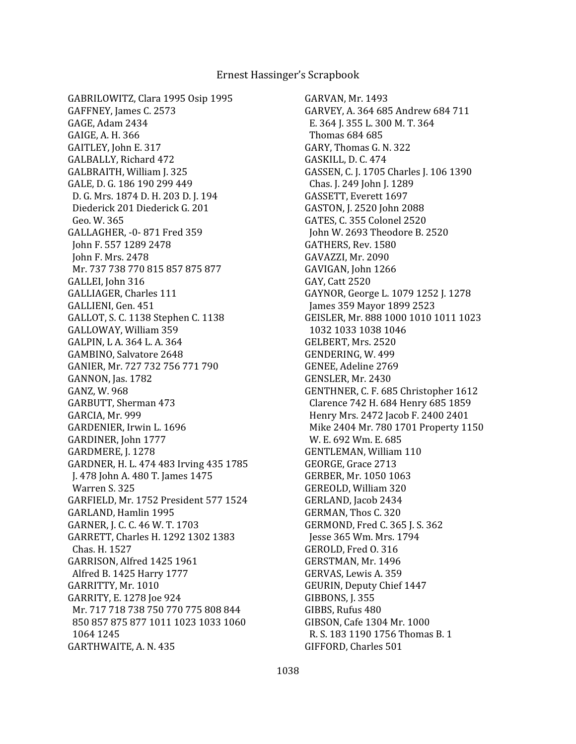GABRILOWITZ, Clara 1995 Osip 1995 GAFFNEY, James C. 2573 GAGE, Adam 2434 GAIGE, A. H. 366 GAITLEY, John E. 317 GALBALLY, Richard 472 GALBRAITH, William J. 325 GALE, D. G. 186 190 299 449 D. G. Mrs. 1874 D. H. 203 D. J. 194 Diederick 201 Diederick G. 201 Geo. W. 365 GALLAGHER, -0- 871 Fred 359 John F. 557 1289 2478 John F. Mrs. 2478 Mr. 737 738 770 815 857 875 877 GALLEI, John 316 GALLIAGER, Charles 111 GALLIENI, Gen. 451 GALLOT, S. C. 1138 Stephen C. 1138 GALLOWAY, William 359 GALPIN, L A. 364 L. A. 364 GAMBINO, Salvatore 2648 GANIER, Mr. 727 732 756 771 790 GANNON, Jas. 1782 GANZ, W. 968 GARBUTT, Sherman 473 GARCIA, Mr. 999 GARDENIER, Irwin L. 1696 GARDINER, John 1777 GARDMERE, J. 1278 GARDNER, H. L. 474 483 Irving 435 1785 J. 478 John A. 480 T. James 1475 Warren S. 325 GARFIELD, Mr. 1752 President 577 1524 GARLAND, Hamlin 1995 GARNER, J. C. C. 46 W. T. 1703 GARRETT, Charles H. 1292 1302 1383 Chas. H. 1527 GARRISON, Alfred 1425 1961 Alfred B. 1425 Harry 1777 GARRITTY, Mr. 1010 GARRITY, E. 1278 Joe 924 Mr. 717 718 738 750 770 775 808 844 850 857 875 877 1011 1023 1033 1060 1064 1245 GARTHWAITE, A. N. 435

GARVAN, Mr. 1493 GARVEY, A. 364 685 Andrew 684 711 E. 364 J. 355 L. 300 M. T. 364 Thomas 684 685 GARY, Thomas G. N. 322 GASKILL, D. C. 474 GASSEN, C. J. 1705 Charles J. 106 1390 Chas. J. 249 John J. 1289 GASSETT, Everett 1697 GASTON, J. 2520 John 2088 GATES, C. 355 Colonel 2520 John W. 2693 Theodore B. 2520 GATHERS, Rev. 1580 GAVAZZI, Mr. 2090 GAVIGAN, John 1266 GAY, Catt 2520 GAYNOR, George L. 1079 1252 J. 1278 James 359 Mayor 1899 2523 GEISLER, Mr. 888 1000 1010 1011 1023 1032 1033 1038 1046 GELBERT, Mrs. 2520 GENDERING, W. 499 GENEE, Adeline 2769 GENSLER, Mr. 2430 GENTHNER, C. F. 685 Christopher 1612 Clarence 742 H. 684 Henry 685 1859 Henry Mrs. 2472 Jacob F. 2400 2401 Mike 2404 Mr. 780 1701 Property 1150 W. E. 692 Wm. E. 685 GENTLEMAN, William 110 GEORGE, Grace 2713 GERBER, Mr. 1050 1063 GEREOLD, William 320 GERLAND, Jacob 2434 GERMAN, Thos C. 320 GERMOND, Fred C. 365 J. S. 362 Jesse 365 Wm. Mrs. 1794 GEROLD, Fred O. 316 GERSTMAN, Mr. 1496 GERVAS, Lewis A. 359 GEURIN, Deputy Chief 1447 GIBBONS, J. 355 GIBBS, Rufus 480 GIBSON, Cafe 1304 Mr. 1000 R. S. 183 1190 1756 Thomas B. 1 GIFFORD, Charles 501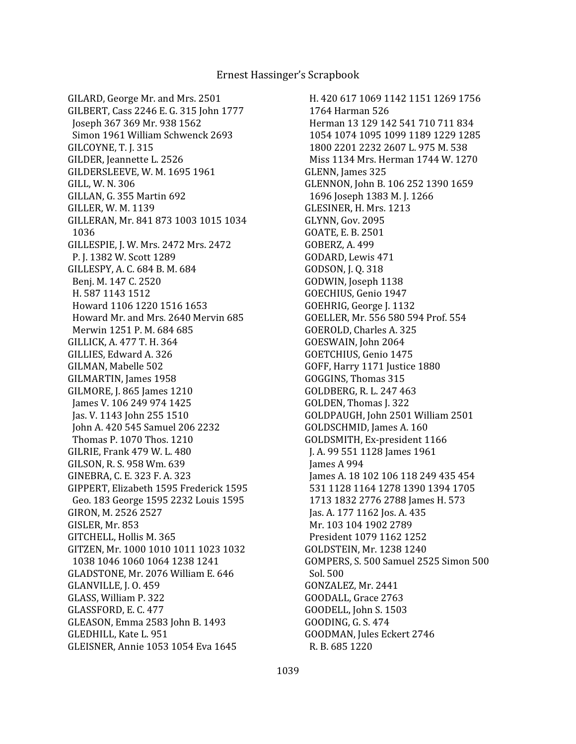GILARD, George Mr. and Mrs. 2501 GILBERT, Cass 2246 E. G. 315 John 1777 Joseph 367 369 Mr. 938 1562 Simon 1961 William Schwenck 2693 GILCOYNE, T. J. 315 GILDER, Jeannette L. 2526 GILDERSLEEVE, W. M. 1695 1961 GILL, W. N. 306 GILLAN, G. 355 Martin 692 GILLER, W. M. 1139 GILLERAN, Mr. 841 873 1003 1015 1034 1036 GILLESPIE, J. W. Mrs. 2472 Mrs. 2472 P. J. 1382 W. Scott 1289 GILLESPY, A. C. 684 B. M. 684 Benj. M. 147 C. 2520 H. 587 1143 1512 Howard 1106 1220 1516 1653 Howard Mr. and Mrs. 2640 Mervin 685 Merwin 1251 P. M. 684 685 GILLICK, A. 477 T. H. 364 GILLIES, Edward A. 326 GILMAN, Mabelle 502 GILMARTIN, James 1958 GILMORE, J. 865 James 1210 James V. 106 249 974 1425 Jas. V. 1143 John 255 1510 John A. 420 545 Samuel 206 2232 Thomas P. 1070 Thos. 1210 GILRIE, Frank 479 W. L. 480 GILSON, R. S. 958 Wm. 639 GINEBRA, C. E. 323 F. A. 323 GIPPERT, Elizabeth 1595 Frederick 1595 Geo. 183 George 1595 2232 Louis 1595 GIRON, M. 2526 2527 GISLER, Mr. 853 GITCHELL, Hollis M. 365 GITZEN, Mr. 1000 1010 1011 1023 1032 1038 1046 1060 1064 1238 1241 GLADSTONE, Mr. 2076 William E. 646 GLANVILLE, J. O. 459 GLASS, William P. 322 GLASSFORD, E. C. 477 GLEASON, Emma 2583 John B. 1493 GLEDHILL, Kate L. 951 GLEISNER, Annie 1053 1054 Eva 1645

 H. 420 617 1069 1142 1151 1269 1756 1764 Harman 526 Herman 13 129 142 541 710 711 834 1054 1074 1095 1099 1189 1229 1285 1800 2201 2232 2607 L. 975 M. 538 Miss 1134 Mrs. Herman 1744 W. 1270 GLENN, James 325 GLENNON, John B. 106 252 1390 1659 1696 Joseph 1383 M. J. 1266 GLESINER, H. Mrs. 1213 GLYNN, Gov. 2095 GOATE, E. B. 2501 GOBERZ, A. 499 GODARD, Lewis 471 GODSON, J. Q. 318 GODWIN, Joseph 1138 GOECHIUS, Genio 1947 GOEHRIG, George J. 1132 GOELLER, Mr. 556 580 594 Prof. 554 GOEROLD, Charles A. 325 GOESWAIN, John 2064 GOETCHIUS, Genio 1475 GOFF, Harry 1171 Justice 1880 GOGGINS, Thomas 315 GOLDBERG, R. L. 247 463 GOLDEN, Thomas J. 322 GOLDPAUGH, John 2501 William 2501 GOLDSCHMID, James A. 160 GOLDSMITH, Ex-president 1166 J. A. 99 551 1128 James 1961 James A 994 James A. 18 102 106 118 249 435 454 531 1128 1164 1278 1390 1394 1705 1713 1832 2776 2788 James H. 573 Jas. A. 177 1162 Jos. A. 435 Mr. 103 104 1902 2789 President 1079 1162 1252 GOLDSTEIN, Mr. 1238 1240 GOMPERS, S. 500 Samuel 2525 Simon 500 Sol. 500 GONZALEZ, Mr. 2441 GOODALL, Grace 2763 GOODELL, John S. 1503 GOODING, G. S. 474 GOODMAN, Jules Eckert 2746 R. B. 685 1220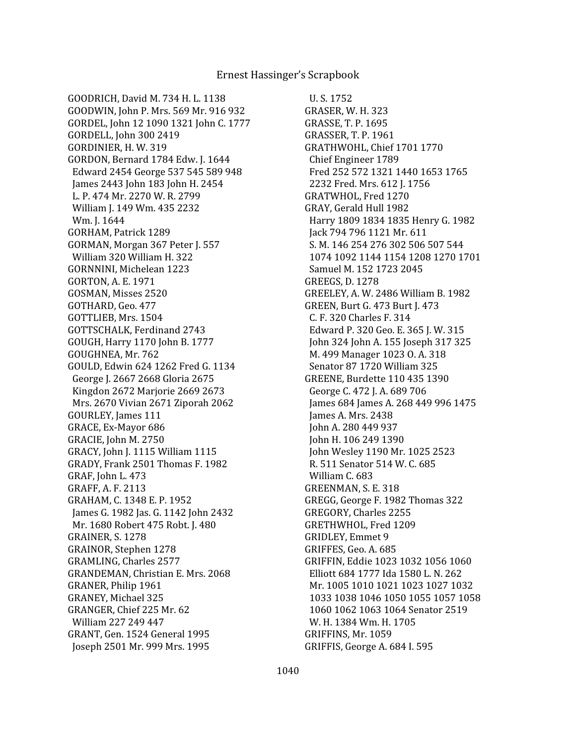GOODRICH, David M. 734 H. L. 1138 GOODWIN, John P. Mrs. 569 Mr. 916 932 GORDEL, John 12 1090 1321 John C. 1777 GORDELL, John 300 2419 GORDINIER, H. W. 319 GORDON, Bernard 1784 Edw. J. 1644 Edward 2454 George 537 545 589 948 James 2443 John 183 John H. 2454 L. P. 474 Mr. 2270 W. R. 2799 William J. 149 Wm. 435 2232 Wm. J. 1644 GORHAM, Patrick 1289 GORMAN, Morgan 367 Peter J. 557 William 320 William H. 322 GORNNINI, Michelean 1223 GORTON, A. E. 1971 GOSMAN, Misses 2520 GOTHARD, Geo. 477 GOTTLIEB, Mrs. 1504 GOTTSCHALK, Ferdinand 2743 GOUGH, Harry 1170 John B. 1777 GOUGHNEA, Mr. 762 GOULD, Edwin 624 1262 Fred G. 1134 George J. 2667 2668 Gloria 2675 Kingdon 2672 Marjorie 2669 2673 Mrs. 2670 Vivian 2671 Ziporah 2062 GOURLEY, James 111 GRACE, Ex-Mayor 686 GRACIE, John M. 2750 GRACY, John J. 1115 William 1115 GRADY, Frank 2501 Thomas F. 1982 GRAF, John L. 473 GRAFF, A. F. 2113 GRAHAM, C. 1348 E. P. 1952 James G. 1982 Jas. G. 1142 John 2432 Mr. 1680 Robert 475 Robt. J. 480 GRAINER, S. 1278 GRAINOR, Stephen 1278 GRAMLING, Charles 2577 GRANDEMAN, Christian E. Mrs. 2068 GRANER, Philip 1961 GRANEY, Michael 325 GRANGER, Chief 225 Mr. 62 William 227 249 447 GRANT, Gen. 1524 General 1995 Joseph 2501 Mr. 999 Mrs. 1995

 U. S. 1752 GRASER, W. H. 323 GRASSE, T. P. 1695 GRASSER, T. P. 1961 GRATHWOHL, Chief 1701 1770 Chief Engineer 1789 Fred 252 572 1321 1440 1653 1765 2232 Fred. Mrs. 612 J. 1756 GRATWHOL, Fred 1270 GRAY, Gerald Hull 1982 Harry 1809 1834 1835 Henry G. 1982 Jack 794 796 1121 Mr. 611 S. M. 146 254 276 302 506 507 544 1074 1092 1144 1154 1208 1270 1701 Samuel M. 152 1723 2045 GREEGS, D. 1278 GREELEY, A. W. 2486 William B. 1982 GREEN, Burt G. 473 Burt J. 473 C. F. 320 Charles F. 314 Edward P. 320 Geo. E. 365 J. W. 315 John 324 John A. 155 Joseph 317 325 M. 499 Manager 1023 O. A. 318 Senator 87 1720 William 325 GREENE, Burdette 110 435 1390 George C. 472 J. A. 689 706 James 684 James A. 268 449 996 1475 James A. Mrs. 2438 John A. 280 449 937 John H. 106 249 1390 John Wesley 1190 Mr. 1025 2523 R. 511 Senator 514 W. C. 685 William C. 683 GREENMAN, S. E. 318 GREGG, George F. 1982 Thomas 322 GREGORY, Charles 2255 GRETHWHOL, Fred 1209 GRIDLEY, Emmet 9 GRIFFES, Geo. A. 685 GRIFFIN, Eddie 1023 1032 1056 1060 Elliott 684 1777 Ida 1580 L. N. 262 Mr. 1005 1010 1021 1023 1027 1032 1033 1038 1046 1050 1055 1057 1058 1060 1062 1063 1064 Senator 2519 W. H. 1384 Wm. H. 1705 GRIFFINS, Mr. 1059 GRIFFIS, George A. 684 I. 595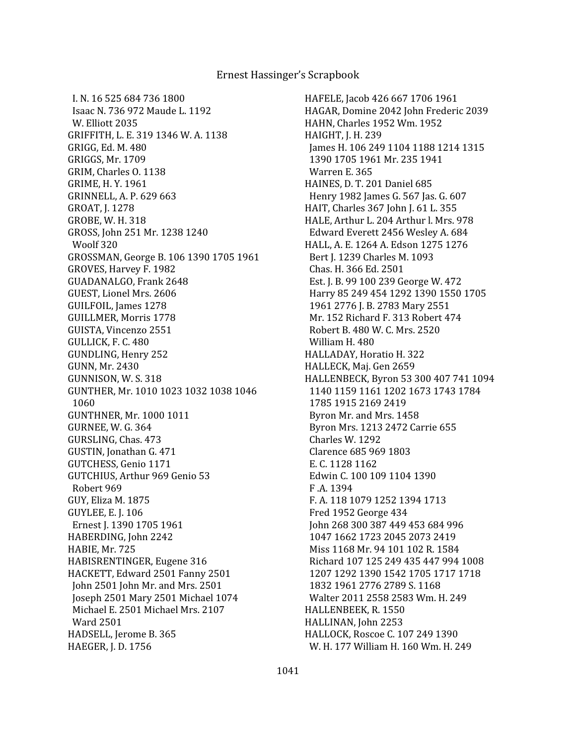I. N. 16 525 684 736 1800 Isaac N. 736 972 Maude L. 1192 W. Elliott 2035 GRIFFITH, L. E. 319 1346 W. A. 1138 GRIGG, Ed. M. 480 GRIGGS, Mr. 1709 GRIM, Charles O. 1138 GRIME, H. Y. 1961 GRINNELL, A. P. 629 663 GROAT, J. 1278 GROBE, W. H. 318 GROSS, John 251 Mr. 1238 1240 Woolf 320 GROSSMAN, George B. 106 1390 1705 1961 GROVES, Harvey F. 1982 GUADANALGO, Frank 2648 GUEST, Lionel Mrs. 2606 GUILFOIL, James 1278 GUILLMER, Morris 1778 GUISTA, Vincenzo 2551 GULLICK, F. C. 480 GUNDLING, Henry 252 GUNN, Mr. 2430 GUNNISON, W. S. 318 GUNTHER, Mr. 1010 1023 1032 1038 1046 1060 GUNTHNER, Mr. 1000 1011 GURNEE, W. G. 364 GURSLING, Chas. 473 GUSTIN, Jonathan G. 471 GUTCHESS, Genio 1171 GUTCHIUS, Arthur 969 Genio 53 Robert 969 GUY, Eliza M. 1875 GUYLEE, E. J. 106 Ernest J. 1390 1705 1961 HABERDING, John 2242 HABIE, Mr. 725 HABISRENTINGER, Eugene 316 HACKETT, Edward 2501 Fanny 2501 John 2501 John Mr. and Mrs. 2501 Joseph 2501 Mary 2501 Michael 1074 Michael E. 2501 Michael Mrs. 2107 Ward 2501 HADSELL, Jerome B. 365 HAEGER, J. D. 1756

HAFELE, Jacob 426 667 1706 1961 HAGAR, Domine 2042 John Frederic 2039 HAHN, Charles 1952 Wm. 1952 HAIGHT, J. H. 239 James H. 106 249 1104 1188 1214 1315 1390 1705 1961 Mr. 235 1941 Warren E. 365 HAINES, D. T. 201 Daniel 685 Henry 1982 James G. 567 Jas. G. 607 HAIT, Charles 367 John J. 61 L. 355 HALE, Arthur L. 204 Arthur l. Mrs. 978 Edward Everett 2456 Wesley A. 684 HALL, A. E. 1264 A. Edson 1275 1276 Bert J. 1239 Charles M. 1093 Chas. H. 366 Ed. 2501 Est. J. B. 99 100 239 George W. 472 Harry 85 249 454 1292 1390 1550 1705 1961 2776 J. B. 2783 Mary 2551 Mr. 152 Richard F. 313 Robert 474 Robert B. 480 W. C. Mrs. 2520 William H. 480 HALLADAY, Horatio H. 322 HALLECK, Maj. Gen 2659 HALLENBECK, Byron 53 300 407 741 1094 1140 1159 1161 1202 1673 1743 1784 1785 1915 2169 2419 Byron Mr. and Mrs. 1458 Byron Mrs. 1213 2472 Carrie 655 Charles W. 1292 Clarence 685 969 1803 E. C. 1128 1162 Edwin C. 100 109 1104 1390 F .A. 1394 F. A. 118 1079 1252 1394 1713 Fred 1952 George 434 John 268 300 387 449 453 684 996 1047 1662 1723 2045 2073 2419 Miss 1168 Mr. 94 101 102 R. 1584 Richard 107 125 249 435 447 994 1008 1207 1292 1390 1542 1705 1717 1718 1832 1961 2776 2789 S. 1168 Walter 2011 2558 2583 Wm. H. 249 HALLENBEEK, R. 1550 HALLINAN, John 2253 HALLOCK, Roscoe C. 107 249 1390 W. H. 177 William H. 160 Wm. H. 249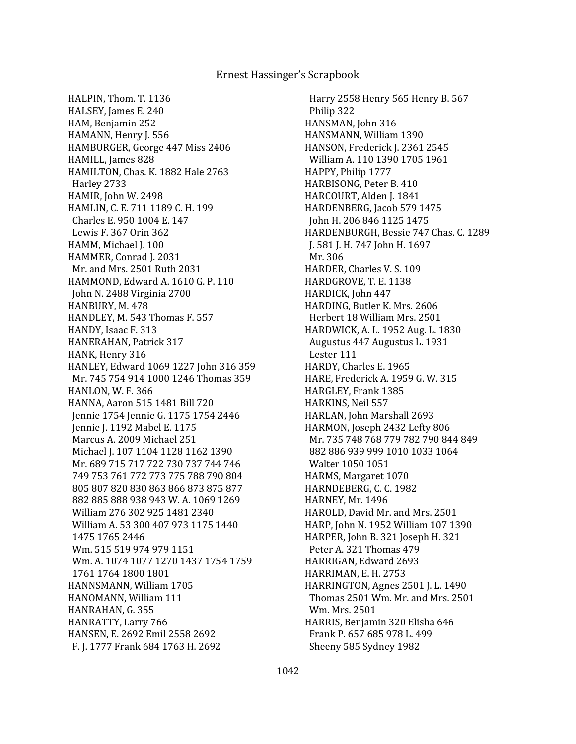HALPIN, Thom. T. 1136 HALSEY, James E. 240 HAM, Benjamin 252 HAMANN, Henry J. 556 HAMBURGER, George 447 Miss 2406 HAMILL, James 828 HAMILTON, Chas. K. 1882 Hale 2763 Harley 2733 HAMIR, John W. 2498 HAMLIN, C. E. 711 1189 C. H. 199 Charles E. 950 1004 E. 147 Lewis F. 367 Orin 362 HAMM, Michael J. 100 HAMMER, Conrad J. 2031 Mr. and Mrs. 2501 Ruth 2031 HAMMOND, Edward A. 1610 G. P. 110 John N. 2488 Virginia 2700 HANBURY, M. 478 HANDLEY, M. 543 Thomas F. 557 HANDY, Isaac F. 313 HANERAHAN, Patrick 317 HANK, Henry 316 HANLEY, Edward 1069 1227 John 316 359 Mr. 745 754 914 1000 1246 Thomas 359 HANLON, W. F. 366 HANNA, Aaron 515 1481 Bill 720 Jennie 1754 Jennie G. 1175 1754 2446 Jennie J. 1192 Mabel E. 1175 Marcus A. 2009 Michael 251 Michael J. 107 1104 1128 1162 1390 Mr. 689 715 717 722 730 737 744 746 749 753 761 772 773 775 788 790 804 805 807 820 830 863 866 873 875 877 882 885 888 938 943 W. A. 1069 1269 William 276 302 925 1481 2340 William A. 53 300 407 973 1175 1440 1475 1765 2446 Wm. 515 519 974 979 1151 Wm. A. 1074 1077 1270 1437 1754 1759 1761 1764 1800 1801 HANNSMANN, William 1705 HANOMANN, William 111 HANRAHAN, G. 355 HANRATTY, Larry 766 HANSEN, E. 2692 Emil 2558 2692 F. J. 1777 Frank 684 1763 H. 2692

 Harry 2558 Henry 565 Henry B. 567 Philip 322 HANSMAN, John 316 HANSMANN, William 1390 HANSON, Frederick J. 2361 2545 William A. 110 1390 1705 1961 HAPPY, Philip 1777 HARBISONG, Peter B. 410 HARCOURT, Alden J. 1841 HARDENBERG, Jacob 579 1475 John H. 206 846 1125 1475 HARDENBURGH, Bessie 747 Chas. C. 1289 J. 581 J. H. 747 John H. 1697 Mr. 306 HARDER, Charles V. S. 109 HARDGROVE, T. E. 1138 HARDICK, John 447 HARDING, Butler K. Mrs. 2606 Herbert 18 William Mrs. 2501 HARDWICK, A. L. 1952 Aug. L. 1830 Augustus 447 Augustus L. 1931 Lester 111 HARDY, Charles E. 1965 HARE, Frederick A. 1959 G. W. 315 HARGLEY, Frank 1385 HARKINS, Neil 557 HARLAN, John Marshall 2693 HARMON, Joseph 2432 Lefty 806 Mr. 735 748 768 779 782 790 844 849 882 886 939 999 1010 1033 1064 Walter 1050 1051 HARMS, Margaret 1070 HARNDEBERG, C. C. 1982 HARNEY, Mr. 1496 HAROLD, David Mr. and Mrs. 2501 HARP, John N. 1952 William 107 1390 HARPER, John B. 321 Joseph H. 321 Peter A. 321 Thomas 479 HARRIGAN, Edward 2693 HARRIMAN, E. H. 2753 HARRINGTON, Agnes 2501 J. L. 1490 Thomas 2501 Wm. Mr. and Mrs. 2501 Wm. Mrs. 2501 HARRIS, Benjamin 320 Elisha 646 Frank P. 657 685 978 L. 499 Sheeny 585 Sydney 1982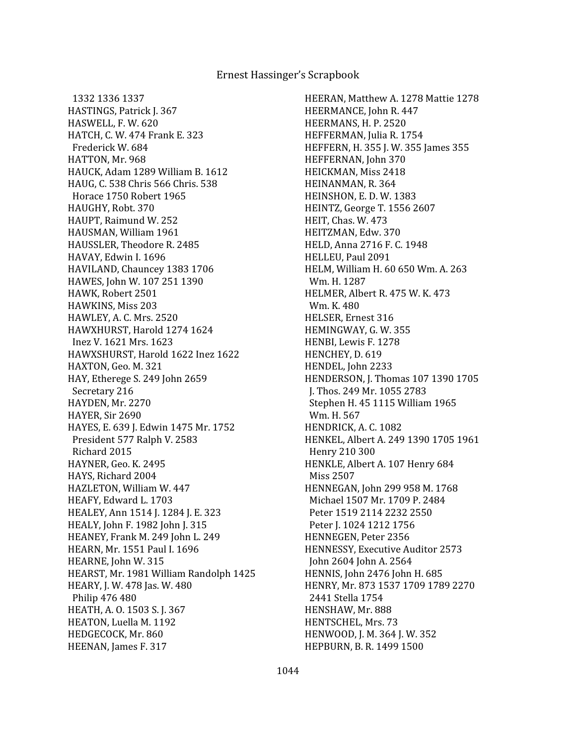1332 1336 1337 HASTINGS, Patrick J. 367 HASWELL, F. W. 620 HATCH, C. W. 474 Frank E. 323 Frederick W. 684 HATTON, Mr. 968 HAUCK, Adam 1289 William B. 1612 HAUG, C. 538 Chris 566 Chris. 538 Horace 1750 Robert 1965 HAUGHY, Robt. 370 HAUPT, Raimund W. 252 HAUSMAN, William 1961 HAUSSLER, Theodore R. 2485 HAVAY, Edwin I. 1696 HAVILAND, Chauncey 1383 1706 HAWES, John W. 107 251 1390 HAWK, Robert 2501 HAWKINS, Miss 203 HAWLEY, A. C. Mrs. 2520 HAWXHURST, Harold 1274 1624 Inez V. 1621 Mrs. 1623 HAWXSHURST, Harold 1622 Inez 1622 HAXTON, Geo. M. 321 HAY, Etherege S. 249 John 2659 Secretary 216 HAYDEN, Mr. 2270 HAYER, Sir 2690 HAYES, E. 639 J. Edwin 1475 Mr. 1752 President 577 Ralph V. 2583 Richard 2015 HAYNER, Geo. K. 2495 HAYS, Richard 2004 HAZLETON, William W. 447 HEAFY, Edward L. 1703 HEALEY, Ann 1514 J. 1284 J. E. 323 HEALY, John F. 1982 John J. 315 HEANEY, Frank M. 249 John L. 249 HEARN, Mr. 1551 Paul I. 1696 HEARNE, John W. 315 HEARST, Mr. 1981 William Randolph 1425 HEARY, J. W. 478 Jas. W. 480 Philip 476 480 HEATH, A. O. 1503 S. J. 367 HEATON, Luella M. 1192 HEDGECOCK, Mr. 860 HEENAN, James F. 317

HEERAN, Matthew A. 1278 Mattie 1278 HEERMANCE, John R. 447 HEERMANS, H. P. 2520 HEFFERMAN, Julia R. 1754 HEFFERN, H. 355 J. W. 355 James 355 HEFFERNAN, John 370 HEICKMAN, Miss 2418 HEINANMAN, R. 364 HEINSHON, E. D. W. 1383 HEINTZ, George T. 1556 2607 HEIT, Chas. W. 473 HEITZMAN, Edw. 370 HELD, Anna 2716 F. C. 1948 HELLEU, Paul 2091 HELM, William H. 60 650 Wm. A. 263 Wm. H. 1287 HELMER, Albert R. 475 W. K. 473 Wm. K. 480 HELSER, Ernest 316 HEMINGWAY, G. W. 355 HENBI, Lewis F. 1278 HENCHEY, D. 619 HENDEL, John 2233 HENDERSON, J. Thomas 107 1390 1705 J. Thos. 249 Mr. 1055 2783 Stephen H. 45 1115 William 1965 Wm. H. 567 HENDRICK, A. C. 1082 HENKEL, Albert A. 249 1390 1705 1961 Henry 210 300 HENKLE, Albert A. 107 Henry 684 Miss 2507 HENNEGAN, John 299 958 M. 1768 Michael 1507 Mr. 1709 P. 2484 Peter 1519 2114 2232 2550 Peter J. 1024 1212 1756 HENNEGEN, Peter 2356 HENNESSY, Executive Auditor 2573 John 2604 John A. 2564 HENNIS, John 2476 John H. 685 HENRY, Mr. 873 1537 1709 1789 2270 2441 Stella 1754 HENSHAW, Mr. 888 HENTSCHEL, Mrs. 73 HENWOOD, J. M. 364 J. W. 352 HEPBURN, B. R. 1499 1500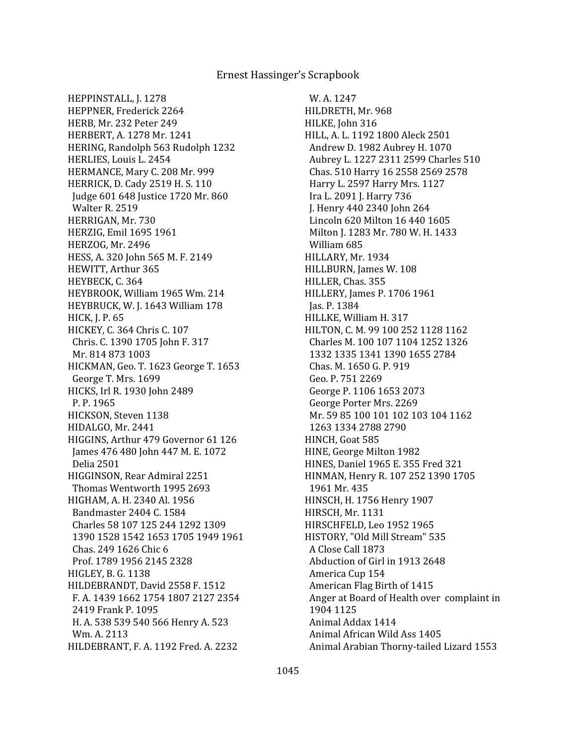HEPPINSTALL, J. 1278 HEPPNER, Frederick 2264 HERB, Mr. 232 Peter 249 HERBERT, A. 1278 Mr. 1241 HERING, Randolph 563 Rudolph 1232 HERLIES, Louis L. 2454 HERMANCE, Mary C. 208 Mr. 999 HERRICK, D. Cady 2519 H. S. 110 Judge 601 648 Justice 1720 Mr. 860 Walter R. 2519 HERRIGAN, Mr. 730 HERZIG, Emil 1695 1961 HERZOG, Mr. 2496 HESS, A. 320 John 565 M. F. 2149 HEWITT, Arthur 365 HEYBECK, C. 364 HEYBROOK, William 1965 Wm. 214 HEYBRUCK, W. J. 1643 William 178 HICK, J. P. 65 HICKEY, C. 364 Chris C. 107 Chris. C. 1390 1705 John F. 317 Mr. 814 873 1003 HICKMAN, Geo. T. 1623 George T. 1653 George T. Mrs. 1699 HICKS, Irl R. 1930 John 2489 P. P. 1965 HICKSON, Steven 1138 HIDALGO, Mr. 2441 HIGGINS, Arthur 479 Governor 61 126 James 476 480 John 447 M. E. 1072 Delia 2501 HIGGINSON, Rear Admiral 2251 Thomas Wentworth 1995 2693 HIGHAM, A. H. 2340 Al. 1956 Bandmaster 2404 C. 1584 Charles 58 107 125 244 1292 1309 1390 1528 1542 1653 1705 1949 1961 Chas. 249 1626 Chic 6 Prof. 1789 1956 2145 2328 HIGLEY, B. G. 1138 HILDEBRANDT, David 2558 F. 1512 F. A. 1439 1662 1754 1807 2127 2354 2419 Frank P. 1095 H. A. 538 539 540 566 Henry A. 523 Wm. A. 2113 HILDEBRANT, F. A. 1192 Fred. A. 2232

 W. A. 1247 HILDRETH, Mr. 968 HILKE, John 316 HILL, A. L. 1192 1800 Aleck 2501 Andrew D. 1982 Aubrey H. 1070 Aubrey L. 1227 2311 2599 Charles 510 Chas. 510 Harry 16 2558 2569 2578 Harry L. 2597 Harry Mrs. 1127 Ira L. 2091 J. Harry 736 J. Henry 440 2340 John 264 Lincoln 620 Milton 16 440 1605 Milton J. 1283 Mr. 780 W. H. 1433 William 685 HILLARY, Mr. 1934 HILLBURN, James W. 108 HILLER, Chas. 355 HILLERY, James P. 1706 1961 Jas. P. 1384 HILLKE, William H. 317 HILTON, C. M. 99 100 252 1128 1162 Charles M. 100 107 1104 1252 1326 1332 1335 1341 1390 1655 2784 Chas. M. 1650 G. P. 919 Geo. P. 751 2269 George P. 1106 1653 2073 George Porter Mrs. 2269 Mr. 59 85 100 101 102 103 104 1162 1263 1334 2788 2790 HINCH, Goat 585 HINE, George Milton 1982 HINES, Daniel 1965 E. 355 Fred 321 HINMAN, Henry R. 107 252 1390 1705 1961 Mr. 435 HINSCH, H. 1756 Henry 1907 HIRSCH, Mr. 1131 HIRSCHFELD, Leo 1952 1965 HISTORY, "Old Mill Stream" 535 A Close Call 1873 Abduction of Girl in 1913 2648 America Cup 154 American Flag Birth of 1415 Anger at Board of Health over complaint in 1904 1125 Animal Addax 1414 Animal African Wild Ass 1405 Animal Arabian Thorny-tailed Lizard 1553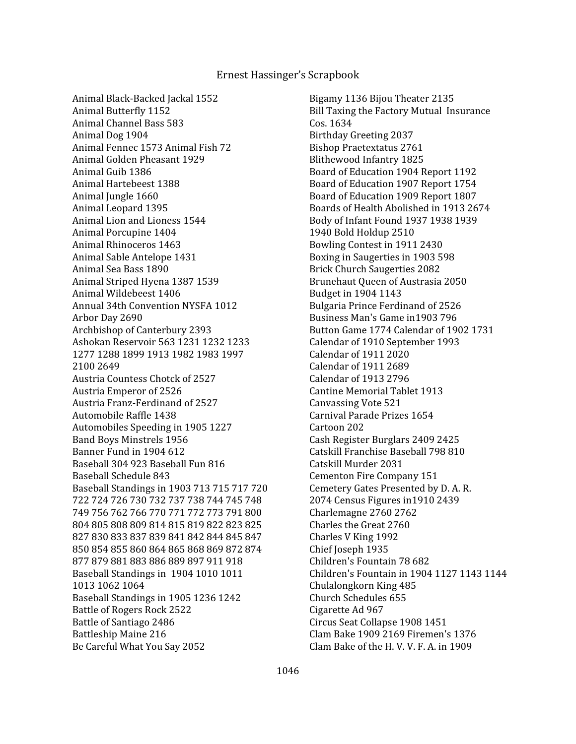Animal Black-Backed Jackal 1552 Animal Butterfly 1152 Animal Channel Bass 583 Animal Dog 1904 Animal Fennec 1573 Animal Fish 72 Animal Golden Pheasant 1929 Animal Guib 1386 Animal Hartebeest 1388 Animal Jungle 1660 Animal Leopard 1395 Animal Lion and Lioness 1544 Animal Porcupine 1404 Animal Rhinoceros 1463 Animal Sable Antelope 1431 Animal Sea Bass 1890 Animal Striped Hyena 1387 1539 Animal Wildebeest 1406 Annual 34th Convention NYSFA 1012 Arbor Day 2690 Archbishop of Canterbury 2393 Ashokan Reservoir 563 1231 1232 1233 1277 1288 1899 1913 1982 1983 1997 2100 2649 Austria Countess Chotck of 2527 Austria Emperor of 2526 Austria Franz-Ferdinand of 2527 Automobile Raffle 1438 Automobiles Speeding in 1905 1227 Band Boys Minstrels 1956 Banner Fund in 1904 612 Baseball 304 923 Baseball Fun 816 Baseball Schedule 843 Baseball Standings in 1903 713 715 717 720 722 724 726 730 732 737 738 744 745 748 749 756 762 766 770 771 772 773 791 800 804 805 808 809 814 815 819 822 823 825 827 830 833 837 839 841 842 844 845 847 850 854 855 860 864 865 868 869 872 874 877 879 881 883 886 889 897 911 918 Baseball Standings in 1904 1010 1011 1013 1062 1064 Baseball Standings in 1905 1236 1242 Battle of Rogers Rock 2522 Battle of Santiago 2486 Battleship Maine 216 Be Careful What You Say 2052

 Bigamy 1136 Bijou Theater 2135 Bill Taxing the Factory Mutual Insurance Cos. 1634 Birthday Greeting 2037 Bishop Praetextatus 2761 Blithewood Infantry 1825 Board of Education 1904 Report 1192 Board of Education 1907 Report 1754 Board of Education 1909 Report 1807 Boards of Health Abolished in 1913 2674 Body of Infant Found 1937 1938 1939 1940 Bold Holdup 2510 Bowling Contest in 1911 2430 Boxing in Saugerties in 1903 598 Brick Church Saugerties 2082 Brunehaut Queen of Austrasia 2050 Budget in 1904 1143 Bulgaria Prince Ferdinand of 2526 Business Man's Game in1903 796 Button Game 1774 Calendar of 1902 1731 Calendar of 1910 September 1993 Calendar of 1911 2020 Calendar of 1911 2689 Calendar of 1913 2796 Cantine Memorial Tablet 1913 Canvassing Vote 521 Carnival Parade Prizes 1654 Cartoon 202 Cash Register Burglars 2409 2425 Catskill Franchise Baseball 798 810 Catskill Murder 2031 Cementon Fire Company 151 Cemetery Gates Presented by D. A. R. 2074 Census Figures in1910 2439 Charlemagne 2760 2762 Charles the Great 2760 Charles V King 1992 Chief Joseph 1935 Children's Fountain 78 682 Children's Fountain in 1904 1127 1143 1144 Chulalongkorn King 485 Church Schedules 655 Cigarette Ad 967 Circus Seat Collapse 1908 1451 Clam Bake 1909 2169 Firemen's 1376 Clam Bake of the H. V. V. F. A. in 1909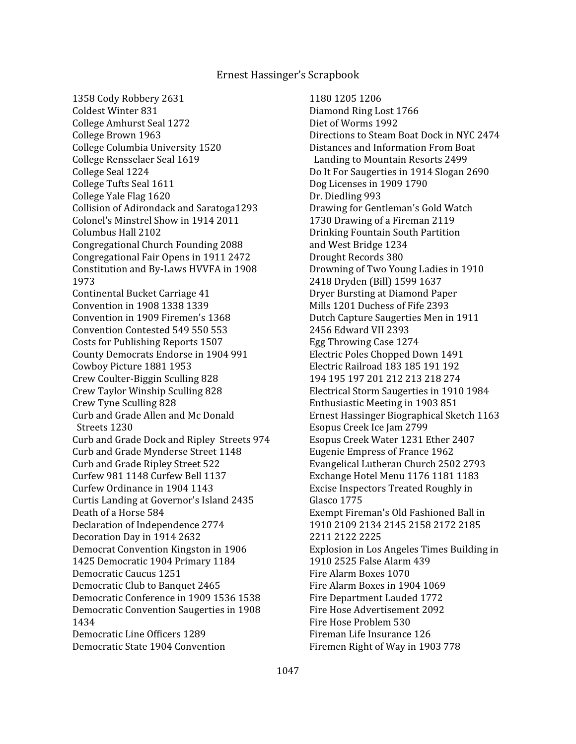1358 Cody Robbery 2631 Coldest Winter 831 College Amhurst Seal 1272 College Brown 1963 College Columbia University 1520 College Rensselaer Seal 1619 College Seal 1224 College Tufts Seal 1611 College Yale Flag 1620 Collision of Adirondack and Saratoga1293 Colonel's Minstrel Show in 1914 2011 Columbus Hall 2102 Congregational Church Founding 2088 Congregational Fair Opens in 1911 2472 Constitution and By-Laws HVVFA in 1908 1973 Continental Bucket Carriage 41 Convention in 1908 1338 1339 Convention in 1909 Firemen's 1368 Convention Contested 549 550 553 Costs for Publishing Reports 1507 County Democrats Endorse in 1904 991 Cowboy Picture 1881 1953 Crew Coulter-Biggin Sculling 828 Crew Taylor Winship Sculling 828 Crew Tyne Sculling 828 Curb and Grade Allen and Mc Donald Streets 1230 Curb and Grade Dock and Ripley Streets 974 Curb and Grade Mynderse Street 1148 Curb and Grade Ripley Street 522 Curfew 981 1148 Curfew Bell 1137 Curfew Ordinance in 1904 1143 Curtis Landing at Governor's Island 2435 Death of a Horse 584 Declaration of Independence 2774 Decoration Day in 1914 2632 Democrat Convention Kingston in 1906 1425 Democratic 1904 Primary 1184 Democratic Caucus 1251 Democratic Club to Banquet 2465 Democratic Conference in 1909 1536 1538 Democratic Convention Saugerties in 1908 1434 Democratic Line Officers 1289 Democratic State 1904 Convention

 1180 1205 1206 Diamond Ring Lost 1766 Diet of Worms 1992 Directions to Steam Boat Dock in NYC 2474 Distances and Information From Boat Landing to Mountain Resorts 2499 Do It For Saugerties in 1914 Slogan 2690 Dog Licenses in 1909 1790 Dr. Diedling 993 Drawing for Gentleman's Gold Watch 1730 Drawing of a Fireman 2119 Drinking Fountain South Partition and West Bridge 1234 Drought Records 380 Drowning of Two Young Ladies in 1910 2418 Dryden (Bill) 1599 1637 Dryer Bursting at Diamond Paper Mills 1201 Duchess of Fife 2393 Dutch Capture Saugerties Men in 1911 2456 Edward VII 2393 Egg Throwing Case 1274 Electric Poles Chopped Down 1491 Electric Railroad 183 185 191 192 194 195 197 201 212 213 218 274 Electrical Storm Saugerties in 1910 1984 Enthusiastic Meeting in 1903 851 Ernest Hassinger Biographical Sketch 1163 Esopus Creek Ice Jam 2799 Esopus Creek Water 1231 Ether 2407 Eugenie Empress of France 1962 Evangelical Lutheran Church 2502 2793 Exchange Hotel Menu 1176 1181 1183 Excise Inspectors Treated Roughly in Glasco 1775 Exempt Fireman's Old Fashioned Ball in 1910 2109 2134 2145 2158 2172 2185 2211 2122 2225 Explosion in Los Angeles Times Building in 1910 2525 False Alarm 439 Fire Alarm Boxes 1070 Fire Alarm Boxes in 1904 1069 Fire Department Lauded 1772 Fire Hose Advertisement 2092 Fire Hose Problem 530 Fireman Life Insurance 126 Firemen Right of Way in 1903 778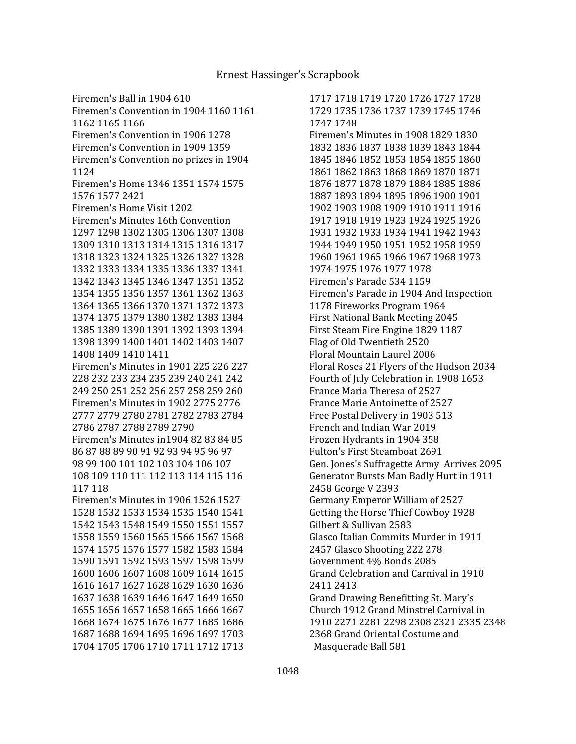1717 1718 1719 1720 1726 1727 1728 1729 1735 1736 1737 1739 1745 1746 1747 1748 Firemen's Minutes in 1908 1829 1830 1832 1836 1837 1838 1839 1843 1844 1845 1846 1852 1853 1854 1855 1860 1861 1862 1863 1868 1869 1870 1871 1876 1877 1878 1879 1884 1885 1886 1887 1893 1894 1895 1896 1900 1901 1902 1903 1908 1909 1910 1911 1916 1917 1918 1919 1923 1924 1925 1926 1931 1932 1933 1934 1941 1942 1943 1944 1949 1950 1951 1952 1958 1959 1960 1961 1965 1966 1967 1968 1973 1974 1975 1976 1977 1978 Firemen's Parade 534 1159 Firemen's Parade in 1904 And Inspection 1178 Fireworks Program 1964 First National Bank Meeting 2045 First Steam Fire Engine 1829 1187 Flag of Old Twentieth 2520 Floral Mountain Laurel 2006 Floral Roses 21 Flyers of the Hudson 2034 Fourth of July Celebration in 1908 1653 France Maria Theresa of 2527 France Marie Antoinette of 2527 Free Postal Delivery in 1903 513 French and Indian War 2019 Frozen Hydrants in 1904 358 Fulton's First Steamboat 2691 Gen. Jones's Suffragette Army Arrives 2095 Generator Bursts Man Badly Hurt in 1911 2458 George V 2393 Germany Emperor William of 2527 Getting the Horse Thief Cowboy 1928 Gilbert & Sullivan 2583 Glasco Italian Commits Murder in 1911 2457 Glasco Shooting 222 278 Government 4% Bonds 2085 Grand Celebration and Carnival in 1910 2411 2413 Grand Drawing Benefitting St. Mary's Church 1912 Grand Minstrel Carnival in 1910 2271 2281 2298 2308 2321 2335 2348 2368 Grand Oriental Costume and Masquerade Ball 581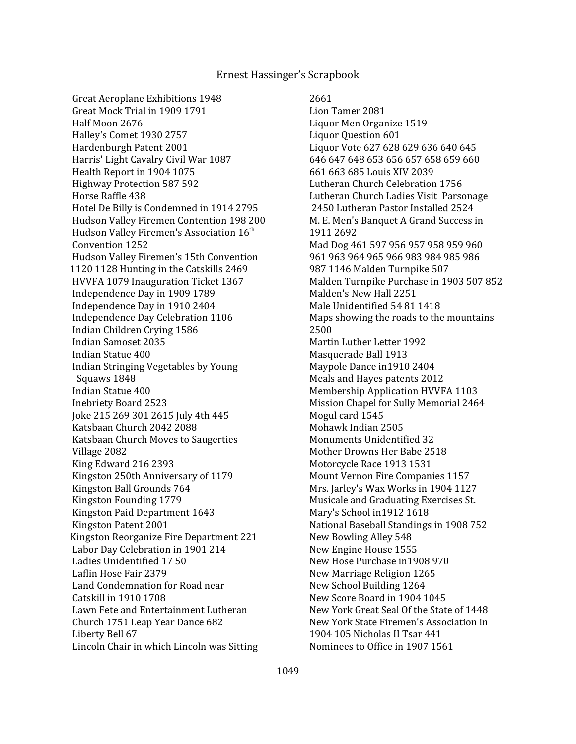Great Aeroplane Exhibitions 1948 Great Mock Trial in 1909 1791 Half Moon 2676 Halley's Comet 1930 2757 Hardenburgh Patent 2001 Harris' Light Cavalry Civil War 1087 Health Report in 1904 1075 Highway Protection 587 592 Horse Raffle 438 Hotel De Billy is Condemned in 1914 2795 Hudson Valley Firemen Contention 198 200 Hudson Valley Firemen's Association 16<sup>th</sup> Convention 1252 Hudson Valley Firemen's 15th Convention 1120 1128 Hunting in the Catskills 2469 HVVFA 1079 Inauguration Ticket 1367 Independence Day in 1909 1789 Independence Day in 1910 2404 Independence Day Celebration 1106 Indian Children Crying 1586 Indian Samoset 2035 Indian Statue 400 Indian Stringing Vegetables by Young Squaws 1848 Indian Statue 400 Inebriety Board 2523 Joke 215 269 301 2615 July 4th 445 Katsbaan Church 2042 2088 Katsbaan Church Moves to Saugerties Village 2082 King Edward 216 2393 Kingston 250th Anniversary of 1179 Kingston Ball Grounds 764 Kingston Founding 1779 Kingston Paid Department 1643 Kingston Patent 2001 Kingston Reorganize Fire Department 221 Labor Day Celebration in 1901 214 Ladies Unidentified 17 50 Laflin Hose Fair 2379 Land Condemnation for Road near Catskill in 1910 1708 Lawn Fete and Entertainment Lutheran Church 1751 Leap Year Dance 682 Liberty Bell 67 Lincoln Chair in which Lincoln was Sitting

 2661 Lion Tamer 2081 Liquor Men Organize 1519 Liquor Question 601 Liquor Vote 627 628 629 636 640 645 646 647 648 653 656 657 658 659 660 661 663 685 Louis XIV 2039 Lutheran Church Celebration 1756 Lutheran Church Ladies Visit Parsonage 2450 Lutheran Pastor Installed 2524 M. E. Men's Banquet A Grand Success in 1911 2692 Mad Dog 461 597 956 957 958 959 960 961 963 964 965 966 983 984 985 986 987 1146 Malden Turnpike 507 Malden Turnpike Purchase in 1903 507 852 Malden's New Hall 2251 Male Unidentified 54 81 1418 Maps showing the roads to the mountains 2500 Martin Luther Letter 1992 Masquerade Ball 1913 Maypole Dance in1910 2404 Meals and Hayes patents 2012 Membership Application HVVFA 1103 Mission Chapel for Sully Memorial 2464 Mogul card 1545 Mohawk Indian 2505 Monuments Unidentified 32 Mother Drowns Her Babe 2518 Motorcycle Race 1913 1531 Mount Vernon Fire Companies 1157 Mrs. Jarley's Wax Works in 1904 1127 Musicale and Graduating Exercises St. Mary's School in1912 1618 National Baseball Standings in 1908 752 New Bowling Alley 548 New Engine House 1555 New Hose Purchase in1908 970 New Marriage Religion 1265 New School Building 1264 New Score Board in 1904 1045 New York Great Seal Of the State of 1448 New York State Firemen's Association in 1904 105 Nicholas II Tsar 441 Nominees to Office in 1907 1561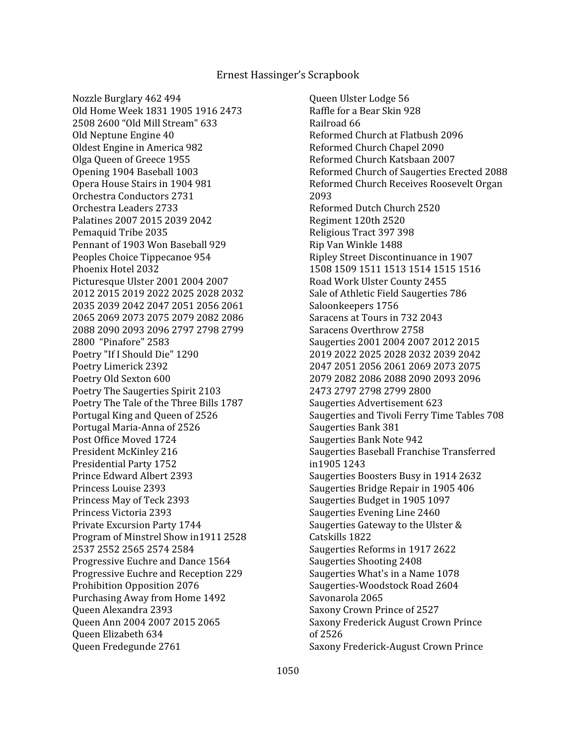Nozzle Burglary 462 494 Old Home Week 1831 1905 1916 2473 2508 2600 "Old Mill Stream" 633 Old Neptune Engine 40 Oldest Engine in America 982 Olga Queen of Greece 1955 Opening 1904 Baseball 1003 Opera House Stairs in 1904 981 Orchestra Conductors 2731 Orchestra Leaders 2733 Palatines 2007 2015 2039 2042 Pemaquid Tribe 2035 Pennant of 1903 Won Baseball 929 Peoples Choice Tippecanoe 954 Phoenix Hotel 2032 Picturesque Ulster 2001 2004 2007 2012 2015 2019 2022 2025 2028 2032 2035 2039 2042 2047 2051 2056 2061 2065 2069 2073 2075 2079 2082 2086 2088 2090 2093 2096 2797 2798 2799 2800 "Pinafore" 2583 Poetry "If I Should Die" 1290 Poetry Limerick 2392 Poetry Old Sexton 600 Poetry The Saugerties Spirit 2103 Poetry The Tale of the Three Bills 1787 Portugal King and Queen of 2526 Portugal Maria-Anna of 2526 Post Office Moved 1724 President McKinley 216 Presidential Party 1752 Prince Edward Albert 2393 Princess Louise 2393 Princess May of Teck 2393 Princess Victoria 2393 Private Excursion Party 1744 Program of Minstrel Show in1911 2528 2537 2552 2565 2574 2584 Progressive Euchre and Dance 1564 Progressive Euchre and Reception 229 Prohibition Opposition 2076 Purchasing Away from Home 1492 Queen Alexandra 2393 Queen Ann 2004 2007 2015 2065 Queen Elizabeth 634 Queen Fredegunde 2761

 Queen Ulster Lodge 56 Raffle for a Bear Skin 928 Railroad 66 Reformed Church at Flatbush 2096 Reformed Church Chapel 2090 Reformed Church Katsbaan 2007 Reformed Church of Saugerties Erected 2088 Reformed Church Receives Roosevelt Organ 2093 Reformed Dutch Church 2520 Regiment 120th 2520 Religious Tract 397 398 Rip Van Winkle 1488 Ripley Street Discontinuance in 1907 1508 1509 1511 1513 1514 1515 1516 Road Work Ulster County 2455 Sale of Athletic Field Saugerties 786 Saloonkeepers 1756 Saracens at Tours in 732 2043 Saracens Overthrow 2758 Saugerties 2001 2004 2007 2012 2015 2019 2022 2025 2028 2032 2039 2042 2047 2051 2056 2061 2069 2073 2075 2079 2082 2086 2088 2090 2093 2096 2473 2797 2798 2799 2800 Saugerties Advertisement 623 Saugerties and Tivoli Ferry Time Tables 708 Saugerties Bank 381 Saugerties Bank Note 942 Saugerties Baseball Franchise Transferred in1905 1243 Saugerties Boosters Busy in 1914 2632 Saugerties Bridge Repair in 1905 406 Saugerties Budget in 1905 1097 Saugerties Evening Line 2460 Saugerties Gateway to the Ulster & Catskills 1822 Saugerties Reforms in 1917 2622 Saugerties Shooting 2408 Saugerties What's in a Name 1078 Saugerties-Woodstock Road 2604 Savonarola 2065 Saxony Crown Prince of 2527 Saxony Frederick August Crown Prince of 2526 Saxony Frederick-August Crown Prince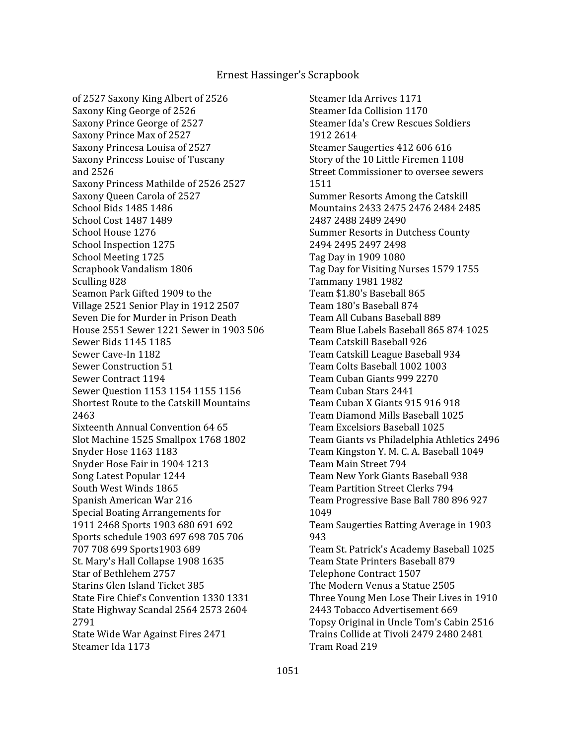of 2527 Saxony King Albert of 2526 Saxony King George of 2526 Saxony Prince George of 2527 Saxony Prince Max of 2527 Saxony Princesa Louisa of 2527 Saxony Princess Louise of Tuscany and 2526 Saxony Princess Mathilde of 2526 2527 Saxony Queen Carola of 2527 School Bids 1485 1486 School Cost 1487 1489 School House 1276 School Inspection 1275 School Meeting 1725 Scrapbook Vandalism 1806 Sculling 828 Seamon Park Gifted 1909 to the Village 2521 Senior Play in 1912 2507 Seven Die for Murder in Prison Death House 2551 Sewer 1221 Sewer in 1903 506 Sewer Bids 1145 1185 Sewer Cave-In 1182 Sewer Construction 51 Sewer Contract 1194 Sewer Question 1153 1154 1155 1156 Shortest Route to the Catskill Mountains 2463 Sixteenth Annual Convention 64 65 Slot Machine 1525 Smallpox 1768 1802 Snyder Hose 1163 1183 Snyder Hose Fair in 1904 1213 Song Latest Popular 1244 South West Winds 1865 Spanish American War 216 Special Boating Arrangements for 1911 2468 Sports 1903 680 691 692 Sports schedule 1903 697 698 705 706 707 708 699 Sports1903 689 St. Mary's Hall Collapse 1908 1635 Star of Bethlehem 2757 Starins Glen Island Ticket 385 State Fire Chief's Convention 1330 1331 State Highway Scandal 2564 2573 2604 2791 State Wide War Against Fires 2471 Steamer Ida 1173

 Steamer Ida Arrives 1171 Steamer Ida Collision 1170 Steamer Ida's Crew Rescues Soldiers 1912 2614 Steamer Saugerties 412 606 616 Story of the 10 Little Firemen 1108 Street Commissioner to oversee sewers 1511 Summer Resorts Among the Catskill Mountains 2433 2475 2476 2484 2485 2487 2488 2489 2490 Summer Resorts in Dutchess County 2494 2495 2497 2498 Tag Day in 1909 1080 Tag Day for Visiting Nurses 1579 1755 Tammany 1981 1982 Team \$1.80's Baseball 865 Team 180's Baseball 874 Team All Cubans Baseball 889 Team Blue Labels Baseball 865 874 1025 Team Catskill Baseball 926 Team Catskill League Baseball 934 Team Colts Baseball 1002 1003 Team Cuban Giants 999 2270 Team Cuban Stars 2441 Team Cuban X Giants 915 916 918 Team Diamond Mills Baseball 1025 Team Excelsiors Baseball 1025 Team Giants vs Philadelphia Athletics 2496 Team Kingston Y. M. C. A. Baseball 1049 Team Main Street 794 Team New York Giants Baseball 938 Team Partition Street Clerks 794 Team Progressive Base Ball 780 896 927 1049 Team Saugerties Batting Average in 1903 943 Team St. Patrick's Academy Baseball 1025 Team State Printers Baseball 879 Telephone Contract 1507 The Modern Venus a Statue 2505 Three Young Men Lose Their Lives in 1910 2443 Tobacco Advertisement 669 Topsy Original in Uncle Tom's Cabin 2516 Trains Collide at Tivoli 2479 2480 2481 Tram Road 219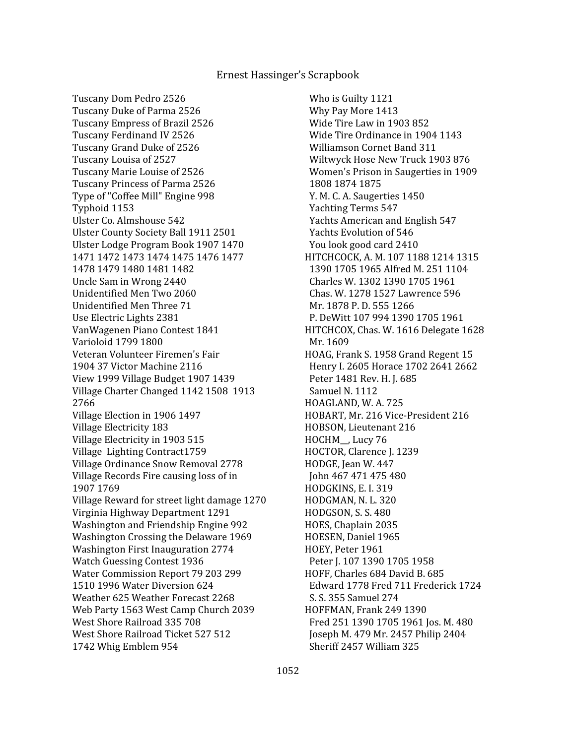Tuscany Dom Pedro 2526 Tuscany Duke of Parma 2526 Tuscany Empress of Brazil 2526 Tuscany Ferdinand IV 2526 Tuscany Grand Duke of 2526 Tuscany Louisa of 2527 Tuscany Marie Louise of 2526 Tuscany Princess of Parma 2526 Type of "Coffee Mill" Engine 998 Typhoid 1153 Ulster Co. Almshouse 542 Ulster County Society Ball 1911 2501 Ulster Lodge Program Book 1907 1470 1471 1472 1473 1474 1475 1476 1477 1478 1479 1480 1481 1482 Uncle Sam in Wrong 2440 Unidentified Men Two 2060 Unidentified Men Three 71 Use Electric Lights 2381 VanWagenen Piano Contest 1841 Varioloid 1799 1800 Veteran Volunteer Firemen's Fair 1904 37 Victor Machine 2116 View 1999 Village Budget 1907 1439 Village Charter Changed 1142 1508 1913 2766 Village Election in 1906 1497 Village Electricity 183 Village Electricity in 1903 515 Village Lighting Contract1759 Village Ordinance Snow Removal 2778 Village Records Fire causing loss of in 1907 1769 Village Reward for street light damage 1270 Virginia Highway Department 1291 Washington and Friendship Engine 992 Washington Crossing the Delaware 1969 Washington First Inauguration 2774 Watch Guessing Contest 1936 Water Commission Report 79 203 299 1510 1996 Water Diversion 624 Weather 625 Weather Forecast 2268 Web Party 1563 West Camp Church 2039 West Shore Railroad 335 708 West Shore Railroad Ticket 527 512 1742 Whig Emblem 954

 Who is Guilty 1121 Why Pay More 1413 Wide Tire Law in 1903 852 Wide Tire Ordinance in 1904 1143 Williamson Cornet Band 311 Wiltwyck Hose New Truck 1903 876 Women's Prison in Saugerties in 1909 1808 1874 1875 Y. M. C. A. Saugerties 1450 Yachting Terms 547 Yachts American and English 547 Yachts Evolution of 546 You look good card 2410 HITCHCOCK, A. M. 107 1188 1214 1315 1390 1705 1965 Alfred M. 251 1104 Charles W. 1302 1390 1705 1961 Chas. W. 1278 1527 Lawrence 596 Mr. 1878 P. D. 555 1266 P. DeWitt 107 994 1390 1705 1961 HITCHCOX, Chas. W. 1616 Delegate 1628 Mr. 1609 HOAG, Frank S. 1958 Grand Regent 15 Henry I. 2605 Horace 1702 2641 2662 Peter 1481 Rev. H. J. 685 Samuel N. 1112 HOAGLAND, W. A. 725 HOBART, Mr. 216 Vice-President 216 HOBSON, Lieutenant 216 HOCHM\_\_, Lucy 76 HOCTOR, Clarence J. 1239 HODGE, Jean W. 447 John 467 471 475 480 HODGKINS, E. I. 319 HODGMAN, N. L. 320 HODGSON, S. S. 480 HOES, Chaplain 2035 HOESEN, Daniel 1965 HOEY, Peter 1961 Peter J. 107 1390 1705 1958 HOFF, Charles 684 David B. 685 Edward 1778 Fred 711 Frederick 1724 S. S. 355 Samuel 274 HOFFMAN, Frank 249 1390 Fred 251 1390 1705 1961 Jos. M. 480 Joseph M. 479 Mr. 2457 Philip 2404 Sheriff 2457 William 325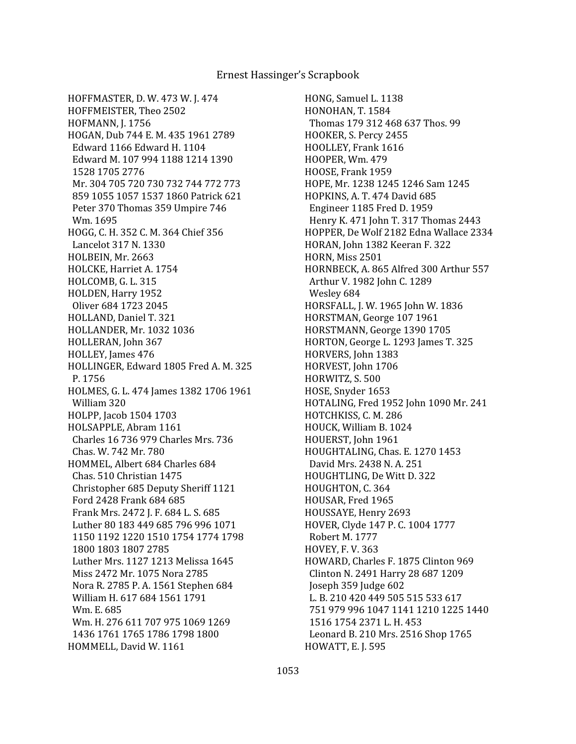HOFFMASTER, D. W. 473 W. J. 474 HOFFMEISTER, Theo 2502 HOFMANN, J. 1756 HOGAN, Dub 744 E. M. 435 1961 2789 Edward 1166 Edward H. 1104 Edward M. 107 994 1188 1214 1390 1528 1705 2776 Mr. 304 705 720 730 732 744 772 773 859 1055 1057 1537 1860 Patrick 621 Peter 370 Thomas 359 Umpire 746 Wm. 1695 HOGG, C. H. 352 C. M. 364 Chief 356 Lancelot 317 N. 1330 HOLBEIN, Mr. 2663 HOLCKE, Harriet A. 1754 HOLCOMB, G. L. 315 HOLDEN, Harry 1952 Oliver 684 1723 2045 HOLLAND, Daniel T. 321 HOLLANDER, Mr. 1032 1036 HOLLERAN, John 367 HOLLEY, James 476 HOLLINGER, Edward 1805 Fred A. M. 325 P. 1756 HOLMES, G. L. 474 James 1382 1706 1961 William 320 HOLPP, Jacob 1504 1703 HOLSAPPLE, Abram 1161 Charles 16 736 979 Charles Mrs. 736 Chas. W. 742 Mr. 780 HOMMEL, Albert 684 Charles 684 Chas. 510 Christian 1475 Christopher 685 Deputy Sheriff 1121 Ford 2428 Frank 684 685 Frank Mrs. 2472 J. F. 684 L. S. 685 Luther 80 183 449 685 796 996 1071 1150 1192 1220 1510 1754 1774 1798 1800 1803 1807 2785 Luther Mrs. 1127 1213 Melissa 1645 Miss 2472 Mr. 1075 Nora 2785 Nora R. 2785 P. A. 1561 Stephen 684 William H. 617 684 1561 1791 Wm. E. 685 Wm. H. 276 611 707 975 1069 1269 1436 1761 1765 1786 1798 1800 HOMMELL, David W. 1161

HONG, Samuel L. 1138 HONOHAN, T. 1584 Thomas 179 312 468 637 Thos. 99 HOOKER, S. Percy 2455 HOOLLEY, Frank 1616 HOOPER, Wm. 479 HOOSE, Frank 1959 HOPE, Mr. 1238 1245 1246 Sam 1245 HOPKINS, A. T. 474 David 685 Engineer 1185 Fred D. 1959 Henry K. 471 John T. 317 Thomas 2443 HOPPER, De Wolf 2182 Edna Wallace 2334 HORAN, John 1382 Keeran F. 322 HORN, Miss 2501 HORNBECK, A. 865 Alfred 300 Arthur 557 Arthur V. 1982 John C. 1289 Wesley 684 HORSFALL, J. W. 1965 John W. 1836 HORSTMAN, George 107 1961 HORSTMANN, George 1390 1705 HORTON, George L. 1293 James T. 325 HORVERS, John 1383 HORVEST, John 1706 HORWITZ, S. 500 HOSE, Snyder 1653 HOTALING, Fred 1952 John 1090 Mr. 241 HOTCHKISS, C. M. 286 HOUCK, William B. 1024 HOUERST, John 1961 HOUGHTALING, Chas. E. 1270 1453 David Mrs. 2438 N. A. 251 HOUGHTLING, De Witt D. 322 HOUGHTON, C. 364 HOUSAR, Fred 1965 HOUSSAYE, Henry 2693 HOVER, Clyde 147 P. C. 1004 1777 Robert M. 1777 HOVEY, F. V. 363 HOWARD, Charles F. 1875 Clinton 969 Clinton N. 2491 Harry 28 687 1209 Joseph 359 Judge 602 L. B. 210 420 449 505 515 533 617 751 979 996 1047 1141 1210 1225 1440 1516 1754 2371 L. H. 453 Leonard B. 210 Mrs. 2516 Shop 1765 HOWATT, E. J. 595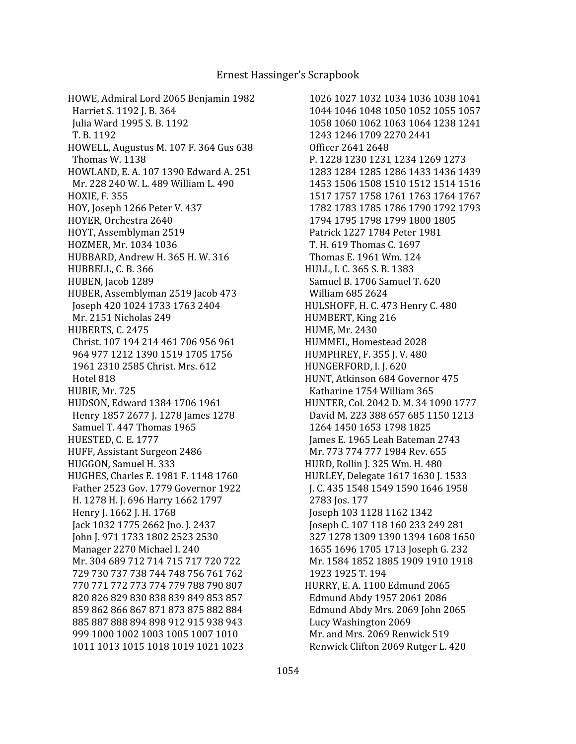HOWE, Admiral Lord 2065 Benjamin 1982 Harriet S. 1192 J. B. 364 Julia Ward 1995 S. B. 1192 T. B. 1192 HOWELL, Augustus M. 107 F. 364 Gus 638 Thomas W. 1138 HOWLAND, E. A. 107 1390 Edward A. 251 Mr. 228 240 W. L. 489 William L. 490 HOXIE, F. 355 HOY, Joseph 1266 Peter V. 437 HOYER, Orchestra 2640 HOYT, Assemblyman 2519 HOZMER, Mr. 1034 1036 HUBBARD, Andrew H. 365 H. W. 316 HUBBELL, C. B. 366 HUBEN, Jacob 1289 HUBER, Assemblyman 2519 Jacob 473 Joseph 420 1024 1733 1763 2404 Mr. 2151 Nicholas 249 HUBERTS, C. 2475 Christ. 107 194 214 461 706 956 961 964 977 1212 1390 1519 1705 1756 1961 2310 2585 Christ. Mrs. 612 Hotel 818 HUBIE, Mr. 725 HUDSON, Edward 1384 1706 1961 Henry 1857 2677 J. 1278 James 1278 Samuel T. 447 Thomas 1965 HUESTED, C. E. 1777 HUFF, Assistant Surgeon 2486 HUGGON, Samuel H. 333 HUGHES, Charles E. 1981 F. 1148 1760 Father 2523 Gov. 1779 Governor 1922 H. 1278 H. J. 696 Harry 1662 1797 Henry J. 1662 J. H. 1768 Jack 1032 1775 2662 Jno. J. 2437 John J. 971 1733 1802 2523 2530 Manager 2270 Michael I. 240 Mr. 304 689 712 714 715 717 720 722 729 730 737 738 744 748 756 761 762 770 771 772 773 774 779 788 790 807 820 826 829 830 838 839 849 853 857 859 862 866 867 871 873 875 882 884 885 887 888 894 898 912 915 938 943 999 1000 1002 1003 1005 1007 1010 1011 1013 1015 1018 1019 1021 1023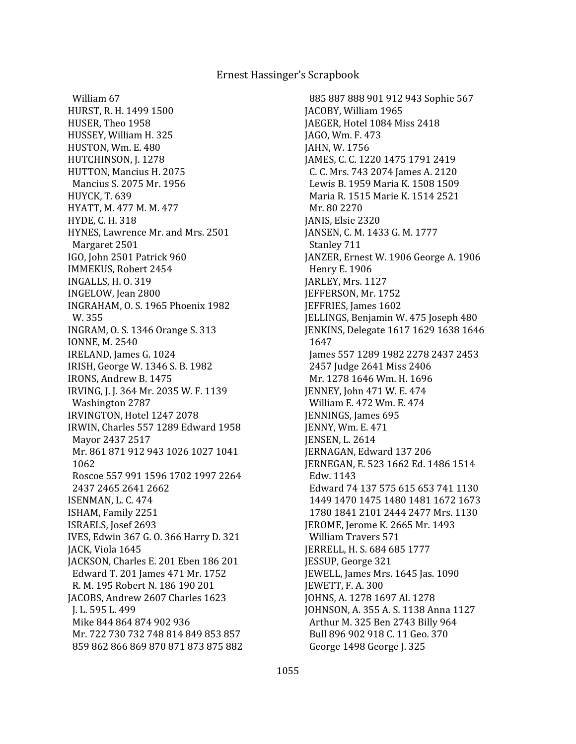William 67 HURST, R. H. 1499 1500 HUSER, Theo 1958 HUSSEY, William H. 325 HUSTON, Wm. E. 480 HUTCHINSON, J. 1278 HUTTON, Mancius H. 2075 Mancius S. 2075 Mr. 1956 HUYCK, T. 639 HYATT, M. 477 M. M. 477 HYDE, C. H. 318 HYNES, Lawrence Mr. and Mrs. 2501 Margaret 2501 IGO, John 2501 Patrick 960 IMMEKUS, Robert 2454 INGALLS, H. O. 319 INGELOW, Jean 2800 INGRAHAM, O. S. 1965 Phoenix 1982 W. 355 INGRAM, O. S. 1346 Orange S. 313 IONNE, M. 2540 IRELAND, James G. 1024 IRISH, George W. 1346 S. B. 1982 IRONS, Andrew B. 1475 IRVING, J. J. 364 Mr. 2035 W. F. 1139 Washington 2787 IRVINGTON, Hotel 1247 2078 IRWIN, Charles 557 1289 Edward 1958 Mayor 2437 2517 Mr. 861 871 912 943 1026 1027 1041 1062 Roscoe 557 991 1596 1702 1997 2264 2437 2465 2641 2662 ISENMAN, L. C. 474 ISHAM, Family 2251 ISRAELS, Josef 2693 IVES, Edwin 367 G. O. 366 Harry D. 321 JACK, Viola 1645 JACKSON, Charles E. 201 Eben 186 201 Edward T. 201 James 471 Mr. 1752 R. M. 195 Robert N. 186 190 201 JACOBS, Andrew 2607 Charles 1623 J. L. 595 L. 499 Mike 844 864 874 902 936 Mr. 722 730 732 748 814 849 853 857 859 862 866 869 870 871 873 875 882

 885 887 888 901 912 943 Sophie 567 JACOBY, William 1965 JAEGER, Hotel 1084 Miss 2418 JAGO, Wm. F. 473 JAHN, W. 1756 JAMES, C. C. 1220 1475 1791 2419 C. C. Mrs. 743 2074 James A. 2120 Lewis B. 1959 Maria K. 1508 1509 Maria R. 1515 Marie K. 1514 2521 Mr. 80 2270 JANIS, Elsie 2320 JANSEN, C. M. 1433 G. M. 1777 Stanley 711 JANZER, Ernest W. 1906 George A. 1906 Henry E. 1906 JARLEY, Mrs. 1127 JEFFERSON, Mr. 1752 JEFFRIES, James 1602 JELLINGS, Benjamin W. 475 Joseph 480 JENKINS, Delegate 1617 1629 1638 1646 1647 James 557 1289 1982 2278 2437 2453 2457 Judge 2641 Miss 2406 Mr. 1278 1646 Wm. H. 1696 JENNEY, John 471 W. E. 474 William E. 472 Wm. E. 474 JENNINGS, James 695 JENNY, Wm. E. 471 JENSEN, L. 2614 JERNAGAN, Edward 137 206 JERNEGAN, E. 523 1662 Ed. 1486 1514 Edw. 1143 Edward 74 137 575 615 653 741 1130 1449 1470 1475 1480 1481 1672 1673 1780 1841 2101 2444 2477 Mrs. 1130 JEROME, Jerome K. 2665 Mr. 1493 William Travers 571 JERRELL, H. S. 684 685 1777 JESSUP, George 321 JEWELL, James Mrs. 1645 Jas. 1090 JEWETT, F. A. 300 JOHNS, A. 1278 1697 Al. 1278 JOHNSON, A. 355 A. S. 1138 Anna 1127 Arthur M. 325 Ben 2743 Billy 964 Bull 896 902 918 C. 11 Geo. 370 George 1498 George J. 325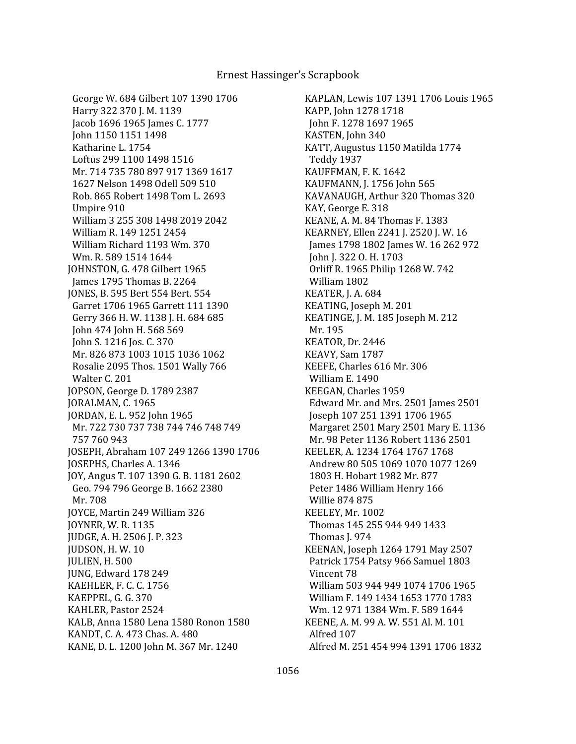George W. 684 Gilbert 107 1390 1706 Harry 322 370 J. M. 1139 Jacob 1696 1965 James C. 1777 John 1150 1151 1498 Katharine L. 1754 Loftus 299 1100 1498 1516 Mr. 714 735 780 897 917 1369 1617 1627 Nelson 1498 Odell 509 510 Rob. 865 Robert 1498 Tom L. 2693 Umpire 910 William 3 255 308 1498 2019 2042 William R. 149 1251 2454 William Richard 1193 Wm. 370 Wm. R. 589 1514 1644 JOHNSTON, G. 478 Gilbert 1965 James 1795 Thomas B. 2264 JONES, B. 595 Bert 554 Bert. 554 Garret 1706 1965 Garrett 111 1390 Gerry 366 H. W. 1138 J. H. 684 685 John 474 John H. 568 569 John S. 1216 Jos. C. 370 Mr. 826 873 1003 1015 1036 1062 Rosalie 2095 Thos. 1501 Wally 766 Walter C. 201 JOPSON, George D. 1789 2387 JORALMAN, C. 1965 JORDAN, E. L. 952 John 1965 Mr. 722 730 737 738 744 746 748 749 757 760 943 JOSEPH, Abraham 107 249 1266 1390 1706 JOSEPHS, Charles A. 1346 JOY, Angus T. 107 1390 G. B. 1181 2602 Geo. 794 796 George B. 1662 2380 Mr. 708 JOYCE, Martin 249 William 326 JOYNER, W. R. 1135 JUDGE, A. H. 2506 J. P. 323 JUDSON, H. W. 10 JULIEN, H. 500 JUNG, Edward 178 249 KAEHLER, F. C. C. 1756 KAEPPEL, G. G. 370 KAHLER, Pastor 2524 KALB, Anna 1580 Lena 1580 Ronon 1580 KANDT, C. A. 473 Chas. A. 480 KANE, D. L. 1200 John M. 367 Mr. 1240

KAPLAN, Lewis 107 1391 1706 Louis 1965 KAPP, John 1278 1718 John F. 1278 1697 1965 KASTEN, John 340 KATT, Augustus 1150 Matilda 1774 Teddy 1937 KAUFFMAN, F. K. 1642 KAUFMANN, J. 1756 John 565 KAVANAUGH, Arthur 320 Thomas 320 KAY, George E. 318 KEANE, A. M. 84 Thomas F. 1383 KEARNEY, Ellen 2241 J. 2520 J. W. 16 James 1798 1802 James W. 16 262 972 John J. 322 O. H. 1703 Orliff R. 1965 Philip 1268 W. 742 William 1802 KEATER, J. A. 684 KEATING, Joseph M. 201 KEATINGE, J. M. 185 Joseph M. 212 Mr. 195 KEATOR, Dr. 2446 KEAVY, Sam 1787 KEEFE, Charles 616 Mr. 306 William E. 1490 KEEGAN, Charles 1959 Edward Mr. and Mrs. 2501 James 2501 Joseph 107 251 1391 1706 1965 Margaret 2501 Mary 2501 Mary E. 1136 Mr. 98 Peter 1136 Robert 1136 2501 KEELER, A. 1234 1764 1767 1768 Andrew 80 505 1069 1070 1077 1269 1803 H. Hobart 1982 Mr. 877 Peter 1486 William Henry 166 Willie 874 875 KEELEY, Mr. 1002 Thomas 145 255 944 949 1433 Thomas J. 974 KEENAN, Joseph 1264 1791 May 2507 Patrick 1754 Patsy 966 Samuel 1803 Vincent 78 William 503 944 949 1074 1706 1965 William F. 149 1434 1653 1770 1783 Wm. 12 971 1384 Wm. F. 589 1644 KEENE, A. M. 99 A. W. 551 Al. M. 101 Alfred 107 Alfred M. 251 454 994 1391 1706 1832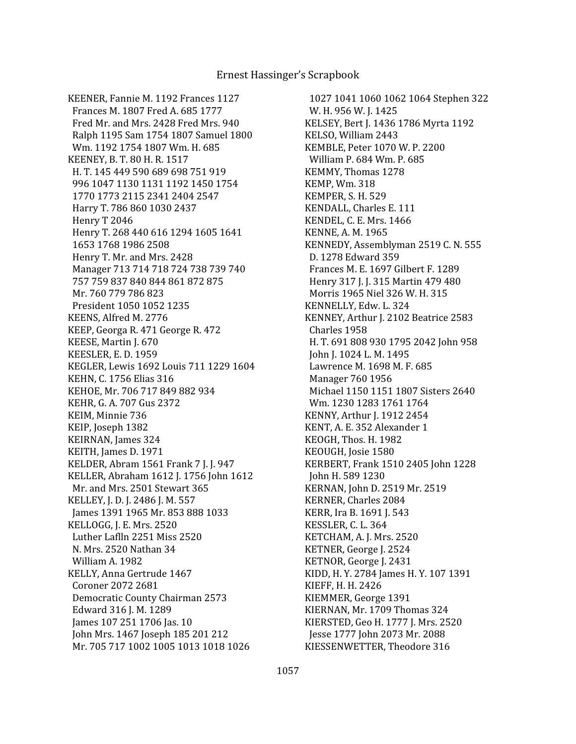KEENER, Fannie M. 1192 Frances 1127 Frances M. 1807 Fred A. 685 1777 Fred Mr. and Mrs. 2428 Fred Mrs. 940 Ralph 1195 Sam 1754 1807 Samuel 1800 Wm. 1192 1754 1807 Wm. H. 685 KEENEY, B. T. 80 H. R. 1517 H. T. 145 449 590 689 698 751 919 996 1047 1130 1131 1192 1450 1754 1770 1773 2115 2341 2404 2547 Harry T. 786 860 1030 2437 Henry T 2046 Henry T. 268 440 616 1294 1605 1641 1653 1768 1986 2508 Henry T. Mr. and Mrs. 2428 Manager 713 714 718 724 738 739 740 757 759 837 840 844 861 872 875 Mr. 760 779 786 823 President 1050 1052 1235 KEENS, Alfred M. 2776 KEEP, Georga R. 471 George R. 472 KEESE, Martin J. 670 KEESLER, E. D. 1959 KEGLER, Lewis 1692 Louis 711 1229 1604 KEHN, C. 1756 Elias 316 KEHOE, Mr. 706 717 849 882 934 KEHR, G. A. 707 Gus 2372 KEIM, Minnie 736 KEIP, Joseph 1382 KEIRNAN, James 324 KEITH, James D. 1971 KELDER, Abram 1561 Frank 7 J. J. 947 KELLER, Abraham 1612 J. 1756 John 1612 Mr. and Mrs. 2501 Stewart 365 KELLEY, J. D. J. 2486 J. M. 557 James 1391 1965 Mr. 853 888 1033 KELLOGG, J. E. Mrs. 2520 Luther Laflln 2251 Miss 2520 N. Mrs. 2520 Nathan 34 William A. 1982 KELLY, Anna Gertrude 1467 Coroner 2072 2681 Democratic County Chairman 2573 Edward 316 J. M. 1289 James 107 251 1706 Jas. 10 John Mrs. 1467 Joseph 185 201 212 Mr. 705 717 1002 1005 1013 1018 1026

 1027 1041 1060 1062 1064 Stephen 322 W. H. 956 W. J. 1425 KELSEY, Bert J. 1436 1786 Myrta 1192 KELSO, William 2443 KEMBLE, Peter 1070 W. P. 2200 William P. 684 Wm. P. 685 KEMMY, Thomas 1278 KEMP, Wm. 318 KEMPER, S. H. 529 KENDALL, Charles E. 111 KENDEL, C. E. Mrs. 1466 KENNE, A. M. 1965 KENNEDY, Assemblyman 2519 C. N. 555 D. 1278 Edward 359 Frances M. E. 1697 Gilbert F. 1289 Henry 317 J. J. 315 Martin 479 480 Morris 1965 Niel 326 W. H. 315 KENNELLY, Edw. L. 324 KENNEY, Arthur J. 2102 Beatrice 2583 Charles 1958 H. T. 691 808 930 1795 2042 John 958 John J. 1024 L. M. 1495 Lawrence M. 1698 M. F. 685 Manager 760 1956 Michael 1150 1151 1807 Sisters 2640 Wm. 1230 1283 1761 1764 KENNY, Arthur J. 1912 2454 KENT, A. E. 352 Alexander 1 KEOGH, Thos. H. 1982 KEOUGH, Josie 1580 KERBERT, Frank 1510 2405 John 1228 John H. 589 1230 KERNAN, John D. 2519 Mr. 2519 KERNER, Charles 2084 KERR, Ira B. 1691 J. 543 KESSLER, C. L. 364 KETCHAM, A. J. Mrs. 2520 KETNER, George J. 2524 KETNOR, George J. 2431 KIDD, H. Y. 2784 James H. Y. 107 1391 KIEFF, H. H. 2426 KIEMMER, George 1391 KIERNAN, Mr. 1709 Thomas 324 KIERSTED, Geo H. 1777 J. Mrs. 2520 Jesse 1777 John 2073 Mr. 2088 KIESSENWETTER, Theodore 316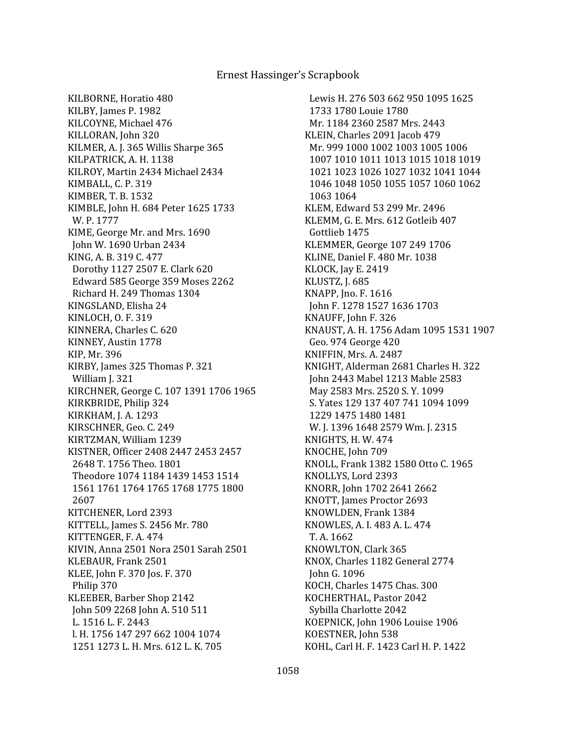KILBORNE, Horatio 480 KILBY, James P. 1982 KILCOYNE, Michael 476 KILLORAN, John 320 KILMER, A. J. 365 Willis Sharpe 365 KILPATRICK, A. H. 1138 KILROY, Martin 2434 Michael 2434 KIMBALL, C. P. 319 KIMBER, T. B. 1532 KIMBLE, John H. 684 Peter 1625 1733 W. P. 1777 KIME, George Mr. and Mrs. 1690 John W. 1690 Urban 2434 KING, A. B. 319 C. 477 Dorothy 1127 2507 E. Clark 620 Edward 585 George 359 Moses 2262 Richard H. 249 Thomas 1304 KINGSLAND, Elisha 24 KINLOCH, O. F. 319 KINNERA, Charles C. 620 KINNEY, Austin 1778 KIP, Mr. 396 KIRBY, James 325 Thomas P. 321 William J. 321 KIRCHNER, George C. 107 1391 1706 1965 KIRKBRIDE, Philip 324 KIRKHAM, J. A. 1293 KIRSCHNER, Geo. C. 249 KIRTZMAN, William 1239 KISTNER, Officer 2408 2447 2453 2457 2648 T. 1756 Theo. 1801 Theodore 1074 1184 1439 1453 1514 1561 1761 1764 1765 1768 1775 1800 2607 KITCHENER, Lord 2393 KITTELL, James S. 2456 Mr. 780 KITTENGER, F. A. 474 KIVIN, Anna 2501 Nora 2501 Sarah 2501 KLEBAUR, Frank 2501 KLEE, John F. 370 Jos. F. 370 Philip 370 KLEEBER, Barber Shop 2142 John 509 2268 John A. 510 511 L. 1516 L. F. 2443 l. H. 1756 147 297 662 1004 1074 1251 1273 L. H. Mrs. 612 L. K. 705

 Lewis H. 276 503 662 950 1095 1625 1733 1780 Louie 1780 Mr. 1184 2360 2587 Mrs. 2443 KLEIN, Charles 2091 Jacob 479 Mr. 999 1000 1002 1003 1005 1006 1007 1010 1011 1013 1015 1018 1019 1021 1023 1026 1027 1032 1041 1044 1046 1048 1050 1055 1057 1060 1062 1063 1064 KLEM, Edward 53 299 Mr. 2496 KLEMM, G. E. Mrs. 612 Gotleib 407 Gottlieb 1475 KLEMMER, George 107 249 1706 KLINE, Daniel F. 480 Mr. 1038 KLOCK, Jay E. 2419 KLUSTZ, J. 685 KNAPP, Jno. F. 1616 John F. 1278 1527 1636 1703 KNAUFF, John F. 326 KNAUST, A. H. 1756 Adam 1095 1531 1907 Geo. 974 George 420 KNIFFIN, Mrs. A. 2487 KNIGHT, Alderman 2681 Charles H. 322 John 2443 Mabel 1213 Mable 2583 May 2583 Mrs. 2520 S. Y. 1099 S. Yates 129 137 407 741 1094 1099 1229 1475 1480 1481 W. J. 1396 1648 2579 Wm. J. 2315 KNIGHTS, H. W. 474 KNOCHE, John 709 KNOLL, Frank 1382 1580 Otto C. 1965 KNOLLYS, Lord 2393 KNORR, John 1702 2641 2662 KNOTT, James Proctor 2693 KNOWLDEN, Frank 1384 KNOWLES, A. I. 483 A. L. 474 T. A. 1662 KNOWLTON, Clark 365 KNOX, Charles 1182 General 2774 John G. 1096 KOCH, Charles 1475 Chas. 300 KOCHERTHAL, Pastor 2042 Sybilla Charlotte 2042 KOEPNICK, John 1906 Louise 1906 KOESTNER, John 538 KOHL, Carl H. F. 1423 Carl H. P. 1422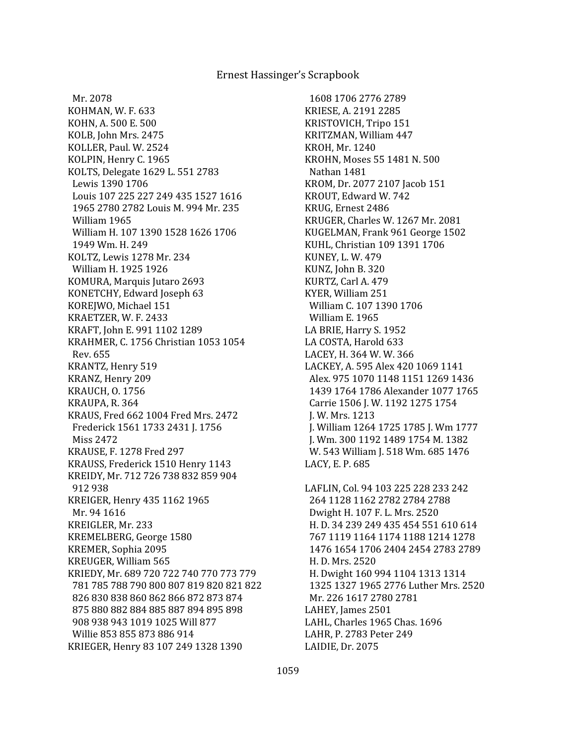Mr. 2078 KOHMAN, W. F. 633 KOHN, A. 500 E. 500 KOLB, John Mrs. 2475 KOLLER, Paul. W. 2524 KOLPIN, Henry C. 1965 KOLTS, Delegate 1629 L. 551 2783 Lewis 1390 1706 Louis 107 225 227 249 435 1527 1616 1965 2780 2782 Louis M. 994 Mr. 235 William 1965 William H. 107 1390 1528 1626 1706 1949 Wm. H. 249 KOLTZ, Lewis 1278 Mr. 234 William H. 1925 1926 KOMURA, Marquis Jutaro 2693 KONETCHY, Edward Joseph 63 KOREJWO, Michael 151 KRAETZER, W. F. 2433 KRAFT, John E. 991 1102 1289 KRAHMER, C. 1756 Christian 1053 1054 Rev. 655 KRANTZ, Henry 519 KRANZ, Henry 209 KRAUCH, O. 1756 KRAUPA, R. 364 KRAUS, Fred 662 1004 Fred Mrs. 2472 Frederick 1561 1733 2431 J. 1756 Miss 2472 KRAUSE, F. 1278 Fred 297 KRAUSS, Frederick 1510 Henry 1143 KREIDY, Mr. 712 726 738 832 859 904 912 938 KREIGER, Henry 435 1162 1965 Mr. 94 1616 KREIGLER, Mr. 233 KREMELBERG, George 1580 KREMER, Sophia 2095 KREUGER, William 565 KRIEDY, Mr. 689 720 722 740 770 773 779 781 785 788 790 800 807 819 820 821 822 826 830 838 860 862 866 872 873 874 875 880 882 884 885 887 894 895 898 908 938 943 1019 1025 Will 877 Willie 853 855 873 886 914 KRIEGER, Henry 83 107 249 1328 1390

 1608 1706 2776 2789 KRIESE, A. 2191 2285 KRISTOVICH, Tripo 151 KRITZMAN, William 447 KROH, Mr. 1240 KROHN, Moses 55 1481 N. 500 Nathan 1481 KROM, Dr. 2077 2107 Jacob 151 KROUT, Edward W. 742 KRUG, Ernest 2486 KRUGER, Charles W. 1267 Mr. 2081 KUGELMAN, Frank 961 George 1502 KUHL, Christian 109 1391 1706 KUNEY, L. W. 479 KUNZ, John B. 320 KURTZ, Carl A. 479 KYER, William 251 William C. 107 1390 1706 William E. 1965 LA BRIE, Harry S. 1952 LA COSTA, Harold 633 LACEY, H. 364 W. W. 366 LACKEY, A. 595 Alex 420 1069 1141 Alex. 975 1070 1148 1151 1269 1436 1439 1764 1786 Alexander 1077 1765 Carrie 1506 J. W. 1192 1275 1754 J. W. Mrs. 1213 J. William 1264 1725 1785 J. Wm 1777 J. Wm. 300 1192 1489 1754 M. 1382 W. 543 William J. 518 Wm. 685 1476 LACY, E. P. 685 LAFLIN, Col. 94 103 225 228 233 242 264 1128 1162 2782 2784 2788 Dwight H. 107 F. L. Mrs. 2520 H. D. 34 239 249 435 454 551 610 614 767 1119 1164 1174 1188 1214 1278 1476 1654 1706 2404 2454 2783 2789 H. D. Mrs. 2520 H. Dwight 160 994 1104 1313 1314 1325 1327 1965 2776 Luther Mrs. 2520

 Mr. 226 1617 2780 2781 LAHEY, James 2501 LAHL, Charles 1965 Chas. 1696 LAHR, P. 2783 Peter 249 LAIDIE, Dr. 2075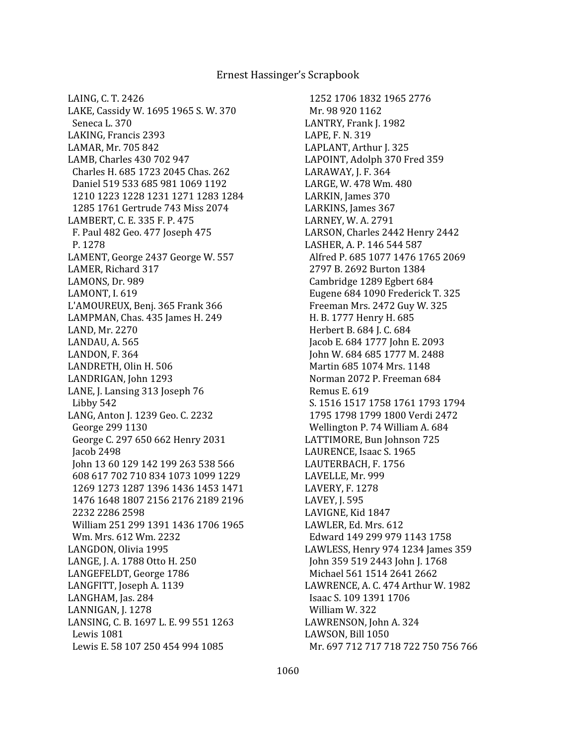LAING, C. T. 2426 LAKE, Cassidy W. 1695 1965 S. W. 370 Seneca L. 370 LAKING, Francis 2393 LAMAR, Mr. 705 842 LAMB, Charles 430 702 947 Charles H. 685 1723 2045 Chas. 262 Daniel 519 533 685 981 1069 1192 1210 1223 1228 1231 1271 1283 1284 1285 1761 Gertrude 743 Miss 2074 LAMBERT, C. E. 335 F. P. 475 F. Paul 482 Geo. 477 Joseph 475 P. 1278 LAMENT, George 2437 George W. 557 LAMER, Richard 317 LAMONS, Dr. 989 LAMONT, I. 619 L'AMOUREUX, Benj. 365 Frank 366 LAMPMAN, Chas. 435 James H. 249 LAND, Mr. 2270 LANDAU, A. 565 LANDON, F. 364 LANDRETH, Olin H. 506 LANDRIGAN, John 1293 LANE, J. Lansing 313 Joseph 76 Libby 542 LANG, Anton J. 1239 Geo. C. 2232 George 299 1130 George C. 297 650 662 Henry 2031 Jacob 2498 John 13 60 129 142 199 263 538 566 608 617 702 710 834 1073 1099 1229 1269 1273 1287 1396 1436 1453 1471 1476 1648 1807 2156 2176 2189 2196 2232 2286 2598 William 251 299 1391 1436 1706 1965 Wm. Mrs. 612 Wm. 2232 LANGDON, Olivia 1995 LANGE, J. A. 1788 Otto H. 250 LANGEFELDT, George 1786 LANGFITT, Joseph A. 1139 LANGHAM, Jas. 284 LANNIGAN, J. 1278 LANSING, C. B. 1697 L. E. 99 551 1263 Lewis 1081 Lewis E. 58 107 250 454 994 1085

 1252 1706 1832 1965 2776 Mr. 98 920 1162 LANTRY, Frank J. 1982 LAPE, F. N. 319 LAPLANT, Arthur J. 325 LAPOINT, Adolph 370 Fred 359 LARAWAY, J. F. 364 LARGE, W. 478 Wm. 480 LARKIN, James 370 LARKINS, James 367 LARNEY, W. A. 2791 LARSON, Charles 2442 Henry 2442 LASHER, A. P. 146 544 587 Alfred P. 685 1077 1476 1765 2069 2797 B. 2692 Burton 1384 Cambridge 1289 Egbert 684 Eugene 684 1090 Frederick T. 325 Freeman Mrs. 2472 Guy W. 325 H. B. 1777 Henry H. 685 Herbert B. 684 J. C. 684 Jacob E. 684 1777 John E. 2093 John W. 684 685 1777 M. 2488 Martin 685 1074 Mrs. 1148 Norman 2072 P. Freeman 684 Remus E. 619 S. 1516 1517 1758 1761 1793 1794 1795 1798 1799 1800 Verdi 2472 Wellington P. 74 William A. 684 LATTIMORE, Bun Johnson 725 LAURENCE, Isaac S. 1965 LAUTERBACH, F. 1756 LAVELLE, Mr. 999 LAVERY, F. 1278 LAVEY, J. 595 LAVIGNE, Kid 1847 LAWLER, Ed. Mrs. 612 Edward 149 299 979 1143 1758 LAWLESS, Henry 974 1234 James 359 John 359 519 2443 John J. 1768 Michael 561 1514 2641 2662 LAWRENCE, A. C. 474 Arthur W. 1982 Isaac S. 109 1391 1706 William W. 322 LAWRENSON, John A. 324 LAWSON, Bill 1050 Mr. 697 712 717 718 722 750 756 766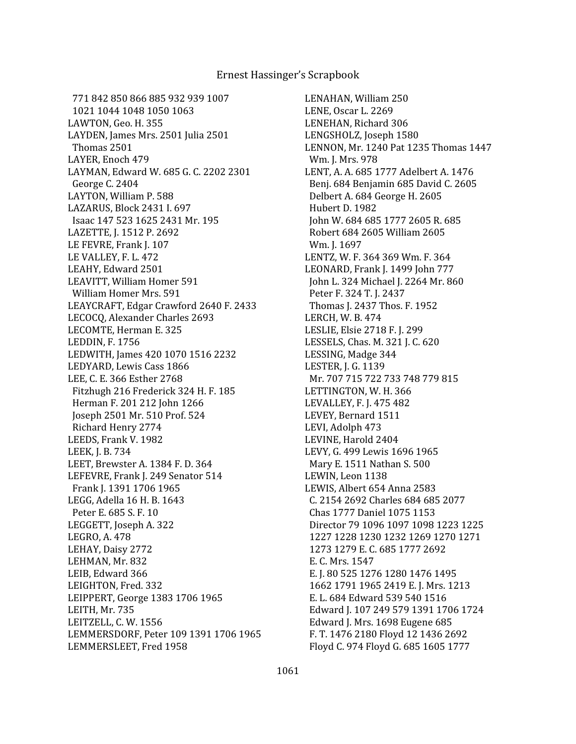771 842 850 866 885 932 939 1007 1021 1044 1048 1050 1063 LAWTON, Geo. H. 355 LAYDEN, James Mrs. 2501 Julia 2501 Thomas 2501 LAYER, Enoch 479 LAYMAN, Edward W. 685 G. C. 2202 2301 George C. 2404 LAYTON, William P. 588 LAZARUS, Block 2431 I. 697 Isaac 147 523 1625 2431 Mr. 195 LAZETTE, J. 1512 P. 2692 LE FEVRE, Frank J. 107 LE VALLEY, F. L. 472 LEAHY, Edward 2501 LEAVITT, William Homer 591 William Homer Mrs. 591 LEAYCRAFT, Edgar Crawford 2640 F. 2433 LECOCQ, Alexander Charles 2693 LECOMTE, Herman E. 325 LEDDIN, F. 1756 LEDWITH, James 420 1070 1516 2232 LEDYARD, Lewis Cass 1866 LEE, C. E. 366 Esther 2768 Fitzhugh 216 Frederick 324 H. F. 185 Herman F. 201 212 John 1266 Joseph 2501 Mr. 510 Prof. 524 Richard Henry 2774 LEEDS, Frank V. 1982 LEEK, J. B. 734 LEET, Brewster A. 1384 F. D. 364 LEFEVRE, Frank J. 249 Senator 514 Frank J. 1391 1706 1965 LEGG, Adella 16 H. B. 1643 Peter E. 685 S. F. 10 LEGGETT, Joseph A. 322 LEGRO, A. 478 LEHAY, Daisy 2772 LEHMAN, Mr. 832 LEIB, Edward 366 LEIGHTON, Fred. 332 LEIPPERT, George 1383 1706 1965 LEITH, Mr. 735 LEITZELL, C. W. 1556 LEMMERSDORF, Peter 109 1391 1706 1965 LEMMERSLEET, Fred 1958

LENAHAN, William 250 LENE, Oscar L. 2269 LENEHAN, Richard 306 LENGSHOLZ, Joseph 1580 LENNON, Mr. 1240 Pat 1235 Thomas 1447 Wm. J. Mrs. 978 LENT, A. A. 685 1777 Adelbert A. 1476 Benj. 684 Benjamin 685 David C. 2605 Delbert A. 684 George H. 2605 Hubert D. 1982 John W. 684 685 1777 2605 R. 685 Robert 684 2605 William 2605 Wm. J. 1697 LENTZ, W. F. 364 369 Wm. F. 364 LEONARD, Frank J. 1499 John 777 John L. 324 Michael J. 2264 Mr. 860 Peter F. 324 T. J. 2437 Thomas J. 2437 Thos. F. 1952 LERCH, W. B. 474 LESLIE, Elsie 2718 F. J. 299 LESSELS, Chas. M. 321 J. C. 620 LESSING, Madge 344 LESTER, J. G. 1139 Mr. 707 715 722 733 748 779 815 LETTINGTON, W. H. 366 LEVALLEY, F. J. 475 482 LEVEY, Bernard 1511 LEVI, Adolph 473 LEVINE, Harold 2404 LEVY, G. 499 Lewis 1696 1965 Mary E. 1511 Nathan S. 500 LEWIN, Leon 1138 LEWIS, Albert 654 Anna 2583 C. 2154 2692 Charles 684 685 2077 Chas 1777 Daniel 1075 1153 Director 79 1096 1097 1098 1223 1225 1227 1228 1230 1232 1269 1270 1271 1273 1279 E. C. 685 1777 2692 E. C. Mrs. 1547 E. J. 80 525 1276 1280 1476 1495 1662 1791 1965 2419 E. J. Mrs. 1213 E. L. 684 Edward 539 540 1516 Edward J. 107 249 579 1391 1706 1724 Edward J. Mrs. 1698 Eugene 685 F. T. 1476 2180 Floyd 12 1436 2692 Floyd C. 974 Floyd G. 685 1605 1777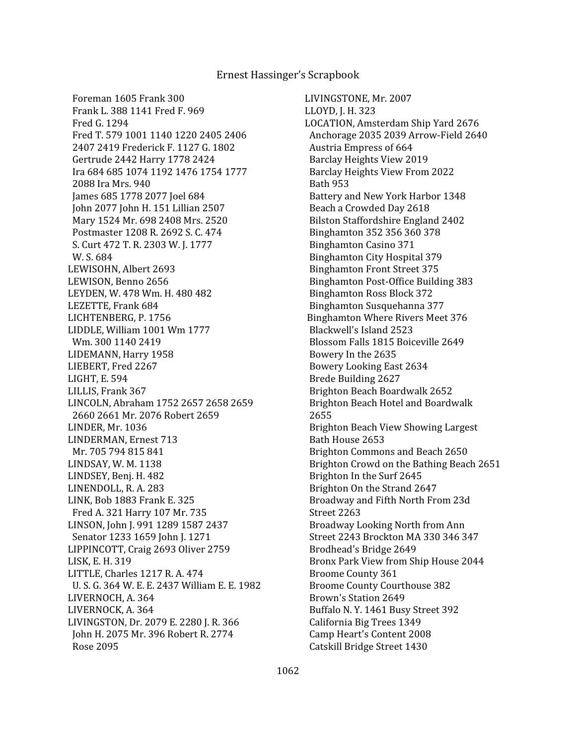Foreman 1605 Frank 300 Frank L. 388 1141 Fred F. 969 Fred G. 1294 Fred T. 579 1001 1140 1220 2405 2406 2407 2419 Frederick F. 1127 G. 1802 Gertrude 2442 Harry 1778 2424 Ira 684 685 1074 1192 1476 1754 1777 2088 Ira Mrs. 940 James 685 1778 2077 Joel 684 John 2077 John H. 151 Lillian 2507 Mary 1524 Mr. 698 2408 Mrs. 2520 Postmaster 1208 R. 2692 S. C. 474 S. Curt 472 T. R. 2303 W. J. 1777 W. S. 684 LEWISOHN, Albert 2693 LEWISON, Benno 2656 LEYDEN, W. 478 Wm. H. 480 482 LEZETTE, Frank 684 LICHTENBERG, P. 1756 LIDDLE, William 1001 Wm 1777 Wm. 300 1140 2419 LIDEMANN, Harry 1958 LIEBERT, Fred 2267 LIGHT, E. 594 LILLIS, Frank 367 LINCOLN, Abraham 1752 2657 2658 2659 2660 2661 Mr. 2076 Robert 2659 LINDER, Mr. 1036 LINDERMAN, Ernest 713 Mr. 705 794 815 841 LINDSAY, W. M. 1138 LINDSEY, Benj. H. 482 LINENDOLL, R. A. 283 LINK, Bob 1883 Frank E. 325 Fred A. 321 Harry 107 Mr. 735 LINSON, John J. 991 1289 1587 2437 Senator 1233 1659 John J. 1271 LIPPINCOTT, Craig 2693 Oliver 2759 LISK, E. H. 319 LITTLE, Charles 1217 R. A. 474 U. S. G. 364 W. E. E. 2437 William E. E. 1982 LIVERNOCH, A. 364 LIVERNOCK, A. 364 LIVINGSTON, Dr. 2079 E. 2280 J. R. 366 John H. 2075 Mr. 396 Robert R. 2774 Rose 2095

LIVINGSTONE, Mr. 2007 LLOYD, J. H. 323 LOCATION, Amsterdam Ship Yard 2676 Anchorage 2035 2039 Arrow-Field 2640 Austria Empress of 664 Barclay Heights View 2019 Barclay Heights View From 2022 Bath 953 Battery and New York Harbor 1348 Beach a Crowded Day 2618 Bilston Staffordshire England 2402 Binghamton 352 356 360 378 Binghamton Casino 371 Binghamton City Hospital 379 Binghamton Front Street 375 Binghamton Post-Office Building 383 Binghamton Ross Block 372 Binghamton Susquehanna 377 Binghamton Where Rivers Meet 376 Blackwell's Island 2523 Blossom Falls 1815 Boiceville 2649 Bowery In the 2635 Bowery Looking East 2634 Brede Building 2627 Brighton Beach Boardwalk 2652 Brighton Beach Hotel and Boardwalk 2655 Brighton Beach View Showing Largest Bath House 2653 Brighton Commons and Beach 2650 Brighton Crowd on the Bathing Beach 2651 Brighton In the Surf 2645 Brighton On the Strand 2647 Broadway and Fifth North From 23d Street 2263 Broadway Looking North from Ann Street 2243 Brockton MA 330 346 347 Brodhead's Bridge 2649 Bronx Park View from Ship House 2044 Broome County 361 Broome County Courthouse 382 Brown's Station 2649 Buffalo N. Y. 1461 Busy Street 392 California Big Trees 1349 Camp Heart's Content 2008 Catskill Bridge Street 1430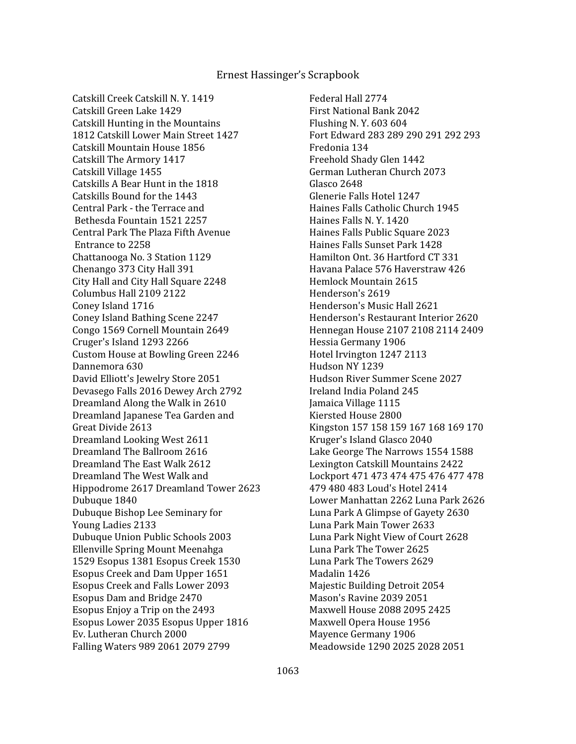Catskill Creek Catskill N. Y. 1419 Catskill Green Lake 1429 Catskill Hunting in the Mountains 1812 Catskill Lower Main Street 1427 Catskill Mountain House 1856 Catskill The Armory 1417 Catskill Village 1455 Catskills A Bear Hunt in the 1818 Catskills Bound for the 1443 Central Park - the Terrace and Bethesda Fountain 1521 2257 Central Park The Plaza Fifth Avenue Entrance to 2258 Chattanooga No. 3 Station 1129 Chenango 373 City Hall 391 City Hall and City Hall Square 2248 Columbus Hall 2109 2122 Coney Island 1716 Coney Island Bathing Scene 2247 Congo 1569 Cornell Mountain 2649 Cruger's Island 1293 2266 Custom House at Bowling Green 2246 Dannemora 630 David Elliott's Jewelry Store 2051 Devasego Falls 2016 Dewey Arch 2792 Dreamland Along the Walk in 2610 Dreamland Japanese Tea Garden and Great Divide 2613 Dreamland Looking West 2611 Dreamland The Ballroom 2616 Dreamland The East Walk 2612 Dreamland The West Walk and Hippodrome 2617 Dreamland Tower 2623 Dubuque 1840 Dubuque Bishop Lee Seminary for Young Ladies 2133 Dubuque Union Public Schools 2003 Ellenville Spring Mount Meenahga 1529 Esopus 1381 Esopus Creek 1530 Esopus Creek and Dam Upper 1651 Esopus Creek and Falls Lower 2093 Esopus Dam and Bridge 2470 Esopus Enjoy a Trip on the 2493 Esopus Lower 2035 Esopus Upper 1816 Ev. Lutheran Church 2000 Falling Waters 989 2061 2079 2799

 Federal Hall 2774 First National Bank 2042 Flushing N. Y. 603 604 Fort Edward 283 289 290 291 292 293 Fredonia 134 Freehold Shady Glen 1442 German Lutheran Church 2073 Glasco 2648 Glenerie Falls Hotel 1247 Haines Falls Catholic Church 1945 Haines Falls N. Y. 1420 Haines Falls Public Square 2023 Haines Falls Sunset Park 1428 Hamilton Ont. 36 Hartford CT 331 Havana Palace 576 Haverstraw 426 Hemlock Mountain 2615 Henderson's 2619 Henderson's Music Hall 2621 Henderson's Restaurant Interior 2620 Hennegan House 2107 2108 2114 2409 Hessia Germany 1906 Hotel Irvington 1247 2113 Hudson NY 1239 Hudson River Summer Scene 2027 Ireland India Poland 245 Jamaica Village 1115 Kiersted House 2800 Kingston 157 158 159 167 168 169 170 Kruger's Island Glasco 2040 Lake George The Narrows 1554 1588 Lexington Catskill Mountains 2422 Lockport 471 473 474 475 476 477 478 479 480 483 Loud's Hotel 2414 Lower Manhattan 2262 Luna Park 2626 Luna Park A Glimpse of Gayety 2630 Luna Park Main Tower 2633 Luna Park Night View of Court 2628 Luna Park The Tower 2625 Luna Park The Towers 2629 Madalin 1426 Majestic Building Detroit 2054 Mason's Ravine 2039 2051 Maxwell House 2088 2095 2425 Maxwell Opera House 1956 Mayence Germany 1906 Meadowside 1290 2025 2028 2051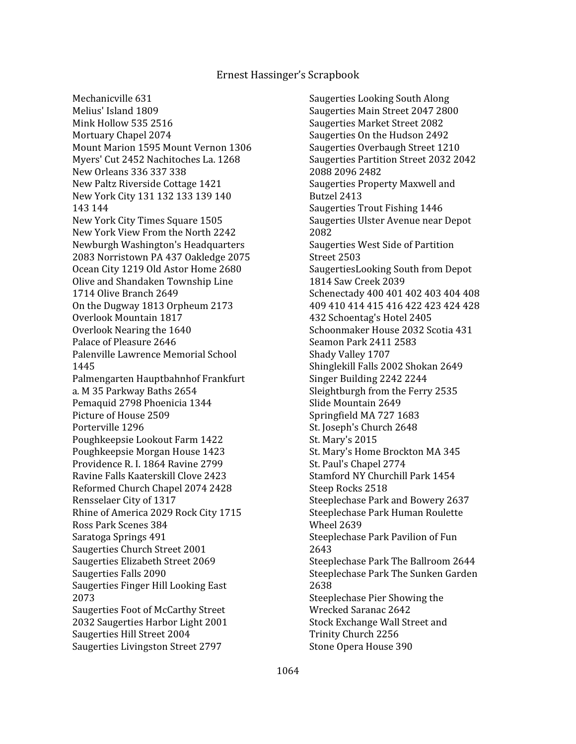Mechanicville 631 Melius' Island 1809 Mink Hollow 535 2516 Mortuary Chapel 2074 Mount Marion 1595 Mount Vernon 1306 Myers' Cut 2452 Nachitoches La. 1268 New Orleans 336 337 338 New Paltz Riverside Cottage 1421 New York City 131 132 133 139 140 143 144 New York City Times Square 1505 New York View From the North 2242 Newburgh Washington's Headquarters 2083 Norristown PA 437 Oakledge 2075 Ocean City 1219 Old Astor Home 2680 Olive and Shandaken Township Line 1714 Olive Branch 2649 On the Dugway 1813 Orpheum 2173 Overlook Mountain 1817 Overlook Nearing the 1640 Palace of Pleasure 2646 Palenville Lawrence Memorial School 1445 Palmengarten Hauptbahnhof Frankfurt a. M 35 Parkway Baths 2654 Pemaquid 2798 Phoenicia 1344 Picture of House 2509 Porterville 1296 Poughkeepsie Lookout Farm 1422 Poughkeepsie Morgan House 1423 Providence R. I. 1864 Ravine 2799 Ravine Falls Kaaterskill Clove 2423 Reformed Church Chapel 2074 2428 Rensselaer City of 1317 Rhine of America 2029 Rock City 1715 Ross Park Scenes 384 Saratoga Springs 491 Saugerties Church Street 2001 Saugerties Elizabeth Street 2069 Saugerties Falls 2090 Saugerties Finger Hill Looking East 2073 Saugerties Foot of McCarthy Street 2032 Saugerties Harbor Light 2001 Saugerties Hill Street 2004 Saugerties Livingston Street 2797

 Saugerties Looking South Along Saugerties Main Street 2047 2800 Saugerties Market Street 2082 Saugerties On the Hudson 2492 Saugerties Overbaugh Street 1210 Saugerties Partition Street 2032 2042 2088 2096 2482 Saugerties Property Maxwell and Butzel 2413 Saugerties Trout Fishing 1446 Saugerties Ulster Avenue near Depot 2082 Saugerties West Side of Partition Street 2503 SaugertiesLooking South from Depot 1814 Saw Creek 2039 Schenectady 400 401 402 403 404 408 409 410 414 415 416 422 423 424 428 432 Schoentag's Hotel 2405 Schoonmaker House 2032 Scotia 431 Seamon Park 2411 2583 Shady Valley 1707 Shinglekill Falls 2002 Shokan 2649 Singer Building 2242 2244 Sleightburgh from the Ferry 2535 Slide Mountain 2649 Springfield MA 727 1683 St. Joseph's Church 2648 St. Mary's 2015 St. Mary's Home Brockton MA 345 St. Paul's Chapel 2774 Stamford NY Churchill Park 1454 Steep Rocks 2518 Steeplechase Park and Bowery 2637 Steeplechase Park Human Roulette Wheel 2639 Steeplechase Park Pavilion of Fun 2643 Steeplechase Park The Ballroom 2644 Steeplechase Park The Sunken Garden 2638 Steeplechase Pier Showing the Wrecked Saranac 2642 Stock Exchange Wall Street and Trinity Church 2256 Stone Opera House 390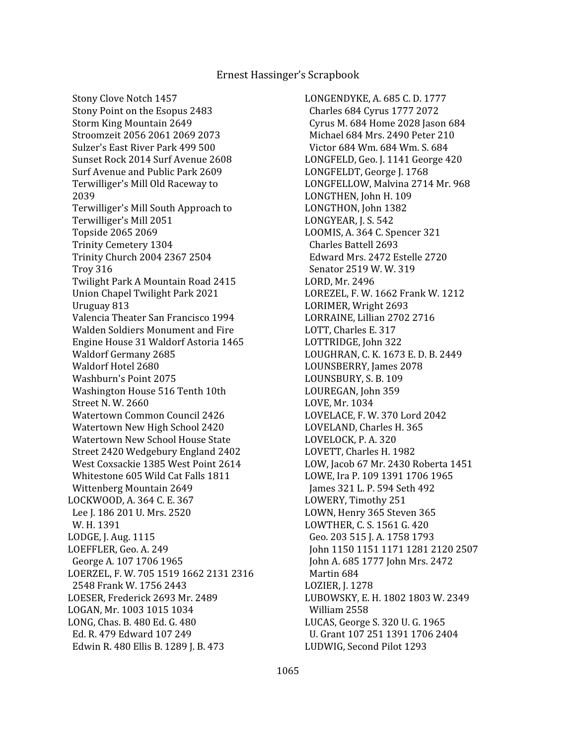Stony Clove Notch 1457 Stony Point on the Esopus 2483 Storm King Mountain 2649 Stroomzeit 2056 2061 2069 2073 Sulzer's East River Park 499 500 Sunset Rock 2014 Surf Avenue 2608 Surf Avenue and Public Park 2609 Terwilliger's Mill Old Raceway to 2039 Terwilliger's Mill South Approach to Terwilliger's Mill 2051 Topside 2065 2069 Trinity Cemetery 1304 Trinity Church 2004 2367 2504 Troy 316 Twilight Park A Mountain Road 2415 Union Chapel Twilight Park 2021 Uruguay 813 Valencia Theater San Francisco 1994 Walden Soldiers Monument and Fire Engine House 31 Waldorf Astoria 1465 Waldorf Germany 2685 Waldorf Hotel 2680 Washburn's Point 2075 Washington House 516 Tenth 10th Street N. W. 2660 Watertown Common Council 2426 Watertown New High School 2420 Watertown New School House State Street 2420 Wedgebury England 2402 West Coxsackie 1385 West Point 2614 Whitestone 605 Wild Cat Falls 1811 Wittenberg Mountain 2649 LOCKWOOD, A. 364 C. E. 367 Lee J. 186 201 U. Mrs. 2520 W. H. 1391 LODGE, J. Aug. 1115 LOEFFLER, Geo. A. 249 George A. 107 1706 1965 LOERZEL, F. W. 705 1519 1662 2131 2316 2548 Frank W. 1756 2443 LOESER, Frederick 2693 Mr. 2489 LOGAN, Mr. 1003 1015 1034 LONG, Chas. B. 480 Ed. G. 480 Ed. R. 479 Edward 107 249 Edwin R. 480 Ellis B. 1289 J. B. 473

LONGENDYKE, A. 685 C. D. 1777 Charles 684 Cyrus 1777 2072 Cyrus M. 684 Home 2028 Jason 684 Michael 684 Mrs. 2490 Peter 210 Victor 684 Wm. 684 Wm. S. 684 LONGFELD, Geo. J. 1141 George 420 LONGFELDT, George J. 1768 LONGFELLOW, Malvina 2714 Mr. 968 LONGTHEN, John H. 109 LONGTHON, John 1382 LONGYEAR, J. S. 542 LOOMIS, A. 364 C. Spencer 321 Charles Battell 2693 Edward Mrs. 2472 Estelle 2720 Senator 2519 W. W. 319 LORD, Mr. 2496 LOREZEL, F. W. 1662 Frank W. 1212 LORIMER, Wright 2693 LORRAINE, Lillian 2702 2716 LOTT, Charles E. 317 LOTTRIDGE, John 322 LOUGHRAN, C. K. 1673 E. D. B. 2449 LOUNSBERRY, James 2078 LOUNSBURY, S. B. 109 LOUREGAN, John 359 LOVE, Mr. 1034 LOVELACE, F. W. 370 Lord 2042 LOVELAND, Charles H. 365 LOVELOCK, P. A. 320 LOVETT, Charles H. 1982 LOW, Jacob 67 Mr. 2430 Roberta 1451 LOWE, Ira P. 109 1391 1706 1965 James 321 L. P. 594 Seth 492 LOWERY, Timothy 251 LOWN, Henry 365 Steven 365 LOWTHER, C. S. 1561 G. 420 Geo. 203 515 J. A. 1758 1793 John 1150 1151 1171 1281 2120 2507 John A. 685 1777 John Mrs. 2472 Martin 684 LOZIER, J. 1278 LUBOWSKY, E. H. 1802 1803 W. 2349 William 2558 LUCAS, George S. 320 U. G. 1965 U. Grant 107 251 1391 1706 2404 LUDWIG, Second Pilot 1293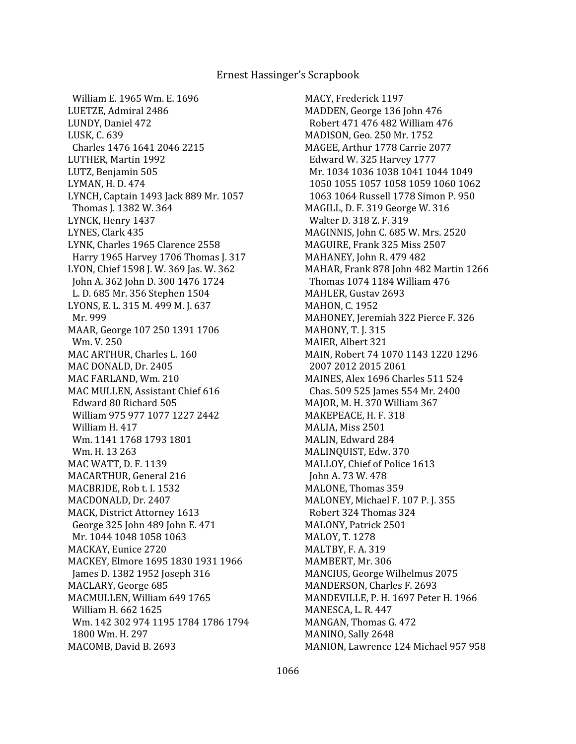William E. 1965 Wm. E. 1696 LUETZE, Admiral 2486 LUNDY, Daniel 472 LUSK, C. 639 Charles 1476 1641 2046 2215 LUTHER, Martin 1992 LUTZ, Benjamin 505 LYMAN, H. D. 474 LYNCH, Captain 1493 Jack 889 Mr. 1057 Thomas J. 1382 W. 364 LYNCK, Henry 1437 LYNES, Clark 435 LYNK, Charles 1965 Clarence 2558 Harry 1965 Harvey 1706 Thomas J. 317 LYON, Chief 1598 J. W. 369 Jas. W. 362 John A. 362 John D. 300 1476 1724 L. D. 685 Mr. 356 Stephen 1504 LYONS, E. L. 315 M. 499 M. J. 637 Mr. 999 MAAR, George 107 250 1391 1706 Wm. V. 250 MAC ARTHUR, Charles L. 160 MAC DONALD, Dr. 2405 MAC FARLAND, Wm. 210 MAC MULLEN, Assistant Chief 616 Edward 80 Richard 505 William 975 977 1077 1227 2442 William H. 417 Wm. 1141 1768 1793 1801 Wm. H. 13 263 MAC WATT, D. F. 1139 MACARTHUR, General 216 MACBRIDE, Rob t. I. 1532 MACDONALD, Dr. 2407 MACK, District Attorney 1613 George 325 John 489 John E. 471 Mr. 1044 1048 1058 1063 MACKAY, Eunice 2720 MACKEY, Elmore 1695 1830 1931 1966 James D. 1382 1952 Joseph 316 MACLARY, George 685 MACMULLEN, William 649 1765 William H. 662 1625 Wm. 142 302 974 1195 1784 1786 1794 1800 Wm. H. 297 MACOMB, David B. 2693

MACY, Frederick 1197 MADDEN, George 136 John 476 Robert 471 476 482 William 476 MADISON, Geo. 250 Mr. 1752 MAGEE, Arthur 1778 Carrie 2077 Edward W. 325 Harvey 1777 Mr. 1034 1036 1038 1041 1044 1049 1050 1055 1057 1058 1059 1060 1062 1063 1064 Russell 1778 Simon P. 950 MAGILL, D. F. 319 George W. 316 Walter D. 318 Z. F. 319 MAGINNIS, John C. 685 W. Mrs. 2520 MAGUIRE, Frank 325 Miss 2507 MAHANEY, John R. 479 482 MAHAR, Frank 878 John 482 Martin 1266 Thomas 1074 1184 William 476 MAHLER, Gustav 2693 MAHON, C. 1952 MAHONEY, Jeremiah 322 Pierce F. 326 MAHONY, T. J. 315 MAIER, Albert 321 MAIN, Robert 74 1070 1143 1220 1296 2007 2012 2015 2061 MAINES, Alex 1696 Charles 511 524 Chas. 509 525 James 554 Mr. 2400 MAJOR, M. H. 370 William 367 MAKEPEACE, H. F. 318 MALIA, Miss 2501 MALIN, Edward 284 MALINQUIST, Edw. 370 MALLOY, Chief of Police 1613 John A. 73 W. 478 MALONE, Thomas 359 MALONEY, Michael F. 107 P. J. 355 Robert 324 Thomas 324 MALONY, Patrick 2501 MALOY, T. 1278 MALTBY, F. A. 319 MAMBERT, Mr. 306 MANCIUS, George Wilhelmus 2075 MANDERSON, Charles F. 2693 MANDEVILLE, P. H. 1697 Peter H. 1966 MANESCA, L. R. 447 MANGAN, Thomas G. 472 MANINO, Sally 2648 MANION, Lawrence 124 Michael 957 958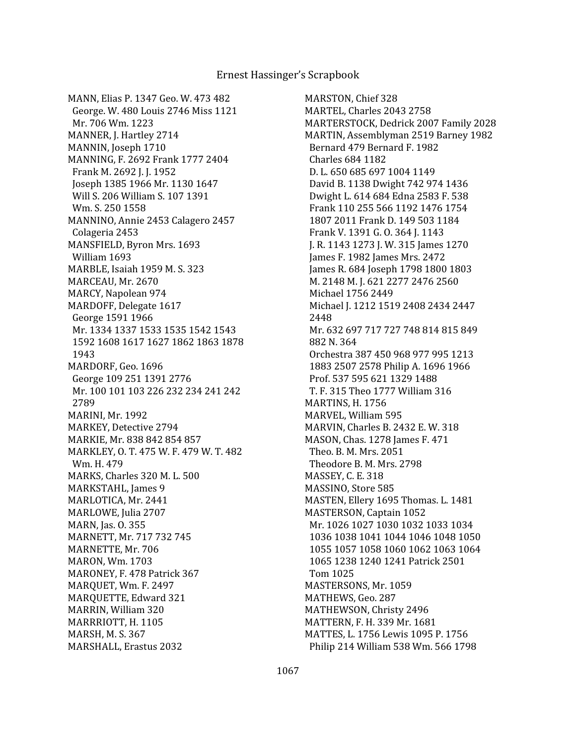MANN, Elias P. 1347 Geo. W. 473 482 George. W. 480 Louis 2746 Miss 1121 Mr. 706 Wm. 1223 MANNER, J. Hartley 2714 MANNIN, Joseph 1710 MANNING, F. 2692 Frank 1777 2404 Frank M. 2692 J. J. 1952 Joseph 1385 1966 Mr. 1130 1647 Will S. 206 William S. 107 1391 Wm. S. 250 1558 MANNINO, Annie 2453 Calagero 2457 Colageria 2453 MANSFIELD, Byron Mrs. 1693 William 1693 MARBLE, Isaiah 1959 M. S. 323 MARCEAU, Mr. 2670 MARCY, Napolean 974 MARDOFF, Delegate 1617 George 1591 1966 Mr. 1334 1337 1533 1535 1542 1543 1592 1608 1617 1627 1862 1863 1878 1943 MARDORF, Geo. 1696 George 109 251 1391 2776 Mr. 100 101 103 226 232 234 241 242 2789 MARINI, Mr. 1992 MARKEY, Detective 2794 MARKIE, Mr. 838 842 854 857 MARKLEY, O. T. 475 W. F. 479 W. T. 482 Wm. H. 479 MARKS, Charles 320 M. L. 500 MARKSTAHL, James 9 MARLOTICA, Mr. 2441 MARLOWE, Julia 2707 MARN, Jas. O. 355 MARNETT, Mr. 717 732 745 MARNETTE, Mr. 706 MARON, Wm. 1703 MARONEY, F. 478 Patrick 367 MARQUET, Wm. F. 2497 MARQUETTE, Edward 321 MARRIN, William 320 MARRRIOTT, H. 1105 MARSH, M. S. 367 MARSHALL, Erastus 2032

MARSTON, Chief 328 MARTEL, Charles 2043 2758 MARTERSTOCK, Dedrick 2007 Family 2028 MARTIN, Assemblyman 2519 Barney 1982 Bernard 479 Bernard F. 1982 Charles 684 1182 D. L. 650 685 697 1004 1149 David B. 1138 Dwight 742 974 1436 Dwight L. 614 684 Edna 2583 F. 538 Frank 110 255 566 1192 1476 1754 1807 2011 Frank D. 149 503 1184 Frank V. 1391 G. O. 364 J. 1143 J. R. 1143 1273 J. W. 315 James 1270 James F. 1982 James Mrs. 2472 James R. 684 Joseph 1798 1800 1803 M. 2148 M. J. 621 2277 2476 2560 Michael 1756 2449 Michael J. 1212 1519 2408 2434 2447 2448 Mr. 632 697 717 727 748 814 815 849 882 N. 364 Orchestra 387 450 968 977 995 1213 1883 2507 2578 Philip A. 1696 1966 Prof. 537 595 621 1329 1488 T. F. 315 Theo 1777 William 316 MARTINS, H. 1756 MARVEL, William 595 MARVIN, Charles B. 2432 E. W. 318 MASON, Chas. 1278 James F. 471 Theo. B. M. Mrs. 2051 Theodore B. M. Mrs. 2798 MASSEY, C. E. 318 MASSINO, Store 585 MASTEN, Ellery 1695 Thomas. L. 1481 MASTERSON, Captain 1052 Mr. 1026 1027 1030 1032 1033 1034 1036 1038 1041 1044 1046 1048 1050 1055 1057 1058 1060 1062 1063 1064 1065 1238 1240 1241 Patrick 2501 Tom 1025 MASTERSONS, Mr. 1059 MATHEWS, Geo. 287 MATHEWSON, Christy 2496 MATTERN, F. H. 339 Mr. 1681 MATTES, L. 1756 Lewis 1095 P. 1756 Philip 214 William 538 Wm. 566 1798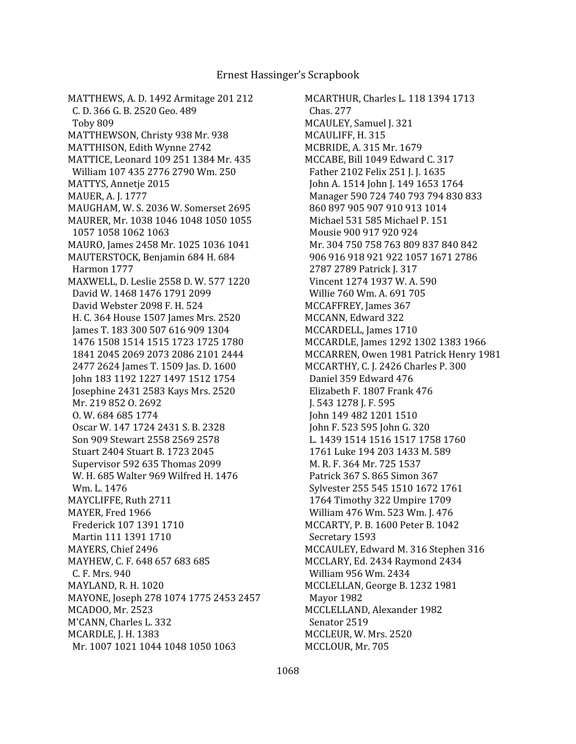MATTHEWS, A. D. 1492 Armitage 201 212 C. D. 366 G. B. 2520 Geo. 489 Toby 809 MATTHEWSON, Christy 938 Mr. 938 MATTHISON, Edith Wynne 2742 MATTICE, Leonard 109 251 1384 Mr. 435 William 107 435 2776 2790 Wm. 250 MATTYS, Annetje 2015 MAUER, A. J. 1777 MAUGHAM, W. S. 2036 W. Somerset 2695 MAURER, Mr. 1038 1046 1048 1050 1055 1057 1058 1062 1063 MAURO, James 2458 Mr. 1025 1036 1041 MAUTERSTOCK, Benjamin 684 H. 684 Harmon 1777 MAXWELL, D. Leslie 2558 D. W. 577 1220 David W. 1468 1476 1791 2099 David Webster 2098 F. H. 524 H. C. 364 House 1507 James Mrs. 2520 James T. 183 300 507 616 909 1304 1476 1508 1514 1515 1723 1725 1780 1841 2045 2069 2073 2086 2101 2444 2477 2624 James T. 1509 Jas. D. 1600 John 183 1192 1227 1497 1512 1754 Josephine 2431 2583 Kays Mrs. 2520 Mr. 219 852 O. 2692 O. W. 684 685 1774 Oscar W. 147 1724 2431 S. B. 2328 Son 909 Stewart 2558 2569 2578 Stuart 2404 Stuart B. 1723 2045 Supervisor 592 635 Thomas 2099 W. H. 685 Walter 969 Wilfred H. 1476 Wm. L. 1476 MAYCLIFFE, Ruth 2711 MAYER, Fred 1966 Frederick 107 1391 1710 Martin 111 1391 1710 MAYERS, Chief 2496 MAYHEW, C. F. 648 657 683 685 C. F. Mrs. 940 MAYLAND, R. H. 1020 MAYONE, Joseph 278 1074 1775 2453 2457 MCADOO, Mr. 2523 M'CANN, Charles L. 332 MCARDLE, J. H. 1383 Mr. 1007 1021 1044 1048 1050 1063

MCARTHUR, Charles L. 118 1394 1713 Chas. 277 MCAULEY, Samuel J. 321 MCAULIFF, H. 315 MCBRIDE, A. 315 Mr. 1679 MCCABE, Bill 1049 Edward C. 317 Father 2102 Felix 251 J. J. 1635 John A. 1514 John J. 149 1653 1764 Manager 590 724 740 793 794 830 833 860 897 905 907 910 913 1014 Michael 531 585 Michael P. 151 Mousie 900 917 920 924 Mr. 304 750 758 763 809 837 840 842 906 916 918 921 922 1057 1671 2786 2787 2789 Patrick J. 317 Vincent 1274 1937 W. A. 590 Willie 760 Wm. A. 691 705 MCCAFFREY, James 367 MCCANN, Edward 322 MCCARDELL, James 1710 MCCARDLE, James 1292 1302 1383 1966 MCCARREN, Owen 1981 Patrick Henry 1981 MCCARTHY, C. J. 2426 Charles P. 300 Daniel 359 Edward 476 Elizabeth F. 1807 Frank 476 J. 543 1278 J. F. 595 John 149 482 1201 1510 John F. 523 595 John G. 320 L. 1439 1514 1516 1517 1758 1760 1761 Luke 194 203 1433 M. 589 M. R. F. 364 Mr. 725 1537 Patrick 367 S. 865 Simon 367 Sylvester 255 545 1510 1672 1761 1764 Timothy 322 Umpire 1709 William 476 Wm. 523 Wm. J. 476 MCCARTY, P. B. 1600 Peter B. 1042 Secretary 1593 MCCAULEY, Edward M. 316 Stephen 316 MCCLARY, Ed. 2434 Raymond 2434 William 956 Wm. 2434 MCCLELLAN, George B. 1232 1981 Mayor 1982 MCCLELLAND, Alexander 1982 Senator 2519 MCCLEUR, W. Mrs. 2520 MCCLOUR, Mr. 705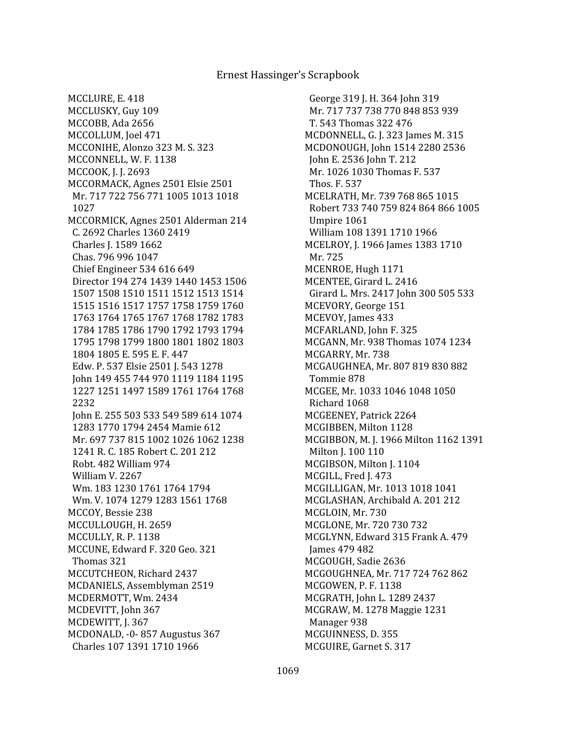George 319 J. H. 364 John 319 Mr. 717 737 738 770 848 853 939 T. 543 Thomas 322 476 MCDONNELL, G. J. 323 James M. 315 MCDONOUGH, John 1514 2280 2536 John E. 2536 John T. 212 Mr. 1026 1030 Thomas F. 537 Thos. F. 537 MCELRATH, Mr. 739 768 865 1015 Robert 733 740 759 824 864 866 1005 Umpire 1061 William 108 1391 1710 1966 MCELROY, J. 1966 James 1383 1710 Mr. 725 MCENROE, Hugh 1171 MCENTEE, Girard L. 2416 Girard L. Mrs. 2417 John 300 505 533 MCEVORY, George 151 MCEVOY, James 433 MCFARLAND, John F. 325 MCGANN, Mr. 938 Thomas 1074 1234 MCGARRY, Mr. 738 MCGAUGHNEA, Mr. 807 819 830 882 Tommie 878 MCGEE, Mr. 1033 1046 1048 1050 Richard 1068 MCGEENEY, Patrick 2264 MCGIBBEN, Milton 1128 MCGIBBON, M. J. 1966 Milton 1162 1391 Milton J. 100 110 MCGIBSON, Milton J. 1104 MCGILL, Fred J. 473 MCGILLIGAN, Mr. 1013 1018 1041 MCGLASHAN, Archibald A. 201 212 MCGLOIN, Mr. 730 MCGLONE, Mr. 720 730 732 MCGLYNN, Edward 315 Frank A. 479 James 479 482 MCGOUGH, Sadie 2636 MCGOUGHNEA, Mr. 717 724 762 862 MCGOWEN, P. F. 1138 MCGRATH, John L. 1289 2437 MCGRAW, M. 1278 Maggie 1231 Manager 938 MCGUINNESS, D. 355 MCGUIRE, Garnet S. 317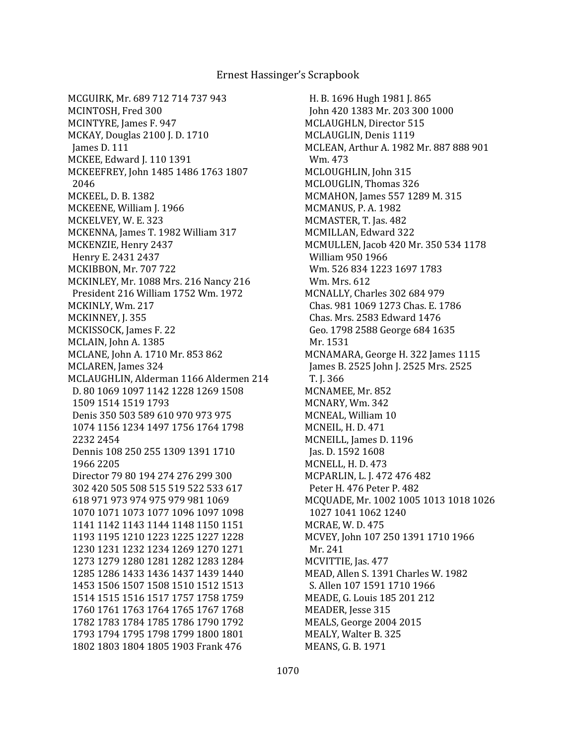H. B. 1696 Hugh 1981 J. 865 John 420 1383 Mr. 203 300 1000 MCLAUGHLN, Director 515 MCLAUGLIN, Denis 1119 MCLEAN, Arthur A. 1982 Mr. 887 888 901 Wm. 473 MCLOUGHLIN, John 315 MCLOUGLIN, Thomas 326 MCMAHON, James 557 1289 M. 315 MCMANUS, P. A. 1982 MCMASTER, T. Jas. 482 MCMILLAN, Edward 322 MCMULLEN, Jacob 420 Mr. 350 534 1178 William 950 1966 Wm. 526 834 1223 1697 1783 Wm. Mrs. 612 MCNALLY, Charles 302 684 979 Chas. 981 1069 1273 Chas. E. 1786 Chas. Mrs. 2583 Edward 1476 Geo. 1798 2588 George 684 1635 Mr. 1531 MCNAMARA, George H. 322 James 1115 James B. 2525 John J. 2525 Mrs. 2525 T. J. 366 MCNAMEE, Mr. 852 MCNARY, Wm. 342 MCNEAL, William 10 MCNEIL, H. D. 471 MCNEILL, James D. 1196 Jas. D. 1592 1608 MCNELL, H. D. 473 MCPARLIN, L. J. 472 476 482 Peter H. 476 Peter P. 482 MCQUADE, Mr. 1002 1005 1013 1018 1026 1027 1041 1062 1240 MCRAE, W. D. 475 MCVEY, John 107 250 1391 1710 1966 Mr. 241 MCVITTIE, Jas. 477 MEAD, Allen S. 1391 Charles W. 1982 S. Allen 107 1591 1710 1966 MEADE, G. Louis 185 201 212 MEADER, Jesse 315 MEALS, George 2004 2015 MEALY, Walter B. 325 MEANS, G. B. 1971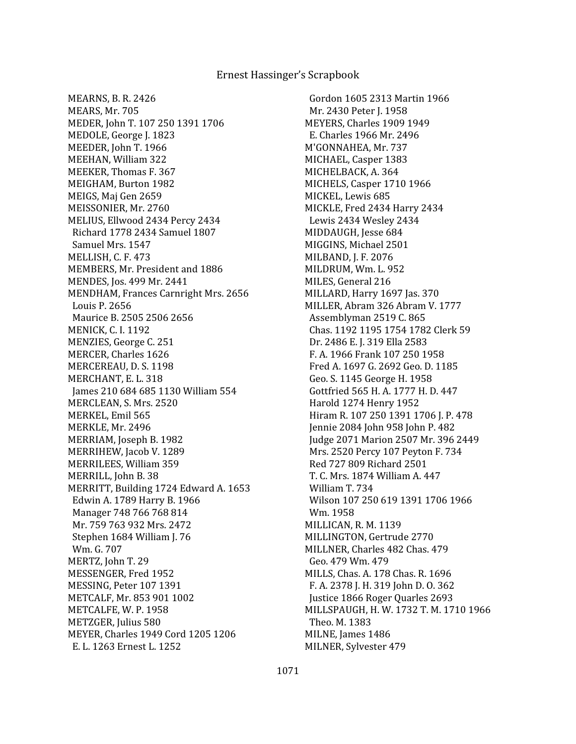MEARNS, B. R. 2426 MEARS, Mr. 705 MEDER, John T. 107 250 1391 1706 MEDOLE, George J. 1823 MEEDER, John T. 1966 MEEHAN, William 322 MEEKER, Thomas F. 367 MEIGHAM, Burton 1982 MEIGS, Maj Gen 2659 MEISSONIER, Mr. 2760 MELIUS, Ellwood 2434 Percy 2434 Richard 1778 2434 Samuel 1807 Samuel Mrs. 1547 MELLISH, C. F. 473 MEMBERS, Mr. President and 1886 MENDES, Jos. 499 Mr. 2441 MENDHAM, Frances Carnright Mrs. 2656 Louis P. 2656 Maurice B. 2505 2506 2656 MENICK, C. I. 1192 MENZIES, George C. 251 MERCER, Charles 1626 MERCEREAU, D. S. 1198 MERCHANT, E. L. 318 James 210 684 685 1130 William 554 MERCLEAN, S. Mrs. 2520 MERKEL, Emil 565 MERKLE, Mr. 2496 MERRIAM, Joseph B. 1982 MERRIHEW, Jacob V. 1289 MERRILEES, William 359 MERRILL, John B. 38 MERRITT, Building 1724 Edward A. 1653 Edwin A. 1789 Harry B. 1966 Manager 748 766 768 814 Mr. 759 763 932 Mrs. 2472 Stephen 1684 William J. 76 Wm. G. 707 MERTZ, John T. 29 MESSENGER, Fred 1952 MESSING, Peter 107 1391 METCALF, Mr. 853 901 1002 METCALFE, W. P. 1958 METZGER, Julius 580 MEYER, Charles 1949 Cord 1205 1206 E. L. 1263 Ernest L. 1252

 Gordon 1605 2313 Martin 1966 Mr. 2430 Peter J. 1958 MEYERS, Charles 1909 1949 E. Charles 1966 Mr. 2496 M'GONNAHEA, Mr. 737 MICHAEL, Casper 1383 MICHELBACK, A. 364 MICHELS, Casper 1710 1966 MICKEL, Lewis 685 MICKLE, Fred 2434 Harry 2434 Lewis 2434 Wesley 2434 MIDDAUGH, Jesse 684 MIGGINS, Michael 2501 MILBAND, J. F. 2076 MILDRUM, Wm. L. 952 MILES, General 216 MILLARD, Harry 1697 Jas. 370 MILLER, Abram 326 Abram V. 1777 Assemblyman 2519 C. 865 Chas. 1192 1195 1754 1782 Clerk 59 Dr. 2486 E. J. 319 Ella 2583 F. A. 1966 Frank 107 250 1958 Fred A. 1697 G. 2692 Geo. D. 1185 Geo. S. 1145 George H. 1958 Gottfried 565 H. A. 1777 H. D. 447 Harold 1274 Henry 1952 Hiram R. 107 250 1391 1706 J. P. 478 Jennie 2084 John 958 John P. 482 Judge 2071 Marion 2507 Mr. 396 2449 Mrs. 2520 Percy 107 Peyton F. 734 Red 727 809 Richard 2501 T. C. Mrs. 1874 William A. 447 William T. 734 Wilson 107 250 619 1391 1706 1966 Wm. 1958 MILLICAN, R. M. 1139 MILLINGTON, Gertrude 2770 MILLNER, Charles 482 Chas. 479 Geo. 479 Wm. 479 MILLS, Chas. A. 178 Chas. R. 1696 F. A. 2378 J. H. 319 John D. O. 362 Justice 1866 Roger Quarles 2693 MILLSPAUGH, H. W. 1732 T. M. 1710 1966 Theo. M. 1383 MILNE, James 1486 MILNER, Sylvester 479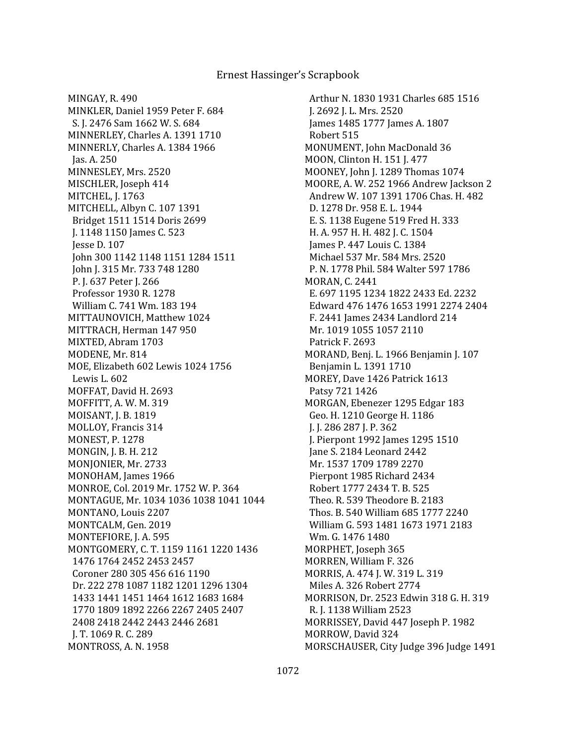MINGAY, R. 490 MINKLER, Daniel 1959 Peter F. 684 S. J. 2476 Sam 1662 W. S. 684 MINNERLEY, Charles A. 1391 1710 MINNERLY, Charles A. 1384 1966 Jas. A. 250 MINNESLEY, Mrs. 2520 MISCHLER, Joseph 414 MITCHEL, J. 1763 MITCHELL, Albyn C. 107 1391 Bridget 1511 1514 Doris 2699 J. 1148 1150 James C. 523 Jesse D. 107 John 300 1142 1148 1151 1284 1511 John J. 315 Mr. 733 748 1280 P. J. 637 Peter J. 266 Professor 1930 R. 1278 William C. 741 Wm. 183 194 MITTAUNOVICH, Matthew 1024 MITTRACH, Herman 147 950 MIXTED, Abram 1703 MODENE, Mr. 814 MOE, Elizabeth 602 Lewis 1024 1756 Lewis L. 602 MOFFAT, David H. 2693 MOFFITT, A. W. M. 319 MOISANT, J. B. 1819 MOLLOY, Francis 314 MONEST, P. 1278 MONGIN, J. B. H. 212 MONJONIER, Mr. 2733 MONOHAM, James 1966 MONROE, Col. 2019 Mr. 1752 W. P. 364 MONTAGUE, Mr. 1034 1036 1038 1041 1044 MONTANO, Louis 2207 MONTCALM, Gen. 2019 MONTEFIORE, J. A. 595 MONTGOMERY, C. T. 1159 1161 1220 1436 1476 1764 2452 2453 2457 Coroner 280 305 456 616 1190 Dr. 222 278 1087 1182 1201 1296 1304 1433 1441 1451 1464 1612 1683 1684 1770 1809 1892 2266 2267 2405 2407 2408 2418 2442 2443 2446 2681 J. T. 1069 R. C. 289 MONTROSS, A. N. 1958

 Arthur N. 1830 1931 Charles 685 1516 J. 2692 J. L. Mrs. 2520 James 1485 1777 James A. 1807 Robert 515 MONUMENT, John MacDonald 36 MOON, Clinton H. 151 J. 477 MOONEY, John J. 1289 Thomas 1074 MOORE, A. W. 252 1966 Andrew Jackson 2 Andrew W. 107 1391 1706 Chas. H. 482 D. 1278 Dr. 958 E. L. 1944 E. S. 1138 Eugene 519 Fred H. 333 H. A. 957 H. H. 482 J. C. 1504 James P. 447 Louis C. 1384 Michael 537 Mr. 584 Mrs. 2520 P. N. 1778 Phil. 584 Walter 597 1786 MORAN, C. 2441 E. 697 1195 1234 1822 2433 Ed. 2232 Edward 476 1476 1653 1991 2274 2404 F. 2441 James 2434 Landlord 214 Mr. 1019 1055 1057 2110 Patrick F. 2693 MORAND, Benj. L. 1966 Benjamin J. 107 Benjamin L. 1391 1710 MOREY, Dave 1426 Patrick 1613 Patsy 721 1426 MORGAN, Ebenezer 1295 Edgar 183 Geo. H. 1210 George H. 1186 J. J. 286 287 J. P. 362 J. Pierpont 1992 James 1295 1510 Jane S. 2184 Leonard 2442 Mr. 1537 1709 1789 2270 Pierpont 1985 Richard 2434 Robert 1777 2434 T. B. 525 Theo. R. 539 Theodore B. 2183 Thos. B. 540 William 685 1777 2240 William G. 593 1481 1673 1971 2183 Wm. G. 1476 1480 MORPHET, Joseph 365 MORREN, William F. 326 MORRIS, A. 474 J. W. 319 L. 319 Miles A. 326 Robert 2774 MORRISON, Dr. 2523 Edwin 318 G. H. 319 R. J. 1138 William 2523 MORRISSEY, David 447 Joseph P. 1982 MORROW, David 324 MORSCHAUSER, City Judge 396 Judge 1491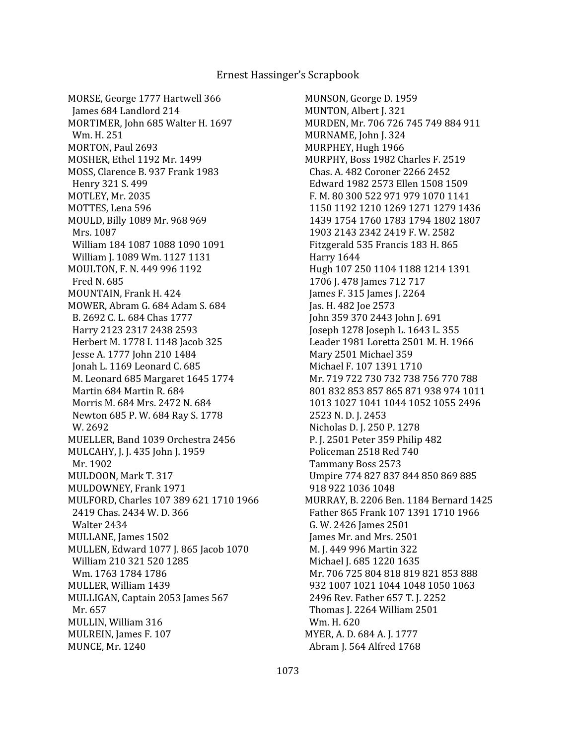MORSE, George 1777 Hartwell 366 James 684 Landlord 214 MORTIMER, John 685 Walter H. 1697 Wm. H. 251 MORTON, Paul 2693 MOSHER, Ethel 1192 Mr. 1499 MOSS, Clarence B. 937 Frank 1983 Henry 321 S. 499 MOTLEY, Mr. 2035 MOTTES, Lena 596 MOULD, Billy 1089 Mr. 968 969 Mrs. 1087 William 184 1087 1088 1090 1091 William J. 1089 Wm. 1127 1131 MOULTON, F. N. 449 996 1192 Fred N. 685 MOUNTAIN, Frank H. 424 MOWER, Abram G. 684 Adam S. 684 B. 2692 C. L. 684 Chas 1777 Harry 2123 2317 2438 2593 Herbert M. 1778 I. 1148 Jacob 325 Jesse A. 1777 John 210 1484 Jonah L. 1169 Leonard C. 685 M. Leonard 685 Margaret 1645 1774 Martin 684 Martin R. 684 Morris M. 684 Mrs. 2472 N. 684 Newton 685 P. W. 684 Ray S. 1778 W. 2692 MUELLER, Band 1039 Orchestra 2456 MULCAHY, J. J. 435 John J. 1959 Mr. 1902 MULDOON, Mark T. 317 MULDOWNEY, Frank 1971 MULFORD, Charles 107 389 621 1710 1966 2419 Chas. 2434 W. D. 366 Walter 2434 MULLANE, James 1502 MULLEN, Edward 1077 J. 865 Jacob 1070 William 210 321 520 1285 Wm. 1763 1784 1786 MULLER, William 1439 MULLIGAN, Captain 2053 James 567 Mr. 657 MULLIN, William 316 MULREIN, James F. 107 MUNCE, Mr. 1240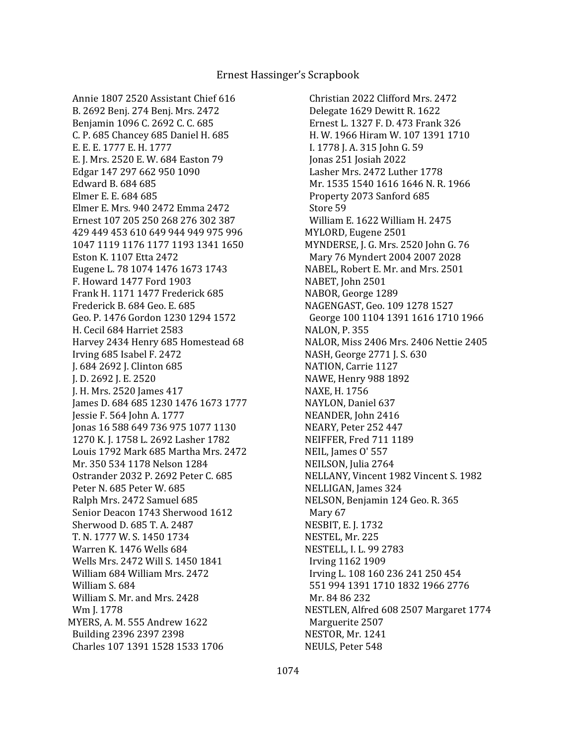Annie 1807 2520 Assistant Chief 616 B. 2692 Benj. 274 Benj. Mrs. 2472 Benjamin 1096 C. 2692 C. C. 685 C. P. 685 Chancey 685 Daniel H. 685 E. E. E. 1777 E. H. 1777 E. J. Mrs. 2520 E. W. 684 Easton 79 Edgar 147 297 662 950 1090 Edward B. 684 685 Elmer E. E. 684 685 Elmer E. Mrs. 940 2472 Emma 2472 Ernest 107 205 250 268 276 302 387 429 449 453 610 649 944 949 975 996 1047 1119 1176 1177 1193 1341 1650 Eston K. 1107 Etta 2472 Eugene L. 78 1074 1476 1673 1743 F. Howard 1477 Ford 1903 Frank H. 1171 1477 Frederick 685 Frederick B. 684 Geo. E. 685 Geo. P. 1476 Gordon 1230 1294 1572 H. Cecil 684 Harriet 2583 Harvey 2434 Henry 685 Homestead 68 Irving 685 Isabel F. 2472 J. 684 2692 J. Clinton 685 J. D. 2692 J. E. 2520 J. H. Mrs. 2520 James 417 James D. 684 685 1230 1476 1673 1777 Jessie F. 564 John A. 1777 Jonas 16 588 649 736 975 1077 1130 1270 K. J. 1758 L. 2692 Lasher 1782 Louis 1792 Mark 685 Martha Mrs. 2472 Mr. 350 534 1178 Nelson 1284 Ostrander 2032 P. 2692 Peter C. 685 Peter N. 685 Peter W. 685 Ralph Mrs. 2472 Samuel 685 Senior Deacon 1743 Sherwood 1612 Sherwood D. 685 T. A. 2487 T. N. 1777 W. S. 1450 1734 Warren K. 1476 Wells 684 Wells Mrs. 2472 Will S. 1450 1841 William 684 William Mrs. 2472 William S. 684 William S. Mr. and Mrs. 2428 Wm J. 1778 MYERS, A. M. 555 Andrew 1622 Building 2396 2397 2398 Charles 107 1391 1528 1533 1706

 Christian 2022 Clifford Mrs. 2472 Delegate 1629 Dewitt R. 1622 Ernest L. 1327 F. D. 473 Frank 326 H. W. 1966 Hiram W. 107 1391 1710 I. 1778 J. A. 315 John G. 59 Jonas 251 Josiah 2022 Lasher Mrs. 2472 Luther 1778 Mr. 1535 1540 1616 1646 N. R. 1966 Property 2073 Sanford 685 Store 59 William E. 1622 William H. 2475 MYLORD, Eugene 2501 MYNDERSE, J. G. Mrs. 2520 John G. 76 Mary 76 Myndert 2004 2007 2028 NABEL, Robert E. Mr. and Mrs. 2501 NABET, John 2501 NABOR, George 1289 NAGENGAST, Geo. 109 1278 1527 George 100 1104 1391 1616 1710 1966 NALON, P. 355 NALOR, Miss 2406 Mrs. 2406 Nettie 2405 NASH, George 2771 J. S. 630 NATION, Carrie 1127 NAWE, Henry 988 1892 NAXE, H. 1756 NAYLON, Daniel 637 NEANDER, John 2416 NEARY, Peter 252 447 NEIFFER, Fred 711 1189 NEIL, James O' 557 NEILSON, Julia 2764 NELLANY, Vincent 1982 Vincent S. 1982 NELLIGAN, James 324 NELSON, Benjamin 124 Geo. R. 365 Mary 67 NESBIT, E. J. 1732 NESTEL, Mr. 225 NESTELL, I. L. 99 2783 Irving 1162 1909 Irving L. 108 160 236 241 250 454 551 994 1391 1710 1832 1966 2776 Mr. 84 86 232 NESTLEN, Alfred 608 2507 Margaret 1774 Marguerite 2507 NESTOR, Mr. 1241 NEULS, Peter 548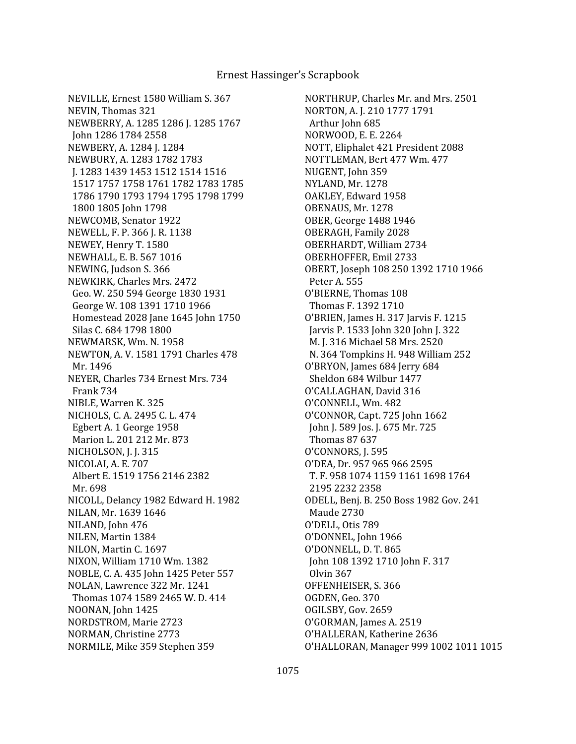NEVILLE, Ernest 1580 William S. 367 NEVIN, Thomas 321 NEWBERRY, A. 1285 1286 J. 1285 1767 John 1286 1784 2558 NEWBERY, A. 1284 J. 1284 NEWBURY, A. 1283 1782 1783 J. 1283 1439 1453 1512 1514 1516 1517 1757 1758 1761 1782 1783 1785 1786 1790 1793 1794 1795 1798 1799 1800 1805 John 1798 NEWCOMB, Senator 1922 NEWELL, F. P. 366 J. R. 1138 NEWEY, Henry T. 1580 NEWHALL, E. B. 567 1016 NEWING, Judson S. 366 NEWKIRK, Charles Mrs. 2472 Geo. W. 250 594 George 1830 1931 George W. 108 1391 1710 1966 Homestead 2028 Jane 1645 John 1750 Silas C. 684 1798 1800 NEWMARSK, Wm. N. 1958 NEWTON, A. V. 1581 1791 Charles 478 Mr. 1496 NEYER, Charles 734 Ernest Mrs. 734 Frank 734 NIBLE, Warren K. 325 NICHOLS, C. A. 2495 C. L. 474 Egbert A. 1 George 1958 Marion L. 201 212 Mr. 873 NICHOLSON, J. J. 315 NICOLAI, A. E. 707 Albert E. 1519 1756 2146 2382 Mr. 698 NICOLL, Delancy 1982 Edward H. 1982 NILAN, Mr. 1639 1646 NILAND, John 476 NILEN, Martin 1384 NILON, Martin C. 1697 NIXON, William 1710 Wm. 1382 NOBLE, C. A. 435 John 1425 Peter 557 NOLAN, Lawrence 322 Mr. 1241 Thomas 1074 1589 2465 W. D. 414 NOONAN, John 1425 NORDSTROM, Marie 2723 NORMAN, Christine 2773 NORMILE, Mike 359 Stephen 359

NORTHRUP, Charles Mr. and Mrs. 2501 NORTON, A. J. 210 1777 1791 Arthur John 685 NORWOOD, E. E. 2264 NOTT, Eliphalet 421 President 2088 NOTTLEMAN, Bert 477 Wm. 477 NUGENT, John 359 NYLAND, Mr. 1278 OAKLEY, Edward 1958 OBENAUS, Mr. 1278 OBER, George 1488 1946 OBERAGH, Family 2028 OBERHARDT, William 2734 OBERHOFFER, Emil 2733 OBERT, Joseph 108 250 1392 1710 1966 Peter A. 555 O'BIERNE, Thomas 108 Thomas F. 1392 1710 O'BRIEN, James H. 317 Jarvis F. 1215 Jarvis P. 1533 John 320 John J. 322 M. J. 316 Michael 58 Mrs. 2520 N. 364 Tompkins H. 948 William 252 O'BRYON, James 684 Jerry 684 Sheldon 684 Wilbur 1477 O'CALLAGHAN, David 316 O'CONNELL, Wm. 482 O'CONNOR, Capt. 725 John 1662 John J. 589 Jos. J. 675 Mr. 725 Thomas 87 637 O'CONNORS, J. 595 O'DEA, Dr. 957 965 966 2595 T. F. 958 1074 1159 1161 1698 1764 2195 2232 2358 ODELL, Benj. B. 250 Boss 1982 Gov. 241 Maude 2730 O'DELL, Otis 789 O'DONNEL, John 1966 O'DONNELL, D. T. 865 John 108 1392 1710 John F. 317 Olvin 367 OFFENHEISER, S. 366 OGDEN, Geo. 370 OGILSBY, Gov. 2659 O'GORMAN, James A. 2519 O'HALLERAN, Katherine 2636 O'HALLORAN, Manager 999 1002 1011 1015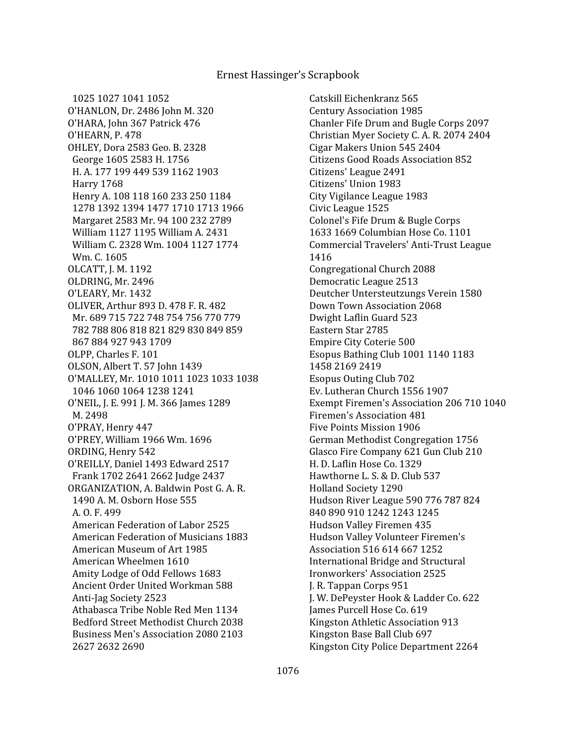1025 1027 1041 1052 O'HANLON, Dr. 2486 John M. 320 O'HARA, John 367 Patrick 476 O'HEARN, P. 478 OHLEY, Dora 2583 Geo. B. 2328 George 1605 2583 H. 1756 H. A. 177 199 449 539 1162 1903 Harry 1768 Henry A. 108 118 160 233 250 1184 1278 1392 1394 1477 1710 1713 1966 Margaret 2583 Mr. 94 100 232 2789 William 1127 1195 William A. 2431 William C. 2328 Wm. 1004 1127 1774 Wm. C. 1605 OLCATT, J. M. 1192 OLDRING, Mr. 2496 O'LEARY, Mr. 1432 OLIVER, Arthur 893 D. 478 F. R. 482 Mr. 689 715 722 748 754 756 770 779 782 788 806 818 821 829 830 849 859 867 884 927 943 1709 OLPP, Charles F. 101 OLSON, Albert T. 57 John 1439 O'MALLEY, Mr. 1010 1011 1023 1033 1038 1046 1060 1064 1238 1241 O'NEIL, J. E. 991 J. M. 366 James 1289 M. 2498 O'PRAY, Henry 447 O'PREY, William 1966 Wm. 1696 ORDING, Henry 542 O'REILLY, Daniel 1493 Edward 2517 Frank 1702 2641 2662 Judge 2437 ORGANIZATION, A. Baldwin Post G. A. R. 1490 A. M. Osborn Hose 555 A. O. F. 499 American Federation of Labor 2525 American Federation of Musicians 1883 American Museum of Art 1985 American Wheelmen 1610 Amity Lodge of Odd Fellows 1683 Ancient Order United Workman 588 Anti-Jag Society 2523 Athabasca Tribe Noble Red Men 1134 Bedford Street Methodist Church 2038 Business Men's Association 2080 2103 2627 2632 2690

 Catskill Eichenkranz 565 Century Association 1985 Chanler Fife Drum and Bugle Corps 2097 Christian Myer Society C. A. R. 2074 2404 Cigar Makers Union 545 2404 Citizens Good Roads Association 852 Citizens' League 2491 Citizens' Union 1983 City Vigilance League 1983 Civic League 1525 Colonel's Fife Drum & Bugle Corps 1633 1669 Columbian Hose Co. 1101 Commercial Travelers' Anti-Trust League 1416 Congregational Church 2088 Democratic League 2513 Deutcher Untersteutzungs Verein 1580 Down Town Association 2068 Dwight Laflin Guard 523 Eastern Star 2785 Empire City Coterie 500 Esopus Bathing Club 1001 1140 1183 1458 2169 2419 Esopus Outing Club 702 Ev. Lutheran Church 1556 1907 Exempt Firemen's Association 206 710 1040 Firemen's Association 481 Five Points Mission 1906 German Methodist Congregation 1756 Glasco Fire Company 621 Gun Club 210 H. D. Laflin Hose Co. 1329 Hawthorne L. S. & D. Club 537 Holland Society 1290 Hudson River League 590 776 787 824 840 890 910 1242 1243 1245 Hudson Valley Firemen 435 Hudson Valley Volunteer Firemen's Association 516 614 667 1252 International Bridge and Structural Ironworkers' Association 2525 J. R. Tappan Corps 951 J. W. DePeyster Hook & Ladder Co. 622 James Purcell Hose Co. 619 Kingston Athletic Association 913 Kingston Base Ball Club 697 Kingston City Police Department 2264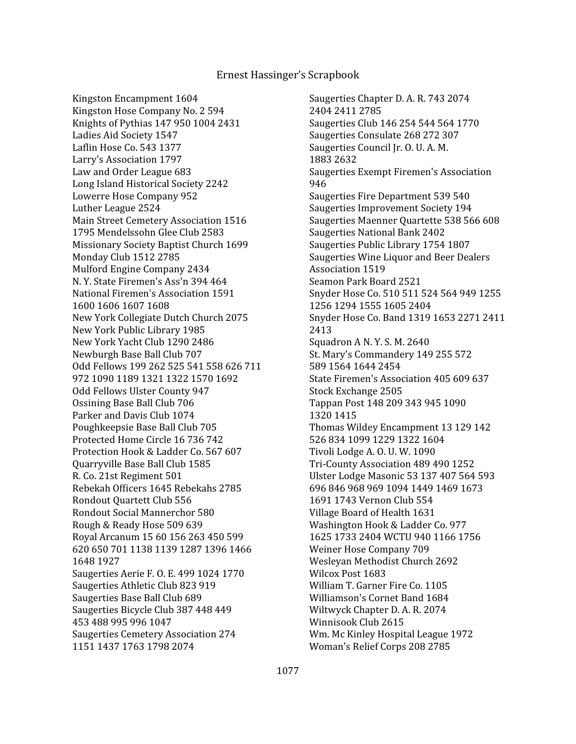Kingston Encampment 1604 Kingston Hose Company No. 2 594 Knights of Pythias 147 950 1004 2431 Ladies Aid Society 1547 Laflin Hose Co. 543 1377 Larry's Association 1797 Law and Order League 683 Long Island Historical Society 2242 Lowerre Hose Company 952 Luther League 2524 Main Street Cemetery Association 1516 1795 Mendelssohn Glee Club 2583 Missionary Society Baptist Church 1699 Monday Club 1512 2785 Mulford Engine Company 2434 N. Y. State Firemen's Ass'n 394 464 National Firemen's Association 1591 1600 1606 1607 1608 New York Collegiate Dutch Church 2075 New York Public Library 1985 New York Yacht Club 1290 2486 Newburgh Base Ball Club 707 Odd Fellows 199 262 525 541 558 626 711 972 1090 1189 1321 1322 1570 1692 Odd Fellows Ulster County 947 Ossining Base Ball Club 706 Parker and Davis Club 1074 Poughkeepsie Base Ball Club 705 Protected Home Circle 16 736 742 Protection Hook & Ladder Co. 567 607 Quarryville Base Ball Club 1585 R. Co. 21st Regiment 501 Rebekah Officers 1645 Rebekahs 2785 Rondout Quartett Club 556 Rondout Social Mannerchor 580 Rough & Ready Hose 509 639 Royal Arcanum 15 60 156 263 450 599 620 650 701 1138 1139 1287 1396 1466 1648 1927 Saugerties Aerie F. O. E. 499 1024 1770 Saugerties Athletic Club 823 919 Saugerties Base Ball Club 689 Saugerties Bicycle Club 387 448 449 453 488 995 996 1047 Saugerties Cemetery Association 274 1151 1437 1763 1798 2074

 Saugerties Chapter D. A. R. 743 2074 2404 2411 2785 Saugerties Club 146 254 544 564 1770 Saugerties Consulate 268 272 307 Saugerties Council Jr. O. U. A. M. 1883 2632 Saugerties Exempt Firemen's Association 946 Saugerties Fire Department 539 540 Saugerties Improvement Society 194 Saugerties Maenner Quartette 538 566 608 Saugerties National Bank 2402 Saugerties Public Library 1754 1807 Saugerties Wine Liquor and Beer Dealers Association 1519 Seamon Park Board 2521 Snyder Hose Co. 510 511 524 564 949 1255 1256 1294 1555 1605 2404 Snyder Hose Co. Band 1319 1653 2271 2411 2413 Squadron A N. Y. S. M. 2640 St. Mary's Commandery 149 255 572 589 1564 1644 2454 State Firemen's Association 405 609 637 Stock Exchange 2505 Tappan Post 148 209 343 945 1090 1320 1415 Thomas Wildey Encampment 13 129 142 526 834 1099 1229 1322 1604 Tivoli Lodge A. O. U. W. 1090 Tri-County Association 489 490 1252 Ulster Lodge Masonic 53 137 407 564 593 696 846 968 969 1094 1449 1469 1673 1691 1743 Vernon Club 554 Village Board of Health 1631 Washington Hook & Ladder Co. 977 1625 1733 2404 WCTU 940 1166 1756 Weiner Hose Company 709 Wesleyan Methodist Church 2692 Wilcox Post 1683 William T. Garner Fire Co. 1105 Williamson's Cornet Band 1684 Wiltwyck Chapter D. A. R. 2074 Winnisook Club 2615 Wm. Mc Kinley Hospital League 1972 Woman's Relief Corps 208 2785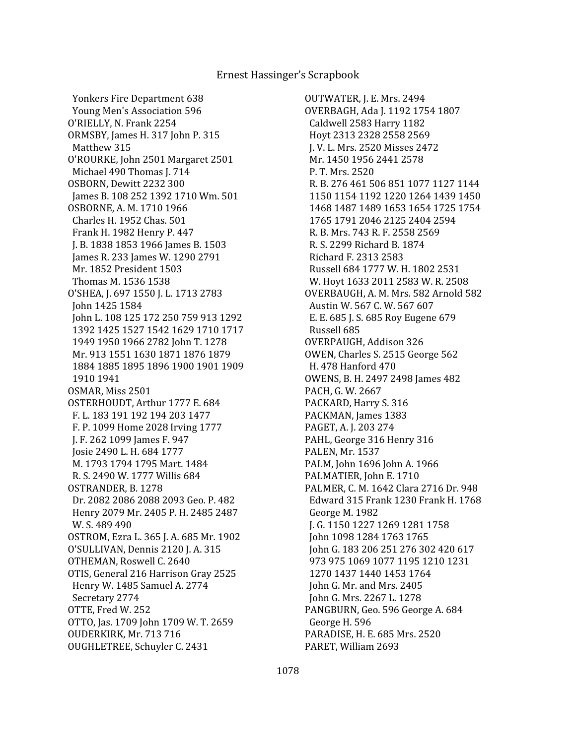Yonkers Fire Department 638 Young Men's Association 596 O'RIELLY, N. Frank 2254 ORMSBY, James H. 317 John P. 315 Matthew 315 O'ROURKE, John 2501 Margaret 2501 Michael 490 Thomas J. 714 OSBORN, Dewitt 2232 300 James B. 108 252 1392 1710 Wm. 501 OSBORNE, A. M. 1710 1966 Charles H. 1952 Chas. 501 Frank H. 1982 Henry P. 447 J. B. 1838 1853 1966 James B. 1503 James R. 233 James W. 1290 2791 Mr. 1852 President 1503 Thomas M. 1536 1538 O'SHEA, J. 697 1550 J. L. 1713 2783 John 1425 1584 John L. 108 125 172 250 759 913 1292 1392 1425 1527 1542 1629 1710 1717 1949 1950 1966 2782 John T. 1278 Mr. 913 1551 1630 1871 1876 1879 1884 1885 1895 1896 1900 1901 1909 1910 1941 OSMAR, Miss 2501 OSTERHOUDT, Arthur 1777 E. 684 F. L. 183 191 192 194 203 1477 F. P. 1099 Home 2028 Irving 1777 J. F. 262 1099 James F. 947 Josie 2490 L. H. 684 1777 M. 1793 1794 1795 Mart. 1484 R. S. 2490 W. 1777 Willis 684 OSTRANDER, B. 1278 Dr. 2082 2086 2088 2093 Geo. P. 482 Henry 2079 Mr. 2405 P. H. 2485 2487 W. S. 489 490 OSTROM, Ezra L. 365 J. A. 685 Mr. 1902 O'SULLIVAN, Dennis 2120 J. A. 315 OTHEMAN, Roswell C. 2640 OTIS, General 216 Harrison Gray 2525 Henry W. 1485 Samuel A. 2774 Secretary 2774 OTTE, Fred W. 252 OTTO, Jas. 1709 John 1709 W. T. 2659 OUDERKIRK, Mr. 713 716 OUGHLETREE, Schuyler C. 2431

OUTWATER, J. E. Mrs. 2494 OVERBAGH, Ada J. 1192 1754 1807 Caldwell 2583 Harry 1182 Hoyt 2313 2328 2558 2569 J. V. L. Mrs. 2520 Misses 2472 Mr. 1450 1956 2441 2578 P. T. Mrs. 2520 R. B. 276 461 506 851 1077 1127 1144 1150 1154 1192 1220 1264 1439 1450 1468 1487 1489 1653 1654 1725 1754 1765 1791 2046 2125 2404 2594 R. B. Mrs. 743 R. F. 2558 2569 R. S. 2299 Richard B. 1874 Richard F. 2313 2583 Russell 684 1777 W. H. 1802 2531 W. Hoyt 1633 2011 2583 W. R. 2508 OVERBAUGH, A. M. Mrs. 582 Arnold 582 Austin W. 567 C. W. 567 607 E. E. 685 J. S. 685 Roy Eugene 679 Russell 685 OVERPAUGH, Addison 326 OWEN, Charles S. 2515 George 562 H. 478 Hanford 470 OWENS, B. H. 2497 2498 James 482 PACH, G. W. 2667 PACKARD, Harry S. 316 PACKMAN, James 1383 PAGET, A. J. 203 274 PAHL, George 316 Henry 316 PALEN, Mr. 1537 PALM, John 1696 John A. 1966 PALMATIER, John E. 1710 PALMER, C. M. 1642 Clara 2716 Dr. 948 Edward 315 Frank 1230 Frank H. 1768 George M. 1982 J. G. 1150 1227 1269 1281 1758 John 1098 1284 1763 1765 John G. 183 206 251 276 302 420 617 973 975 1069 1077 1195 1210 1231 1270 1437 1440 1453 1764 John G. Mr. and Mrs. 2405 John G. Mrs. 2267 L. 1278 PANGBURN, Geo. 596 George A. 684 George H. 596 PARADISE, H. E. 685 Mrs. 2520 PARET, William 2693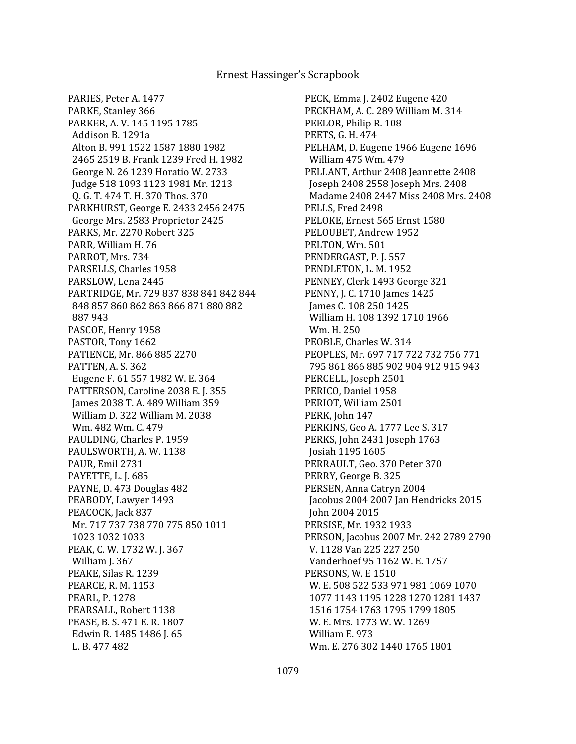PARIES, Peter A. 1477 PARKE, Stanley 366 PARKER, A. V. 145 1195 1785 Addison B. 1291a Alton B. 991 1522 1587 1880 1982 2465 2519 B. Frank 1239 Fred H. 1982 George N. 26 1239 Horatio W. 2733 Judge 518 1093 1123 1981 Mr. 1213 Q. G. T. 474 T. H. 370 Thos. 370 PARKHURST, George E. 2433 2456 2475 George Mrs. 2583 Proprietor 2425 PARKS, Mr. 2270 Robert 325 PARR, William H. 76 PARROT, Mrs. 734 PARSELLS, Charles 1958 PARSLOW, Lena 2445 PARTRIDGE, Mr. 729 837 838 841 842 844 848 857 860 862 863 866 871 880 882 887 943 PASCOE, Henry 1958 PASTOR, Tony 1662 PATIENCE, Mr. 866 885 2270 PATTEN, A. S. 362 Eugene F. 61 557 1982 W. E. 364 PATTERSON, Caroline 2038 E. J. 355 James 2038 T. A. 489 William 359 William D. 322 William M. 2038 Wm. 482 Wm. C. 479 PAULDING, Charles P. 1959 PAULSWORTH, A. W. 1138 PAUR, Emil 2731 PAYETTE, L. J. 685 PAYNE, D. 473 Douglas 482 PEABODY, Lawyer 1493 PEACOCK, Jack 837 Mr. 717 737 738 770 775 850 1011 1023 1032 1033 PEAK, C. W. 1732 W. J. 367 William J. 367 PEAKE, Silas R. 1239 PEARCE, R. M. 1153 PEARL, P. 1278 PEARSALL, Robert 1138 PEASE, B. S. 471 E. R. 1807 Edwin R. 1485 1486 J. 65 L. B. 477 482

PECK, Emma J. 2402 Eugene 420 PECKHAM, A. C. 289 William M. 314 PEELOR, Philip R. 108 PEETS, G. H. 474 PELHAM, D. Eugene 1966 Eugene 1696 William 475 Wm. 479 PELLANT, Arthur 2408 Jeannette 2408 Joseph 2408 2558 Joseph Mrs. 2408 Madame 2408 2447 Miss 2408 Mrs. 2408 PELLS, Fred 2498 PELOKE, Ernest 565 Ernst 1580 PELOUBET, Andrew 1952 PELTON, Wm. 501 PENDERGAST, P. J. 557 PENDLETON, L. M. 1952 PENNEY, Clerk 1493 George 321 PENNY, J. C. 1710 James 1425 James C. 108 250 1425 William H. 108 1392 1710 1966 Wm. H. 250 PEOBLE, Charles W. 314 PEOPLES, Mr. 697 717 722 732 756 771 795 861 866 885 902 904 912 915 943 PERCELL, Joseph 2501 PERICO, Daniel 1958 PERIOT, William 2501 PERK, John 147 PERKINS, Geo A. 1777 Lee S. 317 PERKS, John 2431 Joseph 1763 Josiah 1195 1605 PERRAULT, Geo. 370 Peter 370 PERRY, George B. 325 PERSEN, Anna Catryn 2004 Jacobus 2004 2007 Jan Hendricks 2015 John 2004 2015 PERSISE, Mr. 1932 1933 PERSON, Jacobus 2007 Mr. 242 2789 2790 V. 1128 Van 225 227 250 Vanderhoef 95 1162 W. E. 1757 PERSONS, W. E 1510 W. E. 508 522 533 971 981 1069 1070 1077 1143 1195 1228 1270 1281 1437 1516 1754 1763 1795 1799 1805 W. E. Mrs. 1773 W. W. 1269 William E. 973 Wm. E. 276 302 1440 1765 1801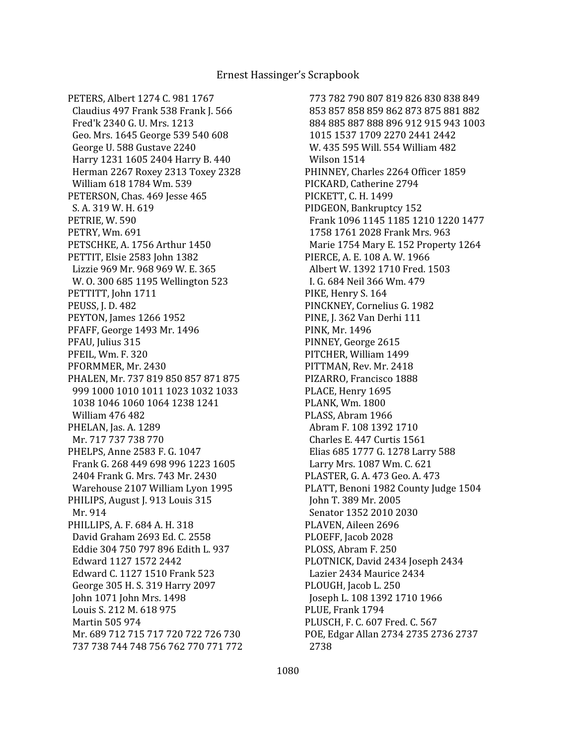PETERS, Albert 1274 C. 981 1767 Claudius 497 Frank 538 Frank J. 566 Fred'k 2340 G. U. Mrs. 1213 Geo. Mrs. 1645 George 539 540 608 George U. 588 Gustave 2240 Harry 1231 1605 2404 Harry B. 440 Herman 2267 Roxey 2313 Toxey 2328 William 618 1784 Wm. 539 PETERSON, Chas. 469 Jesse 465 S. A. 319 W. H. 619 PETRIE, W. 590 PETRY, Wm. 691 PETSCHKE, A. 1756 Arthur 1450 PETTIT, Elsie 2583 John 1382 Lizzie 969 Mr. 968 969 W. E. 365 W. O. 300 685 1195 Wellington 523 PETTITT, John 1711 PEUSS, J. D. 482 PEYTON, James 1266 1952 PFAFF, George 1493 Mr. 1496 PFAU, Julius 315 PFEIL, Wm. F. 320 PFORMMER, Mr. 2430 PHALEN, Mr. 737 819 850 857 871 875 999 1000 1010 1011 1023 1032 1033 1038 1046 1060 1064 1238 1241 William 476 482 PHELAN, Jas. A. 1289 Mr. 717 737 738 770 PHELPS, Anne 2583 F. G. 1047 Frank G. 268 449 698 996 1223 1605 2404 Frank G. Mrs. 743 Mr. 2430 Warehouse 2107 William Lyon 1995 PHILIPS, August J. 913 Louis 315 Mr. 914 PHILLIPS, A. F. 684 A. H. 318 David Graham 2693 Ed. C. 2558 Eddie 304 750 797 896 Edith L. 937 Edward 1127 1572 2442 Edward C. 1127 1510 Frank 523 George 305 H. S. 319 Harry 2097 John 1071 John Mrs. 1498 Louis S. 212 M. 618 975 Martin 505 974 Mr. 689 712 715 717 720 722 726 730 737 738 744 748 756 762 770 771 772

 773 782 790 807 819 826 830 838 849 853 857 858 859 862 873 875 881 882 884 885 887 888 896 912 915 943 1003 1015 1537 1709 2270 2441 2442 W. 435 595 Will. 554 William 482 Wilson 1514 PHINNEY, Charles 2264 Officer 1859 PICKARD, Catherine 2794 PICKETT, C. H. 1499 PIDGEON, Bankruptcy 152 Frank 1096 1145 1185 1210 1220 1477 1758 1761 2028 Frank Mrs. 963 Marie 1754 Mary E. 152 Property 1264 PIERCE, A. E. 108 A. W. 1966 Albert W. 1392 1710 Fred. 1503 I. G. 684 Neil 366 Wm. 479 PIKE, Henry S. 164 PINCKNEY, Cornelius G. 1982 PINE, J. 362 Van Derhi 111 PINK, Mr. 1496 PINNEY, George 2615 PITCHER, William 1499 PITTMAN, Rev. Mr. 2418 PIZARRO, Francisco 1888 PLACE, Henry 1695 PLANK, Wm. 1800 PLASS, Abram 1966 Abram F. 108 1392 1710 Charles E. 447 Curtis 1561 Elias 685 1777 G. 1278 Larry 588 Larry Mrs. 1087 Wm. C. 621 PLASTER, G. A. 473 Geo. A. 473 PLATT, Benoni 1982 County Judge 1504 John T. 389 Mr. 2005 Senator 1352 2010 2030 PLAVEN, Aileen 2696 PLOEFF, Jacob 2028 PLOSS, Abram F. 250 PLOTNICK, David 2434 Joseph 2434 Lazier 2434 Maurice 2434 PLOUGH, Jacob L. 250 Joseph L. 108 1392 1710 1966 PLUE, Frank 1794 PLUSCH, F. C. 607 Fred. C. 567 POE, Edgar Allan 2734 2735 2736 2737 2738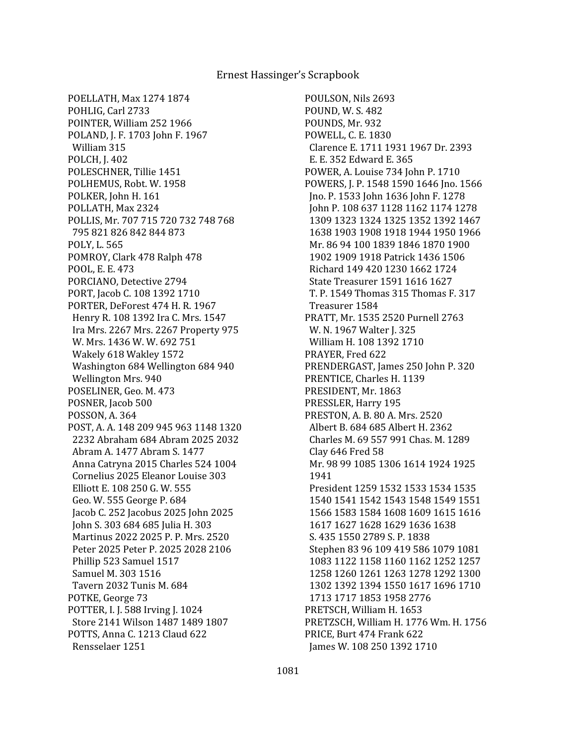POELLATH, Max 1274 1874 POHLIG, Carl 2733 POINTER, William 252 1966 POLAND, J. F. 1703 John F. 1967 William 315 POLCH, J. 402 POLESCHNER, Tillie 1451 POLHEMUS, Robt. W. 1958 POLKER, John H. 161 POLLATH, Max 2324 POLLIS, Mr. 707 715 720 732 748 768 795 821 826 842 844 873 POLY, L. 565 POMROY, Clark 478 Ralph 478 POOL, E. E. 473 PORCIANO, Detective 2794 PORT, Jacob C. 108 1392 1710 PORTER, DeForest 474 H. R. 1967 Henry R. 108 1392 Ira C. Mrs. 1547 Ira Mrs. 2267 Mrs. 2267 Property 975 W. Mrs. 1436 W. W. 692 751 Wakely 618 Wakley 1572 Washington 684 Wellington 684 940 Wellington Mrs. 940 POSELINER, Geo. M. 473 POSNER, Jacob 500 POSSON, A. 364 POST, A. A. 148 209 945 963 1148 1320 2232 Abraham 684 Abram 2025 2032 Abram A. 1477 Abram S. 1477 Anna Catryna 2015 Charles 524 1004 Cornelius 2025 Eleanor Louise 303 Elliott E. 108 250 G. W. 555 Geo. W. 555 George P. 684 Jacob C. 252 Jacobus 2025 John 2025 John S. 303 684 685 Julia H. 303 Martinus 2022 2025 P. P. Mrs. 2520 Peter 2025 Peter P. 2025 2028 2106 Phillip 523 Samuel 1517 Samuel M. 303 1516 Tavern 2032 Tunis M. 684 POTKE, George 73 POTTER, I. J. 588 Irving J. 1024 Store 2141 Wilson 1487 1489 1807 POTTS, Anna C. 1213 Claud 622 Rensselaer 1251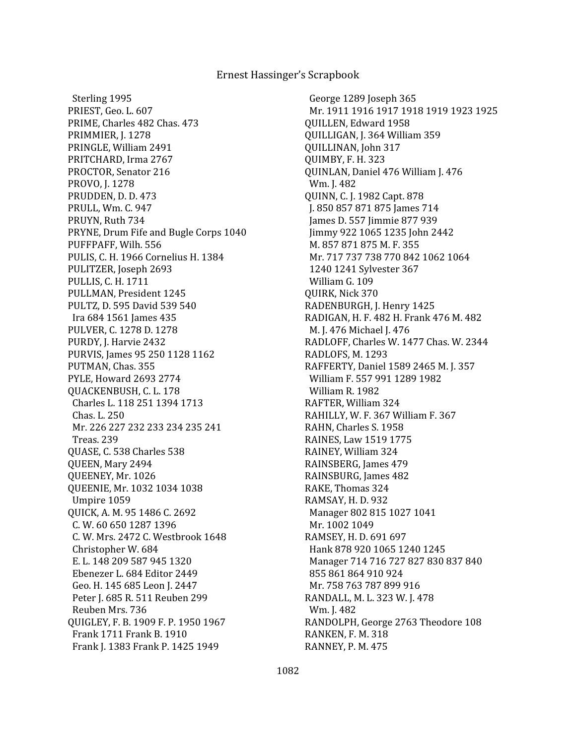Sterling 1995 PRIEST, Geo. L. 607 PRIME, Charles 482 Chas. 473 PRIMMIER, J. 1278 PRINGLE, William 2491 PRITCHARD, Irma 2767 PROCTOR, Senator 216 PROVO, J. 1278 PRUDDEN, D. D. 473 PRULL, Wm. C. 947 PRUYN, Ruth 734 PRYNE, Drum Fife and Bugle Corps 1040 PUFFPAFF, Wilh. 556 PULIS, C. H. 1966 Cornelius H. 1384 PULITZER, Joseph 2693 PULLIS, C. H. 1711 PULLMAN, President 1245 PULTZ, D. 595 David 539 540 Ira 684 1561 James 435 PULVER, C. 1278 D. 1278 PURDY, J. Harvie 2432 PURVIS, James 95 250 1128 1162 PUTMAN, Chas. 355 PYLE, Howard 2693 2774 QUACKENBUSH, C. L. 178 Charles L. 118 251 1394 1713 Chas. L. 250 Mr. 226 227 232 233 234 235 241 Treas. 239 QUASE, C. 538 Charles 538 QUEEN, Mary 2494 QUEENEY, Mr. 1026 QUEENIE, Mr. 1032 1034 1038 Umpire 1059 QUICK, A. M. 95 1486 C. 2692 C. W. 60 650 1287 1396 C. W. Mrs. 2472 C. Westbrook 1648 Christopher W. 684 E. L. 148 209 587 945 1320 Ebenezer L. 684 Editor 2449 Geo. H. 145 685 Leon J. 2447 Peter J. 685 R. 511 Reuben 299 Reuben Mrs. 736 QUIGLEY, F. B. 1909 F. P. 1950 1967 Frank 1711 Frank B. 1910 Frank J. 1383 Frank P. 1425 1949

 George 1289 Joseph 365 Mr. 1911 1916 1917 1918 1919 1923 1925 QUILLEN, Edward 1958 QUILLIGAN, J. 364 William 359 QUILLINAN, John 317 QUIMBY, F. H. 323 QUINLAN, Daniel 476 William J. 476 Wm. J. 482 QUINN, C. J. 1982 Capt. 878 J. 850 857 871 875 James 714 James D. 557 Jimmie 877 939 Jimmy 922 1065 1235 John 2442 M. 857 871 875 M. F. 355 Mr. 717 737 738 770 842 1062 1064 1240 1241 Sylvester 367 William G. 109 QUIRK, Nick 370 RADENBURGH, J. Henry 1425 RADIGAN, H. F. 482 H. Frank 476 M. 482 M. J. 476 Michael J. 476 RADLOFF, Charles W. 1477 Chas. W. 2344 RADLOFS, M. 1293 RAFFERTY, Daniel 1589 2465 M. J. 357 William F. 557 991 1289 1982 William R. 1982 RAFTER, William 324 RAHILLY, W. F. 367 William F. 367 RAHN, Charles S. 1958 RAINES, Law 1519 1775 RAINEY, William 324 RAINSBERG, James 479 RAINSBURG, James 482 RAKE, Thomas 324 RAMSAY, H. D. 932 Manager 802 815 1027 1041 Mr. 1002 1049 RAMSEY, H. D. 691 697 Hank 878 920 1065 1240 1245 Manager 714 716 727 827 830 837 840 855 861 864 910 924 Mr. 758 763 787 899 916 RANDALL, M. L. 323 W. J. 478 Wm. J. 482 RANDOLPH, George 2763 Theodore 108 RANKEN, F. M. 318 RANNEY, P. M. 475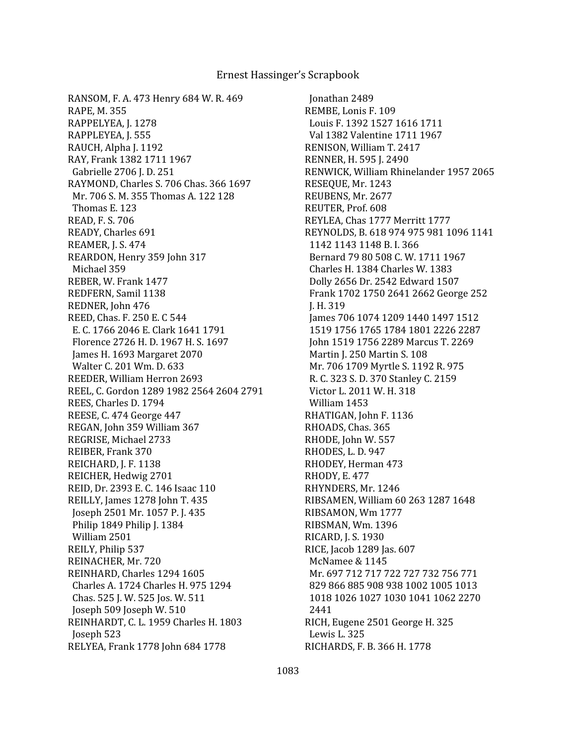RANSOM, F. A. 473 Henry 684 W. R. 469 RAPE, M. 355 RAPPELYEA, J. 1278 RAPPLEYEA, J. 555 RAUCH, Alpha J. 1192 RAY, Frank 1382 1711 1967 Gabrielle 2706 J. D. 251 RAYMOND, Charles S. 706 Chas. 366 1697 Mr. 706 S. M. 355 Thomas A. 122 128 Thomas E. 123 READ, F. S. 706 READY, Charles 691 REAMER, J. S. 474 REARDON, Henry 359 John 317 Michael 359 REBER, W. Frank 1477 REDFERN, Samil 1138 REDNER, John 476 REED, Chas. F. 250 E. C 544 E. C. 1766 2046 E. Clark 1641 1791 Florence 2726 H. D. 1967 H. S. 1697 James H. 1693 Margaret 2070 Walter C. 201 Wm. D. 633 REEDER, William Herron 2693 REEL, C. Gordon 1289 1982 2564 2604 2791 REES, Charles D. 1794 REESE, C. 474 George 447 REGAN, John 359 William 367 REGRISE, Michael 2733 REIBER, Frank 370 REICHARD, J. F. 1138 REICHER, Hedwig 2701 REID, Dr. 2393 E. C. 146 Isaac 110 REILLY, James 1278 John T. 435 Joseph 2501 Mr. 1057 P. J. 435 Philip 1849 Philip J. 1384 William 2501 REILY, Philip 537 REINACHER, Mr. 720 REINHARD, Charles 1294 1605 Charles A. 1724 Charles H. 975 1294 Chas. 525 J. W. 525 Jos. W. 511 Joseph 509 Joseph W. 510 REINHARDT, C. L. 1959 Charles H. 1803 Joseph 523 RELYEA, Frank 1778 John 684 1778

 Jonathan 2489 REMBE, Lonis F. 109 Louis F. 1392 1527 1616 1711 Val 1382 Valentine 1711 1967 RENISON, William T. 2417 RENNER, H. 595 J. 2490 RENWICK, William Rhinelander 1957 2065 RESEQUE, Mr. 1243 REUBENS, Mr. 2677 REUTER, Prof. 608 REYLEA, Chas 1777 Merritt 1777 REYNOLDS, B. 618 974 975 981 1096 1141 1142 1143 1148 B. I. 366 Bernard 79 80 508 C. W. 1711 1967 Charles H. 1384 Charles W. 1383 Dolly 2656 Dr. 2542 Edward 1507 Frank 1702 1750 2641 2662 George 252 J. H. 319 James 706 1074 1209 1440 1497 1512 1519 1756 1765 1784 1801 2226 2287 John 1519 1756 2289 Marcus T. 2269 Martin J. 250 Martin S. 108 Mr. 706 1709 Myrtle S. 1192 R. 975 R. C. 323 S. D. 370 Stanley C. 2159 Victor L. 2011 W. H. 318 William 1453 RHATIGAN, John F. 1136 RHOADS, Chas. 365 RHODE, John W. 557 RHODES, L. D. 947 RHODEY, Herman 473 RHODY, E. 477 RHYNDERS, Mr. 1246 RIBSAMEN, William 60 263 1287 1648 RIBSAMON, Wm 1777 RIBSMAN, Wm. 1396 RICARD, J. S. 1930 RICE, Jacob 1289 Jas. 607 McNamee & 1145 Mr. 697 712 717 722 727 732 756 771 829 866 885 908 938 1002 1005 1013 1018 1026 1027 1030 1041 1062 2270 2441 RICH, Eugene 2501 George H. 325 Lewis L. 325 RICHARDS, F. B. 366 H. 1778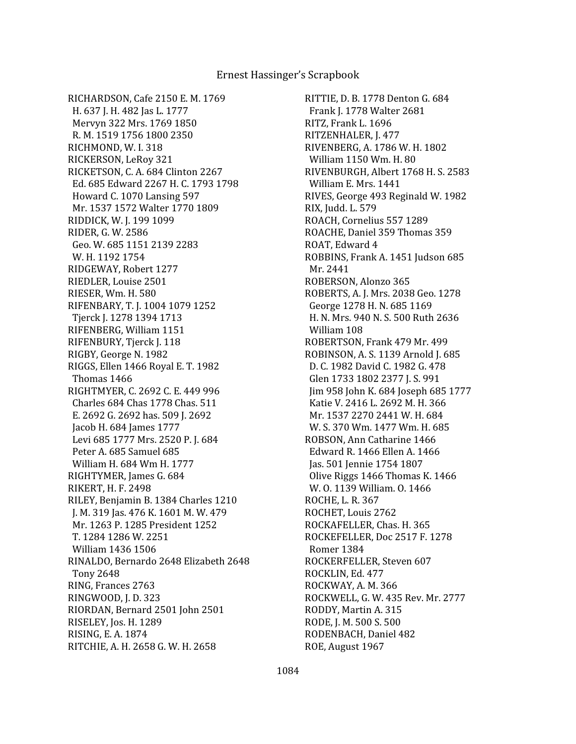RICHARDSON, Cafe 2150 E. M. 1769 H. 637 J. H. 482 Jas L. 1777 Mervyn 322 Mrs. 1769 1850 R. M. 1519 1756 1800 2350 RICHMOND, W. I. 318 RICKERSON, LeRoy 321 RICKETSON, C. A. 684 Clinton 2267 Ed. 685 Edward 2267 H. C. 1793 1798 Howard C. 1070 Lansing 597 Mr. 1537 1572 Walter 1770 1809 RIDDICK, W. J. 199 1099 RIDER, G. W. 2586 Geo. W. 685 1151 2139 2283 W. H. 1192 1754 RIDGEWAY, Robert 1277 RIEDLER, Louise 2501 RIESER, Wm. H. 580 RIFENBARY, T. J. 1004 1079 1252 Tjerck J. 1278 1394 1713 RIFENBERG, William 1151 RIFENBURY, Tjerck J. 118 RIGBY, George N. 1982 RIGGS, Ellen 1466 Royal E. T. 1982 Thomas 1466 RIGHTMYER, C. 2692 C. E. 449 996 Charles 684 Chas 1778 Chas. 511 E. 2692 G. 2692 has. 509 J. 2692 Jacob H. 684 James 1777 Levi 685 1777 Mrs. 2520 P. J. 684 Peter A. 685 Samuel 685 William H. 684 Wm H. 1777 RIGHTYMER, James G. 684 RIKERT, H. F. 2498 RILEY, Benjamin B. 1384 Charles 1210 J. M. 319 Jas. 476 K. 1601 M. W. 479 Mr. 1263 P. 1285 President 1252 T. 1284 1286 W. 2251 William 1436 1506 RINALDO, Bernardo 2648 Elizabeth 2648 Tony 2648 RING, Frances 2763 RINGWOOD, J. D. 323 RIORDAN, Bernard 2501 John 2501 RISELEY, Jos. H. 1289 RISING, E. A. 1874 RITCHIE, A. H. 2658 G. W. H. 2658

RITTIE, D. B. 1778 Denton G. 684 Frank J. 1778 Walter 2681 RITZ, Frank L. 1696 RITZENHALER, J. 477 RIVENBERG, A. 1786 W. H. 1802 William 1150 Wm. H. 80 RIVENBURGH, Albert 1768 H. S. 2583 William E. Mrs. 1441 RIVES, George 493 Reginald W. 1982 RIX, Judd. L. 579 ROACH, Cornelius 557 1289 ROACHE, Daniel 359 Thomas 359 ROAT, Edward 4 ROBBINS, Frank A. 1451 Judson 685 Mr. 2441 ROBERSON, Alonzo 365 ROBERTS, A. J. Mrs. 2038 Geo. 1278 George 1278 H. N. 685 1169 H. N. Mrs. 940 N. S. 500 Ruth 2636 William 108 ROBERTSON, Frank 479 Mr. 499 ROBINSON, A. S. 1139 Arnold J. 685 D. C. 1982 David C. 1982 G. 478 Glen 1733 1802 2377 J. S. 991 Jim 958 John K. 684 Joseph 685 1777 Katie V. 2416 L. 2692 M. H. 366 Mr. 1537 2270 2441 W. H. 684 W. S. 370 Wm. 1477 Wm. H. 685 ROBSON, Ann Catharine 1466 Edward R. 1466 Ellen A. 1466 Jas. 501 Jennie 1754 1807 Olive Riggs 1466 Thomas K. 1466 W. O. 1139 William. O. 1466 ROCHE, L. R. 367 ROCHET, Louis 2762 ROCKAFELLER, Chas. H. 365 ROCKEFELLER, Doc 2517 F. 1278 Romer 1384 ROCKERFELLER, Steven 607 ROCKLIN, Ed. 477 ROCKWAY, A. M. 366 ROCKWELL, G. W. 435 Rev. Mr. 2777 RODDY, Martin A. 315 RODE, J. M. 500 S. 500 RODENBACH, Daniel 482 ROE, August 1967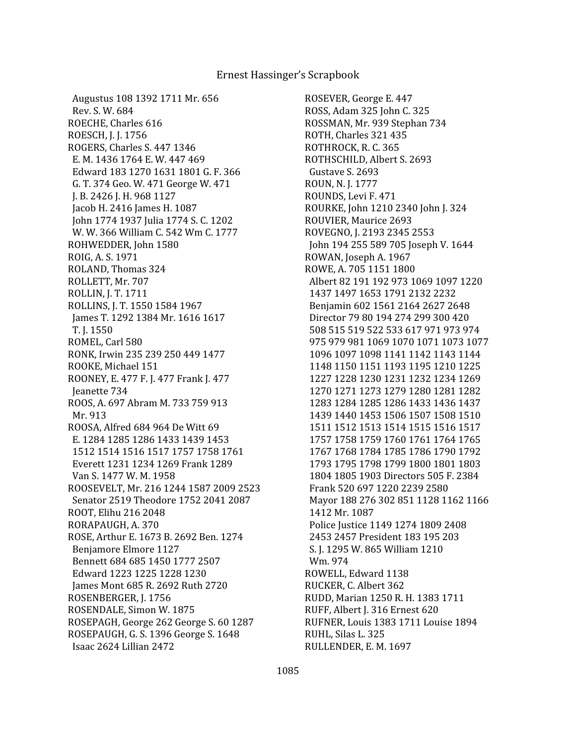Augustus 108 1392 1711 Mr. 656 Rev. S. W. 684 ROECHE, Charles 616 ROESCH, J. J. 1756 ROGERS, Charles S. 447 1346 E. M. 1436 1764 E. W. 447 469 Edward 183 1270 1631 1801 G. F. 366 G. T. 374 Geo. W. 471 George W. 471 J. B. 2426 J. H. 968 1127 Jacob H. 2416 James H. 1087 John 1774 1937 Julia 1774 S. C. 1202 W. W. 366 William C. 542 Wm C. 1777 ROHWEDDER, John 1580 ROIG, A. S. 1971 ROLAND, Thomas 324 ROLLETT, Mr. 707 ROLLIN, J. T. 1711 ROLLINS, J. T. 1550 1584 1967 James T. 1292 1384 Mr. 1616 1617 T. J. 1550 ROMEL, Carl 580 RONK, Irwin 235 239 250 449 1477 ROOKE, Michael 151 ROONEY, E. 477 F. J. 477 Frank J. 477 Jeanette 734 ROOS, A. 697 Abram M. 733 759 913 Mr. 913 ROOSA, Alfred 684 964 De Witt 69 E. 1284 1285 1286 1433 1439 1453 1512 1514 1516 1517 1757 1758 1761 Everett 1231 1234 1269 Frank 1289 Van S. 1477 W. M. 1958 ROOSEVELT, Mr. 216 1244 1587 2009 2523 Senator 2519 Theodore 1752 2041 2087 ROOT, Elihu 216 2048 RORAPAUGH, A. 370 ROSE, Arthur E. 1673 B. 2692 Ben. 1274 Benjamore Elmore 1127 Bennett 684 685 1450 1777 2507 Edward 1223 1225 1228 1230 James Mont 685 R. 2692 Ruth 2720 ROSENBERGER, J. 1756 ROSENDALE, Simon W. 1875 ROSEPAGH, George 262 George S. 60 1287 ROSEPAUGH, G. S. 1396 George S. 1648 Isaac 2624 Lillian 2472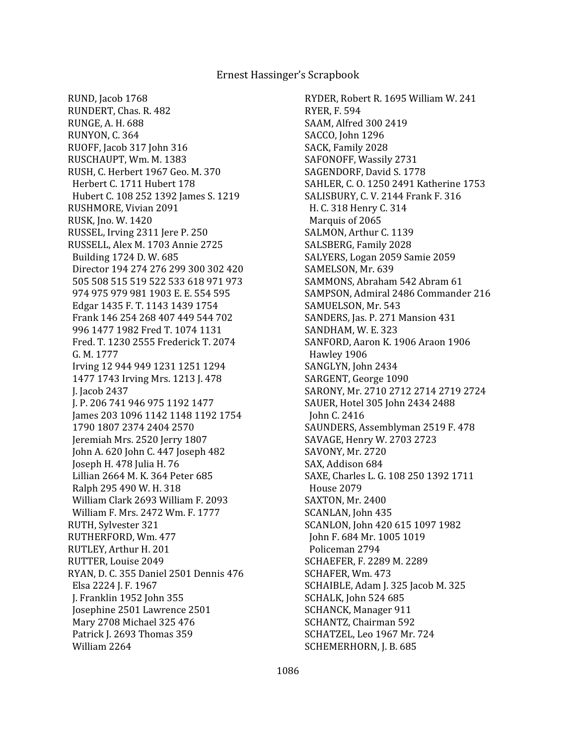RUND, Jacob 1768 RUNDERT, Chas. R. 482 RUNGE, A. H. 688 RUNYON, C. 364 RUOFF, Jacob 317 John 316 RUSCHAUPT, Wm. M. 1383 RUSH, C. Herbert 1967 Geo. M. 370 Herbert C. 1711 Hubert 178 Hubert C. 108 252 1392 James S. 1219 RUSHMORE, Vivian 2091 RUSK, Jno. W. 1420 RUSSEL, Irving 2311 Jere P. 250 RUSSELL, Alex M. 1703 Annie 2725 Building 1724 D. W. 685 Director 194 274 276 299 300 302 420 505 508 515 519 522 533 618 971 973 974 975 979 981 1903 E. E. 554 595 Edgar 1435 F. T. 1143 1439 1754 Frank 146 254 268 407 449 544 702 996 1477 1982 Fred T. 1074 1131 Fred. T. 1230 2555 Frederick T. 2074 G. M. 1777 Irving 12 944 949 1231 1251 1294 1477 1743 Irving Mrs. 1213 J. 478 J. Jacob 2437 J. P. 206 741 946 975 1192 1477 James 203 1096 1142 1148 1192 1754 1790 1807 2374 2404 2570 Jeremiah Mrs. 2520 Jerry 1807 John A. 620 John C. 447 Joseph 482 Joseph H. 478 Julia H. 76 Lillian 2664 M. K. 364 Peter 685 Ralph 295 490 W. H. 318 William Clark 2693 William F. 2093 William F. Mrs. 2472 Wm. F. 1777 RUTH, Sylvester 321 RUTHERFORD, Wm. 477 RUTLEY, Arthur H. 201 RUTTER, Louise 2049 RYAN, D. C. 355 Daniel 2501 Dennis 476 Elsa 2224 J. F. 1967 J. Franklin 1952 John 355 Josephine 2501 Lawrence 2501 Mary 2708 Michael 325 476 Patrick J. 2693 Thomas 359 William 2264

RYDER, Robert R. 1695 William W. 241 RYER, F. 594 SAAM, Alfred 300 2419 SACCO, John 1296 SACK, Family 2028 SAFONOFF, Wassily 2731 SAGENDORF, David S. 1778 SAHLER, C. O. 1250 2491 Katherine 1753 SALISBURY, C. V. 2144 Frank F. 316 H. C. 318 Henry C. 314 Marquis of 2065 SALMON, Arthur C. 1139 SALSBERG, Family 2028 SALYERS, Logan 2059 Samie 2059 SAMELSON, Mr. 639 SAMMONS, Abraham 542 Abram 61 SAMPSON, Admiral 2486 Commander 216 SAMUELSON, Mr. 543 SANDERS, Jas. P. 271 Mansion 431 SANDHAM, W. E. 323 SANFORD, Aaron K. 1906 Araon 1906 Hawley 1906 SANGLYN, John 2434 SARGENT, George 1090 SARONY, Mr. 2710 2712 2714 2719 2724 SAUER, Hotel 305 John 2434 2488 John C. 2416 SAUNDERS, Assemblyman 2519 F. 478 SAVAGE, Henry W. 2703 2723 SAVONY, Mr. 2720 SAX, Addison 684 SAXE, Charles L. G. 108 250 1392 1711 House 2079 SAXTON, Mr. 2400 SCANLAN, John 435 SCANLON, John 420 615 1097 1982 John F. 684 Mr. 1005 1019 Policeman 2794 SCHAEFER, F. 2289 M. 2289 SCHAFER, Wm. 473 SCHAIBLE, Adam J. 325 Jacob M. 325 SCHALK, John 524 685 SCHANCK, Manager 911 SCHANTZ, Chairman 592 SCHATZEL, Leo 1967 Mr. 724 SCHEMERHORN, J. B. 685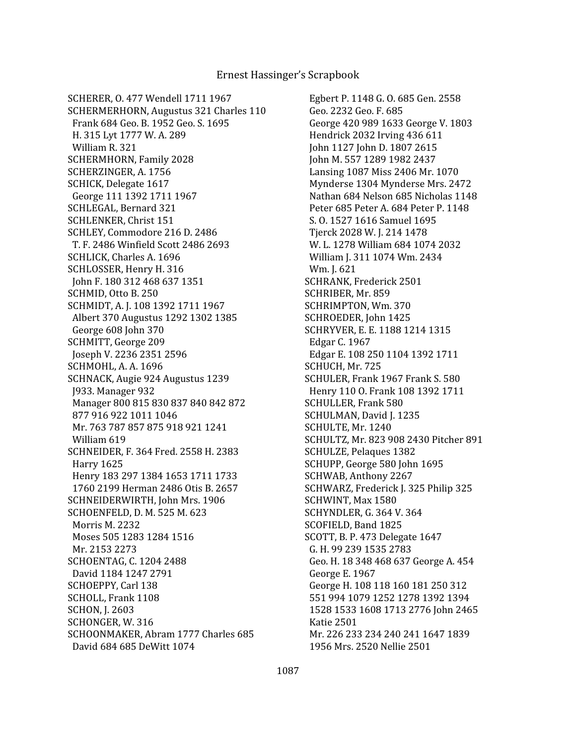SCHERER, O. 477 Wendell 1711 1967 SCHERMERHORN, Augustus 321 Charles 110 Frank 684 Geo. B. 1952 Geo. S. 1695 H. 315 Lyt 1777 W. A. 289 William R. 321 SCHERMHORN, Family 2028 SCHERZINGER, A. 1756 SCHICK, Delegate 1617 George 111 1392 1711 1967 SCHLEGAL, Bernard 321 SCHLENKER, Christ 151 SCHLEY, Commodore 216 D. 2486 T. F. 2486 Winfield Scott 2486 2693 SCHLICK, Charles A. 1696 SCHLOSSER, Henry H. 316 John F. 180 312 468 637 1351 SCHMID, Otto B. 250 SCHMIDT, A. J. 108 1392 1711 1967 Albert 370 Augustus 1292 1302 1385 George 608 John 370 SCHMITT, George 209 Joseph V. 2236 2351 2596 SCHMOHL, A. A. 1696 SCHNACK, Augie 924 Augustus 1239 J933. Manager 932 Manager 800 815 830 837 840 842 872 877 916 922 1011 1046 Mr. 763 787 857 875 918 921 1241 William 619 SCHNEIDER, F. 364 Fred. 2558 H. 2383 Harry 1625 Henry 183 297 1384 1653 1711 1733 1760 2199 Herman 2486 Otis B. 2657 SCHNEIDERWIRTH, John Mrs. 1906 SCHOENFELD, D. M. 525 M. 623 Morris M. 2232 Moses 505 1283 1284 1516 Mr. 2153 2273 SCHOENTAG, C. 1204 2488 David 1184 1247 2791 SCHOEPPY, Carl 138 SCHOLL, Frank 1108 SCHON, J. 2603 SCHONGER, W. 316 SCHOONMAKER, Abram 1777 Charles 685 David 684 685 DeWitt 1074

 Egbert P. 1148 G. O. 685 Gen. 2558 Geo. 2232 Geo. F. 685 George 420 989 1633 George V. 1803 Hendrick 2032 Irving 436 611 John 1127 John D. 1807 2615 John M. 557 1289 1982 2437 Lansing 1087 Miss 2406 Mr. 1070 Mynderse 1304 Mynderse Mrs. 2472 Nathan 684 Nelson 685 Nicholas 1148 Peter 685 Peter A. 684 Peter P. 1148 S. O. 1527 1616 Samuel 1695 Tjerck 2028 W. J. 214 1478 W. L. 1278 William 684 1074 2032 William J. 311 1074 Wm. 2434 Wm. J. 621 SCHRANK, Frederick 2501 SCHRIBER, Mr. 859 SCHRIMPTON, Wm. 370 SCHROEDER, John 1425 SCHRYVER, E. E. 1188 1214 1315 Edgar C. 1967 Edgar E. 108 250 1104 1392 1711 SCHUCH, Mr. 725 SCHULER, Frank 1967 Frank S. 580 Henry 110 O. Frank 108 1392 1711 SCHULLER, Frank 580 SCHULMAN, David J. 1235 SCHULTE, Mr. 1240 SCHULTZ, Mr. 823 908 2430 Pitcher 891 SCHULZE, Pelaques 1382 SCHUPP, George 580 John 1695 SCHWAB, Anthony 2267 SCHWARZ, Frederick J. 325 Philip 325 SCHWINT, Max 1580 SCHYNDLER, G. 364 V. 364 SCOFIELD, Band 1825 SCOTT, B. P. 473 Delegate 1647 G. H. 99 239 1535 2783 Geo. H. 18 348 468 637 George A. 454 George E. 1967 George H. 108 118 160 181 250 312 551 994 1079 1252 1278 1392 1394 1528 1533 1608 1713 2776 John 2465 Katie 2501 Mr. 226 233 234 240 241 1647 1839 1956 Mrs. 2520 Nellie 2501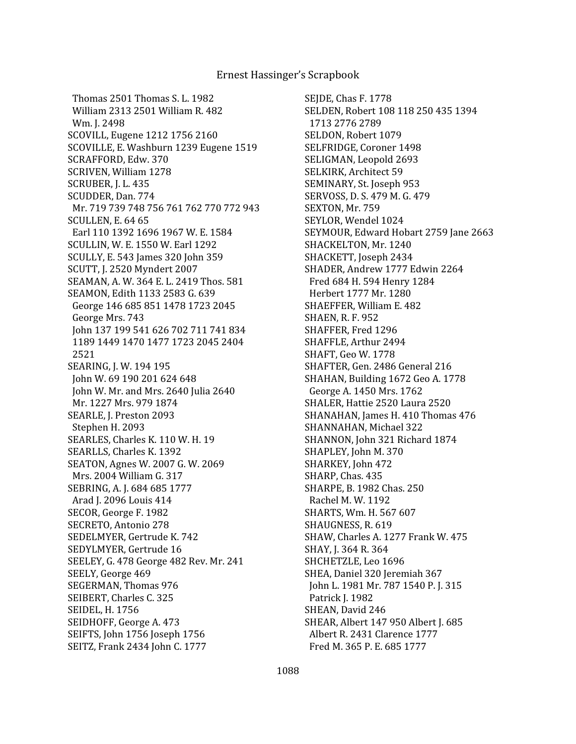Thomas 2501 Thomas S. L. 1982 William 2313 2501 William R. 482 Wm. J. 2498 SCOVILL, Eugene 1212 1756 2160 SCOVILLE, E. Washburn 1239 Eugene 1519 SCRAFFORD, Edw. 370 SCRIVEN, William 1278 SCRUBER, J. L. 435 SCUDDER, Dan. 774 Mr. 719 739 748 756 761 762 770 772 943 SCULLEN, E. 64 65 Earl 110 1392 1696 1967 W. E. 1584 SCULLIN, W. E. 1550 W. Earl 1292 SCULLY, E. 543 James 320 John 359 SCUTT, J. 2520 Myndert 2007 SEAMAN, A. W. 364 E. L. 2419 Thos. 581 SEAMON, Edith 1133 2583 G. 639 George 146 685 851 1478 1723 2045 George Mrs. 743 John 137 199 541 626 702 711 741 834 1189 1449 1470 1477 1723 2045 2404 2521 SEARING, J. W. 194 195 John W. 69 190 201 624 648 John W. Mr. and Mrs. 2640 Julia 2640 Mr. 1227 Mrs. 979 1874 SEARLE, J. Preston 2093 Stephen H. 2093 SEARLES, Charles K. 110 W. H. 19 SEARLLS, Charles K. 1392 SEATON, Agnes W. 2007 G. W. 2069 Mrs. 2004 William G. 317 SEBRING, A. J. 684 685 1777 Arad J. 2096 Louis 414 SECOR, George F. 1982 SECRETO, Antonio 278 SEDELMYER, Gertrude K. 742 SEDYLMYER, Gertrude 16 SEELEY, G. 478 George 482 Rev. Mr. 241 SEELY, George 469 SEGERMAN, Thomas 976 SEIBERT, Charles C. 325 SEIDEL, H. 1756 SEIDHOFF, George A. 473 SEIFTS, John 1756 Joseph 1756 SEITZ, Frank 2434 John C. 1777

SEJDE, Chas F. 1778 SELDEN, Robert 108 118 250 435 1394 1713 2776 2789 SELDON, Robert 1079 SELFRIDGE, Coroner 1498 SELIGMAN, Leopold 2693 SELKIRK, Architect 59 SEMINARY, St. Joseph 953 SERVOSS, D. S. 479 M. G. 479 SEXTON, Mr. 759 SEYLOR, Wendel 1024 SEYMOUR, Edward Hobart 2759 Jane 2663 SHACKELTON, Mr. 1240 SHACKETT, Joseph 2434 SHADER, Andrew 1777 Edwin 2264 Fred 684 H. 594 Henry 1284 Herbert 1777 Mr. 1280 SHAEFFER, William E. 482 SHAEN, R. F. 952 SHAFFER, Fred 1296 SHAFFLE, Arthur 2494 SHAFT, Geo W. 1778 SHAFTER, Gen. 2486 General 216 SHAHAN, Building 1672 Geo A. 1778 George A. 1450 Mrs. 1762 SHALER, Hattie 2520 Laura 2520 SHANAHAN, James H. 410 Thomas 476 SHANNAHAN, Michael 322 SHANNON, John 321 Richard 1874 SHAPLEY, John M. 370 SHARKEY, John 472 SHARP, Chas. 435 SHARPE, B. 1982 Chas. 250 Rachel M. W. 1192 SHARTS, Wm. H. 567 607 SHAUGNESS, R. 619 SHAW, Charles A. 1277 Frank W. 475 SHAY, J. 364 R. 364 SHCHETZLE, Leo 1696 SHEA, Daniel 320 Jeremiah 367 John L. 1981 Mr. 787 1540 P. J. 315 Patrick J. 1982 SHEAN, David 246 SHEAR, Albert 147 950 Albert J. 685 Albert R. 2431 Clarence 1777 Fred M. 365 P. E. 685 1777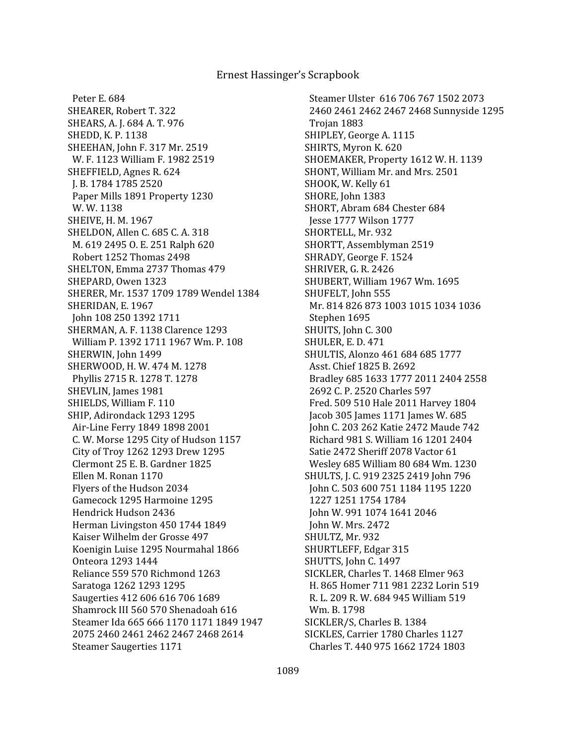Peter E. 684 SHEARER, Robert T. 322 SHEARS, A. J. 684 A. T. 976 SHEDD, K. P. 1138 SHEEHAN, John F. 317 Mr. 2519 W. F. 1123 William F. 1982 2519 SHEFFIELD, Agnes R. 624 J. B. 1784 1785 2520 Paper Mills 1891 Property 1230 W. W. 1138 SHEIVE, H. M. 1967 SHELDON, Allen C. 685 C. A. 318 M. 619 2495 O. E. 251 Ralph 620 Robert 1252 Thomas 2498 SHELTON, Emma 2737 Thomas 479 SHEPARD, Owen 1323 SHERER, Mr. 1537 1709 1789 Wendel 1384 SHERIDAN, E. 1967 John 108 250 1392 1711 SHERMAN, A. F. 1138 Clarence 1293 William P. 1392 1711 1967 Wm. P. 108 SHERWIN, John 1499 SHERWOOD, H. W. 474 M. 1278 Phyllis 2715 R. 1278 T. 1278 SHEVLIN, James 1981 SHIELDS, William F. 110 SHIP, Adirondack 1293 1295 Air-Line Ferry 1849 1898 2001 C. W. Morse 1295 City of Hudson 1157 City of Troy 1262 1293 Drew 1295 Clermont 25 E. B. Gardner 1825 Ellen M. Ronan 1170 Flyers of the Hudson 2034 Gamecock 1295 Harmoine 1295 Hendrick Hudson 2436 Herman Livingston 450 1744 1849 Kaiser Wilhelm der Grosse 497 Koenigin Luise 1295 Nourmahal 1866 Onteora 1293 1444 Reliance 559 570 Richmond 1263 Saratoga 1262 1293 1295 Saugerties 412 606 616 706 1689 Shamrock III 560 570 Shenadoah 616 Steamer Ida 665 666 1170 1171 1849 1947 2075 2460 2461 2462 2467 2468 2614 Steamer Saugerties 1171

 Steamer Ulster 616 706 767 1502 2073 2460 2461 2462 2467 2468 Sunnyside 1295 Trojan 1883 SHIPLEY, George A. 1115 SHIRTS, Myron K. 620 SHOEMAKER, Property 1612 W. H. 1139 SHONT, William Mr. and Mrs. 2501 SHOOK, W. Kelly 61 SHORE, John 1383 SHORT, Abram 684 Chester 684 Jesse 1777 Wilson 1777 SHORTELL, Mr. 932 SHORTT, Assemblyman 2519 SHRADY, George F. 1524 SHRIVER, G. R. 2426 SHUBERT, William 1967 Wm. 1695 SHUFELT, John 555 Mr. 814 826 873 1003 1015 1034 1036 Stephen 1695 SHUITS, John C. 300 SHULER, E. D. 471 SHULTIS, Alonzo 461 684 685 1777 Asst. Chief 1825 B. 2692 Bradley 685 1633 1777 2011 2404 2558 2692 C. P. 2520 Charles 597 Fred. 509 510 Hale 2011 Harvey 1804 Jacob 305 James 1171 James W. 685 John C. 203 262 Katie 2472 Maude 742 Richard 981 S. William 16 1201 2404 Satie 2472 Sheriff 2078 Vactor 61 Wesley 685 William 80 684 Wm. 1230 SHULTS, J. C. 919 2325 2419 John 796 John C. 503 600 751 1184 1195 1220 1227 1251 1754 1784 John W. 991 1074 1641 2046 John W. Mrs. 2472 SHULTZ, Mr. 932 SHURTLEFF, Edgar 315 SHUTTS, John C. 1497 SICKLER, Charles T. 1468 Elmer 963 H. 865 Homer 711 981 2232 Lorin 519 R. L. 209 R. W. 684 945 William 519 Wm. B. 1798 SICKLER/S, Charles B. 1384 SICKLES, Carrier 1780 Charles 1127 Charles T. 440 975 1662 1724 1803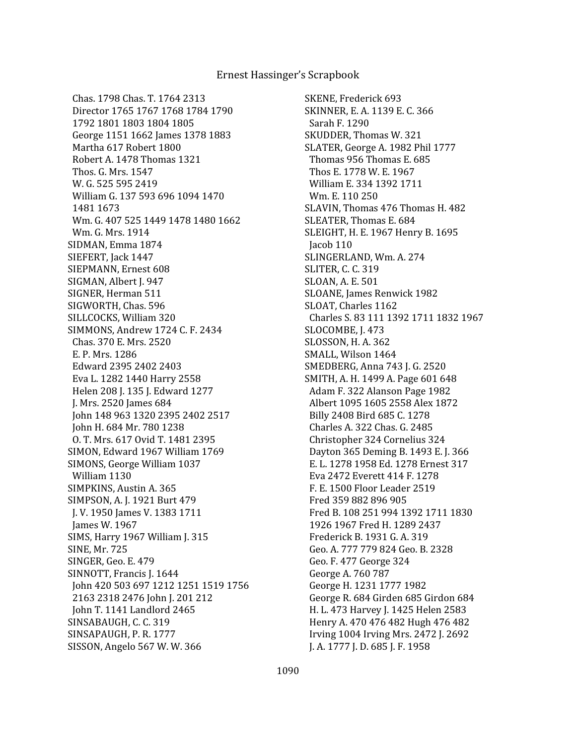Chas. 1798 Chas. T. 1764 2313 Director 1765 1767 1768 1784 1790 1792 1801 1803 1804 1805 George 1151 1662 James 1378 1883 Martha 617 Robert 1800 Robert A. 1478 Thomas 1321 Thos. G. Mrs. 1547 W. G. 525 595 2419 William G. 137 593 696 1094 1470 1481 1673 Wm. G. 407 525 1449 1478 1480 1662 Wm. G. Mrs. 1914 SIDMAN, Emma 1874 SIEFERT, Jack 1447 SIEPMANN, Ernest 608 SIGMAN, Albert J. 947 SIGNER, Herman 511 SIGWORTH, Chas. 596 SILLCOCKS, William 320 SIMMONS, Andrew 1724 C. F. 2434 Chas. 370 E. Mrs. 2520 E. P. Mrs. 1286 Edward 2395 2402 2403 Eva L. 1282 1440 Harry 2558 Helen 208 J. 135 J. Edward 1277 J. Mrs. 2520 James 684 John 148 963 1320 2395 2402 2517 John H. 684 Mr. 780 1238 O. T. Mrs. 617 Ovid T. 1481 2395 SIMON, Edward 1967 William 1769 SIMONS, George William 1037 William 1130 SIMPKINS, Austin A. 365 SIMPSON, A. J. 1921 Burt 479 J. V. 1950 James V. 1383 1711 James W. 1967 SIMS, Harry 1967 William J. 315 SINE, Mr. 725 SINGER, Geo. E. 479 SINNOTT, Francis J. 1644 John 420 503 697 1212 1251 1519 1756 2163 2318 2476 John J. 201 212 John T. 1141 Landlord 2465 SINSABAUGH, C. C. 319 SINSAPAUGH, P. R. 1777 SISSON, Angelo 567 W. W. 366

SKENE, Frederick 693 SKINNER, E. A. 1139 E. C. 366 Sarah F. 1290 SKUDDER, Thomas W. 321 SLATER, George A. 1982 Phil 1777 Thomas 956 Thomas E. 685 Thos E. 1778 W. E. 1967 William E. 334 1392 1711 Wm. E. 110 250 SLAVIN, Thomas 476 Thomas H. 482 SLEATER, Thomas E. 684 SLEIGHT, H. E. 1967 Henry B. 1695 Jacob 110 SLINGERLAND, Wm. A. 274 SLITER, C. C. 319 SLOAN, A. E. 501 SLOANE, James Renwick 1982 SLOAT, Charles 1162 Charles S. 83 111 1392 1711 1832 1967 SLOCOMBE, J. 473 SLOSSON, H. A. 362 SMALL, Wilson 1464 SMEDBERG, Anna 743 J. G. 2520 SMITH, A. H. 1499 A. Page 601 648 Adam F. 322 Alanson Page 1982 Albert 1095 1605 2558 Alex 1872 Billy 2408 Bird 685 C. 1278 Charles A. 322 Chas. G. 2485 Christopher 324 Cornelius 324 Dayton 365 Deming B. 1493 E. J. 366 E. L. 1278 1958 Ed. 1278 Ernest 317 Eva 2472 Everett 414 F. 1278 F. E. 1500 Floor Leader 2519 Fred 359 882 896 905 Fred B. 108 251 994 1392 1711 1830 1926 1967 Fred H. 1289 2437 Frederick B. 1931 G. A. 319 Geo. A. 777 779 824 Geo. B. 2328 Geo. F. 477 George 324 George A. 760 787 George H. 1231 1777 1982 George R. 684 Girden 685 Girdon 684 H. L. 473 Harvey J. 1425 Helen 2583 Henry A. 470 476 482 Hugh 476 482 Irving 1004 Irving Mrs. 2472 J. 2692 J. A. 1777 J. D. 685 J. F. 1958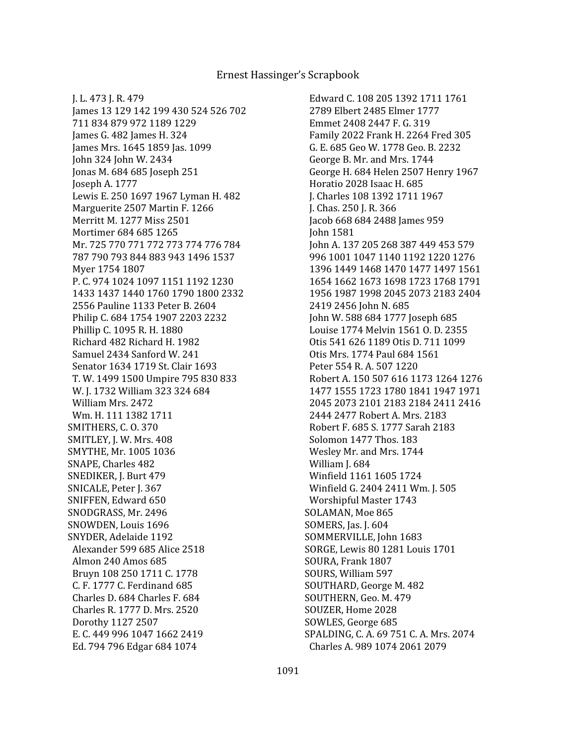J. L. 473 J. R. 479 James 13 129 142 199 430 524 526 702 711 834 879 972 1189 1229 James G. 482 James H. 324 James Mrs. 1645 1859 Jas. 1099 John 324 John W. 2434 Jonas M. 684 685 Joseph 251 Joseph A. 1777 Lewis E. 250 1697 1967 Lyman H. 482 Marguerite 2507 Martin F. 1266 Merritt M. 1277 Miss 2501 Mortimer 684 685 1265 Mr. 725 770 771 772 773 774 776 784 787 790 793 844 883 943 1496 1537 Myer 1754 1807 P. C. 974 1024 1097 1151 1192 1230 1433 1437 1440 1760 1790 1800 2332 2556 Pauline 1133 Peter B. 2604 Philip C. 684 1754 1907 2203 2232 Phillip C. 1095 R. H. 1880 Richard 482 Richard H. 1982 Samuel 2434 Sanford W. 241 Senator 1634 1719 St. Clair 1693 T. W. 1499 1500 Umpire 795 830 833 W. J. 1732 William 323 324 684 William Mrs. 2472 Wm. H. 111 1382 1711 SMITHERS, C. O. 370 SMITLEY, J. W. Mrs. 408 SMYTHE, Mr. 1005 1036 SNAPE, Charles 482 SNEDIKER, J. Burt 479 SNICALE, Peter J. 367 SNIFFEN, Edward 650 SNODGRASS, Mr. 2496 SNOWDEN, Louis 1696 SNYDER, Adelaide 1192 Alexander 599 685 Alice 2518 Almon 240 Amos 685 Bruyn 108 250 1711 C. 1778 C. F. 1777 C. Ferdinand 685 Charles D. 684 Charles F. 684 Charles R. 1777 D. Mrs. 2520 Dorothy 1127 2507 E. C. 449 996 1047 1662 2419 Ed. 794 796 Edgar 684 1074

 Edward C. 108 205 1392 1711 1761 2789 Elbert 2485 Elmer 1777 Emmet 2408 2447 F. G. 319 Family 2022 Frank H. 2264 Fred 305 G. E. 685 Geo W. 1778 Geo. B. 2232 George B. Mr. and Mrs. 1744 George H. 684 Helen 2507 Henry 1967 Horatio 2028 Isaac H. 685 J. Charles 108 1392 1711 1967 J. Chas. 250 J. R. 366 Jacob 668 684 2488 James 959 John 1581 John A. 137 205 268 387 449 453 579 996 1001 1047 1140 1192 1220 1276 1396 1449 1468 1470 1477 1497 1561 1654 1662 1673 1698 1723 1768 1791 1956 1987 1998 2045 2073 2183 2404 2419 2456 John N. 685 John W. 588 684 1777 Joseph 685 Louise 1774 Melvin 1561 O. D. 2355 Otis 541 626 1189 Otis D. 711 1099 Otis Mrs. 1774 Paul 684 1561 Peter 554 R. A. 507 1220 Robert A. 150 507 616 1173 1264 1276 1477 1555 1723 1780 1841 1947 1971 2045 2073 2101 2183 2184 2411 2416 2444 2477 Robert A. Mrs. 2183 Robert F. 685 S. 1777 Sarah 2183 Solomon 1477 Thos. 183 Wesley Mr. and Mrs. 1744 William J. 684 Winfield 1161 1605 1724 Winfield G. 2404 2411 Wm. J. 505 Worshipful Master 1743 SOLAMAN, Moe 865 SOMERS, Jas. J. 604 SOMMERVILLE, John 1683 SORGE, Lewis 80 1281 Louis 1701 SOURA, Frank 1807 SOURS, William 597 SOUTHARD, George M. 482 SOUTHERN, Geo. M. 479 SOUZER, Home 2028 SOWLES, George 685 SPALDING, C. A. 69 751 C. A. Mrs. 2074 Charles A. 989 1074 2061 2079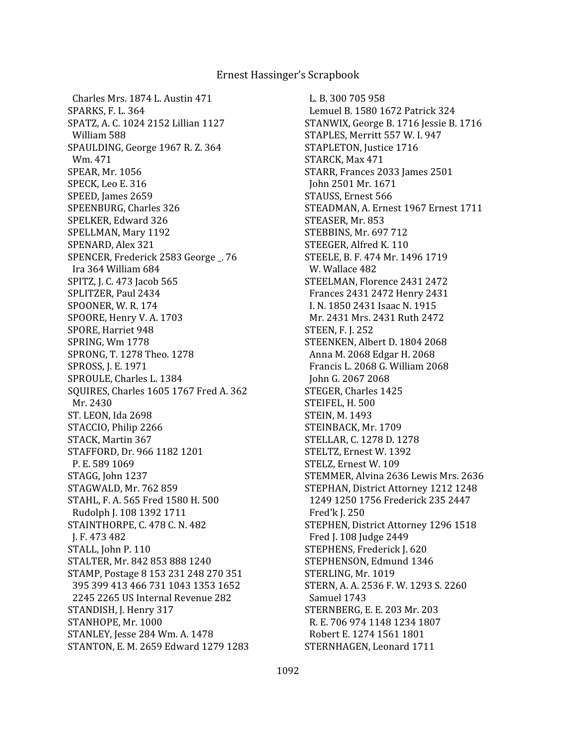Charles Mrs. 1874 L. Austin 471 SPARKS, F. L. 364 SPATZ, A. C. 1024 2152 Lillian 1127 William 588 SPAULDING, George 1967 R. Z. 364 Wm. 471 SPEAR, Mr. 1056 SPECK, Leo E. 316 SPEED, James 2659 SPEENBURG, Charles 326 SPELKER, Edward 326 SPELLMAN, Mary 1192 SPENARD, Alex 321 SPENCER, Frederick 2583 George \_. 76 Ira 364 William 684 SPITZ, J. C. 473 Jacob 565 SPLITZER, Paul 2434 SPOONER, W. R. 174 SPOORE, Henry V. A. 1703 SPORE, Harriet 948 SPRING, Wm 1778 SPRONG, T. 1278 Theo. 1278 SPROSS, J. E. 1971 SPROULE, Charles L. 1384 SQUIRES, Charles 1605 1767 Fred A. 362 Mr. 2430 ST. LEON, Ida 2698 STACCIO, Philip 2266 STACK, Martin 367 STAFFORD, Dr. 966 1182 1201 P. E. 589 1069 STAGG, John 1237 STAGWALD, Mr. 762 859 STAHL, F. A. 565 Fred 1580 H. 500 Rudolph J. 108 1392 1711 STAINTHORPE, C. 478 C. N. 482 J. F. 473 482 STALL, John P. 110 STALTER, Mr. 842 853 888 1240 STAMP, Postage 8 153 231 248 270 351 395 399 413 466 731 1043 1353 1652 2245 2265 US Internal Revenue 282 STANDISH, J. Henry 317 STANHOPE, Mr. 1000 STANLEY, Jesse 284 Wm. A. 1478 STANTON, E. M. 2659 Edward 1279 1283

 L. B. 300 705 958 Lemuel B. 1580 1672 Patrick 324 STANWIX, George B. 1716 Jessie B. 1716 STAPLES, Merritt 557 W. I. 947 STAPLETON, Justice 1716 STARCK, Max 471 STARR, Frances 2033 James 2501 John 2501 Mr. 1671 STAUSS, Ernest 566 STEADMAN, A. Ernest 1967 Ernest 1711 STEASER, Mr. 853 STEBBINS, Mr. 697 712 STEEGER, Alfred K. 110 STEELE, B. F. 474 Mr. 1496 1719 W. Wallace 482 STEELMAN, Florence 2431 2472 Frances 2431 2472 Henry 2431 I. N. 1850 2431 Isaac N. 1915 Mr. 2431 Mrs. 2431 Ruth 2472 STEEN, F. J. 252 STEENKEN, Albert D. 1804 2068 Anna M. 2068 Edgar H. 2068 Francis L. 2068 G. William 2068 John G. 2067 2068 STEGER, Charles 1425 STEIFEL, H. 500 STEIN, M. 1493 STEINBACK, Mr. 1709 STELLAR, C. 1278 D. 1278 STELTZ, Ernest W. 1392 STELZ, Ernest W. 109 STEMMER, Alvina 2636 Lewis Mrs. 2636 STEPHAN, District Attorney 1212 1248 1249 1250 1756 Frederick 235 2447 Fred'k J. 250 STEPHEN, District Attorney 1296 1518 Fred J. 108 Judge 2449 STEPHENS, Frederick J. 620 STEPHENSON, Edmund 1346 STERLING, Mr. 1019 STERN, A. A. 2536 F. W. 1293 S. 2260 Samuel 1743 STERNBERG, E. E. 203 Mr. 203 R. E. 706 974 1148 1234 1807 Robert E. 1274 1561 1801 STERNHAGEN, Leonard 1711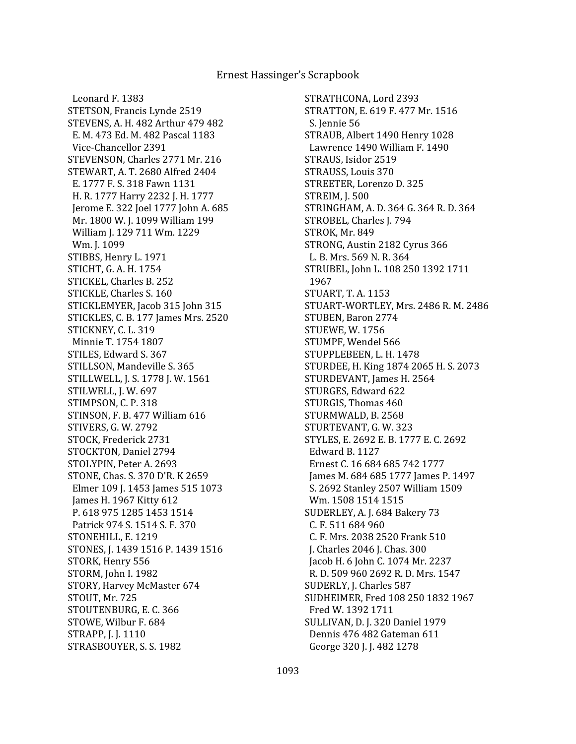Leonard F. 1383 STETSON, Francis Lynde 2519 STEVENS, A. H. 482 Arthur 479 482 E. M. 473 Ed. M. 482 Pascal 1183 Vice-Chancellor 2391 STEVENSON, Charles 2771 Mr. 216 STEWART, A. T. 2680 Alfred 2404 E. 1777 F. S. 318 Fawn 1131 H. R. 1777 Harry 2232 J. H. 1777 Jerome E. 322 Joel 1777 John A. 685 Mr. 1800 W. J. 1099 William 199 William J. 129 711 Wm. 1229 Wm. J. 1099 STIBBS, Henry L. 1971 STICHT, G. A. H. 1754 STICKEL, Charles B. 252 STICKLE, Charles S. 160 STICKLEMYER, Jacob 315 John 315 STICKLES, C. B. 177 James Mrs. 2520 STICKNEY, C. L. 319 Minnie T. 1754 1807 STILES, Edward S. 367 STILLSON, Mandeville S. 365 STILLWELL, J. S. 1778 J. W. 1561 STILWELL, J. W. 697 STIMPSON, C. P. 318 STINSON, F. B. 477 William 616 STIVERS, G. W. 2792 STOCK, Frederick 2731 STOCKTON, Daniel 2794 STOLYPIN, Peter A. 2693 STONE, Chas. S. 370 D'R. K 2659 Elmer 109 J. 1453 James 515 1073 James H. 1967 Kitty 612 P. 618 975 1285 1453 1514 Patrick 974 S. 1514 S. F. 370 STONEHILL, E. 1219 STONES, J. 1439 1516 P. 1439 1516 STORK, Henry 556 STORM, John I. 1982 STORY, Harvey McMaster 674 STOUT, Mr. 725 STOUTENBURG, E. C. 366 STOWE, Wilbur F. 684 STRAPP, J. J. 1110 STRASBOUYER, S. S. 1982

STRATHCONA, Lord 2393 STRATTON, E. 619 F. 477 Mr. 1516 S. Jennie 56 STRAUB, Albert 1490 Henry 1028 Lawrence 1490 William F. 1490 STRAUS, Isidor 2519 STRAUSS, Louis 370 STREETER, Lorenzo D. 325 STREIM, J. 500 STRINGHAM, A. D. 364 G. 364 R. D. 364 STROBEL, Charles J. 794 STROK, Mr. 849 STRONG, Austin 2182 Cyrus 366 L. B. Mrs. 569 N. R. 364 STRUBEL, John L. 108 250 1392 1711 1967 STUART, T. A. 1153 STUART-WORTLEY, Mrs. 2486 R. M. 2486 STUBEN, Baron 2774 STUEWE, W. 1756 STUMPF, Wendel 566 STUPPLEBEEN, L. H. 1478 STURDEE, H. King 1874 2065 H. S. 2073 STURDEVANT, James H. 2564 STURGES, Edward 622 STURGIS, Thomas 460 STURMWALD, B. 2568 STURTEVANT, G. W. 323 STYLES, E. 2692 E. B. 1777 E. C. 2692 Edward B. 1127 Ernest C. 16 684 685 742 1777 James M. 684 685 1777 James P. 1497 S. 2692 Stanley 2507 William 1509 Wm. 1508 1514 1515 SUDERLEY, A. J. 684 Bakery 73 C. F. 511 684 960 C. F. Mrs. 2038 2520 Frank 510 J. Charles 2046 J. Chas. 300 Jacob H. 6 John C. 1074 Mr. 2237 R. D. 509 960 2692 R. D. Mrs. 1547 SUDERLY, J. Charles 587 SUDHEIMER, Fred 108 250 1832 1967 Fred W. 1392 1711 SULLIVAN, D. J. 320 Daniel 1979 Dennis 476 482 Gateman 611 George 320 J. J. 482 1278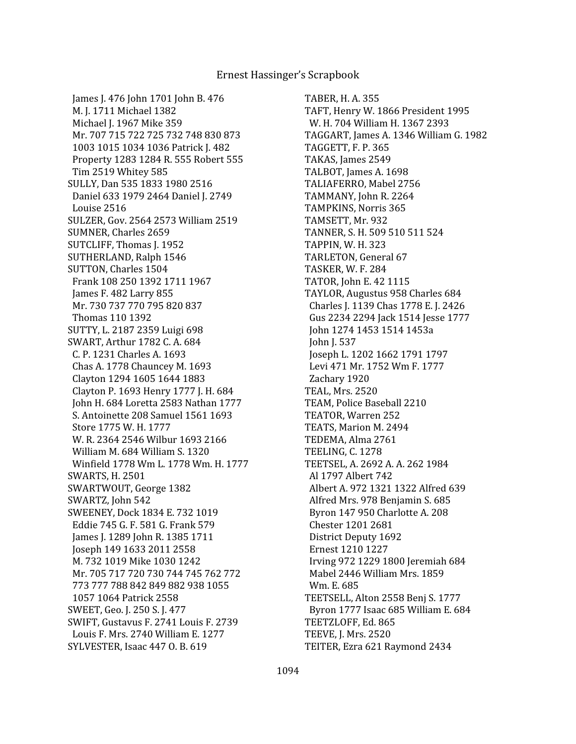James J. 476 John 1701 John B. 476 M. J. 1711 Michael 1382 Michael J. 1967 Mike 359 Mr. 707 715 722 725 732 748 830 873 1003 1015 1034 1036 Patrick J. 482 Property 1283 1284 R. 555 Robert 555 Tim 2519 Whitey 585 SULLY, Dan 535 1833 1980 2516 Daniel 633 1979 2464 Daniel J. 2749 Louise 2516 SULZER, Gov. 2564 2573 William 2519 SUMNER, Charles 2659 SUTCLIFF, Thomas J. 1952 SUTHERLAND, Ralph 1546 SUTTON, Charles 1504 Frank 108 250 1392 1711 1967 James F. 482 Larry 855 Mr. 730 737 770 795 820 837 Thomas 110 1392 SUTTY, L. 2187 2359 Luigi 698 SWART, Arthur 1782 C. A. 684 C. P. 1231 Charles A. 1693 Chas A. 1778 Chauncey M. 1693 Clayton 1294 1605 1644 1883 Clayton P. 1693 Henry 1777 J. H. 684 John H. 684 Loretta 2583 Nathan 1777 S. Antoinette 208 Samuel 1561 1693 Store 1775 W. H. 1777 W. R. 2364 2546 Wilbur 1693 2166 William M. 684 William S. 1320 Winfield 1778 Wm L. 1778 Wm. H. 1777 SWARTS, H. 2501 SWARTWOUT, George 1382 SWARTZ, John 542 SWEENEY, Dock 1834 E. 732 1019 Eddie 745 G. F. 581 G. Frank 579 James J. 1289 John R. 1385 1711 Joseph 149 1633 2011 2558 M. 732 1019 Mike 1030 1242 Mr. 705 717 720 730 744 745 762 772 773 777 788 842 849 882 938 1055 1057 1064 Patrick 2558 SWEET, Geo. J. 250 S. J. 477 SWIFT, Gustavus F. 2741 Louis F. 2739 Louis F. Mrs. 2740 William E. 1277 SYLVESTER, Isaac 447 O. B. 619

TABER, H. A. 355 TAFT, Henry W. 1866 President 1995 W. H. 704 William H. 1367 2393 TAGGART, James A. 1346 William G. 1982 TAGGETT, F. P. 365 TAKAS, James 2549 TALBOT, James A. 1698 TALIAFERRO, Mabel 2756 TAMMANY, John R. 2264 TAMPKINS, Norris 365 TAMSETT, Mr. 932 TANNER, S. H. 509 510 511 524 TAPPIN, W. H. 323 TARLETON, General 67 TASKER, W. F. 284 TATOR, John E. 42 1115 TAYLOR, Augustus 958 Charles 684 Charles J. 1139 Chas 1778 E. J. 2426 Gus 2234 2294 Jack 1514 Jesse 1777 John 1274 1453 1514 1453a John J. 537 Joseph L. 1202 1662 1791 1797 Levi 471 Mr. 1752 Wm F. 1777 Zachary 1920 TEAL, Mrs. 2520 TEAM, Police Baseball 2210 TEATOR, Warren 252 TEATS, Marion M. 2494 TEDEMA, Alma 2761 TEELING, C. 1278 TEETSEL, A. 2692 A. A. 262 1984 Al 1797 Albert 742 Albert A. 972 1321 1322 Alfred 639 Alfred Mrs. 978 Benjamin S. 685 Byron 147 950 Charlotte A. 208 Chester 1201 2681 District Deputy 1692 Ernest 1210 1227 Irving 972 1229 1800 Jeremiah 684 Mabel 2446 William Mrs. 1859 Wm. E. 685 TEETSELL, Alton 2558 Benj S. 1777 Byron 1777 Isaac 685 William E. 684 TEETZLOFF, Ed. 865 TEEVE, J. Mrs. 2520 TEITER, Ezra 621 Raymond 2434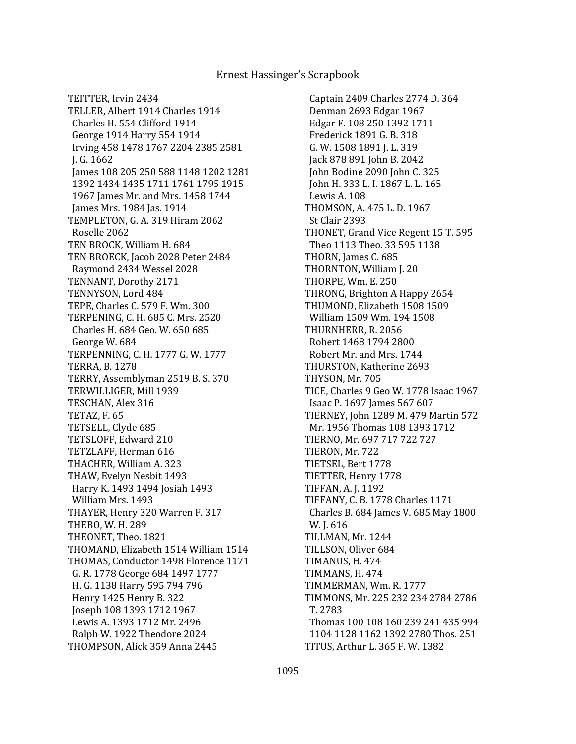TEITTER, Irvin 2434 TELLER, Albert 1914 Charles 1914 Charles H. 554 Clifford 1914 George 1914 Harry 554 1914 Irving 458 1478 1767 2204 2385 2581 J. G. 1662 James 108 205 250 588 1148 1202 1281 1392 1434 1435 1711 1761 1795 1915 1967 James Mr. and Mrs. 1458 1744 James Mrs. 1984 Jas. 1914 TEMPLETON, G. A. 319 Hiram 2062 Roselle 2062 TEN BROCK, William H. 684 TEN BROECK, Jacob 2028 Peter 2484 Raymond 2434 Wessel 2028 TENNANT, Dorothy 2171 TENNYSON, Lord 484 TEPE, Charles C. 579 F. Wm. 300 TERPENING, C. H. 685 C. Mrs. 2520 Charles H. 684 Geo. W. 650 685 George W. 684 TERPENNING, C. H. 1777 G. W. 1777 TERRA, B. 1278 TERRY, Assemblyman 2519 B. S. 370 TERWILLIGER, Mill 1939 TESCHAN, Alex 316 TETAZ, F. 65 TETSELL, Clyde 685 TETSLOFF, Edward 210 TETZLAFF, Herman 616 THACHER, William A. 323 THAW, Evelyn Nesbit 1493 Harry K. 1493 1494 Josiah 1493 William Mrs. 1493 THAYER, Henry 320 Warren F. 317 THEBO, W. H. 289 THEONET, Theo. 1821 THOMAND, Elizabeth 1514 William 1514 THOMAS, Conductor 1498 Florence 1171 G. R. 1778 George 684 1497 1777 H. G. 1138 Harry 595 794 796 Henry 1425 Henry B. 322 Joseph 108 1393 1712 1967 Lewis A. 1393 1712 Mr. 2496 Ralph W. 1922 Theodore 2024 THOMPSON, Alick 359 Anna 2445

 Captain 2409 Charles 2774 D. 364 Denman 2693 Edgar 1967 Edgar F. 108 250 1392 1711 Frederick 1891 G. B. 318 G. W. 1508 1891 J. L. 319 Jack 878 891 John B. 2042 John Bodine 2090 John C. 325 John H. 333 L. I. 1867 L. L. 165 Lewis A. 108 THOMSON, A. 475 L. D. 1967 St Clair 2393 THONET, Grand Vice Regent 15 T. 595 Theo 1113 Theo. 33 595 1138 THORN, James C. 685 THORNTON, William J. 20 THORPE, Wm. E. 250 THRONG, Brighton A Happy 2654 THUMOND, Elizabeth 1508 1509 William 1509 Wm. 194 1508 THURNHERR, R. 2056 Robert 1468 1794 2800 Robert Mr. and Mrs. 1744 THURSTON, Katherine 2693 THYSON, Mr. 705 TICE, Charles 9 Geo W. 1778 Isaac 1967 Isaac P. 1697 James 567 607 TIERNEY, John 1289 M. 479 Martin 572 Mr. 1956 Thomas 108 1393 1712 TIERNO, Mr. 697 717 722 727 TIERON, Mr. 722 TIETSEL, Bert 1778 TIETTER, Henry 1778 TIFFAN, A. J. 1192 TIFFANY, C. B. 1778 Charles 1171 Charles B. 684 James V. 685 May 1800 W. J. 616 TILLMAN, Mr. 1244 TILLSON, Oliver 684 TIMANUS, H. 474 TIMMANS, H. 474 TIMMERMAN, Wm. R. 1777 TIMMONS, Mr. 225 232 234 2784 2786 T. 2783 Thomas 100 108 160 239 241 435 994 1104 1128 1162 1392 2780 Thos. 251 TITUS, Arthur L. 365 F. W. 1382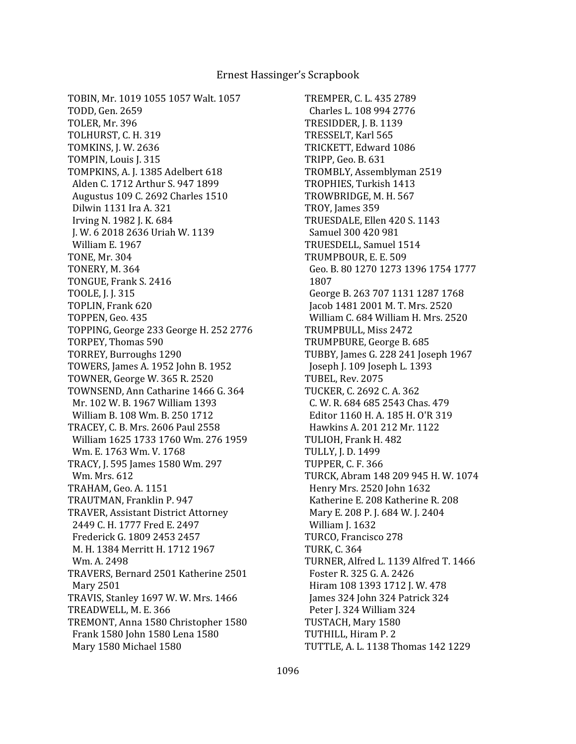TOBIN, Mr. 1019 1055 1057 Walt. 1057 TODD, Gen. 2659 TOLER, Mr. 396 TOLHURST, C. H. 319 TOMKINS, J. W. 2636 TOMPIN, Louis J. 315 TOMPKINS, A. J. 1385 Adelbert 618 Alden C. 1712 Arthur S. 947 1899 Augustus 109 C. 2692 Charles 1510 Dilwin 1131 Ira A. 321 Irving N. 1982 J. K. 684 J. W. 6 2018 2636 Uriah W. 1139 William E. 1967 TONE, Mr. 304 TONERY, M. 364 TONGUE, Frank S. 2416 TOOLE, J. J. 315 TOPLIN, Frank 620 TOPPEN, Geo. 435 TOPPING, George 233 George H. 252 2776 TORPEY, Thomas 590 TORREY, Burroughs 1290 TOWERS, James A. 1952 John B. 1952 TOWNER, George W. 365 R. 2520 TOWNSEND, Ann Catharine 1466 G. 364 Mr. 102 W. B. 1967 William 1393 William B. 108 Wm. B. 250 1712 TRACEY, C. B. Mrs. 2606 Paul 2558 William 1625 1733 1760 Wm. 276 1959 Wm. E. 1763 Wm. V. 1768 TRACY, J. 595 James 1580 Wm. 297 Wm. Mrs. 612 TRAHAM, Geo. A. 1151 TRAUTMAN, Franklin P. 947 TRAVER, Assistant District Attorney 2449 C. H. 1777 Fred E. 2497 Frederick G. 1809 2453 2457 M. H. 1384 Merritt H. 1712 1967 Wm. A. 2498 TRAVERS, Bernard 2501 Katherine 2501 Mary 2501 TRAVIS, Stanley 1697 W. W. Mrs. 1466 TREADWELL, M. E. 366 TREMONT, Anna 1580 Christopher 1580 Frank 1580 John 1580 Lena 1580 Mary 1580 Michael 1580

TREMPER, C. L. 435 2789 Charles L. 108 994 2776 TRESIDDER, J. B. 1139 TRESSELT, Karl 565 TRICKETT, Edward 1086 TRIPP, Geo. B. 631 TROMBLY, Assemblyman 2519 TROPHIES, Turkish 1413 TROWBRIDGE, M. H. 567 TROY, James 359 TRUESDALE, Ellen 420 S. 1143 Samuel 300 420 981 TRUESDELL, Samuel 1514 TRUMPBOUR, E. E. 509 Geo. B. 80 1270 1273 1396 1754 1777 1807 George B. 263 707 1131 1287 1768 Jacob 1481 2001 M. T. Mrs. 2520 William C. 684 William H. Mrs. 2520 TRUMPBULL, Miss 2472 TRUMPBURE, George B. 685 TUBBY, James G. 228 241 Joseph 1967 Joseph J. 109 Joseph L. 1393 TUBEL, Rev. 2075 TUCKER, C. 2692 C. A. 362 C. W. R. 684 685 2543 Chas. 479 Editor 1160 H. A. 185 H. O'R 319 Hawkins A. 201 212 Mr. 1122 TULIOH, Frank H. 482 TULLY, J. D. 1499 TUPPER, C. F. 366 TURCK, Abram 148 209 945 H. W. 1074 Henry Mrs. 2520 John 1632 Katherine E. 208 Katherine R. 208 Mary E. 208 P. J. 684 W. J. 2404 William J. 1632 TURCO, Francisco 278 TURK, C. 364 TURNER, Alfred L. 1139 Alfred T. 1466 Foster R. 325 G. A. 2426 Hiram 108 1393 1712 J. W. 478 James 324 John 324 Patrick 324 Peter J. 324 William 324 TUSTACH, Mary 1580 TUTHILL, Hiram P. 2 TUTTLE, A. L. 1138 Thomas 142 1229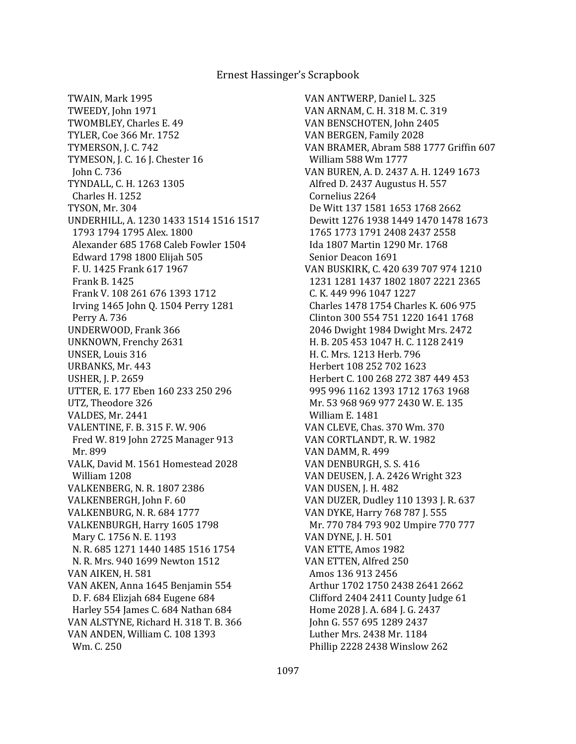TWAIN, Mark 1995 TWEEDY, John 1971 TWOMBLEY, Charles E. 49 TYLER, Coe 366 Mr. 1752 TYMERSON, J. C. 742 TYMESON, J. C. 16 J. Chester 16 John C. 736 TYNDALL, C. H. 1263 1305 Charles H. 1252 TYSON, Mr. 304 UNDERHILL, A. 1230 1433 1514 1516 1517 1793 1794 1795 Alex. 1800 Alexander 685 1768 Caleb Fowler 1504 Edward 1798 1800 Elijah 505 F. U. 1425 Frank 617 1967 Frank B. 1425 Frank V. 108 261 676 1393 1712 Irving 1465 John Q. 1504 Perry 1281 Perry A. 736 UNDERWOOD, Frank 366 UNKNOWN, Frenchy 2631 UNSER, Louis 316 URBANKS, Mr. 443 USHER, J. P. 2659 UTTER, E. 177 Eben 160 233 250 296 UTZ, Theodore 326 VALDES, Mr. 2441 VALENTINE, F. B. 315 F. W. 906 Fred W. 819 John 2725 Manager 913 Mr. 899 VALK, David M. 1561 Homestead 2028 William 1208 VALKENBERG, N. R. 1807 2386 VALKENBERGH, John F. 60 VALKENBURG, N. R. 684 1777 VALKENBURGH, Harry 1605 1798 Mary C. 1756 N. E. 1193 N. R. 685 1271 1440 1485 1516 1754 N. R. Mrs. 940 1699 Newton 1512 VAN AIKEN, H. 581 VAN AKEN, Anna 1645 Benjamin 554 D. F. 684 Elizjah 684 Eugene 684 Harley 554 James C. 684 Nathan 684 VAN ALSTYNE, Richard H. 318 T. B. 366 VAN ANDEN, William C. 108 1393 Wm. C. 250

VAN ANTWERP, Daniel L. 325 VAN ARNAM, C. H. 318 M. C. 319 VAN BENSCHOTEN, John 2405 VAN BERGEN, Family 2028 VAN BRAMER, Abram 588 1777 Griffin 607 William 588 Wm 1777 VAN BUREN, A. D. 2437 A. H. 1249 1673 Alfred D. 2437 Augustus H. 557 Cornelius 2264 De Witt 137 1581 1653 1768 2662 Dewitt 1276 1938 1449 1470 1478 1673 1765 1773 1791 2408 2437 2558 Ida 1807 Martin 1290 Mr. 1768 Senior Deacon 1691 VAN BUSKIRK, C. 420 639 707 974 1210 1231 1281 1437 1802 1807 2221 2365 C. K. 449 996 1047 1227 Charles 1478 1754 Charles K. 606 975 Clinton 300 554 751 1220 1641 1768 2046 Dwight 1984 Dwight Mrs. 2472 H. B. 205 453 1047 H. C. 1128 2419 H. C. Mrs. 1213 Herb. 796 Herbert 108 252 702 1623 Herbert C. 100 268 272 387 449 453 995 996 1162 1393 1712 1763 1968 Mr. 53 968 969 977 2430 W. E. 135 William E. 1481 VAN CLEVE, Chas. 370 Wm. 370 VAN CORTLANDT, R. W. 1982 VAN DAMM, R. 499 VAN DENBURGH, S. S. 416 VAN DEUSEN, J. A. 2426 Wright 323 VAN DUSEN, J. H. 482 VAN DUZER, Dudley 110 1393 J. R. 637 VAN DYKE, Harry 768 787 J. 555 Mr. 770 784 793 902 Umpire 770 777 VAN DYNE, J. H. 501 VAN ETTE, Amos 1982 VAN ETTEN, Alfred 250 Amos 136 913 2456 Arthur 1702 1750 2438 2641 2662 Clifford 2404 2411 County Judge 61 Home 2028 J. A. 684 J. G. 2437 John G. 557 695 1289 2437 Luther Mrs. 2438 Mr. 1184 Phillip 2228 2438 Winslow 262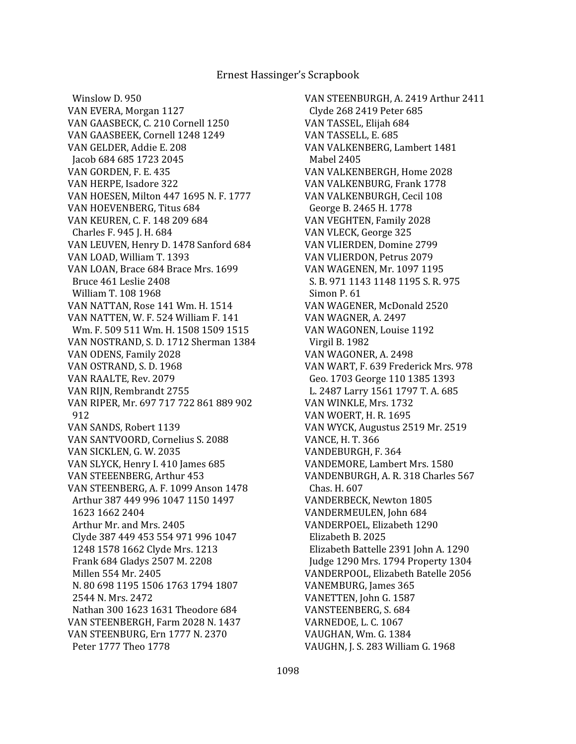Winslow D. 950 VAN EVERA, Morgan 1127 VAN GAASBECK, C. 210 Cornell 1250 VAN GAASBEEK, Cornell 1248 1249 VAN GELDER, Addie E. 208 Jacob 684 685 1723 2045 VAN GORDEN, F. E. 435 VAN HERPE, Isadore 322 VAN HOESEN, Milton 447 1695 N. F. 1777 VAN HOEVENBERG, Titus 684 VAN KEUREN, C. F. 148 209 684 Charles F. 945 J. H. 684 VAN LEUVEN, Henry D. 1478 Sanford 684 VAN LOAD, William T. 1393 VAN LOAN, Brace 684 Brace Mrs. 1699 Bruce 461 Leslie 2408 William T. 108 1968 VAN NATTAN, Rose 141 Wm. H. 1514 VAN NATTEN, W. F. 524 William F. 141 Wm. F. 509 511 Wm. H. 1508 1509 1515 VAN NOSTRAND, S. D. 1712 Sherman 1384 VAN ODENS, Family 2028 VAN OSTRAND, S. D. 1968 VAN RAALTE, Rev. 2079 VAN RIJN, Rembrandt 2755 VAN RIPER, Mr. 697 717 722 861 889 902 912 VAN SANDS, Robert 1139 VAN SANTVOORD, Cornelius S. 2088 VAN SICKLEN, G. W. 2035 VAN SLYCK, Henry I. 410 James 685 VAN STEEENBERG, Arthur 453 VAN STEENBERG, A. F. 1099 Anson 1478 Arthur 387 449 996 1047 1150 1497 1623 1662 2404 Arthur Mr. and Mrs. 2405 Clyde 387 449 453 554 971 996 1047 1248 1578 1662 Clyde Mrs. 1213 Frank 684 Gladys 2507 M. 2208 Millen 554 Mr. 2405 N. 80 698 1195 1506 1763 1794 1807 2544 N. Mrs. 2472 Nathan 300 1623 1631 Theodore 684 VAN STEENBERGH, Farm 2028 N. 1437 VAN STEENBURG, Ern 1777 N. 2370 Peter 1777 Theo 1778

VAN STEENBURGH, A. 2419 Arthur 2411 Clyde 268 2419 Peter 685 VAN TASSEL, Elijah 684 VAN TASSELL, E. 685 VAN VALKENBERG, Lambert 1481 Mabel 2405 VAN VALKENBERGH, Home 2028 VAN VALKENBURG, Frank 1778 VAN VALKENBURGH, Cecil 108 George B. 2465 H. 1778 VAN VEGHTEN, Family 2028 VAN VLECK, George 325 VAN VLIERDEN, Domine 2799 VAN VLIERDON, Petrus 2079 VAN WAGENEN, Mr. 1097 1195 S. B. 971 1143 1148 1195 S. R. 975 Simon P. 61 VAN WAGENER, McDonald 2520 VAN WAGNER, A. 2497 VAN WAGONEN, Louise 1192 Virgil B. 1982 VAN WAGONER, A. 2498 VAN WART, F. 639 Frederick Mrs. 978 Geo. 1703 George 110 1385 1393 L. 2487 Larry 1561 1797 T. A. 685 VAN WINKLE, Mrs. 1732 VAN WOERT, H. R. 1695 VAN WYCK, Augustus 2519 Mr. 2519 VANCE, H. T. 366 VANDEBURGH, F. 364 VANDEMORE, Lambert Mrs. 1580 VANDENBURGH, A. R. 318 Charles 567 Chas. H. 607 VANDERBECK, Newton 1805 VANDERMEULEN, John 684 VANDERPOEL, Elizabeth 1290 Elizabeth B. 2025 Elizabeth Battelle 2391 John A. 1290 Judge 1290 Mrs. 1794 Property 1304 VANDERPOOL, Elizabeth Batelle 2056 VANEMBURG, James 365 VANETTEN, John G. 1587 VANSTEENBERG, S. 684 VARNEDOE, L. C. 1067 VAUGHAN, Wm. G. 1384 VAUGHN, J. S. 283 William G. 1968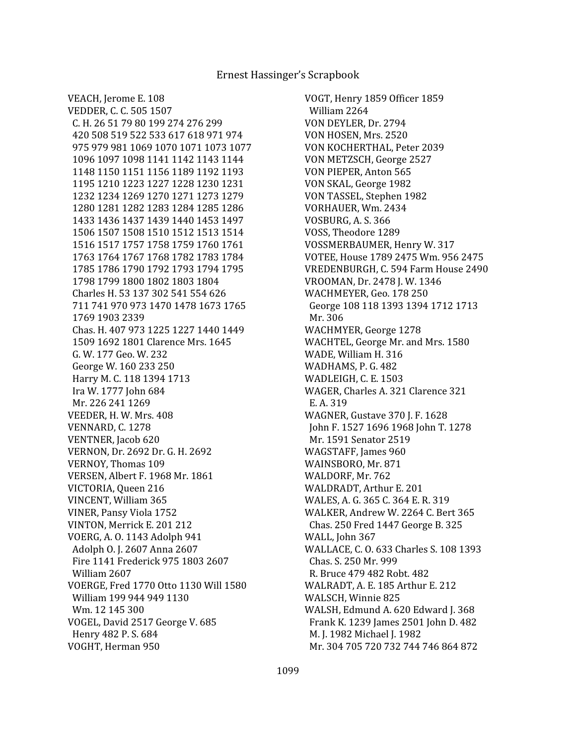VOGT, Henry 1859 Officer 1859 William 2264 VON DEYLER, Dr. 2794 VON HOSEN, Mrs. 2520 VON KOCHERTHAL, Peter 2039 VON METZSCH, George 2527 VON PIEPER, Anton 565 VON SKAL, George 1982 VON TASSEL, Stephen 1982 VORHAUER, Wm. 2434 VOSBURG, A. S. 366 VOSS, Theodore 1289 VOSSMERBAUMER, Henry W. 317 VOTEE, House 1789 2475 Wm. 956 2475 VREDENBURGH, C. 594 Farm House 2490 VROOMAN, Dr. 2478 J. W. 1346 WACHMEYER, Geo. 178 250 George 108 118 1393 1394 1712 1713 Mr. 306 WACHMYER, George 1278 WACHTEL, George Mr. and Mrs. 1580 WADE, William H. 316 WADHAMS, P. G. 482 WADLEIGH, C. E. 1503 WAGER, Charles A. 321 Clarence 321 E. A. 319 WAGNER, Gustave 370 J. F. 1628 John F. 1527 1696 1968 John T. 1278 Mr. 1591 Senator 2519 WAGSTAFF, James 960 WAINSBORO, Mr. 871 WALDORF, Mr. 762 WALDRADT, Arthur E. 201 WALES, A. G. 365 C. 364 E. R. 319 WALKER, Andrew W. 2264 C. Bert 365 Chas. 250 Fred 1447 George B. 325 WALL, John 367 WALLACE, C. O. 633 Charles S. 108 1393 Chas. S. 250 Mr. 999 R. Bruce 479 482 Robt. 482 WALRADT, A. E. 185 Arthur E. 212 WALSCH, Winnie 825 WALSH, Edmund A. 620 Edward J. 368 Frank K. 1239 James 2501 John D. 482 M. J. 1982 Michael J. 1982 Mr. 304 705 720 732 744 746 864 872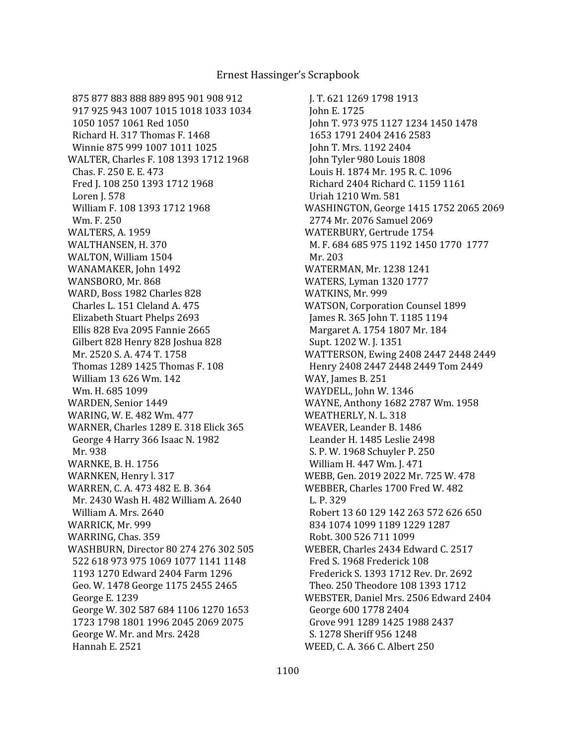875 877 883 888 889 895 901 908 912 917 925 943 1007 1015 1018 1033 1034 1050 1057 1061 Red 1050 Richard H. 317 Thomas F. 1468 Winnie 875 999 1007 1011 1025 WALTER, Charles F. 108 1393 1712 1968 Chas. F. 250 E. E. 473 Fred J. 108 250 1393 1712 1968 Loren J. 578 William F. 108 1393 1712 1968 Wm. F. 250 WALTERS, A. 1959 WALTHANSEN, H. 370 WALTON, William 1504 WANAMAKER, John 1492 WANSBORO, Mr. 868 WARD, Boss 1982 Charles 828 Charles L. 151 Cleland A. 475 Elizabeth Stuart Phelps 2693 Ellis 828 Eva 2095 Fannie 2665 Gilbert 828 Henry 828 Joshua 828 Mr. 2520 S. A. 474 T. 1758 Thomas 1289 1425 Thomas F. 108 William 13 626 Wm. 142 Wm. H. 685 1099 WARDEN, Senior 1449 WARING, W. E. 482 Wm. 477 WARNER, Charles 1289 E. 318 Elick 365 George 4 Harry 366 Isaac N. 1982 Mr. 938 WARNKE, B. H. 1756 WARNKEN, Henry l. 317 WARREN, C. A. 473 482 E. B. 364 Mr. 2430 Wash H. 482 William A. 2640 William A. Mrs. 2640 WARRICK, Mr. 999 WARRING, Chas. 359 WASHBURN, Director 80 274 276 302 505 522 618 973 975 1069 1077 1141 1148 1193 1270 Edward 2404 Farm 1296 Geo. W. 1478 George 1175 2455 2465 George E. 1239 George W. 302 587 684 1106 1270 1653 1723 1798 1801 1996 2045 2069 2075 George W. Mr. and Mrs. 2428 Hannah E. 2521

 J. T. 621 1269 1798 1913 John E. 1725 John T. 973 975 1127 1234 1450 1478 1653 1791 2404 2416 2583 John T. Mrs. 1192 2404 John Tyler 980 Louis 1808 Louis H. 1874 Mr. 195 R. C. 1096 Richard 2404 Richard C. 1159 1161 Uriah 1210 Wm. 581 WASHINGTON, George 1415 1752 2065 2069 2774 Mr. 2076 Samuel 2069 WATERBURY, Gertrude 1754 M. F. 684 685 975 1192 1450 1770 1777 Mr. 203 WATERMAN, Mr. 1238 1241 WATERS, Lyman 1320 1777 WATKINS, Mr. 999 WATSON, Corporation Counsel 1899 James R. 365 John T. 1185 1194 Margaret A. 1754 1807 Mr. 184 Supt. 1202 W. J. 1351 WATTERSON, Ewing 2408 2447 2448 2449 Henry 2408 2447 2448 2449 Tom 2449 WAY, James B. 251 WAYDELL, John W. 1346 WAYNE, Anthony 1682 2787 Wm. 1958 WEATHERLY, N. L. 318 WEAVER, Leander B. 1486 Leander H. 1485 Leslie 2498 S. P. W. 1968 Schuyler P. 250 William H. 447 Wm. J. 471 WEBB, Gen. 2019 2022 Mr. 725 W. 478 WEBBER, Charles 1700 Fred W. 482 L. P. 329 Robert 13 60 129 142 263 572 626 650 834 1074 1099 1189 1229 1287 Robt. 300 526 711 1099 WEBER, Charles 2434 Edward C. 2517 Fred S. 1968 Frederick 108 Frederick S. 1393 1712 Rev. Dr. 2692 Theo. 250 Theodore 108 1393 1712 WEBSTER, Daniel Mrs. 2506 Edward 2404 George 600 1778 2404 Grove 991 1289 1425 1988 2437 S. 1278 Sheriff 956 1248 WEED, C. A. 366 C. Albert 250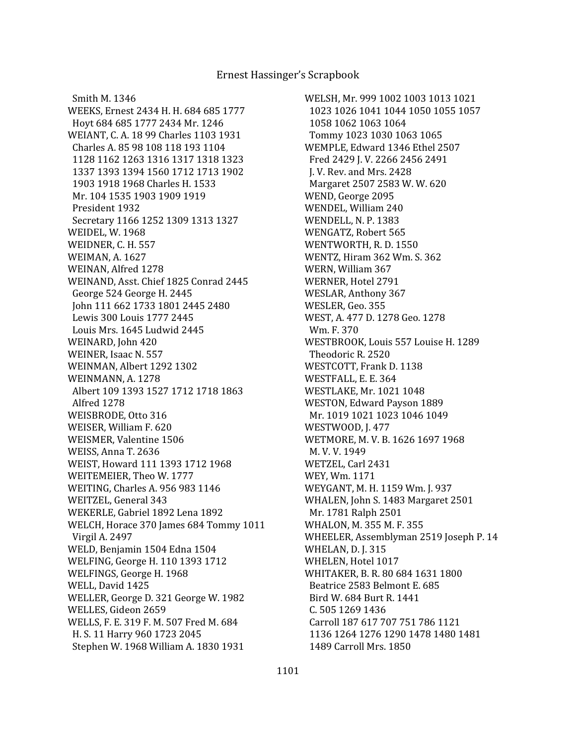Smith M. 1346 WEEKS, Ernest 2434 H. H. 684 685 1777 Hoyt 684 685 1777 2434 Mr. 1246 WEIANT, C. A. 18 99 Charles 1103 1931 Charles A. 85 98 108 118 193 1104 1128 1162 1263 1316 1317 1318 1323 1337 1393 1394 1560 1712 1713 1902 1903 1918 1968 Charles H. 1533 Mr. 104 1535 1903 1909 1919 President 1932 Secretary 1166 1252 1309 1313 1327 WEIDEL, W. 1968 WEIDNER, C. H. 557 WEIMAN, A. 1627 WEINAN, Alfred 1278 WEINAND, Asst. Chief 1825 Conrad 2445 George 524 George H. 2445 John 111 662 1733 1801 2445 2480 Lewis 300 Louis 1777 2445 Louis Mrs. 1645 Ludwid 2445 WEINARD, John 420 WEINER, Isaac N. 557 WEINMAN, Albert 1292 1302 WEINMANN, A. 1278 Albert 109 1393 1527 1712 1718 1863 Alfred 1278 WEISBRODE, Otto 316 WEISER, William F. 620 WEISMER, Valentine 1506 WEISS, Anna T. 2636 WEIST, Howard 111 1393 1712 1968 WEITEMEIER, Theo W. 1777 WEITING, Charles A. 956 983 1146 WEITZEL, General 343 WEKERLE, Gabriel 1892 Lena 1892 WELCH, Horace 370 James 684 Tommy 1011 Virgil A. 2497 WELD, Benjamin 1504 Edna 1504 WELFING, George H. 110 1393 1712 WELFINGS, George H. 1968 WELL, David 1425 WELLER, George D. 321 George W. 1982 WELLES, Gideon 2659 WELLS, F. E. 319 F. M. 507 Fred M. 684 H. S. 11 Harry 960 1723 2045 Stephen W. 1968 William A. 1830 1931

WELSH, Mr. 999 1002 1003 1013 1021 1023 1026 1041 1044 1050 1055 1057 1058 1062 1063 1064 Tommy 1023 1030 1063 1065 WEMPLE, Edward 1346 Ethel 2507 Fred 2429 J. V. 2266 2456 2491 J. V. Rev. and Mrs. 2428 Margaret 2507 2583 W. W. 620 WEND, George 2095 WENDEL, William 240 WENDELL, N. P. 1383 WENGATZ, Robert 565 WENTWORTH, R. D. 1550 WENTZ, Hiram 362 Wm. S. 362 WERN, William 367 WERNER, Hotel 2791 WESLAR, Anthony 367 WESLER, Geo. 355 WEST, A. 477 D. 1278 Geo. 1278 Wm. F. 370 WESTBROOK, Louis 557 Louise H. 1289 Theodoric R. 2520 WESTCOTT, Frank D. 1138 WESTFALL, E. E. 364 WESTLAKE, Mr. 1021 1048 WESTON, Edward Payson 1889 Mr. 1019 1021 1023 1046 1049 WESTWOOD, J. 477 WETMORE, M. V. B. 1626 1697 1968 M. V. V. 1949 WETZEL, Carl 2431 WEY, Wm. 1171 WEYGANT, M. H. 1159 Wm. J. 937 WHALEN, John S. 1483 Margaret 2501 Mr. 1781 Ralph 2501 WHALON, M. 355 M. F. 355 WHEELER, Assemblyman 2519 Joseph P. 14 WHELAN, D. J. 315 WHELEN, Hotel 1017 WHITAKER, B. R. 80 684 1631 1800 Beatrice 2583 Belmont E. 685 Bird W. 684 Burt R. 1441 C. 505 1269 1436 Carroll 187 617 707 751 786 1121 1136 1264 1276 1290 1478 1480 1481 1489 Carroll Mrs. 1850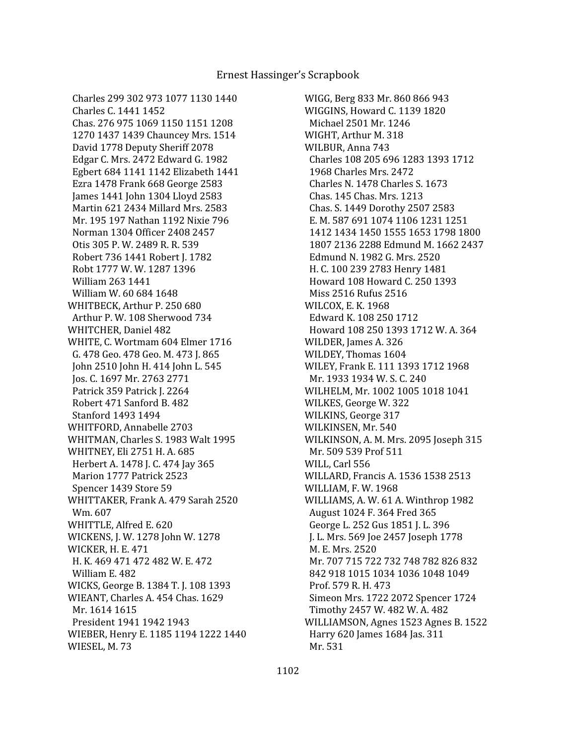Charles 299 302 973 1077 1130 1440 Charles C. 1441 1452 Chas. 276 975 1069 1150 1151 1208 1270 1437 1439 Chauncey Mrs. 1514 David 1778 Deputy Sheriff 2078 Edgar C. Mrs. 2472 Edward G. 1982 Egbert 684 1141 1142 Elizabeth 1441 Ezra 1478 Frank 668 George 2583 James 1441 John 1304 Lloyd 2583 Martin 621 2434 Millard Mrs. 2583 Mr. 195 197 Nathan 1192 Nixie 796 Norman 1304 Officer 2408 2457 Otis 305 P. W. 2489 R. R. 539 Robert 736 1441 Robert J. 1782 Robt 1777 W. W. 1287 1396 William 263 1441 William W. 60 684 1648 WHITBECK, Arthur P. 250 680 Arthur P. W. 108 Sherwood 734 WHITCHER, Daniel 482 WHITE, C. Wortmam 604 Elmer 1716 G. 478 Geo. 478 Geo. M. 473 J. 865 John 2510 John H. 414 John L. 545 Jos. C. 1697 Mr. 2763 2771 Patrick 359 Patrick J. 2264 Robert 471 Sanford B. 482 Stanford 1493 1494 WHITFORD, Annabelle 2703 WHITMAN, Charles S. 1983 Walt 1995 WHITNEY, Eli 2751 H. A. 685 Herbert A. 1478 J. C. 474 Jay 365 Marion 1777 Patrick 2523 Spencer 1439 Store 59 WHITTAKER, Frank A. 479 Sarah 2520 Wm. 607 WHITTLE, Alfred E. 620 WICKENS, J. W. 1278 John W. 1278 WICKER, H. E. 471 H. K. 469 471 472 482 W. E. 472 William E. 482 WICKS, George B. 1384 T. J. 108 1393 WIEANT, Charles A. 454 Chas. 1629 Mr. 1614 1615 President 1941 1942 1943 WIEBER, Henry E. 1185 1194 1222 1440 WIESEL, M. 73

WIGG, Berg 833 Mr. 860 866 943 WIGGINS, Howard C. 1139 1820 Michael 2501 Mr. 1246 WIGHT, Arthur M. 318 WILBUR, Anna 743 Charles 108 205 696 1283 1393 1712 1968 Charles Mrs. 2472 Charles N. 1478 Charles S. 1673 Chas. 145 Chas. Mrs. 1213 Chas. S. 1449 Dorothy 2507 2583 E. M. 587 691 1074 1106 1231 1251 1412 1434 1450 1555 1653 1798 1800 1807 2136 2288 Edmund M. 1662 2437 Edmund N. 1982 G. Mrs. 2520 H. C. 100 239 2783 Henry 1481 Howard 108 Howard C. 250 1393 Miss 2516 Rufus 2516 WILCOX, E. K. 1968 Edward K. 108 250 1712 Howard 108 250 1393 1712 W. A. 364 WILDER, James A. 326 WILDEY, Thomas 1604 WILEY, Frank E. 111 1393 1712 1968 Mr. 1933 1934 W. S. C. 240 WILHELM, Mr. 1002 1005 1018 1041 WILKES, George W. 322 WILKINS, George 317 WILKINSEN, Mr. 540 WILKINSON, A. M. Mrs. 2095 Joseph 315 Mr. 509 539 Prof 511 WILL, Carl 556 WILLARD, Francis A. 1536 1538 2513 WILLIAM, F. W. 1968 WILLIAMS, A. W. 61 A. Winthrop 1982 August 1024 F. 364 Fred 365 George L. 252 Gus 1851 J. L. 396 J. L. Mrs. 569 Joe 2457 Joseph 1778 M. E. Mrs. 2520 Mr. 707 715 722 732 748 782 826 832 842 918 1015 1034 1036 1048 1049 Prof. 579 R. H. 473 Simeon Mrs. 1722 2072 Spencer 1724 Timothy 2457 W. 482 W. A. 482 WILLIAMSON, Agnes 1523 Agnes B. 1522 Harry 620 James 1684 Jas. 311 Mr. 531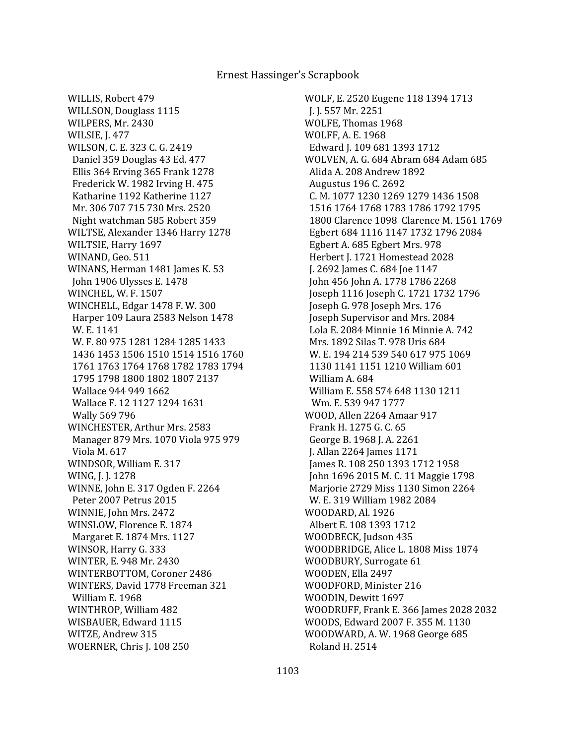WILLIS, Robert 479 WILLSON, Douglass 1115 WILPERS, Mr. 2430 WILSIE, J. 477 WILSON, C. E. 323 C. G. 2419 Daniel 359 Douglas 43 Ed. 477 Ellis 364 Erving 365 Frank 1278 Frederick W. 1982 Irving H. 475 Katharine 1192 Katherine 1127 Mr. 306 707 715 730 Mrs. 2520 Night watchman 585 Robert 359 WILTSE, Alexander 1346 Harry 1278 WILTSIE, Harry 1697 WINAND, Geo. 511 WINANS, Herman 1481 James K. 53 John 1906 Ulysses E. 1478 WINCHEL, W. F. 1507 WINCHELL, Edgar 1478 F. W. 300 Harper 109 Laura 2583 Nelson 1478 W. E. 1141 W. F. 80 975 1281 1284 1285 1433 1436 1453 1506 1510 1514 1516 1760 1761 1763 1764 1768 1782 1783 1794 1795 1798 1800 1802 1807 2137 Wallace 944 949 1662 Wallace F. 12 1127 1294 1631 Wally 569 796 WINCHESTER, Arthur Mrs. 2583 Manager 879 Mrs. 1070 Viola 975 979 Viola M. 617 WINDSOR, William E. 317 WING, J. J. 1278 WINNE, John E. 317 Ogden F. 2264 Peter 2007 Petrus 2015 WINNIE, John Mrs. 2472 WINSLOW, Florence E. 1874 Margaret E. 1874 Mrs. 1127 WINSOR, Harry G. 333 WINTER, E. 948 Mr. 2430 WINTERBOTTOM, Coroner 2486 WINTERS, David 1778 Freeman 321 William E. 1968 WINTHROP, William 482 WISBAUER, Edward 1115 WITZE, Andrew 315 WOERNER, Chris J. 108 250

WOLF, E. 2520 Eugene 118 1394 1713 J. J. 557 Mr. 2251 WOLFE, Thomas 1968 WOLFF, A. E. 1968 Edward J. 109 681 1393 1712 WOLVEN, A. G. 684 Abram 684 Adam 685 Alida A. 208 Andrew 1892 Augustus 196 C. 2692 C. M. 1077 1230 1269 1279 1436 1508 1516 1764 1768 1783 1786 1792 1795 1800 Clarence 1098 Clarence M. 1561 1769 Egbert 684 1116 1147 1732 1796 2084 Egbert A. 685 Egbert Mrs. 978 Herbert J. 1721 Homestead 2028 J. 2692 James C. 684 Joe 1147 John 456 John A. 1778 1786 2268 Joseph 1116 Joseph C. 1721 1732 1796 Joseph G. 978 Joseph Mrs. 176 Joseph Supervisor and Mrs. 2084 Lola E. 2084 Minnie 16 Minnie A. 742 Mrs. 1892 Silas T. 978 Uris 684 W. E. 194 214 539 540 617 975 1069 1130 1141 1151 1210 William 601 William A. 684 William E. 558 574 648 1130 1211 Wm. E. 539 947 1777 WOOD, Allen 2264 Amaar 917 Frank H. 1275 G. C. 65 George B. 1968 J. A. 2261 J. Allan 2264 James 1171 James R. 108 250 1393 1712 1958 John 1696 2015 M. C. 11 Maggie 1798 Marjorie 2729 Miss 1130 Simon 2264 W. E. 319 William 1982 2084 WOODARD, Al. 1926 Albert E. 108 1393 1712 WOODBECK, Judson 435 WOODBRIDGE, Alice L. 1808 Miss 1874 WOODBURY, Surrogate 61 WOODEN, Ella 2497 WOODFORD, Minister 216 WOODIN, Dewitt 1697 WOODRUFF, Frank E. 366 James 2028 2032 WOODS, Edward 2007 F. 355 M. 1130 WOODWARD, A. W. 1968 George 685 Roland H. 2514